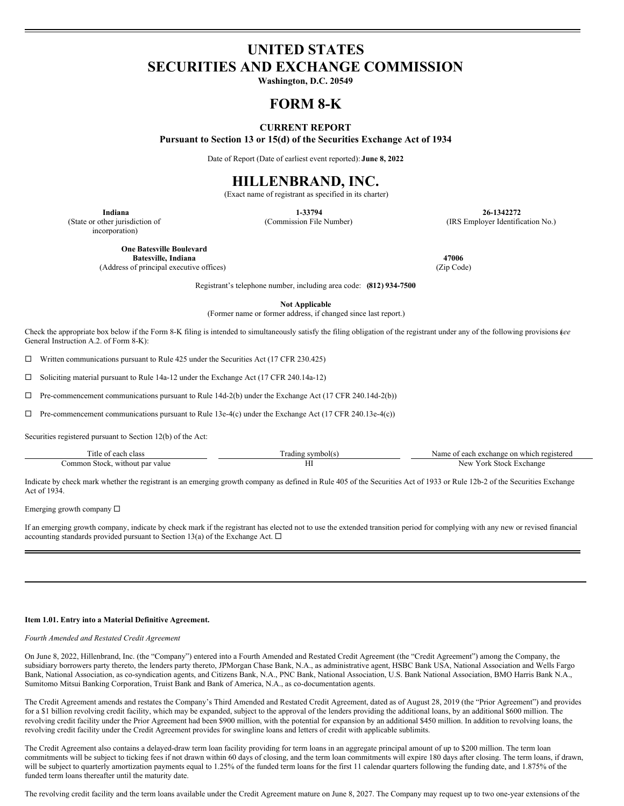# **UNITED STATES SECURITIES AND EXCHANGE COMMISSION**

**Washington, D.C. 20549**

# **FORM 8-K**

# **CURRENT REPORT**

**Pursuant to Section 13 or 15(d) of the Securities Exchange Act of 1934**

Date of Report (Date of earliest event reported): **June 8, 2022**

# **HILLENBRAND, INC.**

(Exact name of registrant as specified in its charter)

**Indiana 1-33794 26-1342272** (Commission File Number) (IRS Employer Identification No.)

(State or other jurisdiction of incorporation)

**One Batesville Boulevard**

(Address of principal executive offices) (Zip Code)

Registrant's telephone number, including area code: **(812) 934-7500**

**Not Applicable**

(Former name or former address, if changed since last report.)

Check the appropriate box below if the Form 8-K filing is intended to simultaneously satisfy the filing obligation of the registrant under any of the following provisions (*see* General Instruction A.2. of Form 8-K):

 $\Box$  Written communications pursuant to Rule 425 under the Securities Act (17 CFR 230.425)

¨ Soliciting material pursuant to Rule 14a-12 under the Exchange Act (17 CFR 240.14a-12)

 $\Box$  Pre-commencement communications pursuant to Rule 14d-2(b) under the Exchange Act (17 CFR 240.14d-2(b))

 $\Box$  Pre-commencement communications pursuant to Rule 13e-4(c) under the Exchange Act (17 CFR 240.13e-4(c))

Securities registered pursuant to Section 12(b) of the Act:

| l'itle of<br>$\sim$ $\sim$ $\sim$<br>each<br>сіам | radın | each<br>Name<br>, exchang∕<br>registered<br>. on<br>XX.<br>wnich 1 |
|---------------------------------------------------|-------|--------------------------------------------------------------------|
| ommor<br>. stock<br>without par<br>value          | .     | Exchange<br>r ork Stock<br>Nev                                     |

Indicate by check mark whether the registrant is an emerging growth company as defined in Rule 405 of the Securities Act of 1933 or Rule 12b-2 of the Securities Exchange Act of 1934.

Emerging growth company  $\square$ 

If an emerging growth company, indicate by check mark if the registrant has elected not to use the extended transition period for complying with any new or revised financial accounting standards provided pursuant to Section 13(a) of the Exchange Act.  $\Box$ 

#### **Item 1.01. Entry into a Material Definitive Agreement.**

*Fourth Amended and Restated Credit Agreement*

On June 8, 2022, Hillenbrand, Inc. (the "Company") entered into a Fourth Amended and Restated Credit Agreement (the "Credit Agreement") among the Company, the subsidiary borrowers party thereto, the lenders party thereto, JPMorgan Chase Bank, N.A., as administrative agent, HSBC Bank USA, National Association and Wells Fargo Bank, National Association, as co-syndication agents, and Citizens Bank, N.A., PNC Bank, National Association, U.S. Bank National Association, BMO Harris Bank N.A., Sumitomo Mitsui Banking Corporation, Truist Bank and Bank of America, N.A., as co-documentation agents.

The Credit Agreement amends and restates the Company's Third Amended and Restated Credit Agreement, dated as of August 28, 2019 (the "Prior Agreement") and provides for a \$1 billion revolving credit facility, which may be expanded, subject to the approval of the lenders providing the additional loans, by an additional \$600 million. The revolving credit facility under the Prior Agreement had been \$900 million, with the potential for expansion by an additional \$450 million. In addition to revolving loans, the revolving credit facility under the Credit Agreement provides for swingline loans and letters of credit with applicable sublimits.

The Credit Agreement also contains a delayed-draw term loan facility providing for term loans in an aggregate principal amount of up to \$200 million. The term loan commitments will be subject to ticking fees if not drawn within 60 days of closing, and the term loan commitments will expire 180 days after closing. The term loans, if drawn, will be subject to quarterly amortization payments equal to 1.25% of the funded term loans for the first 11 calendar quarters following the funding date, and 1.875% of the funded term loans thereafter until the maturity date.

The revolving credit facility and the term loans available under the Credit Agreement mature on June 8, 2027. The Company may request up to two one-year extensions of the

**Batesville, Indiana 47006**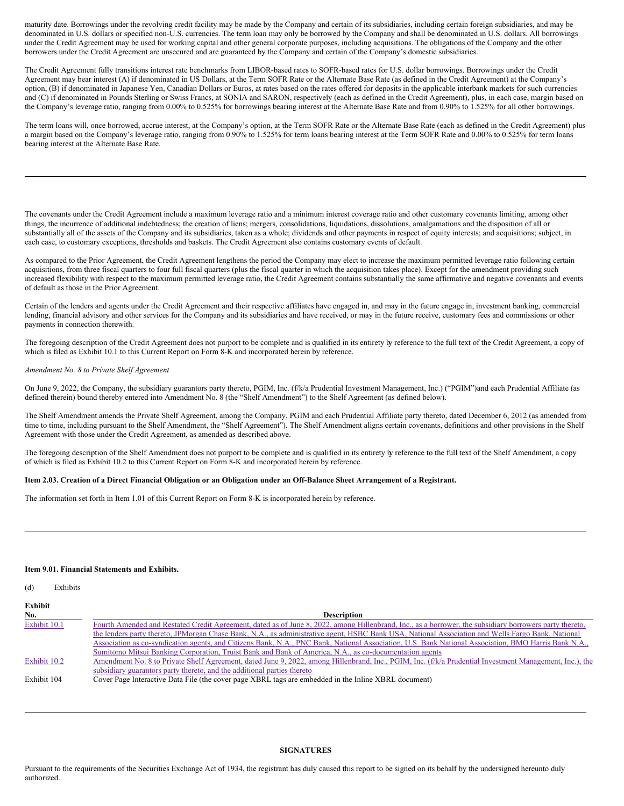maturity date. Borrowings under the revolving credit facility may be made by the Company and certain of its subsidiaries, including certain foreign subsidiaries, and may be denominated in U.S. dollars or specified non-U.S. currencies. The term loan may only be borrowed by the Company and shall be denominated in U.S. dollars. All borrowings under the Credit Agreement may be used for working capital and other general corporate purposes, including acquisitions. The obligations of the Company and the other borrowers under the Credit Agreement are unsecured and are guaranteed by the Company and certain of the Company's domestic subsidiaries.

The Credit Agreement fully transitions interest rate benchmarks from LIBOR-based rates to SOFR-based rates for U.S. dollar borrowings. Borrowings under the Credit Agreement may bear interest (A) if denominated in US Dollars, at the Term SOFR Rate or the Alternate Base Rate (as defined in the Credit Agreement) at the Company's option, (B) if denominated in Japanese Yen, Canadian Dollars or Euros, at rates based on the rates offered for deposits in the applicable interbank markets for such currencies and (C) if denominated in Pounds Sterling or Swiss Francs, at SONIA and SARON, respectively (each as defined in the Credit Agreement), plus, in each case, margin based on the Company's leverage ratio, ranging from 0.00% to 0.525% for borrowings bearing interest at the Alternate Base Rate and from 0.90% to 1.525% for all other borrowings.

The term loans will, once borrowed, accrue interest, at the Company's option, at the Term SOFR Rate or the Alternate Base Rate (each as defined in the Credit Agreement) plus a margin based on the Company's leverage ratio, ranging from 0.90% to 1.525% for term loans bearing interest at the Term SOFR Rate and 0.00% to 0.525% for term loans bearing interest at the Alternate Base Rate.

The covenants under the Credit Agreement include a maximum leverage ratio and a minimum interest coverage ratio and other customary covenants limiting, among other things, the incurrence of additional indebtedness; the creation of liens; mergers, consolidations, liquidations, dissolutions, amalgamations and the disposition of all or substantially all of the assets of the Company and its subsidiaries, taken as a whole; dividends and other payments in respect of equity interests; and acquisitions; subject, in each case, to customary exceptions, thresholds and baskets. The Credit Agreement also contains customary events of default.

As compared to the Prior Agreement, the Credit Agreement lengthens the period the Company may elect to increase the maximum permitted leverage ratio following certain acquisitions, from three fiscal quarters to four full fiscal quarters (plus the fiscal quarter in which the acquisition takes place). Except for the amendment providing such increased flexibility with respect to the maximum permitted leverage ratio, the Credit Agreement contains substantially the same affirmative and negative covenants and events of default as those in the Prior Agreement.

Certain of the lenders and agents under the Credit Agreement and their respective affiliates have engaged in, and may in the future engage in, investment banking, commercial lending, financial advisory and other services for the Company and its subsidiaries and have received, or may in the future receive, customary fees and commissions or other payments in connection therewith.

The foregoing description of the Credit Agreement does not purport to be complete and is qualified in its entirety by reference to the full text of the Credit Agreement, a copy of which is filed as Exhibit 10.1 to this Current Report on Form 8-K and incorporated herein by reference.

#### *Amendment No. 8 to Private Shelf Agreement*

On June 9, 2022, the Company, the subsidiary guarantors party thereto, PGIM, Inc. (f/k/a Prudential Investment Management, Inc.) ("PGIM")and each Prudential Affiliate (as defined therein) bound thereby entered into Amendment No. 8 (the "Shelf Amendment") to the Shelf Agreement (as defined below).

The Shelf Amendment amends the Private Shelf Agreement, among the Company, PGIM and each Prudential Affiliate party thereto, dated December 6, 2012 (as amended from time to time, including pursuant to the Shelf Amendment, the "Shelf Agreement"). The Shelf Amendment aligns certain covenants, definitions and other provisions in the Shelf Agreement with those under the Credit Agreement, as amended as described above.

The foregoing description of the Shelf Amendment does not purport to be complete and is qualified in its entirety by reference to the full text of the Shelf Amendment, a copy of which is filed as Exhibit 10.2 to this Current Report on Form 8-K and incorporated herein by reference.

#### Item 2.03. Creation of a Direct Financial Obligation or an Obligation under an Off-Balance Sheet Arrangement of a Registrant.

The information set forth in Item 1.01 of this Current Report on Form 8-K is incorporated herein by reference.

#### **Item 9.01. Financial Statements and Exhibits.**

(d) Exhibits

| <b>Description</b>                                                                                                                                      |
|---------------------------------------------------------------------------------------------------------------------------------------------------------|
| Fourth Amended and Restated Credit Agreement, dated as of June 8, 2022, among Hillenbrand, Inc., as a borrower, the subsidiary borrowers party thereto, |
| the lenders party thereto, JPMorgan Chase Bank, N.A., as administrative agent, HSBC Bank USA, National Association and Wells Fargo Bank, National       |
| Association as co-syndication agents, and Citizens Bank, N.A., PNC Bank, National Association, U.S. Bank National Association, BMO Harris Bank N.A.,    |
| Sumitomo Mitsui Banking Corporation, Truist Bank and Bank of America, N.A., as co-documentation agents                                                  |
| Amendment No. 8 to Private Shelf Agreement, dated June 9, 2022, among Hillenbrand, Inc., PGIM, Inc. (f/k/a Prudential Investment Management, Inc.), the |
| subsidiary guarantors party thereto, and the additional parties thereto                                                                                 |
| Cover Page Interactive Data File (the cover page XBRL tags are embedded in the Inline XBRL document)                                                    |
|                                                                                                                                                         |

#### **SIGNATURES**

Pursuant to the requirements of the Securities Exchange Act of 1934, the registrant has duly caused this report to be signed on its behalf by the undersigned hereunto duly authorized.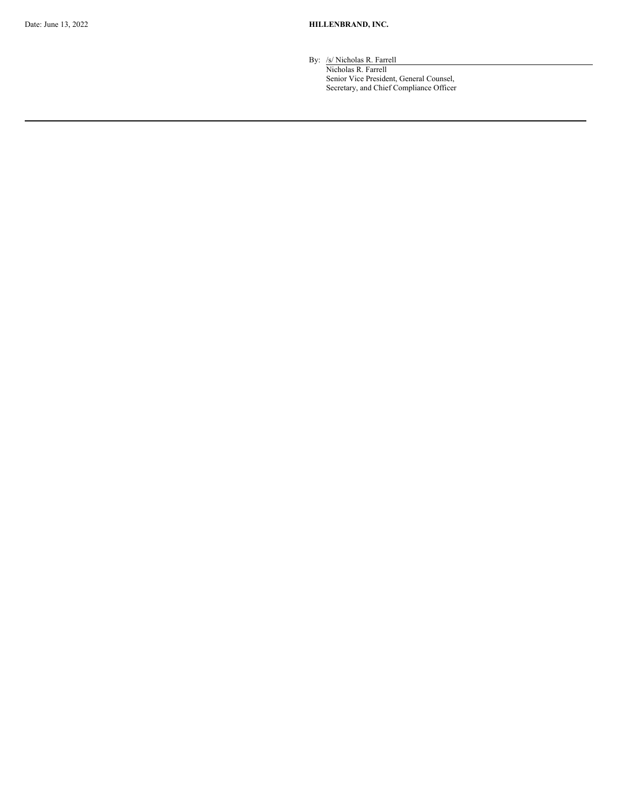By: /s/ Nicholas R. Farrell

Nicholas R. Farrell Senior Vice President, General Counsel, Secretary, and Chief Compliance Officer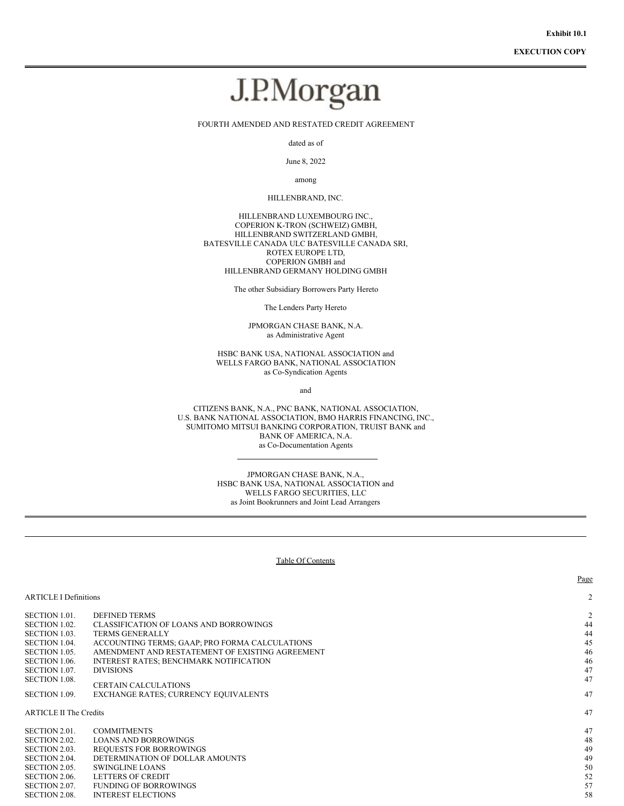Page

**EXECUTION COPY**

# J.P.Morgan

# FOURTH AMENDED AND RESTATED CREDIT AGREEMENT

dated as of

June 8, 2022

among

HILLENBRAND, INC.

HILLENBRAND LUXEMBOURG INC., COPERION K-TRON (SCHWEIZ) GMBH, HILLENBRAND SWITZERLAND GMBH, BATESVILLE CANADA ULC BATESVILLE CANADA SRI, ROTEX EUROPE LTD, COPERION GMBH and HILLENBRAND GERMANY HOLDING GMBH

The other Subsidiary Borrowers Party Hereto

The Lenders Party Hereto

JPMORGAN CHASE BANK, N.A. as Administrative Agent

HSBC BANK USA, NATIONAL ASSOCIATION and WELLS FARGO BANK, NATIONAL ASSOCIATION as Co-Syndication Agents

and

CITIZENS BANK, N.A., PNC BANK, NATIONAL ASSOCIATION, U.S. BANK NATIONAL ASSOCIATION, BMO HARRIS FINANCING, INC., SUMITOMO MITSUI BANKING CORPORATION, TRUIST BANK and BANK OF AMERICA, N.A. as Co-Documentation Agents

> JPMORGAN CHASE BANK, N.A., HSBC BANK USA, NATIONAL ASSOCIATION and WELLS FARGO SECURITIES, LLC as Joint Bookrunners and Joint Lead Arrangers

#### Table Of Contents

| <b>ARTICLE I Definitions</b> |  |
|------------------------------|--|
|------------------------------|--|

| SECTION 1.01.                 | DEFINED TERMS                                   | $\overline{2}$ |
|-------------------------------|-------------------------------------------------|----------------|
| SECTION 1.02.                 | CLASSIFICATION OF LOANS AND BORROWINGS          | 44             |
| SECTION 1.03.                 | <b>TERMS GENERALLY</b>                          | 44             |
| SECTION 1.04.                 | ACCOUNTING TERMS; GAAP; PRO FORMA CALCULATIONS  | 45             |
| SECTION 1.05.                 | AMENDMENT AND RESTATEMENT OF EXISTING AGREEMENT | 46             |
| SECTION 1.06.                 | <b>INTEREST RATES: BENCHMARK NOTIFICATION</b>   | 46             |
| SECTION 1.07.                 | <b>DIVISIONS</b>                                | 47             |
| SECTION 1.08.                 | <b>CERTAIN CALCULATIONS</b>                     | 47             |
| SECTION 1.09.                 | EXCHANGE RATES; CURRENCY EQUIVALENTS            | 47             |
| <b>ARTICLE II The Credits</b> |                                                 | 47             |
| SECTION 2.01.                 | <b>COMMITMENTS</b>                              | 47             |
| SECTION 2.02.                 | <b>LOANS AND BORROWINGS</b>                     | 48             |
| SECTION 2.03.                 | <b>REQUESTS FOR BORROWINGS</b>                  | 49             |
| SECTION 2.04.                 | DETERMINATION OF DOLLAR AMOUNTS                 | 49             |
| SECTION 2.05.                 | <b>SWINGLINE LOANS</b>                          | 50             |
| SECTION 2.06.                 | LETTERS OF CREDIT                               | 52             |
| SECTION 2.07.                 | <b>FUNDING OF BORROWINGS</b>                    | 57             |

SECTION 2.08. INTEREST ELECTIONS 58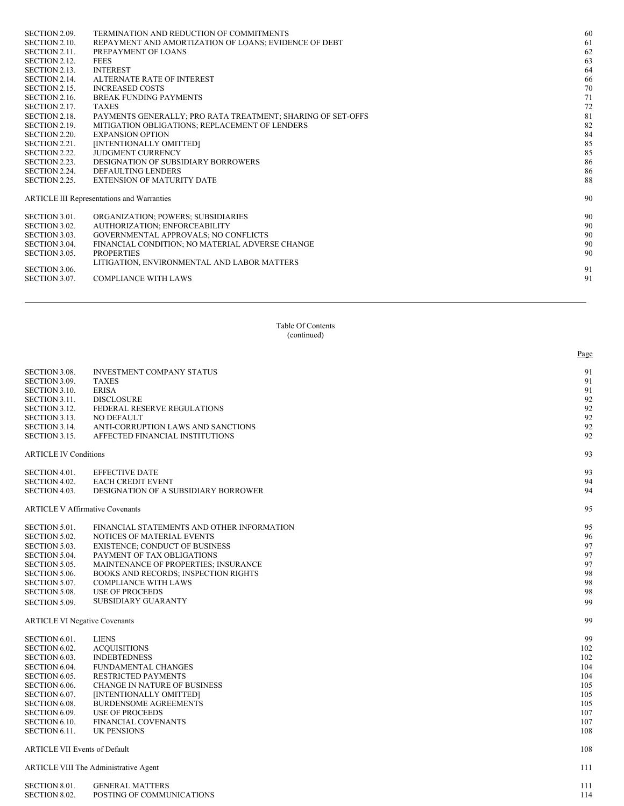| SECTION 2.09.        | TERMINATION AND REDUCTION OF COMMITMENTS                    | 60 |
|----------------------|-------------------------------------------------------------|----|
| SECTION 2.10.        | REPAYMENT AND AMORTIZATION OF LOANS; EVIDENCE OF DEBT       | 61 |
| SECTION 2.11.        | PREPAYMENT OF LOANS                                         | 62 |
| SECTION 2.12.        | <b>FEES</b>                                                 | 63 |
| SECTION 2.13.        | <b>INTEREST</b>                                             | 64 |
| SECTION 2.14.        | ALTERNATE RATE OF INTEREST                                  | 66 |
| SECTION 2.15.        | <b>INCREASED COSTS</b>                                      | 70 |
| SECTION 2.16.        | <b>BREAK FUNDING PAYMENTS</b>                               | 71 |
| SECTION 2.17.        | <b>TAXES</b>                                                | 72 |
| SECTION 2.18.        | PAYMENTS GENERALLY; PRO RATA TREATMENT; SHARING OF SET-OFFS | 81 |
| SECTION 2.19.        | MITIGATION OBLIGATIONS; REPLACEMENT OF LENDERS              | 82 |
| <b>SECTION 2.20.</b> | <b>EXPANSION OPTION</b>                                     | 84 |
| SECTION 2.21.        | [INTENTIONALLY OMITTED]                                     | 85 |
| SECTION 2.22.        | <b>JUDGMENT CURRENCY</b>                                    | 85 |
| SECTION 2.23.        | <b>DESIGNATION OF SUBSIDIARY BORROWERS</b>                  | 86 |
| SECTION 2.24.        | DEFAULTING LENDERS                                          | 86 |
| SECTION 2.25.        | <b>EXTENSION OF MATURITY DATE</b>                           | 88 |
|                      | <b>ARTICLE III Representations and Warranties</b>           | 90 |
| SECTION 3.01.        | ORGANIZATION; POWERS; SUBSIDIARIES                          | 90 |
| SECTION 3.02.        | AUTHORIZATION; ENFORCEABILITY                               | 90 |
| SECTION 3.03.        | GOVERNMENTAL APPROVALS; NO CONFLICTS                        | 90 |
| SECTION 3.04.        | FINANCIAL CONDITION; NO MATERIAL ADVERSE CHANGE             | 90 |
| SECTION 3.05.        | <b>PROPERTIES</b>                                           | 90 |
|                      | LITIGATION, ENVIRONMENTAL AND LABOR MATTERS                 |    |
| SECTION 3.06.        |                                                             | 91 |
| SECTION 3.07.        | <b>COMPLIANCE WITH LAWS</b>                                 | 91 |
|                      |                                                             |    |

# Table Of Contents (continued)

|                                        |                                             | Page |
|----------------------------------------|---------------------------------------------|------|
| SECTION 3.08.                          | <b>INVESTMENT COMPANY STATUS</b>            | 91   |
| SECTION 3.09.                          | <b>TAXES</b>                                | 91   |
| <b>SECTION 3.10.</b>                   | <b>ERISA</b>                                | 91   |
| SECTION 3.11.                          | <b>DISCLOSURE</b>                           | 92   |
| SECTION 3.12.                          | FEDERAL RESERVE REGULATIONS                 | 92   |
| SECTION 3.13.                          | NO DEFAULT                                  | 92   |
| SECTION 3.14.                          | ANTI-CORRUPTION LAWS AND SANCTIONS          | 92   |
| SECTION 3.15.                          | AFFECTED FINANCIAL INSTITUTIONS             | 92   |
| <b>ARTICLE IV Conditions</b>           |                                             | 93   |
| SECTION 4.01.                          | <b>EFFECTIVE DATE</b>                       | 93   |
| SECTION 4.02.                          | <b>EACH CREDIT EVENT</b>                    | 94   |
| SECTION 4.03.                          | DESIGNATION OF A SUBSIDIARY BORROWER        | 94   |
| <b>ARTICLE V Affirmative Covenants</b> |                                             | 95   |
| SECTION 5.01.                          | FINANCIAL STATEMENTS AND OTHER INFORMATION  | 95   |
| <b>SECTION 5.02.</b>                   | NOTICES OF MATERIAL EVENTS                  | 96   |
| SECTION 5.03.                          | <b>EXISTENCE: CONDUCT OF BUSINESS</b>       | 97   |
| SECTION 5.04.                          | PAYMENT OF TAX OBLIGATIONS                  | 97   |
| SECTION 5.05.                          | MAINTENANCE OF PROPERTIES; INSURANCE        | 97   |
| SECTION 5.06.                          | <b>BOOKS AND RECORDS: INSPECTION RIGHTS</b> | 98   |
| SECTION 5.07.                          | <b>COMPLIANCE WITH LAWS</b>                 | 98   |
| SECTION 5.08.                          | <b>USE OF PROCEEDS</b>                      | 98   |
| SECTION 5.09.                          | SUBSIDIARY GUARANTY                         | 99   |
| <b>ARTICLE VI Negative Covenants</b>   |                                             | 99   |
| SECTION 6.01.                          | <b>LIENS</b>                                | 99   |
| SECTION 6.02.                          | <b>ACQUISITIONS</b>                         | 102  |
| SECTION 6.03.                          | <b>INDEBTEDNESS</b>                         | 102  |
| SECTION 6.04.                          | FUNDAMENTAL CHANGES                         | 104  |
| SECTION 6.05.                          | <b>RESTRICTED PAYMENTS</b>                  | 104  |
| SECTION 6.06.                          | <b>CHANGE IN NATURE OF BUSINESS</b>         | 105  |
| SECTION 6.07.                          | [INTENTIONALLY OMITTED]                     | 105  |
| SECTION 6.08.                          | <b>BURDENSOME AGREEMENTS</b>                | 105  |
| SECTION 6.09.                          | <b>USE OF PROCEEDS</b>                      | 107  |
| <b>SECTION 6.10.</b>                   | FINANCIAL COVENANTS                         | 107  |
| SECTION 6.11.                          | <b>UK PENSIONS</b>                          | 108  |
| <b>ARTICLE VII Events of Default</b>   |                                             | 108  |
|                                        | ARTICLE VIII The Administrative Agent       | 111  |
| <b>SECTION 8.01.</b>                   | <b>GENERAL MATTERS</b>                      | 111  |
| <b>SECTION 8.02.</b>                   | POSTING OF COMMUNICATIONS                   | 114  |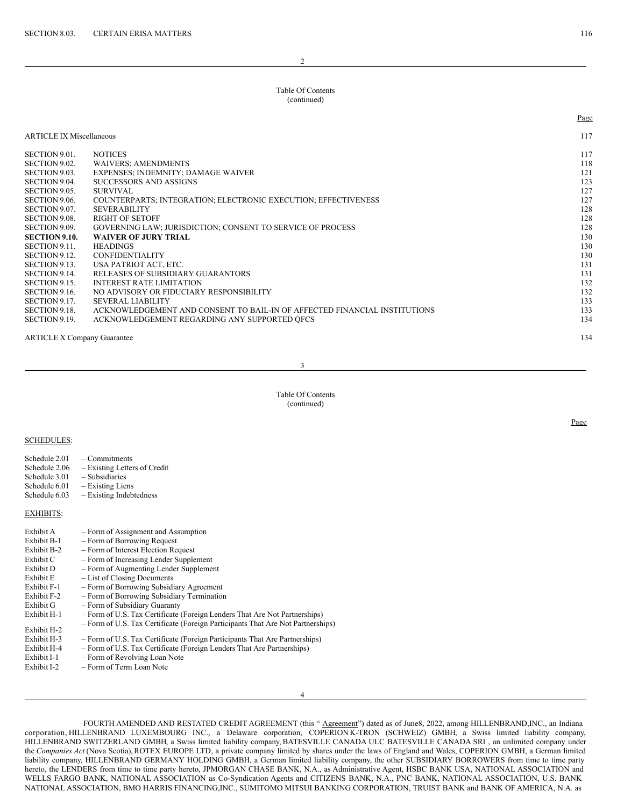$\mathfrak{Z}$ 

#### Table Of Contents (continued)

# ARTICLE IX Miscellaneous 117 SECTION 9.01. NOTICES 117 SECTION 9.02. WAIVERS; AMENDMENTS 118<br>SECTION 9.03 EXPENSES: INDEMNITY: DAMAGE WAIVER EXPENSES; INDEMNITY; DAMAGE WAIVER 121 SECTION 9.04. SUCCESSORS AND ASSIGNS 123<br>SECTION 9.05. SURVIVAL 127 SECTION 9.05. SURVIVAL 127 SECTION 9.06. COUNTERPARTS; INTEGRATION; ELECTRONIC EXECUTION; EFFECTIVENESS 127 SECTION 9.07. SEVERABILITY 128 SECTION 9.08. RIGHT OF SETOFF 128 SECTION 9.09. GOVERNING LAW; JURISDICTION; CONSENT TO SERVICE OF PROCESS 128 128<br>SECTION 9.10. WAIVER OF JURY TRIAL 130 **WAIVER OF JURY TRIAL** SECTION 9.11. HEADINGS 130 SECTION 9.12. CONFIDENTIALITY 130 SECTION 9.13. USA PATRIOT ACT, ETC. 131<br>SECTION 9.14. RELEASES OF SUBSIDIARY GUARANTORS 131 RELEASES OF SUBSIDIARY GUARANTORS 131 SECTION 9.15. INTEREST RATE LIMITATION 132 SECTION 9.16. NO ADVISORY OR FIDUCIARY RESPONSIBILITY 132 SEVERAL LIABILITY SECTION 9.18. ACKNOWLEDGEMENT AND CONSENT TO BAIL-IN OF AFFECTED FINANCIAL INSTITUTIONS 1999 133<br>SECTION 9.19. ACKNOWLEDGEMENT REGARDING ANY SUPPORTED QFCS ACKNOWLEDGEMENT REGARDING ANY SUPPORTED QFCS 134 ARTICLE X Company Guarantee 134

3

Table Of Contents (continued)

#### SCHEDULES:

Schedule  $2.01 -$  Commitments Schedule 2.06 – Existing Letters of Credit Schedule 3.01 – Subsidiaries<br>Schedule  $6.01$  – Existing Lier – Existing Liens Schedule 6.03 – Existing Indebtedness

## EXHIBITS:

Exhibit A – Form of Assignment and Assumption Exhibit B-1 – Form of Borrowing Request Exhibit B-2 – Form of Interest Election Request<br>Exhibit C – Form of Increasing Lender Supple  $-$  Form of Increasing Lender Supplement Exhibit D – Form of Augmenting Lender Supplement<br>Exhibit E – List of Closing Documents Exhibit E – List of Closing Documents<br>Exhibit E-1 – Form of Borrowing Subsidi – Form of Borrowing Subsidiary Agreement Exhibit F-2 – Form of Borrowing Subsidiary Termination<br>Exhibit G – Form of Subsidiary Guaranty  $-$  Form of Subsidiary Guaranty Exhibit H-1 – Form of U.S. Tax Certificate (Foreign Lenders That Are Not Partnerships) Exhibit H-2 – Form of U.S. Tax Certificate (Foreign Participants That Are Not Partnerships) Exhibit H-3 – Form of U.S. Tax Certificate (Foreign Participants That Are Partnerships)<br>Exhibit H-4 – Form of U.S. Tax Certificate (Foreign Lenders That Are Partnerships) - Form of U.S. Tax Certificate (Foreign Lenders That Are Partnerships) Exhibit I-1 – Form of Revolving Loan Note<br>Exhibit I-2 – Form of Term Loan Note - Form of Term Loan Note

FOURTH AMENDED AND RESTATED CREDIT AGREEMENT (this " Agreement") dated as of June8, 2022, among HILLENBRAND,INC., an Indiana corporation, HILLENBRAND LUXEMBOURG INC., a Delaware corporation, COPERION K-TRON (SCHWEIZ) GMBH, a Swiss limited liability company, HILLENBRAND SWITZERLAND GMBH, a Swiss limited liability company, BATESVILLE CANADA ULC BATESVILLE CANADA SRI , an unlimited company under the *Companies Act* (Nova Scotia),ROTEX EUROPE LTD, a private company limited by shares under the laws of England and Wales, COPERION GMBH, a German limited liability company, HILLENBRAND GERMANY HOLDING GMBH, a German limited liability company, the other SUBSIDIARY BORROWERS from time to time party hereto, the LENDERS from time to time party hereto, JPMORGAN CHASE BANK, N.A., as Administrative Agent, HSBC BANK USA, NATIONAL ASSOCIATION and WELLS FARGO BANK, NATIONAL ASSOCIATION as Co-Syndication Agents and CITIZENS BANK, N.A., PNC BANK, NATIONAL ASSOCIATION, U.S. BANK NATIONAL ASSOCIATION, BMO HARRIS FINANCING,INC., SUMITOMO MITSUI BANKING CORPORATION, TRUIST BANK and BANK OF AMERICA, N.A. as

4

Page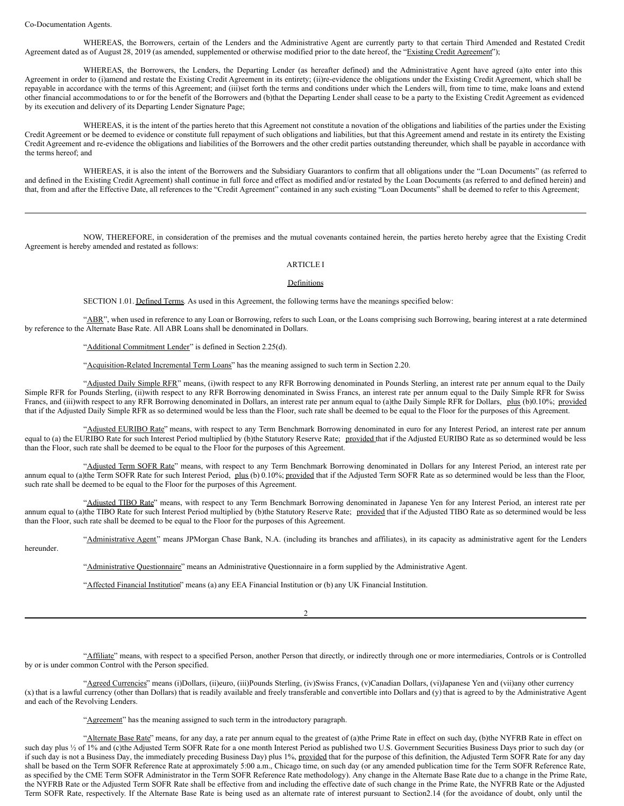hereunder.

WHEREAS, the Borrowers, certain of the Lenders and the Administrative Agent are currently party to that certain Third Amended and Restated Credit Agreement dated as of August 28, 2019 (as amended, supplemented or otherwise modified prior to the date hereof, the "Existing Credit Agreement");

WHEREAS, the Borrowers, the Lenders, the Departing Lender (as hereafter defined) and the Administrative Agent have agreed (a)to enter into this Agreement in order to (i)amend and restate the Existing Credit Agreement in its entirety; (ii)re-evidence the obligations under the Existing Credit Agreement, which shall be repayable in accordance with the terms of this Agreement; and (iii)set forth the terms and conditions under which the Lenders will, from time to time, make loans and extend other financial accommodations to or for the benefit of the Borrowers and (b)that the Departing Lender shall cease to be a party to the Existing Credit Agreement as evidenced by its execution and delivery of its Departing Lender Signature Page;

WHEREAS, it is the intent of the parties hereto that this Agreement not constitute a novation of the obligations and liabilities of the parties under the Existing Credit Agreement or be deemed to evidence or constitute full repayment of such obligations and liabilities, but that this Agreement amend and restate in its entirety the Existing Credit Agreement and re-evidence the obligations and liabilities of the Borrowers and the other credit parties outstanding thereunder, which shall be payable in accordance with the terms hereof; and

WHEREAS, it is also the intent of the Borrowers and the Subsidiary Guarantors to confirm that all obligations under the "Loan Documents" (as referred to and defined in the Existing Credit Agreement) shall continue in full force and effect as modified and/or restated by the Loan Documents (as referred to and defined herein) and that, from and after the Effective Date, all references to the "Credit Agreement" contained in any such existing "Loan Documents" shall be deemed to refer to this Agreement;

NOW, THEREFORE, in consideration of the premises and the mutual covenants contained herein, the parties hereto hereby agree that the Existing Credit Agreement is hereby amended and restated as follows:

#### **ARTICLE I**

#### Definitions

SECTION 1.01. Defined Terms. As used in this Agreement, the following terms have the meanings specified below:

"ABR", when used in reference to any Loan or Borrowing, refers to such Loan, or the Loans comprising such Borrowing, bearing interest at a rate determined by reference to the Alternate Base Rate. All ABR Loans shall be denominated in Dollars.

"Additional Commitment Lender" is defined in Section 2.25(d).

"Acquisition-Related Incremental Term Loans" has the meaning assigned to such term in Section 2.20.

"Adjusted Daily Simple RFR" means, (i)with respect to any RFR Borrowing denominated in Pounds Sterling, an interest rate per annum equal to the Daily Simple RFR for Pounds Sterling, (ii)with respect to any RFR Borrowing denominated in Swiss Francs, an interest rate per annum equal to the Daily Simple RFR for Swiss Francs, and (iii)with respect to any RFR Borrowing denominated in Dollars, an interest rate per annum equal to (a)the Daily Simple RFR for Dollars, plus (b)0.10%; provided that if the Adjusted Daily Simple RFR as so determined would be less than the Floor, such rate shall be deemed to be equal to the Floor for the purposes of this Agreement.

"Adjusted EURIBO Rate" means, with respect to any Term Benchmark Borrowing denominated in euro for any Interest Period, an interest rate per annum equal to (a) the EURIBO Rate for such Interest Period multiplied by (b)the Statutory Reserve Rate; provided that if the Adjusted EURIBO Rate as so determined would be less than the Floor, such rate shall be deemed to be equal to the Floor for the purposes of this Agreement.

"Adjusted Term SOFR Rate" means, with respect to any Term Benchmark Borrowing denominated in Dollars for any Interest Period, an interest rate per annum equal to (a)the Term SOFR Rate for such Interest Period, plus (b) 0.10%; provided that if the Adjusted Term SOFR Rate as so determined would be less than the Floor, such rate shall be deemed to be equal to the Floor for the purposes of this Agreement.

"Adjusted TIBO Rate" means, with respect to any Term Benchmark Borrowing denominated in Japanese Yen for any Interest Period, an interest rate per annum equal to (a)the TIBO Rate for such Interest Period multiplied by (b)the Statutory Reserve Rate; provided that if the Adjusted TIBO Rate as so determined would be less than the Floor, such rate shall be deemed to be equal to the Floor for the purposes of this Agreement.

"Administrative Agent" means JPMorgan Chase Bank, N.A. (including its branches and affiliates), in its capacity as administrative agent for the Lenders

"Administrative Questionnaire" means an Administrative Questionnaire in a form supplied by the Administrative Agent.

"Affected Financial Institution" means (a) any EEA Financial Institution or (b) any UK Financial Institution.

2

"Affiliate" means, with respect to a specified Person, another Person that directly, or indirectly through one or more intermediaries, Controls or is Controlled by or is under common Control with the Person specified.

"Agreed Currencies" means (i)Dollars, (ii)euro, (iii)Pounds Sterling, (iv)Swiss Francs, (v)Canadian Dollars, (vi)Japanese Yen and (vii)any other currency (x) that is a lawful currency (other than Dollars) that is readily available and freely transferable and convertible into Dollars and (y) that is agreed to by the Administrative Agent and each of the Revolving Lenders.

"Agreement" has the meaning assigned to such term in the introductory paragraph.

"Alternate Base Rate" means, for any day, a rate per annum equal to the greatest of (a)the Prime Rate in effect on such day, (b)the NYFRB Rate in effect on such day plus <sup>1/2</sup> of 1% and (c)the Adjusted Term SOFR Rate for a one month Interest Period as published two U.S. Government Securities Business Days prior to such day (or if such day is not a Business Day, the immediately preceding Business Day) plus 1%, provided that for the purpose of this definition, the Adjusted Term SOFR Rate for any day shall be based on the Term SOFR Reference Rate at approximately 5:00 a.m., Chicago time, on such day (or any amended publication time for the Term SOFR Reference Rate, as specified by the CME Term SOFR Administrator in the Term SOFR Reference Rate methodology). Any change in the Alternate Base Rate due to a change in the Prime Rate, the NYFRB Rate or the Adjusted Term SOFR Rate shall be effective from and including the effective date of such change in the Prime Rate, the NYFRB Rate or the Adjusted Term SOFR Rate, respectively. If the Alternate Base Rate is being used as an alternate rate of interest pursuant to Section2.14 (for the avoidance of doubt, only until the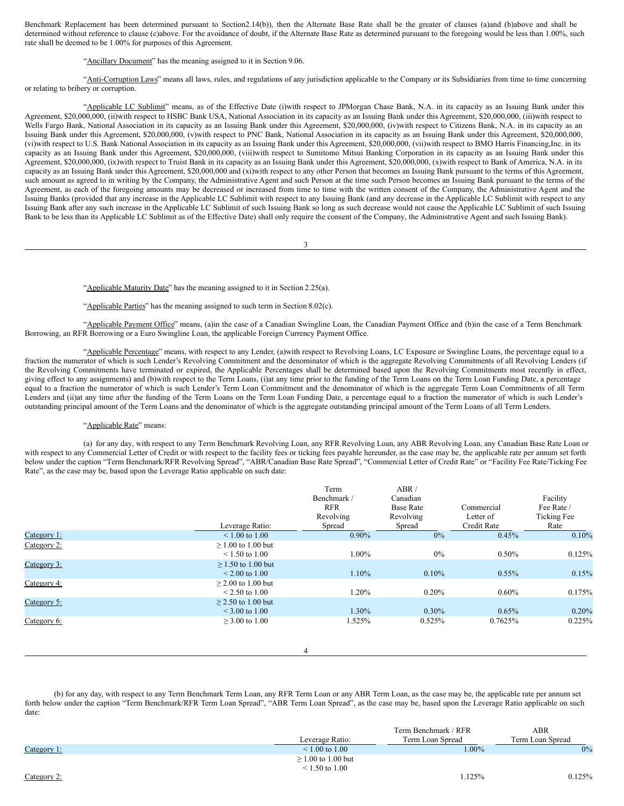Benchmark Replacement has been determined pursuant to Section2.14(b)), then the Alternate Base Rate shall be the greater of clauses (a)and (b)above and shall be determined without reference to clause (c)above. For the avoidance of doubt, if the Alternate Base Rate as determined pursuant to the foregoing would be less than 1.00%, such rate shall be deemed to be 1.00% for purposes of this Agreement.

#### "Ancillary Document" has the meaning assigned to it in Section 9.06.

"Anti-Corruption Laws" means all laws, rules, and regulations of any jurisdiction applicable to the Company or its Subsidiaries from time to time concerning or relating to bribery or corruption.

"Applicable LC Sublimit" means, as of the Effective Date (i)with respect to JPMorgan Chase Bank, N.A. in its capacity as an Issuing Bank under this Agreement, \$20,000,000, (ii)with respect to HSBC Bank USA, National Association in its capacity as an Issuing Bank under this Agreement, \$20,000,000, (iii)with respect to Wells Fargo Bank, National Association in its capacity as an Issuing Bank under this Agreement, \$20,000,000, (iv)with respect to Citizens Bank, N.A. in its capacity as an Issuing Bank under this Agreement, \$20,000,000, (v)with respect to PNC Bank, National Association in its capacity as an Issuing Bank under this Agreement, \$20,000,000, (vi)with respect to U.S. Bank National Association in its capacity as an Issuing Bank under this Agreement, \$20,000,000, (vii)with respect to BMO Harris Financing,Inc. in its capacity as an Issuing Bank under this Agreement, \$20,000,000, (viii)with respect to Sumitomo Mitsui Banking Corporation in its capacity as an Issuing Bank under this Agreement, \$20,000,000, (ix)with respect to Truist Bank in its capacity as an Issuing Bank under this Agreement, \$20,000,000, (x)with respect to Bank of America, N.A. in its capacity as an Issuing Bank under this Agreement, \$20,000,000 and (xi)with respect to any other Person that becomes an Issuing Bank pursuant to the terms of this Agreement, such amount as agreed to in writing by the Company, the Administrative Agent and such Person at the time such Person becomes an Issuing Bank pursuant to the terms of the Agreement, as each of the foregoing amounts may be decreased or increased from time to time with the written consent of the Company, the Administrative Agent and the Issuing Banks (provided that any increase in the Applicable LC Sublimit with respect to any Issuing Bank (and any decrease in the Applicable LC Sublimit with respect to any Issuing Bank after any such increase in the Applicable LC Sublimit of such Issuing Bank so long as such decrease would not cause the Applicable LC Sublimit of such Issuing Bank to be less than its Applicable LC Sublimit as of the Effective Date) shall only require the consent of the Company, the Administrative Agent and such Issuing Bank).

3

"Applicable Maturity Date" has the meaning assigned to it in Section 2.25(a).

"Applicable Parties" has the meaning assigned to such term in Section 8.02(c).

"Applicable Payment Office" means, (a)in the case of a Canadian Swingline Loan, the Canadian Payment Office and (b)in the case of a Term Benchmark Borrowing, an RFR Borrowing or a Euro Swingline Loan, the applicable Foreign Currency Payment Office.

"Applicable Percentage" means, with respect to any Lender, (a)with respect to Revolving Loans, LC Exposure or Swingline Loans, the percentage equal to a fraction the numerator of which is such Lender's Revolving Commitment and the denominator of which is the aggregate Revolving Commitments of all Revolving Lenders (if the Revolving Commitments have terminated or expired, the Applicable Percentages shall be determined based upon the Revolving Commitments most recently in effect, giving effect to any assignments) and (b)with respect to the Term Loans, (i)at any time prior to the funding of the Term Loans on the Term Loan Funding Date, a percentage equal to a fraction the numerator of which is such Lender's Term Loan Commitment and the denominator of which is the aggregate Term Loan Commitments of all Term Lenders and (ii)at any time after the funding of the Term Loans on the Term Loan Funding Date, a percentage equal to a fraction the numerator of which is such Lender's outstanding principal amount of the Term Loans and the denominator of which is the aggregate outstanding principal amount of the Term Loans of all Term Lenders.

## "Applicable Rate" means:

(a) for any day, with respect to any Term Benchmark Revolving Loan, any RFR Revolving Loan, any ABR Revolving Loan, any Canadian Base Rate Loan or with respect to any Commercial Letter of Credit or with respect to the facility fees or ticking fees payable hereunder, as the case may be, the applicable rate per annum set forth below under the caption "Term Benchmark/RFR Revolving Spread", "ABR/Canadian Base Rate Spread", "Commercial Letter of Credit Rate" or "Facility Fee Rate/Ticking Fee Rate", as the case may be, based upon the Leverage Ratio applicable on such date:

|             |                                                | Term<br>Benchmark / | ABR/<br>Canadian |             | Facility    |
|-------------|------------------------------------------------|---------------------|------------------|-------------|-------------|
|             |                                                | <b>RFR</b>          | <b>Base Rate</b> | Commercial  | Fee Rate /  |
|             |                                                | Revolving           | Revolving        | Letter of   | Ticking Fee |
|             | Leverage Ratio:                                | Spread              | Spread           | Credit Rate | Rate        |
| Category 1: | $\leq 1.00$ to 1.00                            | 0.90%               | $0\%$            | 0.45%       | 0.10%       |
| Category 2: | $\geq$ 1.00 to 1.00 but<br>$\leq 1.50$ to 1.00 | $1.00\%$            | $0\%$            | $0.50\%$    | 0.125%      |
| Category 3: | $\geq$ 1.50 to 1.00 but<br>$< 2.00$ to 1.00    | $1.10\%$            | 0.10%            | $0.55\%$    | 0.15%       |
| Category 4: | $\geq$ 2.00 to 1.00 but<br>$< 2.50$ to 1.00    | 1.20%               | $0.20\%$         | $0.60\%$    | 0.175%      |
| Category 5: | $\geq$ 2.50 to 1.00 but<br>$<$ 3.00 to 1.00    | 1.30%               | $0.30\%$         | 0.65%       | 0.20%       |
| Category 6: | $\geq$ 3.00 to 1.00                            | 1.525%              | 0.525%           | 0.7625%     | 0.225%      |
|             |                                                | 4                   |                  |             |             |

(b) for any day, with respect to any Term Benchmark Term Loan, any RFR Term Loan or any ABR Term Loan, as the case may be, the applicable rate per annum set forth below under the caption "Term Benchmark/RFR Term Loan Spread", "ABR Term Loan Spread", as the case may be, based upon the Leverage Ratio applicable on such date:

|             |                         | Term Benchmark / RFR | ABR              |
|-------------|-------------------------|----------------------|------------------|
|             | Leverage Ratio:         | Term Loan Spread     | Term Loan Spread |
| Category 1: | $\leq 1.00$ to 1.00     | 1.00%                | 0%               |
|             | $\geq$ 1.00 to 1.00 but |                      |                  |
|             | $\leq 1.50$ to 1.00     |                      |                  |
| Category 2: |                         | .125%                | 0.125%           |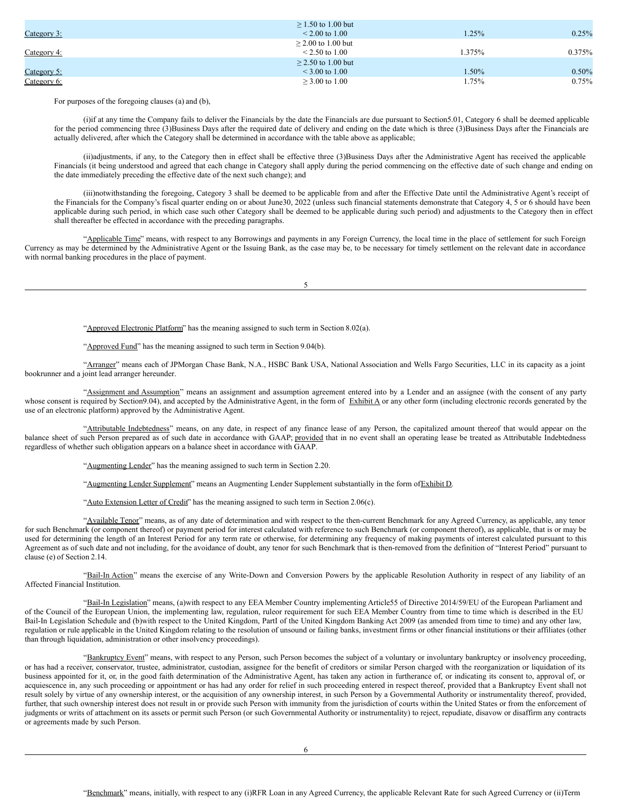|             | $\geq$ 1.50 to 1.00 but |          |        |
|-------------|-------------------------|----------|--------|
| Category 3: | $\leq$ 2.00 to 1.00     | 1.25%    | 0.25%  |
|             | $\geq$ 2.00 to 1.00 but |          |        |
| Category 4: | $\leq$ 2.50 to 1.00     | 1.375%   | 0.375% |
|             | $\geq$ 2.50 to 1.00 but |          |        |
| Category 5: | $<$ 3.00 to 1.00        | 1.50%    | 0.50%  |
| Category 6: | $\geq$ 3.00 to 1.00     | $1.75\%$ | 0.75%  |

For purposes of the foregoing clauses (a) and (b),

(i)if at any time the Company fails to deliver the Financials by the date the Financials are due pursuant to Section5.01, Category 6 shall be deemed applicable for the period commencing three (3)Business Days after the required date of delivery and ending on the date which is three (3)Business Days after the Financials are actually delivered, after which the Category shall be determined in accordance with the table above as applicable;

(ii)adjustments, if any, to the Category then in effect shall be effective three (3)Business Days after the Administrative Agent has received the applicable Financials (it being understood and agreed that each change in Category shall apply during the period commencing on the effective date of such change and ending on the date immediately preceding the effective date of the next such change); and

(iii)notwithstanding the foregoing, Category 3 shall be deemed to be applicable from and after the Effective Date until the Administrative Agent's receipt of the Financials for the Company's fiscal quarter ending on or about June30, 2022 (unless such financial statements demonstrate that Category 4, 5 or 6 should have been applicable during such period, in which case such other Category shall be deemed to be applicable during such period) and adjustments to the Category then in effect shall thereafter be effected in accordance with the preceding paragraphs.

"Applicable Time" means, with respect to any Borrowings and payments in any Foreign Currency, the local time in the place of settlement for such Foreign Currency as may be determined by the Administrative Agent or the Issuing Bank, as the case may be, to be necessary for timely settlement on the relevant date in accordance with normal banking procedures in the place of payment.

5

"Approved Electronic Platform" has the meaning assigned to such term in Section 8.02(a).

"Approved Fund" has the meaning assigned to such term in Section 9.04(b).

"Arranger" means each of JPMorgan Chase Bank, N.A., HSBC Bank USA, National Association and Wells Fargo Securities, LLC in its capacity as a joint bookrunner and a joint lead arranger hereunder.

"Assignment and Assumption" means an assignment and assumption agreement entered into by a Lender and an assignee (with the consent of any party whose consent is required by Section9.04), and accepted by the Administrative Agent, in the form of Exhibit A or any other form (including electronic records generated by the use of an electronic platform) approved by the Administrative Agent.

"Attributable Indebtedness" means, on any date, in respect of any finance lease of any Person, the capitalized amount thereof that would appear on the balance sheet of such Person prepared as of such date in accordance with GAAP; provided that in no event shall an operating lease be treated as Attributable Indebtedness regardless of whether such obligation appears on a balance sheet in accordance with GAAP.

"Augmenting Lender" has the meaning assigned to such term in Section 2.20.

"Augmenting Lender Supplement" means an Augmenting Lender Supplement substantially in the form ofExhibit D.

"Auto Extension Letter of Credit" has the meaning assigned to such term in Section 2.06(c).

"Available Tenor" means, as of any date of determination and with respect to the then-current Benchmark for any Agreed Currency, as applicable, any tenor for such Benchmark (or component thereof) or payment period for interest calculated with reference to such Benchmark (or component thereof), as applicable, that is or may be used for determining the length of an Interest Period for any term rate or otherwise, for determining any frequency of making payments of interest calculated pursuant to this Agreement as of such date and not including, for the avoidance of doubt, any tenor for such Benchmark that is then-removed from the definition of "Interest Period" pursuant to clause (e) of Section 2.14.

"Bail-In Action" means the exercise of any Write-Down and Conversion Powers by the applicable Resolution Authority in respect of any liability of an Affected Financial Institution.

"Bail-In Legislation" means, (a)with respect to any EEA Member Country implementing Article55 of Directive 2014/59/EU of the European Parliament and of the Council of the European Union, the implementing law, regulation, ruleor requirement for such EEA Member Country from time to time which is described in the EU Bail-In Legislation Schedule and (b)with respect to the United Kingdom, PartI of the United Kingdom Banking Act 2009 (as amended from time to time) and any other law, regulation or rule applicable in the United Kingdom relating to the resolution of unsound or failing banks, investment firms or other financial institutions or their affiliates (other than through liquidation, administration or other insolvency proceedings).

"Bankruptcy Event" means, with respect to any Person, such Person becomes the subject of a voluntary or involuntary bankruptcy or insolvency proceeding, or has had a receiver, conservator, trustee, administrator, custodian, assignee for the benefit of creditors or similar Person charged with the reorganization or liquidation of its business appointed for it, or, in the good faith determination of the Administrative Agent, has taken any action in furtherance of, or indicating its consent to, approval of, or acquiescence in, any such proceeding or appointment or has had any order for relief in such proceeding entered in respect thereof, provided that a Bankruptcy Event shall not result solely by virtue of any ownership interest, or the acquisition of any ownership interest, in such Person by a Governmental Authority or instrumentality thereof, provided, further, that such ownership interest does not result in or provide such Person with immunity from the jurisdiction of courts within the United States or from the enforcement of judgments or writs of attachment on its assets or permit such Person (or such Governmental Authority or instrumentality) to reject, repudiate, disavow or disaffirm any contracts or agreements made by such Person.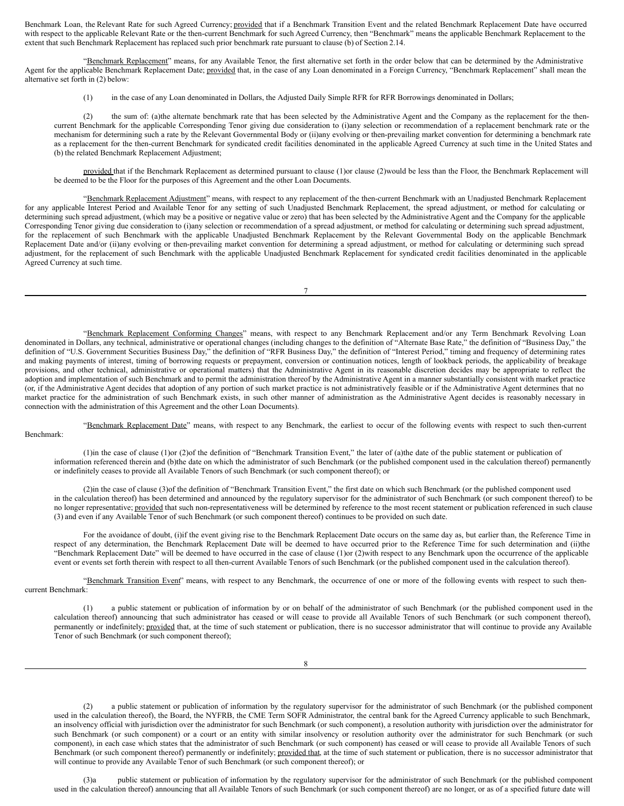Benchmark Loan, the Relevant Rate for such Agreed Currency; provided that if a Benchmark Transition Event and the related Benchmark Replacement Date have occurred with respect to the applicable Relevant Rate or the then-current Benchmark for such Agreed Currency, then "Benchmark" means the applicable Benchmark Replacement to the extent that such Benchmark Replacement has replaced such prior benchmark rate pursuant to clause (b) of Section 2.14.

"Benchmark Replacement" means, for any Available Tenor, the first alternative set forth in the order below that can be determined by the Administrative Agent for the applicable Benchmark Replacement Date; provided that, in the case of any Loan denominated in a Foreign Currency, "Benchmark Replacement" shall mean the alternative set forth in (2) below:

(1) in the case of any Loan denominated in Dollars, the Adjusted Daily Simple RFR for RFR Borrowings denominated in Dollars;

(2) the sum of: (a)the alternate benchmark rate that has been selected by the Administrative Agent and the Company as the replacement for the thencurrent Benchmark for the applicable Corresponding Tenor giving due consideration to (i)any selection or recommendation of a replacement benchmark rate or the mechanism for determining such a rate by the Relevant Governmental Body or (ii)any evolving or then-prevailing market convention for determining a benchmark rate as a replacement for the then-current Benchmark for syndicated credit facilities denominated in the applicable Agreed Currency at such time in the United States and (b) the related Benchmark Replacement Adjustment;

provided that if the Benchmark Replacement as determined pursuant to clause (1)or clause (2)would be less than the Floor, the Benchmark Replacement will be deemed to be the Floor for the purposes of this Agreement and the other Loan Documents.

"Benchmark Replacement Adjustment" means, with respect to any replacement of the then-current Benchmark with an Unadjusted Benchmark Replacement for any applicable Interest Period and Available Tenor for any setting of such Unadjusted Benchmark Replacement, the spread adjustment, or method for calculating or determining such spread adjustment, (which may be a positive or negative value or zero) that has been selected by the Administrative Agent and the Company for the applicable Corresponding Tenor giving due consideration to (i)any selection or recommendation of a spread adjustment, or method for calculating or determining such spread adjustment, for the replacement of such Benchmark with the applicable Unadjusted Benchmark Replacement by the Relevant Governmental Body on the applicable Benchmark Replacement Date and/or (ii)any evolving or then-prevailing market convention for determining a spread adjustment, or method for calculating or determining such spread adjustment, for the replacement of such Benchmark with the applicable Unadjusted Benchmark Replacement for syndicated credit facilities denominated in the applicable Agreed Currency at such time.

7

"Benchmark Replacement Conforming Changes" means, with respect to any Benchmark Replacement and/or any Term Benchmark Revolving Loan denominated in Dollars, any technical, administrative or operational changes (including changes to the definition of "Alternate Base Rate," the definition of "Business Day," the definition of "U.S. Government Securities Business Day," the definition of "RFR Business Day," the definition of "Interest Period," timing and frequency of determining rates and making payments of interest, timing of borrowing requests or prepayment, conversion or continuation notices, length of lookback periods, the applicability of breakage provisions, and other technical, administrative or operational matters) that the Administrative Agent in its reasonable discretion decides may be appropriate to reflect the adoption and implementation of such Benchmark and to permit the administration thereof by the Administrative Agent in a manner substantially consistent with market practice (or, if the Administrative Agent decides that adoption of any portion of such market practice is not administratively feasible or if the Administrative Agent determines that no market practice for the administration of such Benchmark exists, in such other manner of administration as the Administrative Agent decides is reasonably necessary in connection with the administration of this Agreement and the other Loan Documents).

"Benchmark Replacement Date" means, with respect to any Benchmark, the earliest to occur of the following events with respect to such then-current

Benchmark:

(1)in the case of clause (1)or (2)of the definition of "Benchmark Transition Event," the later of (a)the date of the public statement or publication of information referenced therein and (b)the date on which the administrator of such Benchmark (or the published component used in the calculation thereof) permanently or indefinitely ceases to provide all Available Tenors of such Benchmark (or such component thereof); or

(2)in the case of clause (3)of the definition of "Benchmark Transition Event," the first date on which such Benchmark (or the published component used in the calculation thereof) has been determined and announced by the regulatory supervisor for the administrator of such Benchmark (or such component thereof) to be no longer representative; provided that such non-representativeness will be determined by reference to the most recent statement or publication referenced in such clause (3) and even if any Available Tenor of such Benchmark (or such component thereof) continues to be provided on such date.

For the avoidance of doubt, (i)if the event giving rise to the Benchmark Replacement Date occurs on the same day as, but earlier than, the Reference Time in respect of any determination, the Benchmark Replacement Date will be deemed to have occurred prior to the Reference Time for such determination and (ii)the "Benchmark Replacement Date" will be deemed to have occurred in the case of clause (1)or (2)with respect to any Benchmark upon the occurrence of the applicable event or events set forth therein with respect to all then-current Available Tenors of such Benchmark (or the published component used in the calculation thereof).

"Benchmark Transition Event" means, with respect to any Benchmark, the occurrence of one or more of the following events with respect to such thencurrent Benchmark:

(1) a public statement or publication of information by or on behalf of the administrator of such Benchmark (or the published component used in the calculation thereof) announcing that such administrator has ceased or will cease to provide all Available Tenors of such Benchmark (or such component thereof), permanently or indefinitely; provided that, at the time of such statement or publication, there is no successor administrator that will continue to provide any Available Tenor of such Benchmark (or such component thereof);

(2) a public statement or publication of information by the regulatory supervisor for the administrator of such Benchmark (or the published component used in the calculation thereof), the Board, the NYFRB, the CME Term SOFR Administrator, the central bank for the Agreed Currency applicable to such Benchmark, an insolvency official with jurisdiction over the administrator for such Benchmark (or such component), a resolution authority with jurisdiction over the administrator for such Benchmark (or such component) or a court or an entity with similar insolvency or resolution authority over the administrator for such Benchmark (or such component), in each case which states that the administrator of such Benchmark (or such component) has ceased or will cease to provide all Available Tenors of such Benchmark (or such component thereof) permanently or indefinitely; provided that, at the time of such statement or publication, there is no successor administrator that will continue to provide any Available Tenor of such Benchmark (or such component thereof); or

(3)a public statement or publication of information by the regulatory supervisor for the administrator of such Benchmark (or the published component used in the calculation thereof) announcing that all Available Tenors of such Benchmark (or such component thereof) are no longer, or as of a specified future date will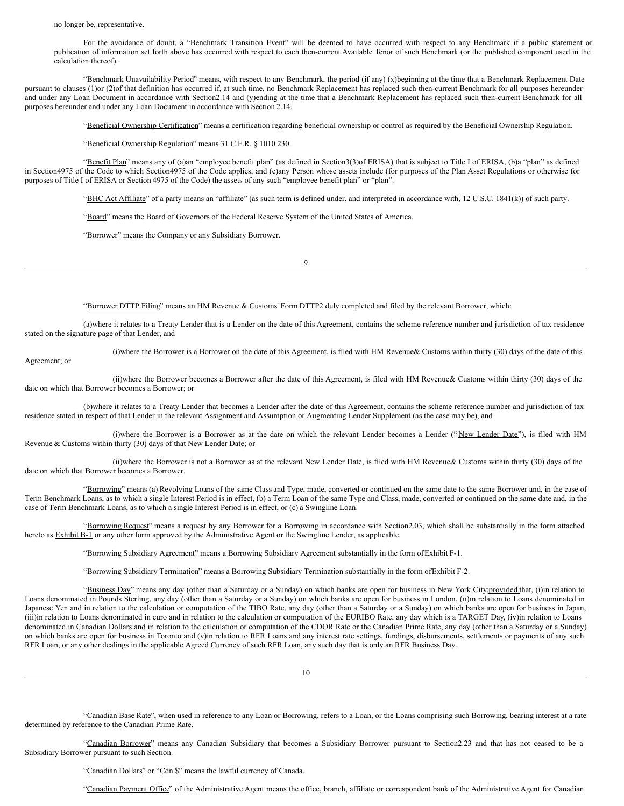no longer be, representative.

For the avoidance of doubt, a "Benchmark Transition Event" will be deemed to have occurred with respect to any Benchmark if a public statement or publication of information set forth above has occurred with respect to each then-current Available Tenor of such Benchmark (or the published component used in the calculation thereof).

"Benchmark Unavailability Period" means, with respect to any Benchmark, the period (if any) (x)beginning at the time that a Benchmark Replacement Date pursuant to clauses (1)or (2)of that definition has occurred if, at such time, no Benchmark Replacement has replaced such then-current Benchmark for all purposes hereunder and under any Loan Document in accordance with Section2.14 and (y)ending at the time that a Benchmark Replacement has replaced such then-current Benchmark for all purposes hereunder and under any Loan Document in accordance with Section 2.14.

"Beneficial Ownership Certification" means a certification regarding beneficial ownership or control as required by the Beneficial Ownership Regulation.

"Beneficial Ownership Regulation" means 31 C.F.R. § 1010.230.

"Benefit Plan" means any of (a)an "employee benefit plan" (as defined in Section3(3)of ERISA) that is subject to Title I of ERISA, (b)a "plan" as defined in Section4975 of the Code to which Section4975 of the Code applies, and (c)any Person whose assets include (for purposes of the Plan Asset Regulations or otherwise for purposes of Title I of ERISA or Section 4975 of the Code) the assets of any such "employee benefit plan" or "plan".

"BHC Act Affiliate" of a party means an "affiliate" (as such term is defined under, and interpreted in accordance with, 12 U.S.C. 1841(k)) of such party.

"Board" means the Board of Governors of the Federal Reserve System of the United States of America.

"Borrower" means the Company or any Subsidiary Borrower.

 $\Omega$ 

"Borrower DTTP Filing" means an HM Revenue & Customs' Form DTTP2 duly completed and filed by the relevant Borrower, which:

(a)where it relates to a Treaty Lender that is a Lender on the date of this Agreement, contains the scheme reference number and jurisdiction of tax residence stated on the signature page of that Lender, and

Agreement; or

(i)where the Borrower is a Borrower on the date of this Agreement, is filed with HM Revenue& Customs within thirty (30) days of the date of this

(ii)where the Borrower becomes a Borrower after the date of this Agreement, is filed with HM Revenue& Customs within thirty (30) days of the date on which that Borrower becomes a Borrower; or

(b)where it relates to a Treaty Lender that becomes a Lender after the date of this Agreement, contains the scheme reference number and jurisdiction of tax residence stated in respect of that Lender in the relevant Assignment and Assumption or Augmenting Lender Supplement (as the case may be), and

(i)where the Borrower is a Borrower as at the date on which the relevant Lender becomes a Lender ("New Lender Date"), is filed with HM Revenue & Customs within thirty (30) days of that New Lender Date; or

(ii)where the Borrower is not a Borrower as at the relevant New Lender Date, is filed with HM Revenue& Customs within thirty (30) days of the date on which that Borrower becomes a Borrower.

"Borrowing" means (a) Revolving Loans of the same Class and Type, made, converted or continued on the same date to the same Borrower and, in the case of Term Benchmark Loans, as to which a single Interest Period is in effect, (b) a Term Loan of the same Type and Class, made, converted or continued on the same date and, in the case of Term Benchmark Loans, as to which a single Interest Period is in effect, or (c) a Swingline Loan.

"Borrowing Request" means a request by any Borrower for a Borrowing in accordance with Section2.03, which shall be substantially in the form attached hereto as Exhibit B-1 or any other form approved by the Administrative Agent or the Swingline Lender, as applicable.

"Borrowing Subsidiary Agreement" means a Borrowing Subsidiary Agreement substantially in the form of Exhibit F-1.

"Borrowing Subsidiary Termination" means a Borrowing Subsidiary Termination substantially in the form of Exhibit F-2.

"Business Day" means any day (other than a Saturday or a Sunday) on which banks are open for business in New York City;provided that, (i)in relation to Loans denominated in Pounds Sterling, any day (other than a Saturday or a Sunday) on which banks are open for business in London, (ii)in relation to Loans denominated in Japanese Yen and in relation to the calculation or computation of the TIBO Rate, any day (other than a Saturday or a Sunday) on which banks are open for business in Japan, (iii)in relation to Loans denominated in euro and in relation to the calculation or computation of the EURIBO Rate, any day which is a TARGET Day, (iv)in relation to Loans denominated in Canadian Dollars and in relation to the calculation or computation of the CDOR Rate or the Canadian Prime Rate, any day (other than a Saturday or a Sunday) on which banks are open for business in Toronto and (v)in relation to RFR Loans and any interest rate settings, fundings, disbursements, settlements or payments of any such RFR Loan, or any other dealings in the applicable Agreed Currency of such RFR Loan, any such day that is only an RFR Business Day.

10

"Canadian Base Rate", when used in reference to any Loan or Borrowing, refers to a Loan, or the Loans comprising such Borrowing, bearing interest at a rate determined by reference to the Canadian Prime Rate.

"Canadian Borrower" means any Canadian Subsidiary that becomes a Subsidiary Borrower pursuant to Section2.23 and that has not ceased to be a Subsidiary Borrower pursuant to such Section.

"Canadian Dollars" or "Cdn.\$" means the lawful currency of Canada.

"Canadian Payment Office" of the Administrative Agent means the office, branch, affiliate or correspondent bank of the Administrative Agent for Canadian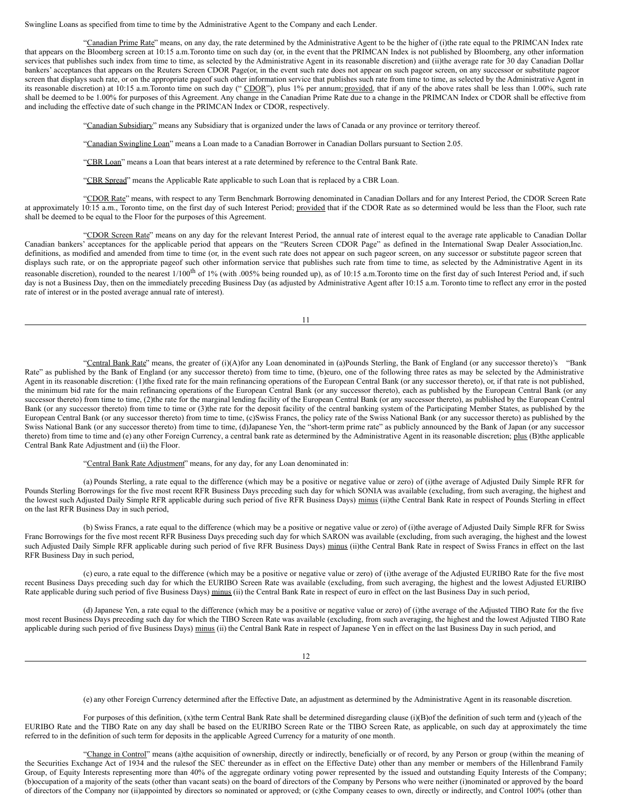Swingline Loans as specified from time to time by the Administrative Agent to the Company and each Lender.

"Canadian Prime Rate" means, on any day, the rate determined by the Administrative Agent to be the higher of (i)the rate equal to the PRIMCAN Index rate that appears on the Bloomberg screen at 10:15 a.m.Toronto time on such day (or, in the event that the PRIMCAN Index is not published by Bloomberg, any other information services that publishes such index from time to time, as selected by the Administrative Agent in its reasonable discretion) and (ii)the average rate for 30 day Canadian Dollar bankers' acceptances that appears on the Reuters Screen CDOR Page(or, in the event such rate does not appear on such pageor screen, on any successor or substitute pageor screen that displays such rate, or on the appropriate pageof such other information service that publishes such rate from time to time, as selected by the Administrative Agent in its reasonable discretion) at 10:15 a.m.Toronto time on such day ("CDOR"), plus 1% per annum; provided, that if any of the above rates shall be less than 1.00%, such rate shall be deemed to be 1.00% for purposes of this Agreement. Any change in the Canadian Prime Rate due to a change in the PRIMCAN Index or CDOR shall be effective from and including the effective date of such change in the PRIMCAN Index or CDOR, respectively.

"Canadian Subsidiary" means any Subsidiary that is organized under the laws of Canada or any province or territory thereof.

"Canadian Swingline Loan" means a Loan made to a Canadian Borrower in Canadian Dollars pursuant to Section 2.05.

"CBR Loan" means a Loan that bears interest at a rate determined by reference to the Central Bank Rate.

"CBR Spread" means the Applicable Rate applicable to such Loan that is replaced by a CBR Loan.

"CDOR Rate" means, with respect to any Term Benchmark Borrowing denominated in Canadian Dollars and for any Interest Period, the CDOR Screen Rate at approximately 10:15 a.m., Toronto time, on the first day of such Interest Period; provided that if the CDOR Rate as so determined would be less than the Floor, such rate shall be deemed to be equal to the Floor for the purposes of this Agreement.

"CDOR Screen Rate" means on any day for the relevant Interest Period, the annual rate of interest equal to the average rate applicable to Canadian Dollar Canadian bankers' acceptances for the applicable period that appears on the "Reuters Screen CDOR Page" as defined in the International Swap Dealer Association,Inc. definitions, as modified and amended from time to time (or, in the event such rate does not appear on such pageor screen, on any successor or substitute pageor screen that displays such rate, or on the appropriate pageof such other information service that publishes such rate from time to time, as selected by the Administrative Agent in its reasonable discretion), rounded to the nearest  $1/100$ <sup>th</sup> of  $1\%$  (with .005% being rounded up), as of 10:15 a.m. Toronto time on the first day of such Interest Period and, if such day is not a Business Day, then on the immediately preceding Business Day (as adjusted by Administrative Agent after 10:15 a.m. Toronto time to reflect any error in the posted rate of interest or in the posted average annual rate of interest).

11

"Central Bank Rate" means, the greater of (i)(A)for any Loan denominated in (a)Pounds Sterling, the Bank of England (or any successor thereto)'s "Bank Rate" as published by the Bank of England (or any successor thereto) from time to time, (b)euro, one of the following three rates as may be selected by the Administrative Agent in its reasonable discretion: (1)the fixed rate for the main refinancing operations of the European Central Bank (or any successor thereto), or, if that rate is not published, the minimum bid rate for the main refinancing operations of the European Central Bank (or any successor thereto), each as published by the European Central Bank (or any successor thereto) from time to time, (2)the rate for the marginal lending facility of the European Central Bank (or any successor thereto), as published by the European Central Bank (or any successor thereto) from time to time or (3)the rate for the deposit facility of the central banking system of the Participating Member States, as published by the European Central Bank (or any successor thereto) from time to time, (c)Swiss Francs, the policy rate of the Swiss National Bank (or any successor thereto) as published by the Swiss National Bank (or any successor thereto) from time to time, (d)Japanese Yen, the "short-term prime rate" as publicly announced by the Bank of Japan (or any successor thereto) from time to time and (e) any other Foreign Currency, a central bank rate as determined by the Administrative Agent in its reasonable discretion; plus (B)the applicable Central Bank Rate Adjustment and (ii) the Floor.

"Central Bank Rate Adjustment" means, for any day, for any Loan denominated in:

(a) Pounds Sterling, a rate equal to the difference (which may be a positive or negative value or zero) of (i)the average of Adjusted Daily Simple RFR for Pounds Sterling Borrowings for the five most recent RFR Business Days preceding such day for which SONIA was available (excluding, from such averaging, the highest and the lowest such Adjusted Daily Simple RFR applicable during such period of five RFR Business Days) minus (ii)the Central Bank Rate in respect of Pounds Sterling in effect on the last RFR Business Day in such period,

(b) Swiss Francs, a rate equal to the difference (which may be a positive or negative value or zero) of (i)the average of Adjusted Daily Simple RFR for Swiss Franc Borrowings for the five most recent RFR Business Days preceding such day for which SARON was available (excluding, from such averaging, the highest and the lowest such Adjusted Daily Simple RFR applicable during such period of five RFR Business Days) minus (ii)the Central Bank Rate in respect of Swiss Francs in effect on the last RFR Business Day in such period,

(c) euro, a rate equal to the difference (which may be a positive or negative value or zero) of (i)the average of the Adjusted EURIBO Rate for the five most recent Business Days preceding such day for which the EURIBO Screen Rate was available (excluding, from such averaging, the highest and the lowest Adjusted EURIBO Rate applicable during such period of five Business Days) minus (ii) the Central Bank Rate in respect of euro in effect on the last Business Day in such period,

(d) Japanese Yen, a rate equal to the difference (which may be a positive or negative value or zero) of (i)the average of the Adjusted TIBO Rate for the five most recent Business Days preceding such day for which the TIBO Screen Rate was available (excluding, from such averaging, the highest and the lowest Adjusted TIBO Rate applicable during such period of five Business Days) minus (ii) the Central Bank Rate in respect of Japanese Yen in effect on the last Business Day in such period, and

(e) any other Foreign Currency determined after the Effective Date, an adjustment as determined by the Administrative Agent in its reasonable discretion.

For purposes of this definition, (x)the term Central Bank Rate shall be determined disregarding clause (i)(B)of the definition of such term and (y)each of the EURIBO Rate and the TIBO Rate on any day shall be based on the EURIBO Screen Rate or the TIBO Screen Rate, as applicable, on such day at approximately the time referred to in the definition of such term for deposits in the applicable Agreed Currency for a maturity of one month.

"Change in Control" means (a)the acquisition of ownership, directly or indirectly, beneficially or of record, by any Person or group (within the meaning of the Securities Exchange Act of 1934 and the rulesof the SEC thereunder as in effect on the Effective Date) other than any member or members of the Hillenbrand Family Group, of Equity Interests representing more than 40% of the aggregate ordinary voting power represented by the issued and outstanding Equity Interests of the Company; (b)occupation of a majority of the seats (other than vacant seats) on the board of directors of the Company by Persons who were neither (i)nominated or approved by the board of directors of the Company nor (ii)appointed by directors so nominated or approved; or (c)the Company ceases to own, directly or indirectly, and Control 100% (other than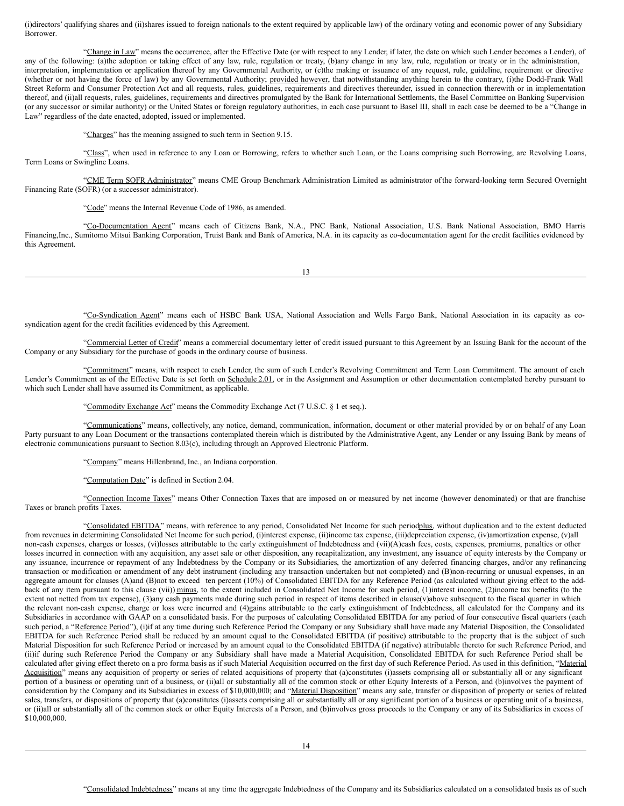(i)directors' qualifying shares and (ii)shares issued to foreign nationals to the extent required by applicable law) of the ordinary voting and economic power of any Subsidiary Borrower.

"Change in Law" means the occurrence, after the Effective Date (or with respect to any Lender, if later, the date on which such Lender becomes a Lender), of any of the following: (a)the adoption or taking effect of any law, rule, regulation or treaty, (b)any change in any law, rule, regulation or treaty or in the administration, interpretation, implementation or application thereof by any Governmental Authority, or (c)the making or issuance of any request, rule, guideline, requirement or directive (whether or not having the force of law) by any Governmental Authority; provided however, that notwithstanding anything herein to the contrary, (i)the Dodd-Frank Wall Street Reform and Consumer Protection Act and all requests, rules, guidelines, requirements and directives thereunder, issued in connection therewith or in implementation thereof, and (ii)all requests, rules, guidelines, requirements and directives promulgated by the Bank for International Settlements, the Basel Committee on Banking Supervision (or any successor or similar authority) or the United States or foreign regulatory authorities, in each case pursuant to Basel III, shall in each case be deemed to be a "Change in Law" regardless of the date enacted, adopted, issued or implemented.

"Charges" has the meaning assigned to such term in Section 9.15.

"Class", when used in reference to any Loan or Borrowing, refers to whether such Loan, or the Loans comprising such Borrowing, are Revolving Loans, Term Loans or Swingline Loans.

"CME Term SOFR Administrator" means CME Group Benchmark Administration Limited as administrator of the forward-looking term Secured Overnight Financing Rate (SOFR) (or a successor administrator).

"Code" means the Internal Revenue Code of 1986, as amended.

"Co-Documentation Agent" means each of Citizens Bank, N.A., PNC Bank, National Association, U.S. Bank National Association, BMO Harris Financing,Inc., Sumitomo Mitsui Banking Corporation, Truist Bank and Bank of America, N.A. in its capacity as co-documentation agent for the credit facilities evidenced by this Agreement.

13

"Co-Syndication Agent" means each of HSBC Bank USA, National Association and Wells Fargo Bank, National Association in its capacity as cosyndication agent for the credit facilities evidenced by this Agreement.

"Commercial Letter of Credit" means a commercial documentary letter of credit issued pursuant to this Agreement by an Issuing Bank for the account of the Company or any Subsidiary for the purchase of goods in the ordinary course of business.

"Commitment" means, with respect to each Lender, the sum of such Lender's Revolving Commitment and Term Loan Commitment. The amount of each Lender's Commitment as of the Effective Date is set forth on Schedule 2.01, or in the Assignment and Assumption or other documentation contemplated hereby pursuant to which such Lender shall have assumed its Commitment, as applicable.

"Commodity Exchange Act" means the Commodity Exchange Act (7 U.S.C. § 1 et seq.).

"Communications" means, collectively, any notice, demand, communication, information, document or other material provided by or on behalf of any Loan Party pursuant to any Loan Document or the transactions contemplated therein which is distributed by the Administrative Agent, any Lender or any Issuing Bank by means of electronic communications pursuant to Section 8.03(c), including through an Approved Electronic Platform.

"Company" means Hillenbrand, Inc., an Indiana corporation.

"Computation Date" is defined in Section 2.04.

"Connection Income Taxes" means Other Connection Taxes that are imposed on or measured by net income (however denominated) or that are franchise Taxes or branch profits Taxes.

"Consolidated EBITDA" means, with reference to any period, Consolidated Net Income for such periodplus, without duplication and to the extent deducted from revenues in determining Consolidated Net Income for such period, (i)interest expense, (ii)income tax expense, (iii)depreciation expense, (iv)amortization expense, (v)all non-cash expenses, charges or losses, (vi)losses attributable to the early extinguishment of Indebtedness and (vii)(A)cash fees, costs, expenses, premiums, penalties or other losses incurred in connection with any acquisition, any asset sale or other disposition, any recapitalization, any investment, any issuance of equity interests by the Company or any issuance, incurrence or repayment of any Indebtedness by the Company or its Subsidiaries, the amortization of any deferred financing charges, and/or any refinancing transaction or modification or amendment of any debt instrument (including any transaction undertaken but not completed) and (B)non-recurring or unusual expenses, in an aggregate amount for clauses (A)and (B)not to exceed ten percent (10%) of Consolidated EBITDA for any Reference Period (as calculated without giving effect to the addback of any item pursuant to this clause (vii)) minus, to the extent included in Consolidated Net Income for such period, (1)interest income, (2)income tax benefits (to the extent not netted from tax expense), (3)any cash payments made during such period in respect of items described in clause(v)above subsequent to the fiscal quarter in which the relevant non-cash expense, charge or loss were incurred and (4)gains attributable to the early extinguishment of Indebtedness, all calculated for the Company and its Subsidiaries in accordance with GAAP on a consolidated basis. For the purposes of calculating Consolidated EBITDA for any period of four consecutive fiscal quarters (each such period, a "Reference Period"), (i)if at any time during such Reference Period the Company or any Subsidiary shall have made any Material Disposition, the Consolidated EBITDA for such Reference Period shall be reduced by an amount equal to the Consolidated EBITDA (if positive) attributable to the property that is the subject of such Material Disposition for such Reference Period or increased by an amount equal to the Consolidated EBITDA (if negative) attributable thereto for such Reference Period, and (ii)if during such Reference Period the Company or any Subsidiary shall have made a Material Acquisition, Consolidated EBITDA for such Reference Period shall be calculated after giving effect thereto on a pro forma basis as if such Material Acquisition occurred on the first day of such Reference Period. As used in this definition, "Material Acquisition" means any acquisition of property or series of related acquisitions of property that (a)constitutes (i)assets comprising all or substantially all or any significant portion of a business or operating unit of a business, or (ii)all or substantially all of the common stock or other Equity Interests of a Person, and (b)involves the payment of consideration by the Company and its Subsidiaries in excess of \$10,000,000; and "Material Disposition" means any sale, transfer or disposition of property or series of related sales, transfers, or dispositions of property that (a)constitutes (i)assets comprising all or substantially all or any significant portion of a business or operating unit of a business, or (ii)all or substantially all of the common stock or other Equity Interests of a Person, and (b)involves gross proceeds to the Company or any of its Subsidiaries in excess of \$10,000,000.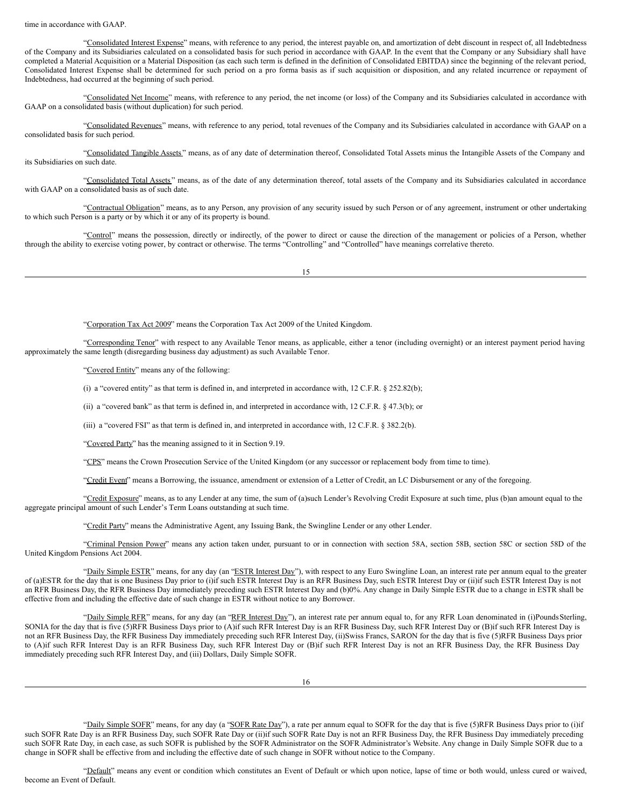"Consolidated Interest Expense" means, with reference to any period, the interest payable on, and amortization of debt discount in respect of, all Indebtedness of the Company and its Subsidiaries calculated on a consolidated basis for such period in accordance with GAAP. In the event that the Company or any Subsidiary shall have completed a Material Acquisition or a Material Disposition (as each such term is defined in the definition of Consolidated EBITDA) since the beginning of the relevant period, Consolidated Interest Expense shall be determined for such period on a pro forma basis as if such acquisition or disposition, and any related incurrence or repayment of Indebtedness, had occurred at the beginning of such period.

"Consolidated Net Income" means, with reference to any period, the net income (or loss) of the Company and its Subsidiaries calculated in accordance with GAAP on a consolidated basis (without duplication) for such period.

"Consolidated Revenues" means, with reference to any period, total revenues of the Company and its Subsidiaries calculated in accordance with GAAP on a consolidated basis for such period.

"Consolidated Tangible Assets " means, as of any date of determination thereof, Consolidated Total Assets minus the Intangible Assets of the Company and its Subsidiaries on such date.

"Consolidated Total Assets" means, as of the date of any determination thereof, total assets of the Company and its Subsidiaries calculated in accordance with GAAP on a consolidated basis as of such date.

"Contractual Obligation" means, as to any Person, any provision of any security issued by such Person or of any agreement, instrument or other undertaking to which such Person is a party or by which it or any of its property is bound.

"Control" means the possession, directly or indirectly, of the power to direct or cause the direction of the management or policies of a Person, whether through the ability to exercise voting power, by contract or otherwise. The terms "Controlling" and "Controlled" have meanings correlative thereto.

15

"Corporation Tax Act 2009" means the Corporation Tax Act 2009 of the United Kingdom.

"Corresponding Tenor" with respect to any Available Tenor means, as applicable, either a tenor (including overnight) or an interest payment period having approximately the same length (disregarding business day adjustment) as such Available Tenor.

"Covered Entity" means any of the following:

(i) a "covered entity" as that term is defined in, and interpreted in accordance with, 12 C.F.R. § 252.82(b);

(ii) a "covered bank" as that term is defined in, and interpreted in accordance with, 12 C.F.R. § 47.3(b); or

(iii) a "covered FSI" as that term is defined in, and interpreted in accordance with, 12 C.F.R. § 382.2(b).

"Covered Party" has the meaning assigned to it in Section 9.19.

"CPS" means the Crown Prosecution Service of the United Kingdom (or any successor or replacement body from time to time).

"Credit Event" means a Borrowing, the issuance, amendment or extension of a Letter of Credit, an LC Disbursement or any of the foregoing.

"Credit Exposure" means, as to any Lender at any time, the sum of (a)such Lender's Revolving Credit Exposure at such time, plus (b)an amount equal to the aggregate principal amount of such Lender's Term Loans outstanding at such time.

"Credit Party" means the Administrative Agent, any Issuing Bank, the Swingline Lender or any other Lender.

"Criminal Pension Power" means any action taken under, pursuant to or in connection with section 58A, section 58B, section 58C or section 58D of the United Kingdom Pensions Act 2004.

"Daily Simple ESTR" means, for any day (an "ESTR Interest Day"), with respect to any Euro Swingline Loan, an interest rate per annum equal to the greater of (a)ESTR for the day that is one Business Day prior to (i)if such ESTR Interest Day is an RFR Business Day, such ESTR Interest Day or (ii)if such ESTR Interest Day is not an RFR Business Day, the RFR Business Day immediately preceding such ESTR Interest Day and (b)0%. Any change in Daily Simple ESTR due to a change in ESTR shall be effective from and including the effective date of such change in ESTR without notice to any Borrower.

"Daily Simple RFR" means, for any day (an "RFR Interest Day"), an interest rate per annum equal to, for any RFR Loan denominated in (i)Pounds Sterling, SONIA for the day that is five (5)RFR Business Days prior to (A)if such RFR Interest Day is an RFR Business Day, such RFR Interest Day or (B)if such RFR Interest Day is not an RFR Business Day, the RFR Business Day immediately preceding such RFR Interest Day, (ii)Swiss Francs, SARON for the day that is five (5)RFR Business Days prior to (A)if such RFR Interest Day is an RFR Business Day, such RFR Interest Day or (B)if such RFR Interest Day is not an RFR Business Day, the RFR Business Day immediately preceding such RFR Interest Day, and (iii) Dollars, Daily Simple SOFR.

"Daily Simple SOFR" means, for any day (a "SOFR Rate Day"), a rate per annum equal to SOFR for the day that is five (5)RFR Business Days prior to (i)if such SOFR Rate Day is an RFR Business Day, such SOFR Rate Day or (ii)if such SOFR Rate Day is not an RFR Business Day, the RFR Business Day immediately preceding such SOFR Rate Day, in each case, as such SOFR is published by the SOFR Administrator on the SOFR Administrator's Website. Any change in Daily Simple SOFR due to a change in SOFR shall be effective from and including the effective date of such change in SOFR without notice to the Company.

"Default" means any event or condition which constitutes an Event of Default or which upon notice, lapse of time or both would, unless cured or waived, become an Event of Default.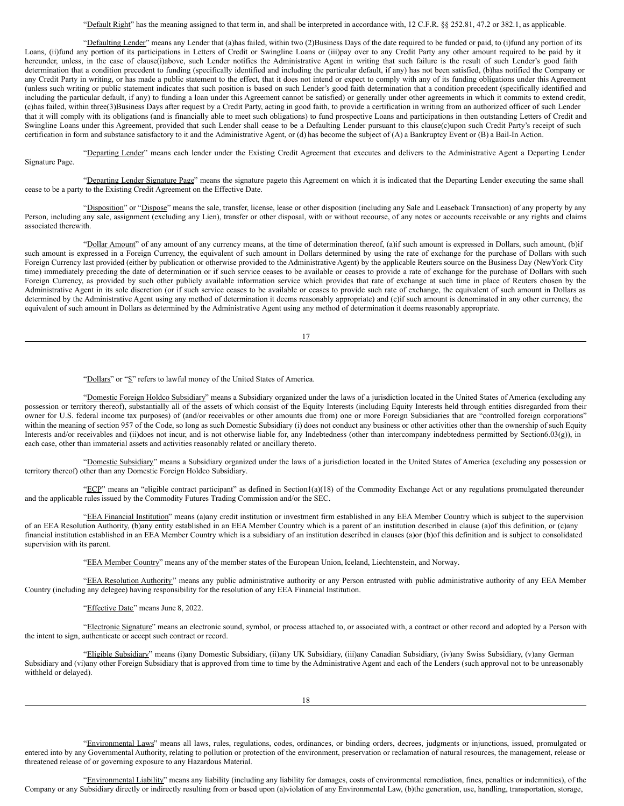"Default Right" has the meaning assigned to that term in, and shall be interpreted in accordance with, 12 C.F.R. §§ 252.81, 47.2 or 382.1, as applicable.

"Defaulting Lender" means any Lender that (a)has failed, within two (2)Business Days of the date required to be funded or paid, to (i)fund any portion of its Loans, (ii)fund any portion of its participations in Letters of Credit or Swingline Loans or (iii)pay over to any Credit Party any other amount required to be paid by it hereunder, unless, in the case of clause(i)above, such Lender notifies the Administrative Agent in writing that such failure is the result of such Lender's good faith determination that a condition precedent to funding (specifically identified and including the particular default, if any) has not been satisfied, (b)has notified the Company or any Credit Party in writing, or has made a public statement to the effect, that it does not intend or expect to comply with any of its funding obligations under this Agreement (unless such writing or public statement indicates that such position is based on such Lender's good faith determination that a condition precedent (specifically identified and including the particular default, if any) to funding a loan under this Agreement cannot be satisfied) or generally under other agreements in which it commits to extend credit, (c)has failed, within three(3)Business Days after request by a Credit Party, acting in good faith, to provide a certification in writing from an authorized officer of such Lender that it will comply with its obligations (and is financially able to meet such obligations) to fund prospective Loans and participations in then outstanding Letters of Credit and Swingline Loans under this Agreement, provided that such Lender shall cease to be a Defaulting Lender pursuant to this clause(c)upon such Credit Party's receipt of such certification in form and substance satisfactory to it and the Administrative Agent, or (d) has become the subject of (A) a Bankruptcy Event or (B) a Bail-In Action.

"Departing Lender" means each lender under the Existing Credit Agreement that executes and delivers to the Administrative Agent a Departing Lender Signature Page.

"Departing Lender Signature Page" means the signature pageto this Agreement on which it is indicated that the Departing Lender executing the same shall cease to be a party to the Existing Credit Agreement on the Effective Date.

"Disposition" or "Dispose" means the sale, transfer, license, lease or other disposition (including any Sale and Leaseback Transaction) of any property by any Person, including any sale, assignment (excluding any Lien), transfer or other disposal, with or without recourse, of any notes or accounts receivable or any rights and claims associated therewith.

"Dollar Amount" of any amount of any currency means, at the time of determination thereof, (a)if such amount is expressed in Dollars, such amount, (b)if such amount is expressed in a Foreign Currency, the equivalent of such amount in Dollars determined by using the rate of exchange for the purchase of Dollars with such Foreign Currency last provided (either by publication or otherwise provided to the Administrative Agent) by the applicable Reuters source on the Business Day (NewYork City time) immediately preceding the date of determination or if such service ceases to be available or ceases to provide a rate of exchange for the purchase of Dollars with such Foreign Currency, as provided by such other publicly available information service which provides that rate of exchange at such time in place of Reuters chosen by the Administrative Agent in its sole discretion (or if such service ceases to be available or ceases to provide such rate of exchange, the equivalent of such amount in Dollars as determined by the Administrative Agent using any method of determination it deems reasonably appropriate) and (c)if such amount is denominated in any other currency, the equivalent of such amount in Dollars as determined by the Administrative Agent using any method of determination it deems reasonably appropriate.

17

#### "Dollars" or "\$" refers to lawful money of the United States of America.

"Domestic Foreign Holdco Subsidiary" means a Subsidiary organized under the laws of a jurisdiction located in the United States of America (excluding any possession or territory thereof), substantially all of the assets of which consist of the Equity Interests (including Equity Interests held through entities disregarded from their owner for U.S. federal income tax purposes) of (and/or receivables or other amounts due from) one or more Foreign Subsidiaries that are "controlled foreign corporations" within the meaning of section 957 of the Code, so long as such Domestic Subsidiary (i) does not conduct any business or other activities other than the ownership of such Equity Interests and/or receivables and (ii)does not incur, and is not otherwise liable for, any Indebtedness (other than intercompany indebtedness permitted by Section6.03(g)), in each case, other than immaterial assets and activities reasonably related or ancillary thereto.

"Domestic Subsidiary" means a Subsidiary organized under the laws of a jurisdiction located in the United States of America (excluding any possession or territory thereof) other than any Domestic Foreign Holdco Subsidiary.

"ECP" means an "eligible contract participant" as defined in Section1(a)(18) of the Commodity Exchange Act or any regulations promulgated thereunder and the applicable rules issued by the Commodity Futures Trading Commission and/or the SEC.

"EEA Financial Institution" means (a)any credit institution or investment firm established in any EEA Member Country which is subject to the supervision of an EEA Resolution Authority, (b)any entity established in an EEA Member Country which is a parent of an institution described in clause (a)of this definition, or (c)any financial institution established in an EEA Member Country which is a subsidiary of an institution described in clauses (a)or (b)of this definition and is subject to consolidated supervision with its parent.

"EEA Member Country" means any of the member states of the European Union, Iceland, Liechtenstein, and Norway.

"EEA Resolution Authority" means any public administrative authority or any Person entrusted with public administrative authority of any EEA Member Country (including any delegee) having responsibility for the resolution of any EEA Financial Institution.

"Effective Date" means June 8, 2022.

"Electronic Signature" means an electronic sound, symbol, or process attached to, or associated with, a contract or other record and adopted by a Person with the intent to sign, authenticate or accept such contract or record.

"Eligible Subsidiary" means (i)any Domestic Subsidiary, (ii)any UK Subsidiary, (iii)any Canadian Subsidiary, (iv)any Swiss Subsidiary, (v)any German Subsidiary and (vi)any other Foreign Subsidiary that is approved from time to time by the Administrative Agent and each of the Lenders (such approval not to be unreasonably withheld or delayed).

"Environmental Laws" means all laws, rules, regulations, codes, ordinances, or binding orders, decrees, judgments or injunctions, issued, promulgated or entered into by any Governmental Authority, relating to pollution or protection of the environment, preservation or reclamation of natural resources, the management, release or threatened release of or governing exposure to any Hazardous Material.

"Environmental Liability" means any liability (including any liability for damages, costs of environmental remediation, fines, penalties or indemnities), of the Company or any Subsidiary directly or indirectly resulting from or based upon (a)violation of any Environmental Law, (b)the generation, use, handling, transportation, storage,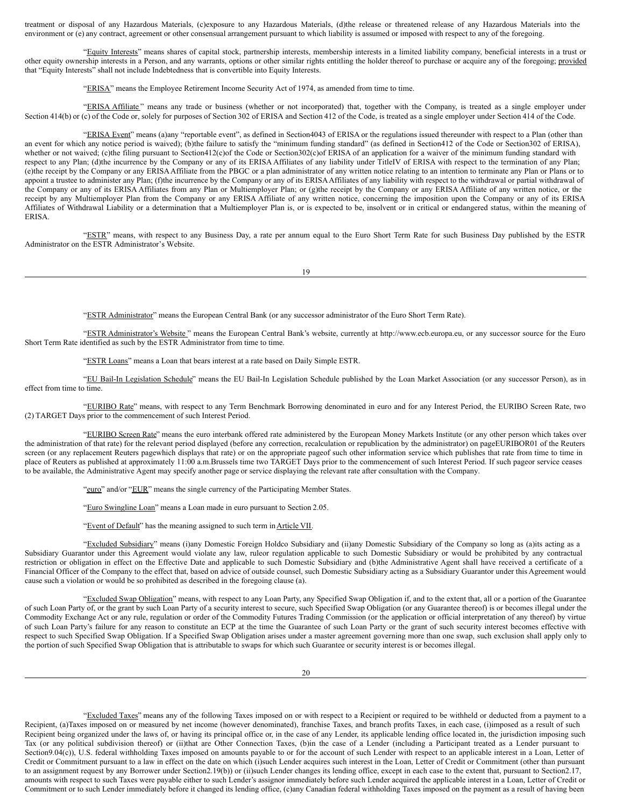treatment or disposal of any Hazardous Materials, (c)exposure to any Hazardous Materials, (d)the release or threatened release of any Hazardous Materials into the environment or (e) any contract, agreement or other consensual arrangement pursuant to which liability is assumed or imposed with respect to any of the foregoing.

"Equity Interests" means shares of capital stock, partnership interests, membership interests in a limited liability company, beneficial interests in a trust or other equity ownership interests in a Person, and any warrants, options or other similar rights entitling the holder thereof to purchase or acquire any of the foregoing; provided that "Equity Interests" shall not include Indebtedness that is convertible into Equity Interests.

"ERISA" means the Employee Retirement Income Security Act of 1974, as amended from time to time.

"ERISA Affiliate" means any trade or business (whether or not incorporated) that, together with the Company, is treated as a single employer under Section 414(b) or (c) of the Code or, solely for purposes of Section 302 of ERISA and Section 412 of the Code, is treated as a single employer under Section 414 of the Code.

"ERISA Event" means (a)any "reportable event", as defined in Section4043 of ERISA or the regulations issued thereunder with respect to a Plan (other than an event for which any notice period is waived); (b)the failure to satisfy the "minimum funding standard" (as defined in Section412 of the Code or Section302 of ERISA), whether or not waived; (c)the filing pursuant to Section412(c)of the Code or Section302(c)of ERISA of an application for a waiver of the minimum funding standard with respect to any Plan; (d)the incurrence by the Company or any of its ERISA Affiliates of any liability under TitleIV of ERISA with respect to the termination of any Plan; (e)the receipt by the Company or any ERISAAffiliate from the PBGC or a plan administrator of any written notice relating to an intention to terminate any Plan or Plans or to appoint a trustee to administer any Plan; (f)the incurrence by the Company or any of its ERISA Affiliates of any liability with respect to the withdrawal or partial withdrawal of the Company or any of its ERISA Affiliates from any Plan or Multiemployer Plan; or (g)the receipt by the Company or any ERISA Affiliate of any written notice, or the receipt by any Multiemployer Plan from the Company or any ERISA Affiliate of any written notice, concerning the imposition upon the Company or any of its ERISA Affiliates of Withdrawal Liability or a determination that a Multiemployer Plan is, or is expected to be, insolvent or in critical or endangered status, within the meaning of ERISA.

"ESTR" means, with respect to any Business Day, a rate per annum equal to the Euro Short Term Rate for such Business Day published by the ESTR Administrator on the ESTR Administrator's Website.

19

"ESTR Administrator" means the European Central Bank (or any successor administrator of the Euro Short Term Rate).

"ESTR Administrator's Website " means the European Central Bank's website, currently at http://www.ecb.europa.eu, or any successor source for the Euro Short Term Rate identified as such by the ESTR Administrator from time to time.

"ESTR Loans" means a Loan that bears interest at a rate based on Daily Simple ESTR.

"EU Bail-In Legislation Schedule" means the EU Bail-In Legislation Schedule published by the Loan Market Association (or any successor Person), as in effect from time to time.

"EURIBO Rate" means, with respect to any Term Benchmark Borrowing denominated in euro and for any Interest Period, the EURIBO Screen Rate, two (2) TARGET Days prior to the commencement of such Interest Period.

"EURIBO Screen Rate" means the euro interbank offered rate administered by the European Money Markets Institute (or any other person which takes over the administration of that rate) for the relevant period displayed (before any correction, recalculation or republication by the administrator) on pageEURIBOR01 of the Reuters screen (or any replacement Reuters pagewhich displays that rate) or on the appropriate pageof such other information service which publishes that rate from time to time in place of Reuters as published at approximately 11:00 a.m.Brussels time two TARGET Days prior to the commencement of such Interest Period. If such pageor service ceases to be available, the Administrative Agent may specify another page or service displaying the relevant rate after consultation with the Company.

"euro" and/or "EUR" means the single currency of the Participating Member States.

"Euro Swingline Loan" means a Loan made in euro pursuant to Section 2.05.

"Event of Default" has the meaning assigned to such term in Article VII.

"Excluded Subsidiary" means (i)any Domestic Foreign Holdco Subsidiary and (ii)any Domestic Subsidiary of the Company so long as (a)its acting as a Subsidiary Guarantor under this Agreement would violate any law, ruleor regulation applicable to such Domestic Subsidiary or would be prohibited by any contractual restriction or obligation in effect on the Effective Date and applicable to such Domestic Subsidiary and (b)the Administrative Agent shall have received a certificate of a Financial Officer of the Company to the effect that, based on advice of outside counsel, such Domestic Subsidiary acting as a Subsidiary Guarantor under this Agreement would cause such a violation or would be so prohibited as described in the foregoing clause (a).

"Excluded Swap Obligation" means, with respect to any Loan Party, any Specified Swap Obligation if, and to the extent that, all or a portion of the Guarantee of such Loan Party of, or the grant by such Loan Party of a security interest to secure, such Specified Swap Obligation (or any Guarantee thereof) is or becomes illegal under the Commodity Exchange Act or any rule, regulation or order of the Commodity Futures Trading Commission (or the application or official interpretation of any thereof) by virtue of such Loan Party's failure for any reason to constitute an ECP at the time the Guarantee of such Loan Party or the grant of such security interest becomes effective with respect to such Specified Swap Obligation. If a Specified Swap Obligation arises under a master agreement governing more than one swap, such exclusion shall apply only to the portion of such Specified Swap Obligation that is attributable to swaps for which such Guarantee or security interest is or becomes illegal.

"Excluded Taxes" means any of the following Taxes imposed on or with respect to a Recipient or required to be withheld or deducted from a payment to a Recipient, (a)Taxes imposed on or measured by net income (however denominated), franchise Taxes, and branch profits Taxes, in each case, (i)imposed as a result of such Recipient being organized under the laws of, or having its principal office or, in the case of any Lender, its applicable lending office located in, the jurisdiction imposing such Tax (or any political subdivision thereof) or (ii)that are Other Connection Taxes, (b)in the case of a Lender (including a Participant treated as a Lender pursuant to Section9.04(c)), U.S. federal withholding Taxes imposed on amounts payable to or for the account of such Lender with respect to an applicable interest in a Loan, Letter of Credit or Commitment pursuant to a law in effect on the date on which (i)such Lender acquires such interest in the Loan, Letter of Credit or Commitment (other than pursuant to an assignment request by any Borrower under Section2.19(b)) or (ii)such Lender changes its lending office, except in each case to the extent that, pursuant to Section2.17, amounts with respect to such Taxes were payable either to such Lender's assignor immediately before such Lender acquired the applicable interest in a Loan, Letter of Credit or Commitment or to such Lender immediately before it changed its lending office, (c)any Canadian federal withholding Taxes imposed on the payment as a result of having been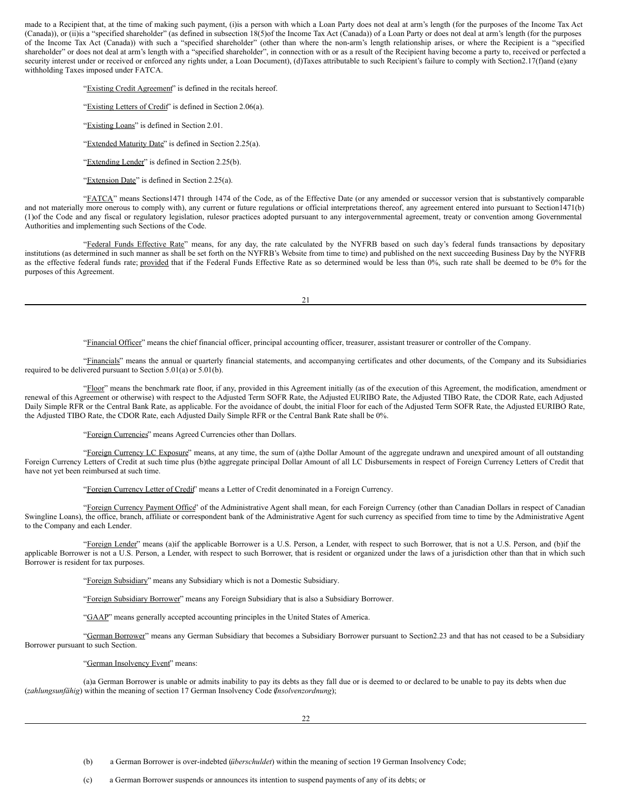made to a Recipient that, at the time of making such payment, (i)is a person with which a Loan Party does not deal at arm's length (for the purposes of the Income Tax Act (Canada)), or (ii)is a "specified shareholder" (as defined in subsection 18(5)of the Income Tax Act (Canada)) of a Loan Party or does not deal at arm's length (for the purposes of the Income Tax Act (Canada)) with such a "specified shareholder" (other than where the non-arm's length relationship arises, or where the Recipient is a "specified shareholder" or does not deal at arm's length with a "specified shareholder", in connection with or as a result of the Recipient having become a party to, received or perfected a security interest under or received or enforced any rights under, a Loan Document), (d)Taxes attributable to such Recipient's failure to comply with Section2.17(f)and (e)any withholding Taxes imposed under FATCA.

"Existing Credit Agreement" is defined in the recitals hereof.

"Existing Letters of Credit" is defined in Section 2.06(a).

"Existing Loans" is defined in Section 2.01.

"Extended Maturity Date" is defined in Section 2.25(a).

"Extending Lender" is defined in Section 2.25(b).

"Extension Date" is defined in Section 2.25(a).

"FATCA" means Sections1471 through 1474 of the Code, as of the Effective Date (or any amended or successor version that is substantively comparable and not materially more onerous to comply with), any current or future regulations or official interpretations thereof, any agreement entered into pursuant to Section1471(b) (1)of the Code and any fiscal or regulatory legislation, rulesor practices adopted pursuant to any intergovernmental agreement, treaty or convention among Governmental Authorities and implementing such Sections of the Code.

"Federal Funds Effective Rate" means, for any day, the rate calculated by the NYFRB based on such day's federal funds transactions by depositary institutions (as determined in such manner as shall be set forth on the NYFRB's Website from time to time) and published on the next succeeding Business Day by the NYFRB as the effective federal funds rate; provided that if the Federal Funds Effective Rate as so determined would be less than 0%, such rate shall be deemed to be 0% for the purposes of this Agreement.

21

"Financial Officer" means the chief financial officer, principal accounting officer, treasurer, assistant treasurer or controller of the Company.

"Financials" means the annual or quarterly financial statements, and accompanying certificates and other documents, of the Company and its Subsidiaries required to be delivered pursuant to Section 5.01(a) or 5.01(b).

"Floor" means the benchmark rate floor, if any, provided in this Agreement initially (as of the execution of this Agreement, the modification, amendment or renewal of this Agreement or otherwise) with respect to the Adjusted Term SOFR Rate, the Adjusted EURIBO Rate, the Adjusted TIBO Rate, the CDOR Rate, each Adjusted Daily Simple RFR or the Central Bank Rate, as applicable. For the avoidance of doubt, the initial Floor for each of the Adjusted Term SOFR Rate, the Adjusted EURIBO Rate, the Adjusted TIBO Rate, the CDOR Rate, each Adjusted Daily Simple RFR or the Central Bank Rate shall be 0%.

"Foreign Currencies" means Agreed Currencies other than Dollars.

"Foreign Currency LC Exposure" means, at any time, the sum of (a)the Dollar Amount of the aggregate undrawn and unexpired amount of all outstanding Foreign Currency Letters of Credit at such time plus (b)the aggregate principal Dollar Amount of all LC Disbursements in respect of Foreign Currency Letters of Credit that have not yet been reimbursed at such time.

"Foreign Currency Letter of Credit" means a Letter of Credit denominated in a Foreign Currency.

"Foreign Currency Payment Office" of the Administrative Agent shall mean, for each Foreign Currency (other than Canadian Dollars in respect of Canadian Swingline Loans), the office, branch, affiliate or correspondent bank of the Administrative Agent for such currency as specified from time to time by the Administrative Agent to the Company and each Lender.

"Foreign Lender" means (a)if the applicable Borrower is a U.S. Person, a Lender, with respect to such Borrower, that is not a U.S. Person, and (b)if the applicable Borrower is not a U.S. Person, a Lender, with respect to such Borrower, that is resident or organized under the laws of a jurisdiction other than that in which such Borrower is resident for tax purposes.

"Foreign Subsidiary" means any Subsidiary which is not a Domestic Subsidiary.

"Foreign Subsidiary Borrower" means any Foreign Subsidiary that is also a Subsidiary Borrower.

"GAAP" means generally accepted accounting principles in the United States of America.

"German Borrower" means any German Subsidiary that becomes a Subsidiary Borrower pursuant to Section2.23 and that has not ceased to be a Subsidiary Borrower pursuant to such Section.

"German Insolvency Event" means:

(a)a German Borrower is unable or admits inability to pay its debts as they fall due or is deemed to or declared to be unable to pay its debts when due (*zahlungsunfähig*) within the meaning of section 17 German Insolvency Code (*Insolvenzordnung*);

(b) a German Borrower is over-indebted (*überschuldet*) within the meaning of section 19 German Insolvency Code;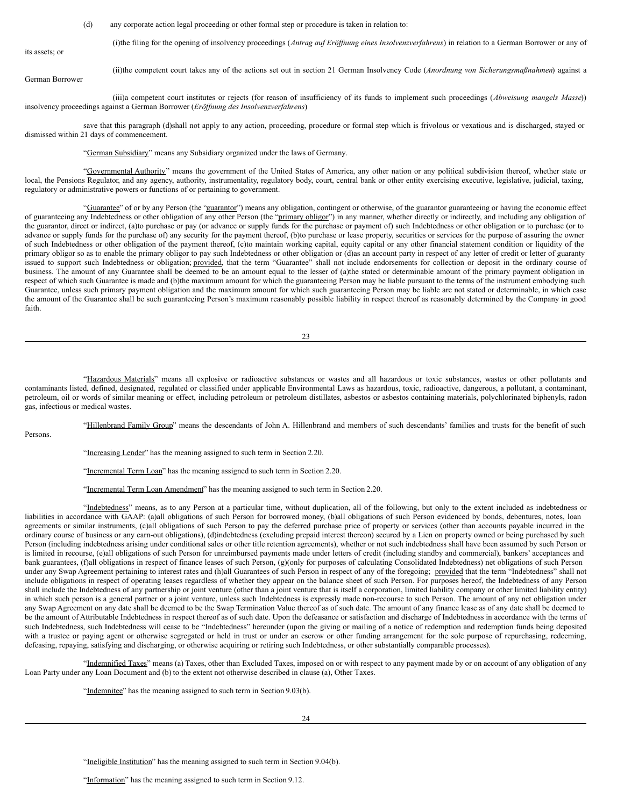(d) any corporate action legal proceeding or other formal step or procedure is taken in relation to:

its assets; or

(ii)the competent court takes any of the actions set out in section 21 German Insolvency Code (*Anordnung von Sicherungsmaßnahmen*) against a

(i)the filing for the opening of insolvency proceedings (*Antrag auf Eröffnung eines Insolvenzverfahrens*) in relation to a German Borrower or any of

German Borrower

(iii)a competent court institutes or rejects (for reason of insufficiency of its funds to implement such proceedings (*Abweisung mangels Masse*)) insolvency proceedings against a German Borrower (*Eröffnung des Insolvenzverfahrens*)

save that this paragraph (d)shall not apply to any action, proceeding, procedure or formal step which is frivolous or vexatious and is discharged, stayed or dismissed within 21 days of commencement.

"German Subsidiary" means any Subsidiary organized under the laws of Germany.

"Governmental Authority" means the government of the United States of America, any other nation or any political subdivision thereof, whether state or local, the Pensions Regulator, and any agency, authority, instrumentality, regulatory body, court, central bank or other entity exercising executive, legislative, judicial, taxing, regulatory or administrative powers or functions of or pertaining to government.

"Guarantee" of or by any Person (the "guarantor") means any obligation, contingent or otherwise, of the guarantor guaranteeing or having the economic effect of guaranteeing any Indebtedness or other obligation of any other Person (the "primary obligor") in any manner, whether directly or indirectly, and including any obligation of the guarantor, direct or indirect, (a)to purchase or pay (or advance or supply funds for the purchase or payment of) such Indebtedness or other obligation or to purchase (or to advance or supply funds for the purchase of) any security for the payment thereof, (b)to purchase or lease property, securities or services for the purpose of assuring the owner of such Indebtedness or other obligation of the payment thereof, (c)to maintain working capital, equity capital or any other financial statement condition or liquidity of the primary obligor so as to enable the primary obligor to pay such Indebtedness or other obligation or (d)as an account party in respect of any letter of credit or letter of guaranty issued to support such Indebtedness or obligation; provided, that the term "Guarantee" shall not include endorsements for collection or deposit in the ordinary course of business. The amount of any Guarantee shall be deemed to be an amount equal to the lesser of (a)the stated or determinable amount of the primary payment obligation in respect of which such Guarantee is made and (b)the maximum amount for which the guaranteeing Person may be liable pursuant to the terms of the instrument embodying such Guarantee, unless such primary payment obligation and the maximum amount for which such guaranteeing Person may be liable are not stated or determinable, in which case the amount of the Guarantee shall be such guaranteeing Person's maximum reasonably possible liability in respect thereof as reasonably determined by the Company in good faith.

 $23$ 

"Hazardous Materials" means all explosive or radioactive substances or wastes and all hazardous or toxic substances, wastes or other pollutants and contaminants listed, defined, designated, regulated or classified under applicable Environmental Laws as hazardous, toxic, radioactive, dangerous, a pollutant, a contaminant, petroleum, oil or words of similar meaning or effect, including petroleum or petroleum distillates, asbestos or asbestos containing materials, polychlorinated biphenyls, radon gas, infectious or medical wastes.

"Hillenbrand Family Group" means the descendants of John A. Hillenbrand and members of such descendants' families and trusts for the benefit of such

Persons.

"Increasing Lender" has the meaning assigned to such term in Section 2.20.

"Incremental Term Loan" has the meaning assigned to such term in Section 2.20.

"Incremental Term Loan Amendment" has the meaning assigned to such term in Section 2.20.

"Indebtedness" means, as to any Person at a particular time, without duplication, all of the following, but only to the extent included as indebtedness or liabilities in accordance with GAAP: (a)all obligations of such Person for borrowed money, (b)all obligations of such Person evidenced by bonds, debentures, notes, loan agreements or similar instruments, (c)all obligations of such Person to pay the deferred purchase price of property or services (other than accounts payable incurred in the ordinary course of business or any earn-out obligations), (d)indebtedness (excluding prepaid interest thereon) secured by a Lien on property owned or being purchased by such Person (including indebtedness arising under conditional sales or other title retention agreements), whether or not such indebtedness shall have been assumed by such Person or is limited in recourse, (e)all obligations of such Person for unreimbursed payments made under letters of credit (including standby and commercial), bankers' acceptances and bank guarantees, (f)all obligations in respect of finance leases of such Person, (g)(only for purposes of calculating Consolidated Indebtedness) net obligations of such Person under any Swap Agreement pertaining to interest rates and (h)all Guarantees of such Person in respect of any of the foregoing; provided that the term "Indebtedness" shall not include obligations in respect of operating leases regardless of whether they appear on the balance sheet of such Person. For purposes hereof, the Indebtedness of any Person shall include the Indebtedness of any partnership or joint venture (other than a joint venture that is itself a corporation, limited liability company or other limited liability entity) in which such person is a general partner or a joint venture, unless such Indebtedness is expressly made non-recourse to such Person. The amount of any net obligation under any Swap Agreement on any date shall be deemed to be the Swap Termination Value thereof as of such date. The amount of any finance lease as of any date shall be deemed to be the amount of Attributable Indebtedness in respect thereof as of such date. Upon the defeasance or satisfaction and discharge of Indebtedness in accordance with the terms of such Indebtedness, such Indebtedness will cease to be "Indebtedness" hereunder (upon the giving or mailing of a notice of redemption and redemption funds being deposited with a trustee or paying agent or otherwise segregated or held in trust or under an escrow or other funding arrangement for the sole purpose of repurchasing, redeeming, defeasing, repaying, satisfying and discharging, or otherwise acquiring or retiring such Indebtedness, or other substantially comparable processes).

"Indemnified Taxes" means (a) Taxes, other than Excluded Taxes, imposed on or with respect to any payment made by or on account of any obligation of any Loan Party under any Loan Document and (b) to the extent not otherwise described in clause (a), Other Taxes.

"Indemnitee" has the meaning assigned to such term in Section 9.03(b).

"Ineligible Institution" has the meaning assigned to such term in Section 9.04(b).

"Information" has the meaning assigned to such term in Section 9.12.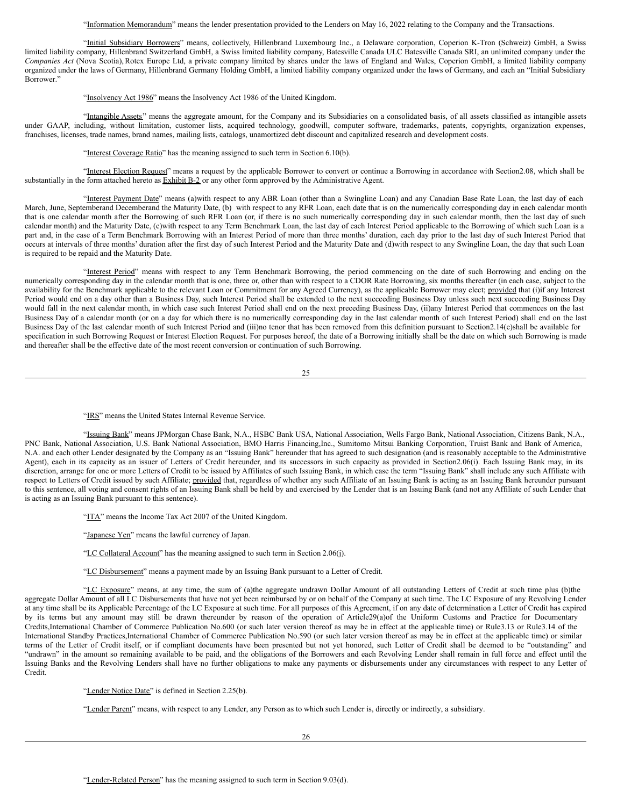"Information Memorandum" means the lender presentation provided to the Lenders on May 16, 2022 relating to the Company and the Transactions.

"Initial Subsidiary Borrowers" means, collectively, Hillenbrand Luxembourg Inc., a Delaware corporation, Coperion K-Tron (Schweiz) GmbH, a Swiss limited liability company, Hillenbrand Switzerland GmbH, a Swiss limited liability company, Batesville Canada ULC Batesville Canada SRI, an unlimited company under the *Companies Act* (Nova Scotia),Rotex Europe Ltd, a private company limited by shares under the laws of England and Wales, Coperion GmbH, a limited liability company organized under the laws of Germany, Hillenbrand Germany Holding GmbH, a limited liability company organized under the laws of Germany, and each an "Initial Subsidiary Borrower."

#### "Insolvency Act 1986" means the Insolvency Act 1986 of the United Kingdom.

"Intangible Assets" means the aggregate amount, for the Company and its Subsidiaries on a consolidated basis, of all assets classified as intangible assets under GAAP, including, without limitation, customer lists, acquired technology, goodwill, computer software, trademarks, patents, copyrights, organization expenses, franchises, licenses, trade names, brand names, mailing lists, catalogs, unamortized debt discount and capitalized research and development costs.

"Interest Coverage Ratio" has the meaning assigned to such term in Section 6.10(b).

"Interest Election Request" means a request by the applicable Borrower to convert or continue a Borrowing in accordance with Section2.08, which shall be substantially in the form attached hereto as Exhibit B-2 or any other form approved by the Administrative Agent.

"Interest Payment Date" means (a)with respect to any ABR Loan (other than a Swingline Loan) and any Canadian Base Rate Loan, the last day of each March, June, Septemberand Decemberand the Maturity Date, (b) with respect to any RFR Loan, each date that is on the numerically corresponding day in each calendar month that is one calendar month after the Borrowing of such RFR Loan (or, if there is no such numerically corresponding day in such calendar month, then the last day of such calendar month) and the Maturity Date, (c)with respect to any Term Benchmark Loan, the last day of each Interest Period applicable to the Borrowing of which such Loan is a part and, in the case of a Term Benchmark Borrowing with an Interest Period of more than three months' duration, each day prior to the last day of such Interest Period that occurs at intervals of three months' duration after the first day of such Interest Period and the Maturity Date and (d)with respect to any Swingline Loan, the day that such Loan is required to be repaid and the Maturity Date.

"Interest Period" means with respect to any Term Benchmark Borrowing, the period commencing on the date of such Borrowing and ending on the numerically corresponding day in the calendar month that is one, three or, other than with respect to a CDOR Rate Borrowing, six months thereafter (in each case, subject to the availability for the Benchmark applicable to the relevant Loan or Commitment for any Agreed Currency), as the applicable Borrower may elect; provided that (i)if any Interest Period would end on a day other than a Business Day, such Interest Period shall be extended to the next succeeding Business Day unless such next succeeding Business Day would fall in the next calendar month, in which case such Interest Period shall end on the next preceding Business Day, (ii)any Interest Period that commences on the last Business Day of a calendar month (or on a day for which there is no numerically corresponding day in the last calendar month of such Interest Period) shall end on the last Business Day of the last calendar month of such Interest Period and (iii)no tenor that has been removed from this definition pursuant to Section2.14(e)shall be available for specification in such Borrowing Request or Interest Election Request. For purposes hereof, the date of a Borrowing initially shall be the date on which such Borrowing is made and thereafter shall be the effective date of the most recent conversion or continuation of such Borrowing.

25

"IRS" means the United States Internal Revenue Service.

"Issuing Bank" means JPMorgan Chase Bank, N.A., HSBC Bank USA, National Association, Wells Fargo Bank, National Association, Citizens Bank, N.A., PNC Bank, National Association, U.S. Bank National Association, BMO Harris Financing,Inc., Sumitomo Mitsui Banking Corporation, Truist Bank and Bank of America, N.A. and each other Lender designated by the Company as an "Issuing Bank" hereunder that has agreed to such designation (and is reasonably acceptable to the Administrative Agent), each in its capacity as an issuer of Letters of Credit hereunder, and its successors in such capacity as provided in Section2.06(i). Each Issuing Bank may, in its discretion, arrange for one or more Letters of Credit to be issued by Affiliates of such Issuing Bank, in which case the term "Issuing Bank" shall include any such Affiliate with respect to Letters of Credit issued by such Affiliate; provided that, regardless of whether any such Affiliate of an Issuing Bank is acting as an Issuing Bank hereunder pursuant to this sentence, all voting and consent rights of an Issuing Bank shall be held by and exercised by the Lender that is an Issuing Bank (and not any Affiliate of such Lender that is acting as an Issuing Bank pursuant to this sentence).

"ITA" means the Income Tax Act 2007 of the United Kingdom.

"Japanese Yen" means the lawful currency of Japan.

"LC Collateral Account" has the meaning assigned to such term in Section 2.06(j).

"LC Disbursement" means a payment made by an Issuing Bank pursuant to a Letter of Credit.

"LC Exposure" means, at any time, the sum of (a)the aggregate undrawn Dollar Amount of all outstanding Letters of Credit at such time plus (b)the aggregate Dollar Amount of all LC Disbursements that have not yet been reimbursed by or on behalf of the Company at such time. The LC Exposure of any Revolving Lender at any time shall be its Applicable Percentage of the LC Exposure at such time. For all purposes of this Agreement, if on any date of determination a Letter of Credit has expired by its terms but any amount may still be drawn thereunder by reason of the operation of Article29(a)of the Uniform Customs and Practice for Documentary Credits,International Chamber of Commerce Publication No.600 (or such later version thereof as may be in effect at the applicable time) or Rule3.13 or Rule3.14 of the International Standby Practices,International Chamber of Commerce Publication No.590 (or such later version thereof as may be in effect at the applicable time) or similar terms of the Letter of Credit itself, or if compliant documents have been presented but not yet honored, such Letter of Credit shall be deemed to be "outstanding" and "undrawn" in the amount so remaining available to be paid, and the obligations of the Borrowers and each Revolving Lender shall remain in full force and effect until the Issuing Banks and the Revolving Lenders shall have no further obligations to make any payments or disbursements under any circumstances with respect to any Letter of Credit.

"Lender Notice Date" is defined in Section 2.25(b).

"Lender Parent" means, with respect to any Lender, any Person as to which such Lender is, directly or indirectly, a subsidiary.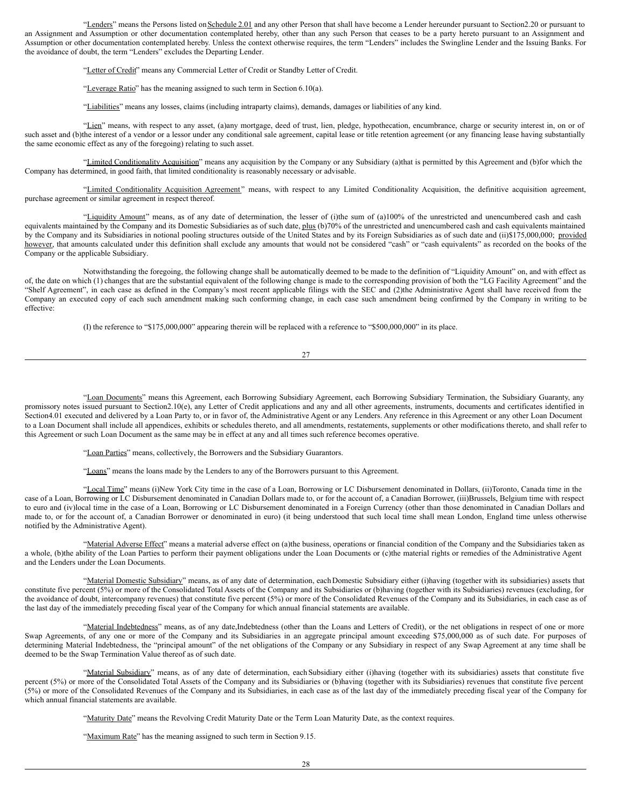"Lenders" means the Persons listed on Schedule 2.01 and any other Person that shall have become a Lender hereunder pursuant to Section 2.20 or pursuant to an Assignment and Assumption or other documentation contemplated hereby, other than any such Person that ceases to be a party hereto pursuant to an Assignment and Assumption or other documentation contemplated hereby. Unless the context otherwise requires, the term "Lenders" includes the Swingline Lender and the Issuing Banks. For the avoidance of doubt, the term "Lenders" excludes the Departing Lender.

"Letter of Credit" means any Commercial Letter of Credit or Standby Letter of Credit.

"Leverage Ratio" has the meaning assigned to such term in Section 6.10(a).

"Liabilities" means any losses, claims (including intraparty claims), demands, damages or liabilities of any kind.

"Lien" means, with respect to any asset, (a)any mortgage, deed of trust, lien, pledge, hypothecation, encumbrance, charge or security interest in, on or of such asset and (b)the interest of a vendor or a lessor under any conditional sale agreement, capital lease or title retention agreement (or any financing lease having substantially the same economic effect as any of the foregoing) relating to such asset.

"Limited Conditionality Acquisition" means any acquisition by the Company or any Subsidiary (a)that is permitted by this Agreement and (b)for which the Company has determined, in good faith, that limited conditionality is reasonably necessary or advisable.

"Limited Conditionality Acquisition Agreement" means, with respect to any Limited Conditionality Acquisition, the definitive acquisition agreement, purchase agreement or similar agreement in respect thereof.

"Liquidity Amount" means, as of any date of determination, the lesser of (i)the sum of (a)100% of the unrestricted and unencumbered cash and cash equivalents maintained by the Company and its Domestic Subsidiaries as of such date, plus (b)70% of the unrestricted and unencumbered cash and cash equivalents maintained by the Company and its Subsidiaries in notional pooling structures outside of the United States and by its Foreign Subsidiaries as of such date and (ii)\$175,000,000; provided however, that amounts calculated under this definition shall exclude any amounts that would not be considered "cash" or "cash equivalents" as recorded on the books of the Company or the applicable Subsidiary.

Notwithstanding the foregoing, the following change shall be automatically deemed to be made to the definition of "Liquidity Amount" on, and with effect as of, the date on which (1) changes that are the substantial equivalent of the following change is made to the corresponding provision of both the "LG Facility Agreement" and the "Shelf Agreement", in each case as defined in the Company's most recent applicable filings with the SEC and (2)the Administrative Agent shall have received from the Company an executed copy of each such amendment making such conforming change, in each case such amendment being confirmed by the Company in writing to be effective:

(I) the reference to "\$175,000,000" appearing therein will be replaced with a reference to "\$500,000,000" in its place.

27

"Loan Documents" means this Agreement, each Borrowing Subsidiary Agreement, each Borrowing Subsidiary Termination, the Subsidiary Guaranty, any promissory notes issued pursuant to Section2.10(e), any Letter of Credit applications and any and all other agreements, instruments, documents and certificates identified in Section4.01 executed and delivered by a Loan Party to, or in favor of, the Administrative Agent or any Lenders. Any reference in this Agreement or any other Loan Document to a Loan Document shall include all appendices, exhibits or schedules thereto, and all amendments, restatements, supplements or other modifications thereto, and shall refer to this Agreement or such Loan Document as the same may be in effect at any and all times such reference becomes operative.

"Loan Parties" means, collectively, the Borrowers and the Subsidiary Guarantors.

"Loans" means the loans made by the Lenders to any of the Borrowers pursuant to this Agreement.

"Local Time" means (i)New York City time in the case of a Loan, Borrowing or LC Disbursement denominated in Dollars, (ii)Toronto, Canada time in the case of a Loan, Borrowing or LC Disbursement denominated in Canadian Dollars made to, or for the account of, a Canadian Borrower, (iii)Brussels, Belgium time with respect to euro and (iv)local time in the case of a Loan, Borrowing or LC Disbursement denominated in a Foreign Currency (other than those denominated in Canadian Dollars and made to, or for the account of, a Canadian Borrower or denominated in euro) (it being understood that such local time shall mean London, England time unless otherwise notified by the Administrative Agent).

"Material Adverse Effect" means a material adverse effect on (a)the business, operations or financial condition of the Company and the Subsidiaries taken as a whole, (b)the ability of the Loan Parties to perform their payment obligations under the Loan Documents or (c)the material rights or remedies of the Administrative Agent and the Lenders under the Loan Documents.

"Material Domestic Subsidiary" means, as of any date of determination, eachDomestic Subsidiary either (i)having (together with its subsidiaries) assets that constitute five percent (5%) or more of the Consolidated Total Assets of the Company and its Subsidiaries or (b)having (together with its Subsidiaries) revenues (excluding, for the avoidance of doubt, intercompany revenues) that constitute five percent (5%) or more of the Consolidated Revenues of the Company and its Subsidiaries, in each case as of the last day of the immediately preceding fiscal year of the Company for which annual financial statements are available.

"Material Indebtedness" means, as of any date,Indebtedness (other than the Loans and Letters of Credit), or the net obligations in respect of one or more Swap Agreements, of any one or more of the Company and its Subsidiaries in an aggregate principal amount exceeding \$75,000,000 as of such date. For purposes of determining Material Indebtedness, the "principal amount" of the net obligations of the Company or any Subsidiary in respect of any Swap Agreement at any time shall be deemed to be the Swap Termination Value thereof as of such date.

"Material Subsidiary" means, as of any date of determination, each Subsidiary either (i)having (together with its subsidiaries) assets that constitute five percent (5%) or more of the Consolidated Total Assets of the Company and its Subsidiaries or (b)having (together with its Subsidiaries) revenues that constitute five percent (5%) or more of the Consolidated Revenues of the Company and its Subsidiaries, in each case as of the last day of the immediately preceding fiscal year of the Company for which annual financial statements are available.

"Maturity Date" means the Revolving Credit Maturity Date or the Term Loan Maturity Date, as the context requires.

"Maximum Rate" has the meaning assigned to such term in Section 9.15.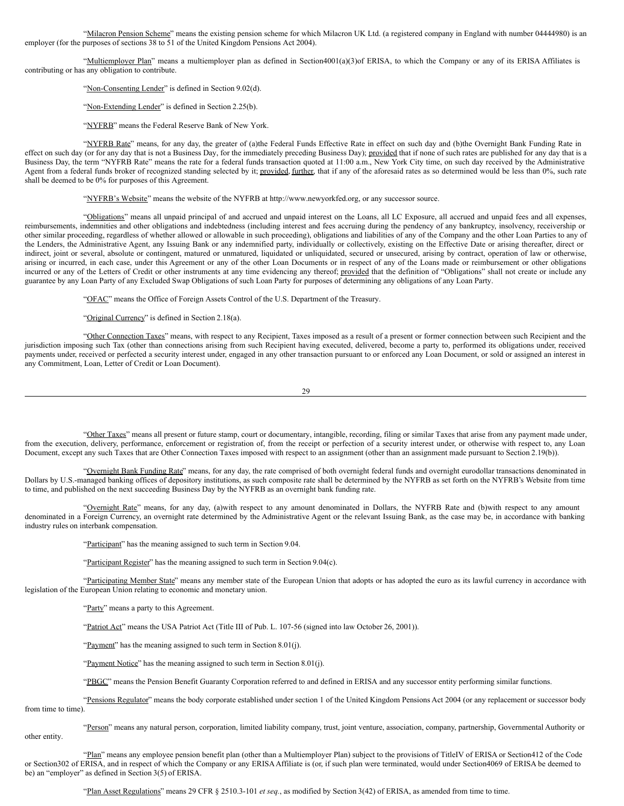"Milacron Pension Scheme" means the existing pension scheme for which Milacron UK Ltd. (a registered company in England with number 04444980) is an employer (for the purposes of sections 38 to 51 of the United Kingdom Pensions Act 2004).

"Multiemployer Plan" means a multiemployer plan as defined in Section4001(a)(3)of ERISA, to which the Company or any of its ERISA Affiliates is contributing or has any obligation to contribute.

"Non-Consenting Lender" is defined in Section 9.02(d).

"Non-Extending Lender" is defined in Section 2.25(b).

"NYFRB" means the Federal Reserve Bank of New York.

"NYFRB Rate" means, for any day, the greater of (a)the Federal Funds Effective Rate in effect on such day and (b)the Overnight Bank Funding Rate in effect on such day (or for any day that is not a Business Day, for the immediately preceding Business Day); provided that if none of such rates are published for any day that is a Business Day, the term "NYFRB Rate" means the rate for a federal funds transaction quoted at 11:00 a.m., New York City time, on such day received by the Administrative Agent from a federal funds broker of recognized standing selected by it; provided, further, that if any of the aforesaid rates as so determined would be less than 0%, such rate shall be deemed to be 0% for purposes of this Agreement.

"NYFRB's Website" means the website of the NYFRB at http://www.newyorkfed.org, or any successor source.

"Obligations" means all unpaid principal of and accrued and unpaid interest on the Loans, all LC Exposure, all accrued and unpaid fees and all expenses, reimbursements, indemnities and other obligations and indebtedness (including interest and fees accruing during the pendency of any bankruptcy, insolvency, receivership or other similar proceeding, regardless of whether allowed or allowable in such proceeding), obligations and liabilities of any of the Company and the other Loan Parties to any of the Lenders, the Administrative Agent, any Issuing Bank or any indemnified party, individually or collectively, existing on the Effective Date or arising thereafter, direct or indirect, joint or several, absolute or contingent, matured or unmatured, liquidated or unliquidated, secured or unsecured, arising by contract, operation of law or otherwise, arising or incurred, in each case, under this Agreement or any of the other Loan Documents or in respect of any of the Loans made or reimbursement or other obligations incurred or any of the Letters of Credit or other instruments at any time evidencing any thereof; provided that the definition of "Obligations" shall not create or include any guarantee by any Loan Party of any Excluded Swap Obligations of such Loan Party for purposes of determining any obligations of any Loan Party.

"OFAC" means the Office of Foreign Assets Control of the U.S. Department of the Treasury.

"Original Currency" is defined in Section 2.18(a).

"Other Connection Taxes" means, with respect to any Recipient, Taxes imposed as a result of a present or former connection between such Recipient and the jurisdiction imposing such Tax (other than connections arising from such Recipient having executed, delivered, become a party to, performed its obligations under, received payments under, received or perfected a security interest under, engaged in any other transaction pursuant to or enforced any Loan Document, or sold or assigned an interest in any Commitment, Loan, Letter of Credit or Loan Document).

| I<br>I<br>I<br>۰. | ۰, |
|-------------------|----|

"Other Taxes" means all present or future stamp, court or documentary, intangible, recording, filing or similar Taxes that arise from any payment made under, from the execution, delivery, performance, enforcement or registration of, from the receipt or perfection of a security interest under, or otherwise with respect to, any Loan Document, except any such Taxes that are Other Connection Taxes imposed with respect to an assignment (other than an assignment made pursuant to Section 2.19(b)).

"Overnight Bank Funding Rate" means, for any day, the rate comprised of both overnight federal funds and overnight eurodollar transactions denominated in Dollars by U.S.-managed banking offices of depository institutions, as such composite rate shall be determined by the NYFRB as set forth on the NYFRB's Website from time to time, and published on the next succeeding Business Day by the NYFRB as an overnight bank funding rate.

"Overnight Rate" means, for any day, (a)with respect to any amount denominated in Dollars, the NYFRB Rate and (b)with respect to any amount denominated in a Foreign Currency, an overnight rate determined by the Administrative Agent or the relevant Issuing Bank, as the case may be, in accordance with banking industry rules on interbank compensation.

"Participant" has the meaning assigned to such term in Section 9.04.

"Participant Register" has the meaning assigned to such term in Section 9.04(c).

"Participating Member State" means any member state of the European Union that adopts or has adopted the euro as its lawful currency in accordance with legislation of the European Union relating to economic and monetary union.

"Party" means a party to this Agreement.

"Patriot Act" means the USA Patriot Act (Title III of Pub. L. 107-56 (signed into law October 26, 2001)).

"Payment" has the meaning assigned to such term in Section 8.01(j).

"Payment Notice" has the meaning assigned to such term in Section 8.01(j).

"PBGC" means the Pension Benefit Guaranty Corporation referred to and defined in ERISA and any successor entity performing similar functions.

"Pensions Regulator" means the body corporate established under section 1 of the United Kingdom Pensions Act 2004 (or any replacement or successor body from time to time).

"Person" means any natural person, corporation, limited liability company, trust, joint venture, association, company, partnership, Governmental Authority or other entity.

"Plan" means any employee pension benefit plan (other than a Multiemployer Plan) subject to the provisions of TitleIV of ERISA or Section412 of the Code or Section302 of ERISA, and in respect of which the Company or any ERISAAffiliate is (or, if such plan were terminated, would under Section4069 of ERISA be deemed to be) an "employer" as defined in Section 3(5) of ERISA.

"Plan Asset Regulations" means 29 CFR § 2510.3-101 *et seq.*, as modified by Section 3(42) of ERISA, as amended from time to time.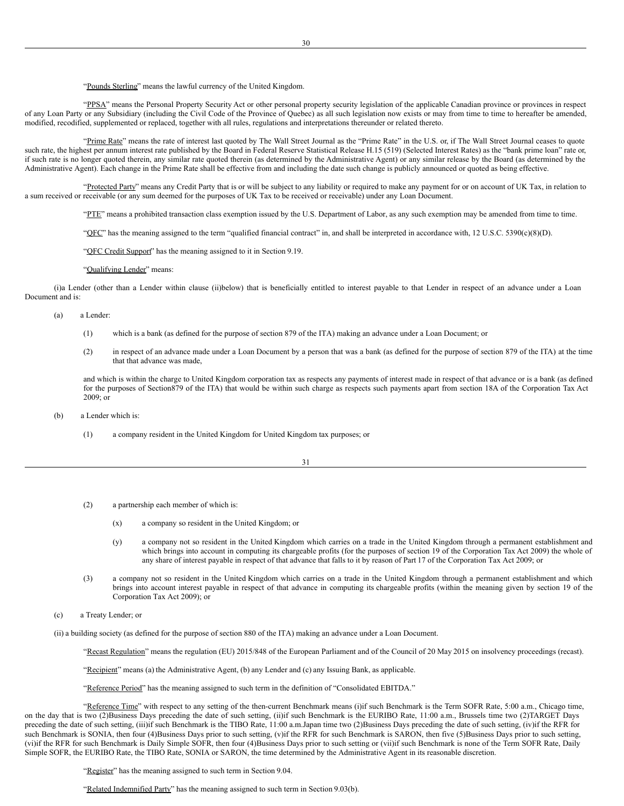"Pounds Sterling" means the lawful currency of the United Kingdom.

"PPSA" means the Personal Property Security Act or other personal property security legislation of the applicable Canadian province or provinces in respect of any Loan Party or any Subsidiary (including the Civil Code of the Province of Quebec) as all such legislation now exists or may from time to time to hereafter be amended, modified, recodified, supplemented or replaced, together with all rules, regulations and interpretations thereunder or related thereto.

"Prime Rate" means the rate of interest last quoted by The Wall Street Journal as the "Prime Rate" in the U.S. or, if The Wall Street Journal ceases to quote such rate, the highest per annum interest rate published by the Board in Federal Reserve Statistical Release H.15 (519) (Selected Interest Rates) as the "bank prime loan" rate or, if such rate is no longer quoted therein, any similar rate quoted therein (as determined by the Administrative Agent) or any similar release by the Board (as determined by the Administrative Agent). Each change in the Prime Rate shall be effective from and including the date such change is publicly announced or quoted as being effective.

"Protected Party" means any Credit Party that is or will be subject to any liability or required to make any payment for or on account of UK Tax, in relation to a sum received or receivable (or any sum deemed for the purposes of UK Tax to be received or receivable) under any Loan Document.

"PTE" means a prohibited transaction class exemption issued by the U.S. Department of Labor, as any such exemption may be amended from time to time.

" $QFC$ " has the meaning assigned to the term "qualified financial contract" in, and shall be interpreted in accordance with, 12 U.S.C. 5390(c)(8)(D).

"OFC Credit Support" has the meaning assigned to it in Section 9.19.

#### "Qualifying Lender" means:

(i)a Lender (other than a Lender within clause (ii)below) that is beneficially entitled to interest payable to that Lender in respect of an advance under a Loan Document and is:

(a) a Lender:

- (1) which is a bank (as defined for the purpose of section 879 of the ITA) making an advance under a Loan Document; or
- (2) in respect of an advance made under a Loan Document by a person that was a bank (as defined for the purpose of section 879 of the ITA) at the time that that advance was made,

and which is within the charge to United Kingdom corporation tax as respects any payments of interest made in respect of that advance or is a bank (as defined for the purposes of Section879 of the ITA) that would be within such charge as respects such payments apart from section 18A of the Corporation Tax Act 2009; or

#### (b) a Lender which is:

(1) a company resident in the United Kingdom for United Kingdom tax purposes; or

31

- (2) a partnership each member of which is:
	- (x) a company so resident in the United Kingdom; or
	- (y) a company not so resident in the United Kingdom which carries on a trade in the United Kingdom through a permanent establishment and which brings into account in computing its chargeable profits (for the purposes of section 19 of the Corporation Tax Act 2009) the whole of any share of interest payable in respect of that advance that falls to it by reason of Part 17 of the Corporation Tax Act 2009; or
- (3) a company not so resident in the United Kingdom which carries on a trade in the United Kingdom through a permanent establishment and which brings into account interest payable in respect of that advance in computing its chargeable profits (within the meaning given by section 19 of the Corporation Tax Act 2009); or
- (c) a Treaty Lender; or

(ii) a building society (as defined for the purpose of section 880 of the ITA) making an advance under a Loan Document.

"Recast Regulation" means the regulation (EU) 2015/848 of the European Parliament and of the Council of 20 May 2015 on insolvency proceedings (recast).

"Recipient" means (a) the Administrative Agent, (b) any Lender and (c) any Issuing Bank, as applicable.

"Reference Period" has the meaning assigned to such term in the definition of "Consolidated EBITDA."

"Reference Time" with respect to any setting of the then-current Benchmark means (i)if such Benchmark is the Term SOFR Rate, 5:00 a.m., Chicago time, on the day that is two (2)Business Days preceding the date of such setting, (ii)if such Benchmark is the EURIBO Rate, 11:00 a.m., Brussels time two (2)TARGET Days preceding the date of such setting, (iii)if such Benchmark is the TIBO Rate, 11:00 a.m.Japan time two (2)Business Days preceding the date of such setting, (iv)if the RFR for such Benchmark is SONIA, then four (4)Business Days prior to such setting, (v)if the RFR for such Benchmark is SARON, then five (5)Business Days prior to such setting, (vi)if the RFR for such Benchmark is Daily Simple SOFR, then four (4)Business Days prior to such setting or (vii)if such Benchmark is none of the Term SOFR Rate, Daily Simple SOFR, the EURIBO Rate, the TIBO Rate, SONIA or SARON, the time determined by the Administrative Agent in its reasonable discretion.

"Register" has the meaning assigned to such term in Section 9.04.

"Related Indemnified Party" has the meaning assigned to such term in Section 9.03(b).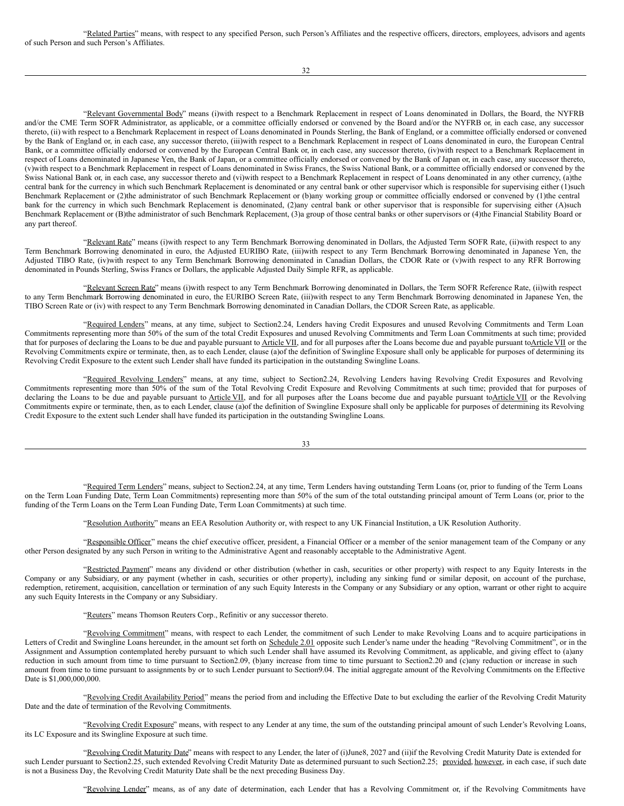"Related Parties" means, with respect to any specified Person, such Person's Affiliates and the respective officers, directors, employees, advisors and agents of such Person and such Person's Affiliates.

32

"Relevant Governmental Body" means (i)with respect to a Benchmark Replacement in respect of Loans denominated in Dollars, the Board, the NYFRB and/or the CME Term SOFR Administrator, as applicable, or a committee officially endorsed or convened by the Board and/or the NYFRB or, in each case, any successor thereto, (ii) with respect to a Benchmark Replacement in respect of Loans denominated in Pounds Sterling, the Bank of England, or a committee officially endorsed or convened by the Bank of England or, in each case, any successor thereto, (iii)with respect to a Benchmark Replacement in respect of Loans denominated in euro, the European Central Bank, or a committee officially endorsed or convened by the European Central Bank or, in each case, any successor thereto, (iv)with respect to a Benchmark Replacement in respect of Loans denominated in Japanese Yen, the Bank of Japan, or a committee officially endorsed or convened by the Bank of Japan or, in each case, any successor thereto, (v)with respect to a Benchmark Replacement in respect of Loans denominated in Swiss Francs, the Swiss National Bank, or a committee officially endorsed or convened by the Swiss National Bank or, in each case, any successor thereto and (vi)with respect to a Benchmark Replacement in respect of Loans denominated in any other currency, (a)the central bank for the currency in which such Benchmark Replacement is denominated or any central bank or other supervisor which is responsible for supervising either (1)such Benchmark Replacement or (2)the administrator of such Benchmark Replacement or (b)any working group or committee officially endorsed or convened by (1)the central bank for the currency in which such Benchmark Replacement is denominated, (2)any central bank or other supervisor that is responsible for supervising either (A)such Benchmark Replacement or (B)the administrator of such Benchmark Replacement, (3)a group of those central banks or other supervisors or (4)the Financial Stability Board or any part thereof.

"Relevant Rate" means (i)with respect to any Term Benchmark Borrowing denominated in Dollars, the Adjusted Term SOFR Rate, (ii)with respect to any Term Benchmark Borrowing denominated in euro, the Adjusted EURIBO Rate, (iii)with respect to any Term Benchmark Borrowing denominated in Japanese Yen, the Adjusted TIBO Rate, (iv)with respect to any Term Benchmark Borrowing denominated in Canadian Dollars, the CDOR Rate or (v)with respect to any RFR Borrowing denominated in Pounds Sterling, Swiss Francs or Dollars, the applicable Adjusted Daily Simple RFR, as applicable.

"Relevant Screen Rate" means (i)with respect to any Term Benchmark Borrowing denominated in Dollars, the Term SOFR Reference Rate, (ii)with respect to any Term Benchmark Borrowing denominated in euro, the EURIBO Screen Rate, (iii)with respect to any Term Benchmark Borrowing denominated in Japanese Yen, the TIBO Screen Rate or (iv) with respect to any Term Benchmark Borrowing denominated in Canadian Dollars, the CDOR Screen Rate, as applicable.

"Required Lenders" means, at any time, subject to Section2.24, Lenders having Credit Exposures and unused Revolving Commitments and Term Loan Commitments representing more than 50% of the sum of the total Credit Exposures and unused Revolving Commitments and Term Loan Commitments at such time; provided that for purposes of declaring the Loans to be due and payable pursuant to Article VII, and for all purposes after the Loans become due and payable pursuant to Article VII or the Revolving Commitments expire or terminate, then, as to each Lender, clause (a)of the definition of Swingline Exposure shall only be applicable for purposes of determining its Revolving Credit Exposure to the extent such Lender shall have funded its participation in the outstanding Swingline Loans.

"Required Revolving Lenders" means, at any time, subject to Section2.24, Revolving Lenders having Revolving Credit Exposures and Revolving Commitments representing more than 50% of the sum of the Total Revolving Credit Exposure and Revolving Commitments at such time; provided that for purposes of declaring the Loans to be due and payable pursuant to Article VII, and for all purposes after the Loans become due and payable pursuant toArticle VII or the Revolving Commitments expire or terminate, then, as to each Lender, clause (a)of the definition of Swingline Exposure shall only be applicable for purposes of determining its Revolving Credit Exposure to the extent such Lender shall have funded its participation in the outstanding Swingline Loans.

33

"Required Term Lenders" means, subject to Section2.24, at any time, Term Lenders having outstanding Term Loans (or, prior to funding of the Term Loans on the Term Loan Funding Date, Term Loan Commitments) representing more than 50% of the sum of the total outstanding principal amount of Term Loans (or, prior to the funding of the Term Loans on the Term Loan Funding Date, Term Loan Commitments) at such time.

"Resolution Authority" means an EEA Resolution Authority or, with respect to any UK Financial Institution, a UK Resolution Authority.

"Responsible Officer" means the chief executive officer, president, a Financial Officer or a member of the senior management team of the Company or any other Person designated by any such Person in writing to the Administrative Agent and reasonably acceptable to the Administrative Agent.

"Restricted Payment" means any dividend or other distribution (whether in cash, securities or other property) with respect to any Equity Interests in the Company or any Subsidiary, or any payment (whether in cash, securities or other property), including any sinking fund or similar deposit, on account of the purchase, redemption, retirement, acquisition, cancellation or termination of any such Equity Interests in the Company or any Subsidiary or any option, warrant or other right to acquire any such Equity Interests in the Company or any Subsidiary.

"Reuters" means Thomson Reuters Corp., Refinitiv or any successor thereto.

"Revolving Commitment" means, with respect to each Lender, the commitment of such Lender to make Revolving Loans and to acquire participations in Letters of Credit and Swingline Loans hereunder, in the amount set forth on Schedule 2.01 opposite such Lender's name under the heading "Revolving Commitment", or in the Assignment and Assumption contemplated hereby pursuant to which such Lender shall have assumed its Revolving Commitment, as applicable, and giving effect to (a)any reduction in such amount from time to time pursuant to Section2.09, (b)any increase from time to time pursuant to Section2.20 and (c)any reduction or increase in such amount from time to time pursuant to assignments by or to such Lender pursuant to Section9.04. The initial aggregate amount of the Revolving Commitments on the Effective Date is \$1,000,000,000.

"Revolving Credit Availability Period" means the period from and including the Effective Date to but excluding the earlier of the Revolving Credit Maturity Date and the date of termination of the Revolving Commitments.

"Revolving Credit Exposure" means, with respect to any Lender at any time, the sum of the outstanding principal amount of such Lender's Revolving Loans, its LC Exposure and its Swingline Exposure at such time.

"Revolving Credit Maturity Date" means with respect to any Lender, the later of (i)June8, 2027 and (ii)if the Revolving Credit Maturity Date is extended for such Lender pursuant to Section2.25, such extended Revolving Credit Maturity Date as determined pursuant to such Section2.25; provided, however, in each case, if such date is not a Business Day, the Revolving Credit Maturity Date shall be the next preceding Business Day.

"Revolving Lender" means, as of any date of determination, each Lender that has a Revolving Commitment or, if the Revolving Commitments have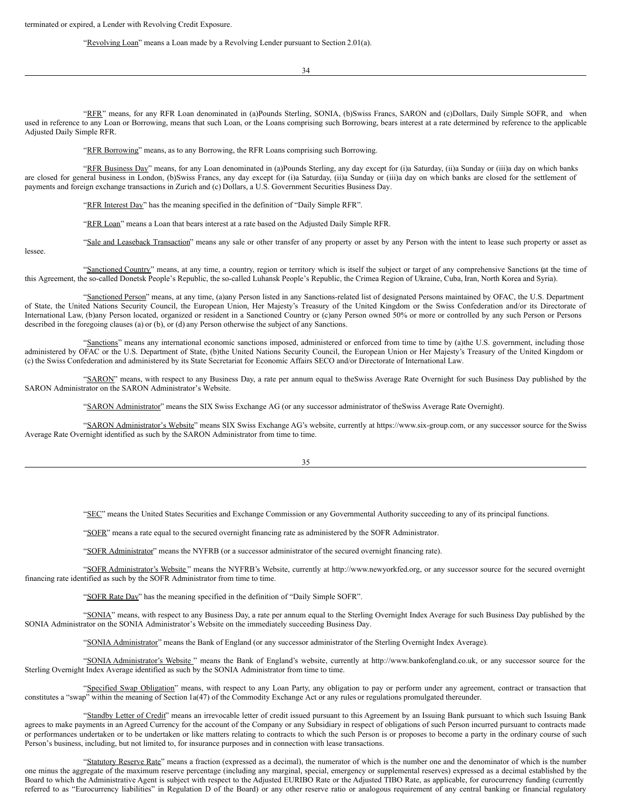terminated or expired, a Lender with Revolving Credit Exposure.

lessee.

#### "Revolving Loan" means a Loan made by a Revolving Lender pursuant to Section 2.01(a).

34

"RFR" means, for any RFR Loan denominated in (a)Pounds Sterling, SONIA, (b)Swiss Francs, SARON and (c)Dollars, Daily Simple SOFR, and when used in reference to any Loan or Borrowing, means that such Loan, or the Loans comprising such Borrowing, bears interest at a rate determined by reference to the applicable Adjusted Daily Simple RFR.

"RFR Borrowing" means, as to any Borrowing, the RFR Loans comprising such Borrowing.

"RFR Business Day" means, for any Loan denominated in (a)Pounds Sterling, any day except for (i)a Saturday, (ii)a Sunday or (iii)a day on which banks are closed for general business in London, (b)Swiss Francs, any day except for (i)a Saturday, (ii)a Sunday or (iii)a day on which banks are closed for the settlement of payments and foreign exchange transactions in Zurich and (c) Dollars, a U.S. Government Securities Business Day.

"RFR Interest Day" has the meaning specified in the definition of "Daily Simple RFR".

"RFR Loan" means a Loan that bears interest at a rate based on the Adjusted Daily Simple RFR.

"Sale and Leaseback Transaction" means any sale or other transfer of any property or asset by any Person with the intent to lease such property or asset as

"Sanctioned Country" means, at any time, a country, region or territory which is itself the subject or target of any comprehensive Sanctions (at the time of this Agreement, the so-called Donetsk People's Republic, the so-called Luhansk People's Republic, the Crimea Region of Ukraine, Cuba, Iran, North Korea and Syria).

"Sanctioned Person" means, at any time, (a)any Person listed in any Sanctions-related list of designated Persons maintained by OFAC, the U.S. Department of State, the United Nations Security Council, the European Union, Her Majesty's Treasury of the United Kingdom or the Swiss Confederation and/or its Directorate of International Law, (b)any Person located, organized or resident in a Sanctioned Country or (c)any Person owned 50% or more or controlled by any such Person or Persons described in the foregoing clauses (a) or (b), or (d) any Person otherwise the subject of any Sanctions.

"Sanctions" means any international economic sanctions imposed, administered or enforced from time to time by (a)the U.S. government, including those administered by OFAC or the U.S. Department of State, (b)the United Nations Security Council, the European Union or Her Majesty's Treasury of the United Kingdom or (c) the Swiss Confederation and administered by its State Secretariat for Economic Affairs SECO and/or Directorate of International Law.

"SARON" means, with respect to any Business Day, a rate per annum equal to theSwiss Average Rate Overnight for such Business Day published by the SARON Administrator on the SARON Administrator's Website.

"SARON Administrator" means the SIX Swiss Exchange AG (or any successor administrator of theSwiss Average Rate Overnight).

"SARON Administrator's Website" means SIX Swiss Exchange AG's website, currently at https://www.six-group.com, or any successor source for the Swiss Average Rate Overnight identified as such by the SARON Administrator from time to time.

35

"SEC" means the United States Securities and Exchange Commission or any Governmental Authority succeeding to any of its principal functions.

"SOFR" means a rate equal to the secured overnight financing rate as administered by the SOFR Administrator.

"SOFR Administrator" means the NYFRB (or a successor administrator of the secured overnight financing rate).

"SOFR Administrator's Website" means the NYFRB's Website, currently at http://www.newyorkfed.org, or any successor source for the secured overnight financing rate identified as such by the SOFR Administrator from time to time.

"SOFR Rate Day" has the meaning specified in the definition of "Daily Simple SOFR".

"SONIA" means, with respect to any Business Day, a rate per annum equal to the Sterling Overnight Index Average for such Business Day published by the SONIA Administrator on the SONIA Administrator's Website on the immediately succeeding Business Day.

"SONIA Administrator" means the Bank of England (or any successor administrator of the Sterling Overnight Index Average).

"SONIA Administrator's Website " means the Bank of England's website, currently at http://www.bankofengland.co.uk, or any successor source for the Sterling Overnight Index Average identified as such by the SONIA Administrator from time to time.

"Specified Swap Obligation" means, with respect to any Loan Party, any obligation to pay or perform under any agreement, contract or transaction that constitutes a "swap" within the meaning of Section 1a(47) of the Commodity Exchange Act or any rules or regulations promulgated thereunder.

"Standby Letter of Credit" means an irrevocable letter of credit issued pursuant to this Agreement by an Issuing Bank pursuant to which such Issuing Bank agrees to make payments in an Agreed Currency for the account of the Company or any Subsidiary in respect of obligations of such Person incurred pursuant to contracts made or performances undertaken or to be undertaken or like matters relating to contracts to which the such Person is or proposes to become a party in the ordinary course of such Person's business, including, but not limited to, for insurance purposes and in connection with lease transactions.

"Statutory Reserve Rate" means a fraction (expressed as a decimal), the numerator of which is the number one and the denominator of which is the number one minus the aggregate of the maximum reserve percentage (including any marginal, special, emergency or supplemental reserves) expressed as a decimal established by the Board to which the Administrative Agent is subject with respect to the Adjusted EURIBO Rate or the Adjusted TIBO Rate, as applicable, for eurocurrency funding (currently referred to as "Eurocurrency liabilities" in Regulation D of the Board) or any other reserve ratio or analogous requirement of any central banking or financial regulatory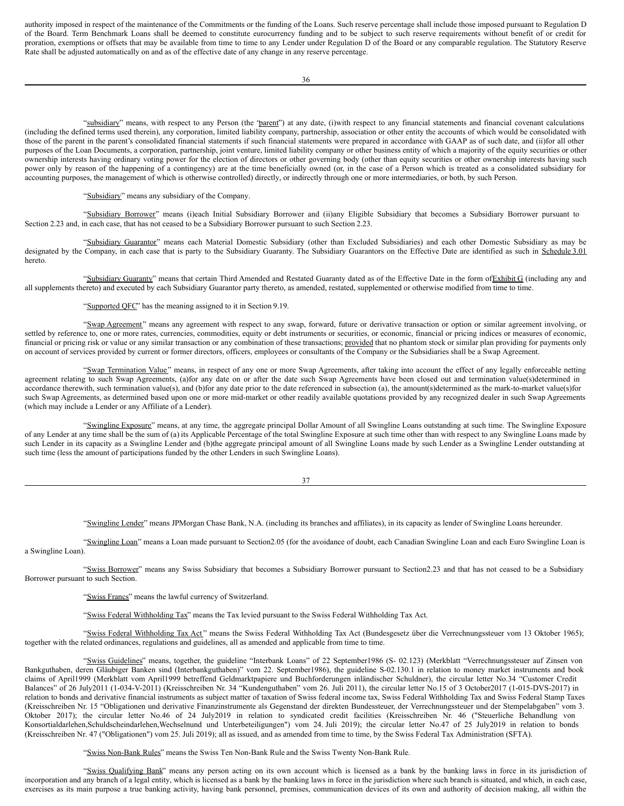authority imposed in respect of the maintenance of the Commitments or the funding of the Loans. Such reserve percentage shall include those imposed pursuant to Regulation D of the Board. Term Benchmark Loans shall be deemed to constitute eurocurrency funding and to be subject to such reserve requirements without benefit of or credit for proration, exemptions or offsets that may be available from time to time to any Lender under Regulation D of the Board or any comparable regulation. The Statutory Reserve Rate shall be adjusted automatically on and as of the effective date of any change in any reserve percentage.

36

"subsidiary" means, with respect to any Person (the "parent") at any date, (i)with respect to any financial statements and financial covenant calculations (including the defined terms used therein), any corporation, limited liability company, partnership, association or other entity the accounts of which would be consolidated with those of the parent in the parent's consolidated financial statements if such financial statements were prepared in accordance with GAAP as of such date, and (ii)for all other purposes of the Loan Documents, a corporation, partnership, joint venture, limited liability company or other business entity of which a majority of the equity securities or other ownership interests having ordinary voting power for the election of directors or other governing body (other than equity securities or other ownership interests having such power only by reason of the happening of a contingency) are at the time beneficially owned (or, in the case of a Person which is treated as a consolidated subsidiary for accounting purposes, the management of which is otherwise controlled) directly, or indirectly through one or more intermediaries, or both, by such Person.

"Subsidiary" means any subsidiary of the Company.

"Subsidiary Borrower" means (i)each Initial Subsidiary Borrower and (ii)any Eligible Subsidiary that becomes a Subsidiary Borrower pursuant to Section 2.23 and, in each case, that has not ceased to be a Subsidiary Borrower pursuant to such Section 2.23.

"Subsidiary Guarantor" means each Material Domestic Subsidiary (other than Excluded Subsidiaries) and each other Domestic Subsidiary as may be designated by the Company, in each case that is party to the Subsidiary Guaranty. The Subsidiary Guarantors on the Effective Date are identified as such in Schedule 3.01 hereto.

"Subsidiary Guaranty" means that certain Third Amended and Restated Guaranty dated as of the Effective Date in the form of Exhibit G (including any and all supplements thereto) and executed by each Subsidiary Guarantor party thereto, as amended, restated, supplemented or otherwise modified from time to time.

"Supported QFC" has the meaning assigned to it in Section 9.19.

"Swap Agreement" means any agreement with respect to any swap, forward, future or derivative transaction or option or similar agreement involving, or settled by reference to, one or more rates, currencies, commodities, equity or debt instruments or securities, or economic, financial or pricing indices or measures of economic, financial or pricing risk or value or any similar transaction or any combination of these transactions; provided that no phantom stock or similar plan providing for payments only on account of services provided by current or former directors, officers, employees or consultants of the Company or the Subsidiaries shall be a Swap Agreement.

"Swap Termination Value" means, in respect of any one or more Swap Agreements, after taking into account the effect of any legally enforceable netting agreement relating to such Swap Agreements, (a)for any date on or after the date such Swap Agreements have been closed out and termination value(s)determined in accordance therewith, such termination value(s), and (b)for any date prior to the date referenced in subsection (a), the amount(s)determined as the mark-to-market value(s)for such Swap Agreements, as determined based upon one or more mid-market or other readily available quotations provided by any recognized dealer in such Swap Agreements (which may include a Lender or any Affiliate of a Lender).

"Swingline Exposure" means, at any time, the aggregate principal Dollar Amount of all Swingline Loans outstanding at such time. The Swingline Exposure of any Lender at any time shall be the sum of (a) its Applicable Percentage of the total Swingline Exposure at such time other than with respect to any Swingline Loans made by such Lender in its capacity as a Swingline Lender and (b)the aggregate principal amount of all Swingline Loans made by such Lender as a Swingline Lender outstanding at such time (less the amount of participations funded by the other Lenders in such Swingline Loans).

37

"Swingline Lender" means JPMorgan Chase Bank, N.A. (including its branches and affiliates), in its capacity as lender of Swingline Loans hereunder.

"Swingline Loan" means a Loan made pursuant to Section2.05 (for the avoidance of doubt, each Canadian Swingline Loan and each Euro Swingline Loan is a Swingline Loan).

"Swiss Borrower" means any Swiss Subsidiary that becomes a Subsidiary Borrower pursuant to Section2.23 and that has not ceased to be a Subsidiary Borrower pursuant to such Section.

"Swiss Francs" means the lawful currency of Switzerland.

"Swiss Federal Withholding Tax" means the Tax levied pursuant to the Swiss Federal Withholding Tax Act.

"Swiss Federal Withholding Tax Act" means the Swiss Federal Withholding Tax Act (Bundesgesetz über die Verrechnungssteuer vom 13 Oktober 1965); together with the related ordinances, regulations and guidelines, all as amended and applicable from time to time.

"Swiss Guidelines" means, together, the guideline "Interbank Loans" of 22 September1986 (S- 02.123) (Merkblatt "Verrechnungssteuer auf Zinsen von Bankguthaben, deren Gläubiger Banken sind (Interbankguthaben)" vom 22. September1986), the guideline S-02.130.1 in relation to money market instruments and book claims of April1999 (Merkblatt vom April1999 betreffend Geldmarktpapiere und Buchforderungen inländischer Schuldner), the circular letter No.34 "Customer Credit Balances" of 26 July2011 (1-034-V-2011) (Kreisschreiben Nr. 34 "Kundenguthaben" vom 26. Juli 2011), the circular letter No.15 of 3 October2017 (1-015-DVS-2017) in relation to bonds and derivative financial instruments as subject matter of taxation of Swiss federal income tax, Swiss Federal Withholding Tax and Swiss Federal Stamp Taxes (Kreisschreiben Nr. 15 "Obligationen und derivative Finanzinstrumente als Gegenstand der direkten Bundessteuer, der Verrechnungssteuer und der Stempelabgaben" vom 3. Oktober 2017); the circular letter No.46 of 24 July2019 in relation to syndicated credit facilities (Kreisschreiben Nr. 46 ("Steuerliche Behandlung von Konsortialdarlehen,Schuldscheindarlehen,Wechselnund und Unterbeteiligungen") vom 24. Juli 2019); the circular letter No.47 of 25 July2019 in relation to bonds (Kreisschreiben Nr. 47 ("Obligationen") vom 25. Juli 2019); all as issued, and as amended from time to time, by the Swiss Federal Tax Administration (SFTA).

"Swiss Non-Bank Rules" means the Swiss Ten Non-Bank Rule and the Swiss Twenty Non-Bank Rule.

"Swiss Qualifying Bank" means any person acting on its own account which is licensed as a bank by the banking laws in force in its jurisdiction of incorporation and any branch of a legal entity, which is licensed as a bank by the banking laws in force in the jurisdiction where such branch is situated, and which, in each case, exercises as its main purpose a true banking activity, having bank personnel, premises, communication devices of its own and authority of decision making, all within the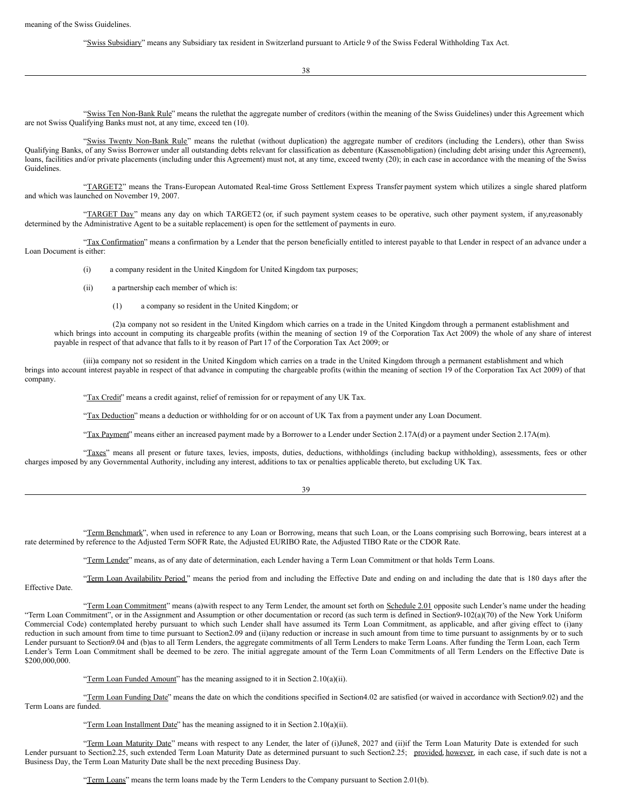"Swiss Subsidiary" means any Subsidiary tax resident in Switzerland pursuant to Article 9 of the Swiss Federal Withholding Tax Act.

38

"Swiss Ten Non-Bank Rule" means the rulethat the aggregate number of creditors (within the meaning of the Swiss Guidelines) under this Agreement which are not Swiss Qualifying Banks must not, at any time, exceed ten (10).

"Swiss Twenty Non-Bank Rule" means the rulethat (without duplication) the aggregate number of creditors (including the Lenders), other than Swiss Qualifying Banks, of any Swiss Borrower under all outstanding debts relevant for classification as debenture (Kassenobligation) (including debt arising under this Agreement), loans, facilities and/or private placements (including under this Agreement) must not, at any time, exceed twenty (20); in each case in accordance with the meaning of the Swiss Guidelines.

"TARGET2" means the Trans-European Automated Real-time Gross Settlement Express Transfer payment system which utilizes a single shared platform and which was launched on November 19, 2007.

"TARGET Day" means any day on which TARGET2 (or, if such payment system ceases to be operative, such other payment system, if any,reasonably determined by the Administrative Agent to be a suitable replacement) is open for the settlement of payments in euro.

"Tax Confirmation" means a confirmation by a Lender that the person beneficially entitled to interest payable to that Lender in respect of an advance under a Loan Document is either:

(i) a company resident in the United Kingdom for United Kingdom tax purposes;

- (ii) a partnership each member of which is:
	- (1) a company so resident in the United Kingdom; or

(2)a company not so resident in the United Kingdom which carries on a trade in the United Kingdom through a permanent establishment and which brings into account in computing its chargeable profits (within the meaning of section 19 of the Corporation Tax Act 2009) the whole of any share of interest payable in respect of that advance that falls to it by reason of Part 17 of the Corporation Tax Act 2009; or

(iii)a company not so resident in the United Kingdom which carries on a trade in the United Kingdom through a permanent establishment and which brings into account interest payable in respect of that advance in computing the chargeable profits (within the meaning of section 19 of the Corporation Tax Act 2009) of that company.

"Tax Credit" means a credit against, relief of remission for or repayment of any UK Tax.

"Tax Deduction" means a deduction or withholding for or on account of UK Tax from a payment under any Loan Document.

"Tax Payment" means either an increased payment made by a Borrower to a Lender under Section 2.17A(d) or a payment under Section 2.17A(m).

"Taxes" means all present or future taxes, levies, imposts, duties, deductions, withholdings (including backup withholding), assessments, fees or other charges imposed by any Governmental Authority, including any interest, additions to tax or penalties applicable thereto, but excluding UK Tax.

39

"Term Benchmark", when used in reference to any Loan or Borrowing, means that such Loan, or the Loans comprising such Borrowing, bears interest at a rate determined by reference to the Adjusted Term SOFR Rate, the Adjusted EURIBO Rate, the Adjusted TIBO Rate or the CDOR Rate.

"Term Lender" means, as of any date of determination, each Lender having a Term Loan Commitment or that holds Term Loans.

"Term Loan Availability Period " means the period from and including the Effective Date and ending on and including the date that is 180 days after the Effective Date.

"Term Loan Commitment" means (a)with respect to any Term Lender, the amount set forth on Schedule 2.01 opposite such Lender's name under the heading "Term Loan Commitment", or in the Assignment and Assumption or other documentation or record (as such term is defined in Section9-102(a)(70) of the New York Uniform Commercial Code) contemplated hereby pursuant to which such Lender shall have assumed its Term Loan Commitment, as applicable, and after giving effect to (i)any reduction in such amount from time to time pursuant to Section2.09 and (ii)any reduction or increase in such amount from time to time pursuant to assignments by or to such Lender pursuant to Section9.04 and (b)as to all Term Lenders, the aggregate commitments of all Term Lenders to make Term Loans. After funding the Term Loan, each Term Lender's Term Loan Commitment shall be deemed to be zero. The initial aggregate amount of the Term Loan Commitments of all Term Lenders on the Effective Date is \$200,000,000.

"Term Loan Funded Amount" has the meaning assigned to it in Section 2.10(a)(ii).

"Term Loan Funding Date" means the date on which the conditions specified in Section4.02 are satisfied (or waived in accordance with Section9.02) and the Term Loans are funded.

"Term Loan Installment Date" has the meaning assigned to it in Section 2.10(a)(ii).

"Term Loan Maturity Date" means with respect to any Lender, the later of (i)June8, 2027 and (ii)if the Term Loan Maturity Date is extended for such Lender pursuant to Section2.25, such extended Term Loan Maturity Date as determined pursuant to such Section2.25; provided, however, in each case, if such date is not a Business Day, the Term Loan Maturity Date shall be the next preceding Business Day.

"Term Loans" means the term loans made by the Term Lenders to the Company pursuant to Section 2.01(b).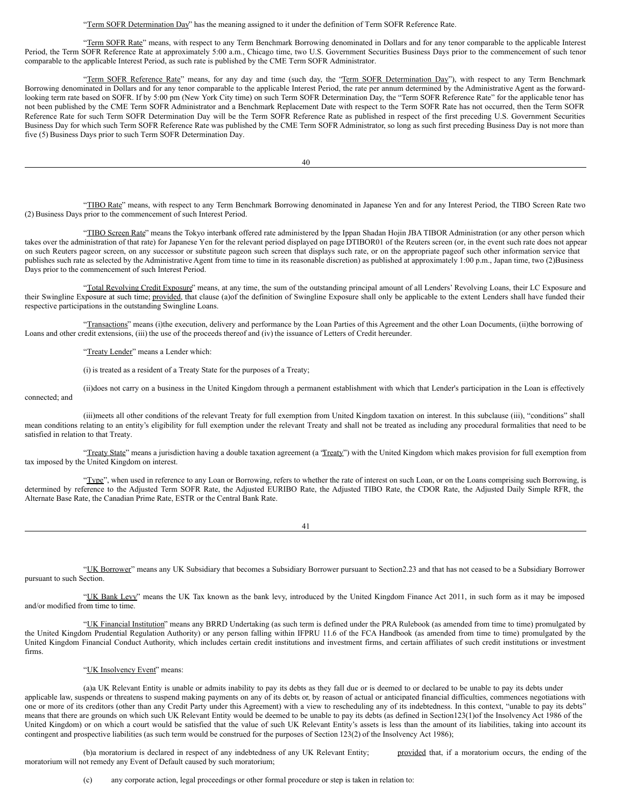#### "Term SOFR Determination Day" has the meaning assigned to it under the definition of Term SOFR Reference Rate.

"Term SOFR Rate" means, with respect to any Term Benchmark Borrowing denominated in Dollars and for any tenor comparable to the applicable Interest Period, the Term SOFR Reference Rate at approximately 5:00 a.m., Chicago time, two U.S. Government Securities Business Days prior to the commencement of such tenor comparable to the applicable Interest Period, as such rate is published by the CME Term SOFR Administrator.

"Term SOFR Reference Rate" means, for any day and time (such day, the "Term SOFR Determination Day"), with respect to any Term Benchmark Borrowing denominated in Dollars and for any tenor comparable to the applicable Interest Period, the rate per annum determined by the Administrative Agent as the forwardlooking term rate based on SOFR. If by 5:00 pm (New York City time) on such Term SOFR Determination Day, the "Term SOFR Reference Rate" for the applicable tenor has not been published by the CME Term SOFR Administrator and a Benchmark Replacement Date with respect to the Term SOFR Rate has not occurred, then the Term SOFR Reference Rate for such Term SOFR Determination Day will be the Term SOFR Reference Rate as published in respect of the first preceding U.S. Government Securities Business Day for which such Term SOFR Reference Rate was published by the CME Term SOFR Administrator, so long as such first preceding Business Day is not more than five (5) Business Days prior to such Term SOFR Determination Day.

40

"TIBO Rate" means, with respect to any Term Benchmark Borrowing denominated in Japanese Yen and for any Interest Period, the TIBO Screen Rate two (2) Business Days prior to the commencement of such Interest Period.

"TIBO Screen Rate" means the Tokyo interbank offered rate administered by the Ippan Shadan Hojin JBA TIBOR Administration (or any other person which takes over the administration of that rate) for Japanese Yen for the relevant period displayed on page DTIBOR01 of the Reuters screen (or, in the event such rate does not appear on such Reuters pageor screen, on any successor or substitute pageon such screen that displays such rate, or on the appropriate pageof such other information service that publishes such rate as selected by the Administrative Agent from time to time in its reasonable discretion) as published at approximately 1:00 p.m., Japan time, two (2)Business Days prior to the commencement of such Interest Period.

"Total Revolving Credit Exposure" means, at any time, the sum of the outstanding principal amount of all Lenders' Revolving Loans, their LC Exposure and their Swingline Exposure at such time; provided, that clause (a)of the definition of Swingline Exposure shall only be applicable to the extent Lenders shall have funded their respective participations in the outstanding Swingline Loans.

"Transactions" means (i)the execution, delivery and performance by the Loan Parties of this Agreement and the other Loan Documents, (ii)the borrowing of Loans and other credit extensions, (iii) the use of the proceeds thereof and (iv) the issuance of Letters of Credit hereunder.

"Treaty Lender" means a Lender which:

(i) is treated as a resident of a Treaty State for the purposes of a Treaty;

(ii)does not carry on a business in the United Kingdom through a permanent establishment with which that Lender's participation in the Loan is effectively connected; and

(iii)meets all other conditions of the relevant Treaty for full exemption from United Kingdom taxation on interest. In this subclause (iii), "conditions" shall mean conditions relating to an entity's eligibility for full exemption under the relevant Treaty and shall not be treated as including any procedural formalities that need to be satisfied in relation to that Treaty.

"Treaty State" means a jurisdiction having a double taxation agreement (a "Treaty") with the United Kingdom which makes provision for full exemption from tax imposed by the United Kingdom on interest.

"Type", when used in reference to any Loan or Borrowing, refers to whether the rate of interest on such Loan, or on the Loans comprising such Borrowing, is determined by reference to the Adjusted Term SOFR Rate, the Adjusted EURIBO Rate, the Adjusted TIBO Rate, the CDOR Rate, the Adjusted Daily Simple RFR, the Alternate Base Rate, the Canadian Prime Rate, ESTR or the Central Bank Rate.

|--|

"UK Borrower" means any UK Subsidiary that becomes a Subsidiary Borrower pursuant to Section2.23 and that has not ceased to be a Subsidiary Borrower pursuant to such Section.

"UK Bank Levy" means the UK Tax known as the bank levy, introduced by the United Kingdom Finance Act 2011, in such form as it may be imposed and/or modified from time to time.

"UK Financial Institution" means any BRRD Undertaking (as such term is defined under the PRA Rulebook (as amended from time to time) promulgated by the United Kingdom Prudential Regulation Authority) or any person falling within IFPRU 11.6 of the FCA Handbook (as amended from time to time) promulgated by the United Kingdom Financial Conduct Authority, which includes certain credit institutions and investment firms, and certain affiliates of such credit institutions or investment firms.

## "UK Insolvency Event" means:

(a)a UK Relevant Entity is unable or admits inability to pay its debts as they fall due or is deemed to or declared to be unable to pay its debts under applicable law, suspends or threatens to suspend making payments on any of its debts or, by reason of actual or anticipated financial difficulties, commences negotiations with one or more of its creditors (other than any Credit Party under this Agreement) with a view to rescheduling any of its indebtedness. In this context, "unable to pay its debts" means that there are grounds on which such UK Relevant Entity would be deemed to be unable to pay its debts (as defined in Section123(1)of the Insolvency Act 1986 of the United Kingdom) or on which a court would be satisfied that the value of such UK Relevant Entity's assets is less than the amount of its liabilities, taking into account its contingent and prospective liabilities (as such term would be construed for the purposes of Section 123(2) of the Insolvency Act 1986);

(b)a moratorium is declared in respect of any indebtedness of any UK Relevant Entity; provided that, if a moratorium occurs, the ending of the moratorium will not remedy any Event of Default caused by such moratorium;

(c) any corporate action, legal proceedings or other formal procedure or step is taken in relation to: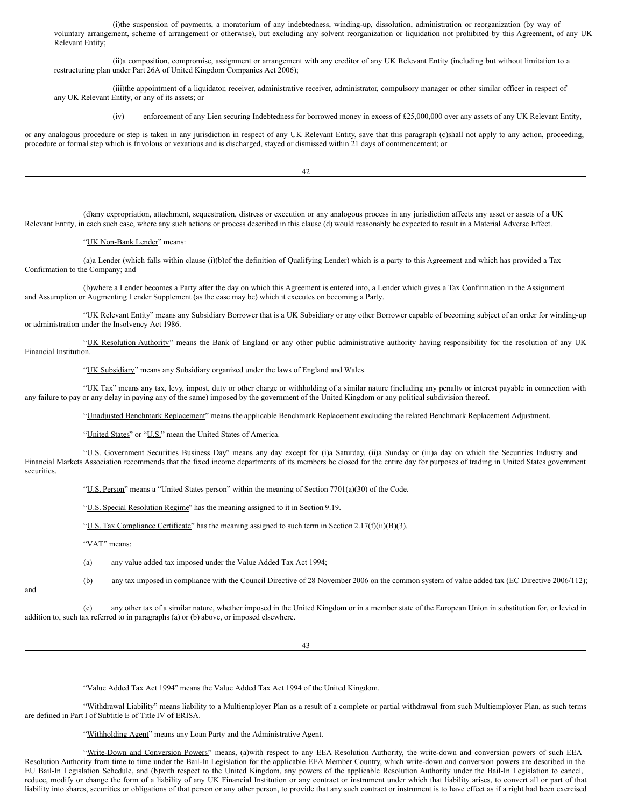(i)the suspension of payments, a moratorium of any indebtedness, winding-up, dissolution, administration or reorganization (by way of voluntary arrangement, scheme of arrangement or otherwise), but excluding any solvent reorganization or liquidation not prohibited by this Agreement, of any UK Relevant Entity;

(ii)a composition, compromise, assignment or arrangement with any creditor of any UK Relevant Entity (including but without limitation to a restructuring plan under Part 26A of United Kingdom Companies Act 2006);

(iii)the appointment of a liquidator, receiver, administrative receiver, administrator, compulsory manager or other similar officer in respect of any UK Relevant Entity, or any of its assets; or

(iv) enforcement of any Lien securing Indebtedness for borrowed money in excess of £25,000,000 over any assets of any UK Relevant Entity,

or any analogous procedure or step is taken in any jurisdiction in respect of any UK Relevant Entity, save that this paragraph (c)shall not apply to any action, proceeding, procedure or formal step which is frivolous or vexatious and is discharged, stayed or dismissed within 21 days of commencement; or

(d)any expropriation, attachment, sequestration, distress or execution or any analogous process in any jurisdiction affects any asset or assets of a UK Relevant Entity, in each such case, where any such actions or process described in this clause (d) would reasonably be expected to result in a Material Adverse Effect.

"UK Non-Bank Lender" means:

(a)a Lender (which falls within clause (i)(b)of the definition of Qualifying Lender) which is a party to this Agreement and which has provided a Tax Confirmation to the Company; and

(b)where a Lender becomes a Party after the day on which this Agreement is entered into, a Lender which gives a Tax Confirmation in the Assignment and Assumption or Augmenting Lender Supplement (as the case may be) which it executes on becoming a Party.

"UK Relevant Entity" means any Subsidiary Borrower that is a UK Subsidiary or any other Borrower capable of becoming subject of an order for winding-up or administration under the Insolvency Act 1986.

"UK Resolution Authority" means the Bank of England or any other public administrative authority having responsibility for the resolution of any UK Financial Institution.

"UK Subsidiary" means any Subsidiary organized under the laws of England and Wales.

"UK Tax" means any tax, levy, impost, duty or other charge or withholding of a similar nature (including any penalty or interest payable in connection with any failure to pay or any delay in paying any of the same) imposed by the government of the United Kingdom or any political subdivision thereof.

"Unadjusted Benchmark Replacement" means the applicable Benchmark Replacement excluding the related Benchmark Replacement Adjustment.

"United States" or "U.S." mean the United States of America.

"U.S. Government Securities Business Day" means any day except for (i)a Saturday, (ii)a Sunday or (iii)a day on which the Securities Industry and Financial Markets Association recommends that the fixed income departments of its members be closed for the entire day for purposes of trading in United States government securities.

"U.S. Person" means a "United States person" within the meaning of Section 7701(a)(30) of the Code.

"U.S. Special Resolution Regime" has the meaning assigned to it in Section 9.19.

"U.S. Tax Compliance Certificate" has the meaning assigned to such term in Section 2.17(f)(ii)(B)(3).

"VAT" means:

(a) any value added tax imposed under the Value Added Tax Act 1994;

(b) any tax imposed in compliance with the Council Directive of 28 November 2006 on the common system of value added tax (EC Directive 2006/112);

and

(c) any other tax of a similar nature, whether imposed in the United Kingdom or in a member state of the European Union in substitution for, or levied in addition to, such tax referred to in paragraphs (a) or (b) above, or imposed elsewhere.

43

"Value Added Tax Act 1994" means the Value Added Tax Act 1994 of the United Kingdom.

"Withdrawal Liability" means liability to a Multiemployer Plan as a result of a complete or partial withdrawal from such Multiemployer Plan, as such terms are defined in Part I of Subtitle E of Title IV of ERISA.

"Withholding Agent" means any Loan Party and the Administrative Agent.

"Write-Down and Conversion Powers" means, (a)with respect to any EEA Resolution Authority, the write-down and conversion powers of such EEA Resolution Authority from time to time under the Bail-In Legislation for the applicable EEA Member Country, which write-down and conversion powers are described in the EU Bail-In Legislation Schedule, and (b)with respect to the United Kingdom, any powers of the applicable Resolution Authority under the Bail-In Legislation to cancel, reduce, modify or change the form of a liability of any UK Financial Institution or any contract or instrument under which that liability arises, to convert all or part of that liability into shares, securities or obligations of that person or any other person, to provide that any such contract or instrument is to have effect as if a right had been exercised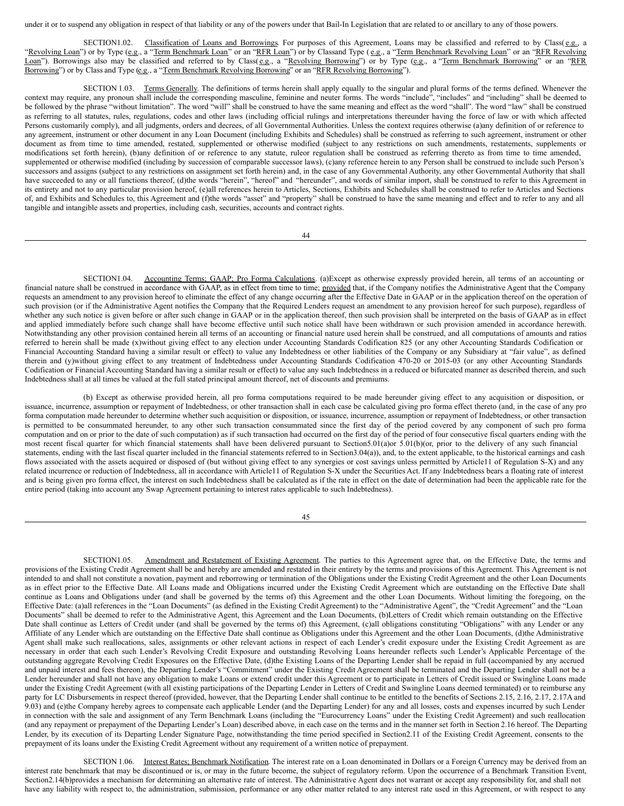under it or to suspend any obligation in respect of that liability or any of the powers under that Bail-In Legislation that are related to or ancillary to any of those powers.

SECTION1.02. Classification of Loans and Borrowings. For purposes of this Agreement, Loans may be classified and referred to by Class(e.g., a "Revolving Loan") or by Type (e.g., a "Term Benchmark Loan" or an "RFR Loan") or by Classand Type (e.g., a "Term Benchmark Revolving Loan" or an "RFR Revolving Loan"). Borrowings also may be classified and referred to by Class(e.g., a "Revolving Borrowing") or by Type (e.g., a "Term Benchmark Borrowing" or an "RFR Borrowing") or by Class and Type (e.g., a "Term Benchmark Revolving Borrowing" or an "RFR Revolving Borrowing").

SECTION 1.03. Terms Generally. The definitions of terms herein shall apply equally to the singular and plural forms of the terms defined. Whenever the context may require, any pronoun shall include the corresponding masculine, feminine and neuter forms. The words "include", "includes" and "including" shall be deemed to be followed by the phrase "without limitation". The word "will" shall be construed to have the same meaning and effect as the word "shall". The word "law" shall be construed as referring to all statutes, rules, regulations, codes and other laws (including official rulings and interpretations thereunder having the force of law or with which affected Persons customarily comply), and all judgments, orders and decrees, of all Governmental Authorities. Unless the context requires otherwise (a)any definition of or reference to any agreement, instrument or other document in any Loan Document (including Exhibits and Schedules) shall be construed as referring to such agreement, instrument or other document as from time to time amended, restated, supplemented or otherwise modified (subject to any restrictions on such amendments, restatements, supplements or modifications set forth herein), (b)any definition of or reference to any statute, ruleor regulation shall be construed as referring thereto as from time to time amended, supplemented or otherwise modified (including by succession of comparable successor laws), (c)any reference herein to any Person shall be construed to include such Person's successors and assigns (subject to any restrictions on assignment set forth herein) and, in the case of any Governmental Authority, any other Governmental Authority that shall have succeeded to any or all functions thereof, (d)the words "herein", "hereof" and "hereunder", and words of similar import, shall be construed to refer to this Agreement in its entirety and not to any particular provision hereof, (e)all references herein to Articles, Sections, Exhibits and Schedules shall be construed to refer to Articles and Sections of, and Exhibits and Schedules to, this Agreement and (f)the words "asset" and "property" shall be construed to have the same meaning and effect and to refer to any and all tangible and intangible assets and properties, including cash, securities, accounts and contract rights.

44

SECTION1.04. Accounting Terms; GAAP; Pro Forma Calculations. (a)Except as otherwise expressly provided herein, all terms of an accounting or financial nature shall be construed in accordance with GAAP, as in effect from time to time; provided that, if the Company notifies the Administrative Agent that the Company requests an amendment to any provision hereof to eliminate the effect of any change occurring after the Effective Date in GAAP or in the application thereof on the operation of such provision (or if the Administrative Agent notifies the Company that the Required Lenders request an amendment to any provision hereof for such purpose), regardless of whether any such notice is given before or after such change in GAAP or in the application thereof, then such provision shall be interpreted on the basis of GAAP as in effect and applied immediately before such change shall have become effective until such notice shall have been withdrawn or such provision amended in accordance herewith. Notwithstanding any other provision contained herein all terms of an accounting or financial nature used herein shall be construed, and all computations of amounts and ratios referred to herein shall be made (x)without giving effect to any election under Accounting Standards Codification 825 (or any other Accounting Standards Codification or Financial Accounting Standard having a similar result or effect) to value any Indebtedness or other liabilities of the Company or any Subsidiary at "fair value", as defined therein and (y)without giving effect to any treatment of Indebtedness under Accounting Standards Codification 470-20 or 2015-03 (or any other Accounting Standards Codification or Financial Accounting Standard having a similar result or effect) to value any such Indebtedness in a reduced or bifurcated manner as described therein, and such Indebtedness shall at all times be valued at the full stated principal amount thereof, net of discounts and premiums.

(b) Except as otherwise provided herein, all pro forma computations required to be made hereunder giving effect to any acquisition or disposition, or issuance, incurrence, assumption or repayment of Indebtedness, or other transaction shall in each case be calculated giving pro forma effect thereto (and, in the case of any pro forma computation made hereunder to determine whether such acquisition or disposition, or issuance, incurrence, assumption or repayment of Indebtedness, or other transaction is permitted to be consummated hereunder, to any other such transaction consummated since the first day of the period covered by any component of such pro forma computation and on or prior to the date of such computation) as if such transaction had occurred on the first day of the period of four consecutive fiscal quarters ending with the most recent fiscal quarter for which financial statements shall have been delivered pursuant to Section5.01(a)or 5.01(b)(or, prior to the delivery of any such financial statements, ending with the last fiscal quarter included in the financial statements referred to in Section3.04(a)), and, to the extent applicable, to the historical earnings and cash flows associated with the assets acquired or disposed of (but without giving effect to any synergies or cost savings unless permitted by Article11 of Regulation S-X) and any related incurrence or reduction of Indebtedness, all in accordance with Article11 of Regulation S-X under the Securities Act. If any Indebtedness bears a floating rate of interest and is being given pro forma effect, the interest on such Indebtedness shall be calculated as if the rate in effect on the date of determination had been the applicable rate for the entire period (taking into account any Swap Agreement pertaining to interest rates applicable to such Indebtedness).

45

SECTION1.05. Amendment and Restatement of Existing Agreement. The parties to this Agreement agree that, on the Effective Date, the terms and provisions of the Existing Credit Agreement shall be and hereby are amended and restated in their entirety by the terms and provisions of this Agreement. This Agreement is not intended to and shall not constitute a novation, payment and reborrowing or termination of the Obligations under the Existing Credit Agreement and the other Loan Documents as in effect prior to the Effective Date. All Loans made and Obligations incurred under the Existing Credit Agreement which are outstanding on the Effective Date shall continue as Loans and Obligations under (and shall be governed by the terms of) this Agreement and the other Loan Documents. Without limiting the foregoing, on the Effective Date: (a)all references in the "Loan Documents" (as defined in the Existing Credit Agreement) to the "Administrative Agent", the "Credit Agreement" and the "Loan Documents" shall be deemed to refer to the Administrative Agent, this Agreement and the Loan Documents, (b)Letters of Credit which remain outstanding on the Effective Date shall continue as Letters of Credit under (and shall be governed by the terms of) this Agreement, (c)all obligations constituting "Obligations" with any Lender or any Affiliate of any Lender which are outstanding on the Effective Date shall continue as Obligations under this Agreement and the other Loan Documents, (d)the Administrative Agent shall make such reallocations, sales, assignments or other relevant actions in respect of each Lender's credit exposure under the Existing Credit Agreement as are necessary in order that each such Lender's Revolving Credit Exposure and outstanding Revolving Loans hereunder reflects such Lender's Applicable Percentage of the outstanding aggregate Revolving Credit Exposures on the Effective Date, (d)the Existing Loans of the Departing Lender shall be repaid in full (accompanied by any accrued and unpaid interest and fees thereon), the Departing Lender's "Commitment" under the Existing Credit Agreement shall be terminated and the Departing Lender shall not be a Lender hereunder and shall not have any obligation to make Loans or extend credit under this Agreement or to participate in Letters of Credit issued or Swingline Loans made under the Existing Credit Agreement (with all existing participations of the Departing Lender in Letters of Credit and Swingline Loans deemed terminated) or to reimburse any party for LC Disbursements in respect thereof (provided, however, that the Departing Lender shall continue to be entitled to the benefits of Sections 2.15, 2.16, 2.17, 2.17A and 9.03) and (e)the Company hereby agrees to compensate each applicable Lender (and the Departing Lender) for any and all losses, costs and expenses incurred by such Lender in connection with the sale and assignment of any Term Benchmark Loans (including the "Eurocurrency Loans" under the Existing Credit Agreement) and such reallocation (and any repayment or prepayment of the Departing Lender's Loan) described above, in each case on the terms and in the manner set forth in Section 2.16 hereof. The Departing Lender, by its execution of its Departing Lender Signature Page, notwithstanding the time period specified in Section2.11 of the Existing Credit Agreement, consents to the prepayment of its loans under the Existing Credit Agreement without any requirement of a written notice of prepayment.

SECTION 1.06. Interest Rates; Benchmark Notification. The interest rate on a Loan denominated in Dollars or a Foreign Currency may be derived from an interest rate benchmark that may be discontinued or is, or may in the future become, the subject of regulatory reform. Upon the occurrence of a Benchmark Transition Event, Section2.14(b)provides a mechanism for determining an alternative rate of interest. The Administrative Agent does not warrant or accept any responsibility for, and shall not have any liability with respect to, the administration, submission, performance or any other matter related to any interest rate used in this Agreement, or with respect to any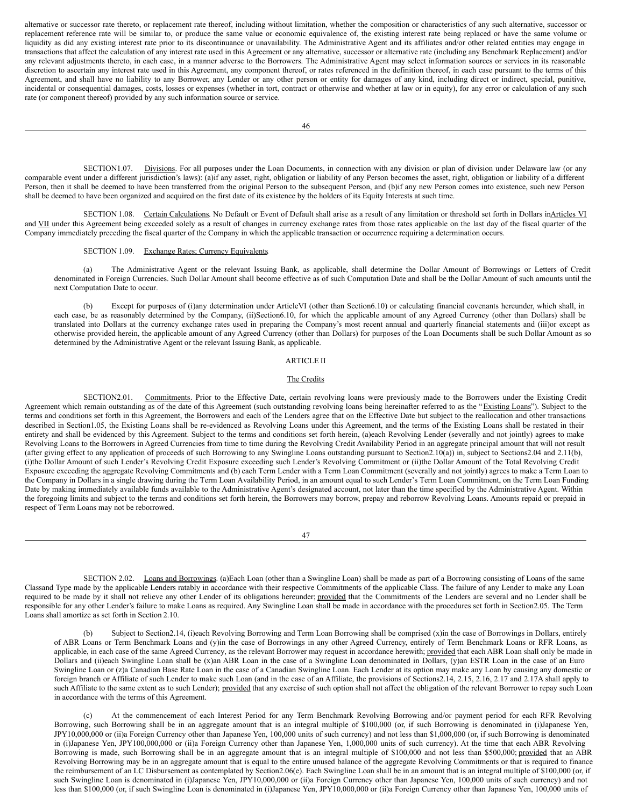alternative or successor rate thereto, or replacement rate thereof, including without limitation, whether the composition or characteristics of any such alternative, successor or replacement reference rate will be similar to, or produce the same value or economic equivalence of, the existing interest rate being replaced or have the same volume or liquidity as did any existing interest rate prior to its discontinuance or unavailability. The Administrative Agent and its affiliates and/or other related entities may engage in transactions that affect the calculation of any interest rate used in this Agreement or any alternative, successor or alternative rate (including any Benchmark Replacement) and/or any relevant adjustments thereto, in each case, in a manner adverse to the Borrowers. The Administrative Agent may select information sources or services in its reasonable discretion to ascertain any interest rate used in this Agreement, any component thereof, or rates referenced in the definition thereof, in each case pursuant to the terms of this Agreement, and shall have no liability to any Borrower, any Lender or any other person or entity for damages of any kind, including direct or indirect, special, punitive, incidental or consequential damages, costs, losses or expenses (whether in tort, contract or otherwise and whether at law or in equity), for any error or calculation of any such rate (or component thereof) provided by any such information source or service.

SECTION1.07. Divisions. For all purposes under the Loan Documents, in connection with any division or plan of division under Delaware law (or any comparable event under a different jurisdiction's laws): (a)if any asset, right, obligation or liability of any Person becomes the asset, right, obligation or liability of a different Person, then it shall be deemed to have been transferred from the original Person to the subsequent Person, and (b)if any new Person comes into existence, such new Person shall be deemed to have been organized and acquired on the first date of its existence by the holders of its Equity Interests at such time.

SECTION 1.08. Certain Calculations. No Default or Event of Default shall arise as a result of any limitation or threshold set forth in Dollars inArticles VI and VII under this Agreement being exceeded solely as a result of changes in currency exchange rates from those rates applicable on the last day of the fiscal quarter of the Company immediately preceding the fiscal quarter of the Company in which the applicable transaction or occurrence requiring a determination occurs.

### SECTION 1.09. Exchange Rates; Currency Equivalents.

(a) The Administrative Agent or the relevant Issuing Bank, as applicable, shall determine the Dollar Amount of Borrowings or Letters of Credit denominated in Foreign Currencies. Such Dollar Amount shall become effective as of such Computation Date and shall be the Dollar Amount of such amounts until the next Computation Date to occur.

(b) Except for purposes of (i)any determination under ArticleVI (other than Section6.10) or calculating financial covenants hereunder, which shall, in each case, be as reasonably determined by the Company, (ii)Section6.10, for which the applicable amount of any Agreed Currency (other than Dollars) shall be translated into Dollars at the currency exchange rates used in preparing the Company's most recent annual and quarterly financial statements and (iii)or except as otherwise provided herein, the applicable amount of any Agreed Currency (other than Dollars) for purposes of the Loan Documents shall be such Dollar Amount as so determined by the Administrative Agent or the relevant Issuing Bank, as applicable.

#### ARTICLE II

#### The Credits

SECTION2.01. Commitments. Prior to the Effective Date, certain revolving loans were previously made to the Borrowers under the Existing Credit Agreement which remain outstanding as of the date of this Agreement (such outstanding revolving loans being hereinafter referred to as the "Existing Loans"). Subject to the terms and conditions set forth in this Agreement, the Borrowers and each of the Lenders agree that on the Effective Date but subject to the reallocation and other transactions described in Section1.05, the Existing Loans shall be re-evidenced as Revolving Loans under this Agreement, and the terms of the Existing Loans shall be restated in their entirety and shall be evidenced by this Agreement. Subject to the terms and conditions set forth herein, (a)each Revolving Lender (severally and not jointly) agrees to make Revolving Loans to the Borrowers in Agreed Currencies from time to time during the Revolving Credit Availability Period in an aggregate principal amount that will not result (after giving effect to any application of proceeds of such Borrowing to any Swingline Loans outstanding pursuant to Section2.10(a)) in, subject to Sections2.04 and 2.11(b), (i)the Dollar Amount of such Lender's Revolving Credit Exposure exceeding such Lender's Revolving Commitment or (ii)the Dollar Amount of the Total Revolving Credit Exposure exceeding the aggregate Revolving Commitments and (b) each Term Lender with a Term Loan Commitment (severally and not jointly) agrees to make a Term Loan to the Company in Dollars in a single drawing during the Term Loan Availability Period, in an amount equal to such Lender's Term Loan Commitment, on the Term Loan Funding Date by making immediately available funds available to the Administrative Agent's designated account, not later than the time specified by the Administrative Agent. Within the foregoing limits and subject to the terms and conditions set forth herein, the Borrowers may borrow, prepay and reborrow Revolving Loans. Amounts repaid or prepaid in respect of Term Loans may not be reborrowed.

47

SECTION 2.02. Loans and Borrowings. (a)Each Loan (other than a Swingline Loan) shall be made as part of a Borrowing consisting of Loans of the same Classand Type made by the applicable Lenders ratably in accordance with their respective Commitments of the applicable Class. The failure of any Lender to make any Loan required to be made by it shall not relieve any other Lender of its obligations hereunder; provided that the Commitments of the Lenders are several and no Lender shall be responsible for any other Lender's failure to make Loans as required. Any Swingline Loan shall be made in accordance with the procedures set forth in Section2.05. The Term Loans shall amortize as set forth in Section 2.10.

(b) Subject to Section2.14, (i)each Revolving Borrowing and Term Loan Borrowing shall be comprised (x)in the case of Borrowings in Dollars, entirely of ABR Loans or Term Benchmark Loans and (y)in the case of Borrowings in any other Agreed Currency, entirely of Term Benchmark Loans or RFR Loans, as applicable, in each case of the same Agreed Currency, as the relevant Borrower may request in accordance herewith; provided that each ABR Loan shall only be made in Dollars and (ii)each Swingline Loan shall be (x)an ABR Loan in the case of a Swingline Loan denominated in Dollars, (y)an ESTR Loan in the case of an Euro Swingline Loan or (z)a Canadian Base Rate Loan in the case of a Canadian Swingline Loan. Each Lender at its option may make any Loan by causing any domestic or foreign branch or Affiliate of such Lender to make such Loan (and in the case of an Affiliate, the provisions of Sections2.14, 2.15, 2.16, 2.17 and 2.17A shall apply to such Affiliate to the same extent as to such Lender); provided that any exercise of such option shall not affect the obligation of the relevant Borrower to repay such Loan in accordance with the terms of this Agreement.

(c) At the commencement of each Interest Period for any Term Benchmark Revolving Borrowing and/or payment period for each RFR Revolving Borrowing, such Borrowing shall be in an aggregate amount that is an integral multiple of \$100,000 (or, if such Borrowing is denominated in (i)Japanese Yen, JPY10,000,000 or (ii)a Foreign Currency other than Japanese Yen, 100,000 units of such currency) and not less than \$1,000,000 (or, if such Borrowing is denominated in (i)Japanese Yen, JPY100,000,000 or (ii)a Foreign Currency other than Japanese Yen, 1,000,000 units of such currency). At the time that each ABR Revolving Borrowing is made, such Borrowing shall be in an aggregate amount that is an integral multiple of \$100,000 and not less than \$500,000; provided that an ABR Revolving Borrowing may be in an aggregate amount that is equal to the entire unused balance of the aggregate Revolving Commitments or that is required to finance the reimbursement of an LC Disbursement as contemplated by Section2.06(e). Each Swingline Loan shall be in an amount that is an integral multiple of \$100,000 (or, if such Swingline Loan is denominated in (i)Japanese Yen, JPY10,000,000 or (ii)a Foreign Currency other than Japanese Yen, 100,000 units of such currency) and not less than \$100,000 (or, if such Swingline Loan is denominated in (i)Japanese Yen, JPY10,000,000 or (ii)a Foreign Currency other than Japanese Yen, 100,000 units of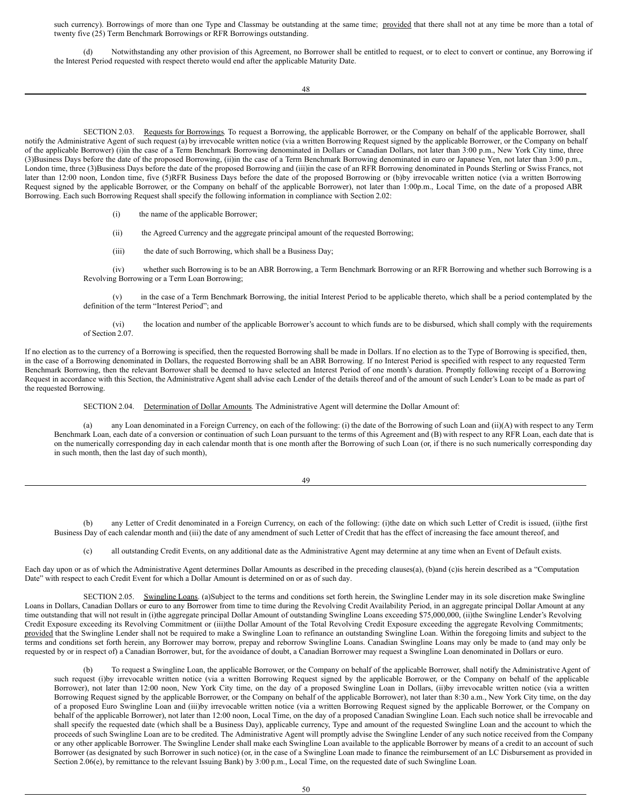such currency). Borrowings of more than one Type and Classmay be outstanding at the same time; provided that there shall not at any time be more than a total of twenty five (25) Term Benchmark Borrowings or RFR Borrowings outstanding.

(d) Notwithstanding any other provision of this Agreement, no Borrower shall be entitled to request, or to elect to convert or continue, any Borrowing if the Interest Period requested with respect thereto would end after the applicable Maturity Date.

48

SECTION 2.03. Requests for Borrowings. To request a Borrowing, the applicable Borrower, or the Company on behalf of the applicable Borrower, shall notify the Administrative Agent of such request (a) by irrevocable written notice (via a written Borrowing Request signed by the applicable Borrower, or the Company on behalf of the applicable Borrower) (i)in the case of a Term Benchmark Borrowing denominated in Dollars or Canadian Dollars, not later than 3:00 p.m., New York City time, three (3)Business Days before the date of the proposed Borrowing, (ii)in the case of a Term Benchmark Borrowing denominated in euro or Japanese Yen, not later than 3:00 p.m., London time, three (3)Business Days before the date of the proposed Borrowing and (iii)in the case of an RFR Borrowing denominated in Pounds Sterling or Swiss Francs, not later than 12:00 noon, London time, five (5)RFR Business Days before the date of the proposed Borrowing or (b)by irrevocable written notice (via a written Borrowing Request signed by the applicable Borrower, or the Company on behalf of the applicable Borrower), not later than 1:00p.m., Local Time, on the date of a proposed ABR Borrowing. Each such Borrowing Request shall specify the following information in compliance with Section 2.02:

- (i) the name of the applicable Borrower;
- (ii) the Agreed Currency and the aggregate principal amount of the requested Borrowing;
- (iii) the date of such Borrowing, which shall be a Business Day;

(iv) whether such Borrowing is to be an ABR Borrowing, a Term Benchmark Borrowing or an RFR Borrowing and whether such Borrowing is a Revolving Borrowing or a Term Loan Borrowing;

(v) in the case of a Term Benchmark Borrowing, the initial Interest Period to be applicable thereto, which shall be a period contemplated by the definition of the term "Interest Period"; and

(vi) the location and number of the applicable Borrower's account to which funds are to be disbursed, which shall comply with the requirements of Section 2.07.

If no election as to the currency of a Borrowing is specified, then the requested Borrowing shall be made in Dollars. If no election as to the Type of Borrowing is specified, then, in the case of a Borrowing denominated in Dollars, the requested Borrowing shall be an ABR Borrowing. If no Interest Period is specified with respect to any requested Term Benchmark Borrowing, then the relevant Borrower shall be deemed to have selected an Interest Period of one month's duration. Promptly following receipt of a Borrowing Request in accordance with this Section, the Administrative Agent shall advise each Lender of the details thereof and of the amount of such Lender's Loan to be made as part of the requested Borrowing.

SECTION 2.04. Determination of Dollar Amounts. The Administrative Agent will determine the Dollar Amount of:

(a) any Loan denominated in a Foreign Currency, on each of the following: (i) the date of the Borrowing of such Loan and (ii)(A) with respect to any Term Benchmark Loan, each date of a conversion or continuation of such Loan pursuant to the terms of this Agreement and (B) with respect to any RFR Loan, each date that is on the numerically corresponding day in each calendar month that is one month after the Borrowing of such Loan (or, if there is no such numerically corresponding day in such month, then the last day of such month),

49

(b) any Letter of Credit denominated in a Foreign Currency, on each of the following: (i)the date on which such Letter of Credit is issued, (ii)the first Business Day of each calendar month and (iii) the date of any amendment of such Letter of Credit that has the effect of increasing the face amount thereof, and

(c) all outstanding Credit Events, on any additional date as the Administrative Agent may determine at any time when an Event of Default exists.

Each day upon or as of which the Administrative Agent determines Dollar Amounts as described in the preceding clauses(a), (b)and (c)is herein described as a "Computation Date" with respect to each Credit Event for which a Dollar Amount is determined on or as of such day.

SECTION 2.05. Swingline Loans. (a)Subject to the terms and conditions set forth herein, the Swingline Lender may in its sole discretion make Swingline Loans in Dollars, Canadian Dollars or euro to any Borrower from time to time during the Revolving Credit Availability Period, in an aggregate principal Dollar Amount at any time outstanding that will not result in (i)the aggregate principal Dollar Amount of outstanding Swingline Loans exceeding \$75,000,000, (ii)the Swingline Lender's Revolving Credit Exposure exceeding its Revolving Commitment or (iii)the Dollar Amount of the Total Revolving Credit Exposure exceeding the aggregate Revolving Commitments; provided that the Swingline Lender shall not be required to make a Swingline Loan to refinance an outstanding Swingline Loan. Within the foregoing limits and subject to the terms and conditions set forth herein, any Borrower may borrow, prepay and reborrow Swingline Loans. Canadian Swingline Loans may only be made to (and may only be requested by or in respect of) a Canadian Borrower, but, for the avoidance of doubt, a Canadian Borrower may request a Swingline Loan denominated in Dollars or euro.

(b) To request a Swingline Loan, the applicable Borrower, or the Company on behalf of the applicable Borrower, shall notify the Administrative Agent of such request (i)by irrevocable written notice (via a written Borrowing Request signed by the applicable Borrower, or the Company on behalf of the applicable Borrower), not later than 12:00 noon, New York City time, on the day of a proposed Swingline Loan in Dollars, (ii)by irrevocable written notice (via a written Borrowing Request signed by the applicable Borrower, or the Company on behalf of the applicable Borrower), not later than 8:30 a.m., New York City time, on the day of a proposed Euro Swingline Loan and (iii)by irrevocable written notice (via a written Borrowing Request signed by the applicable Borrower, or the Company on behalf of the applicable Borrower), not later than 12:00 noon, Local Time, on the day of a proposed Canadian Swingline Loan. Each such notice shall be irrevocable and shall specify the requested date (which shall be a Business Day), applicable currency, Type and amount of the requested Swingline Loan and the account to which the proceeds of such Swingline Loan are to be credited. The Administrative Agent will promptly advise the Swingline Lender of any such notice received from the Company or any other applicable Borrower. The Swingline Lender shall make each Swingline Loan available to the applicable Borrower by means of a credit to an account of such Borrower (as designated by such Borrower in such notice) (or, in the case of a Swingline Loan made to finance the reimbursement of an LC Disbursement as provided in Section 2.06(e), by remittance to the relevant Issuing Bank) by 3:00 p.m., Local Time, on the requested date of such Swingline Loan.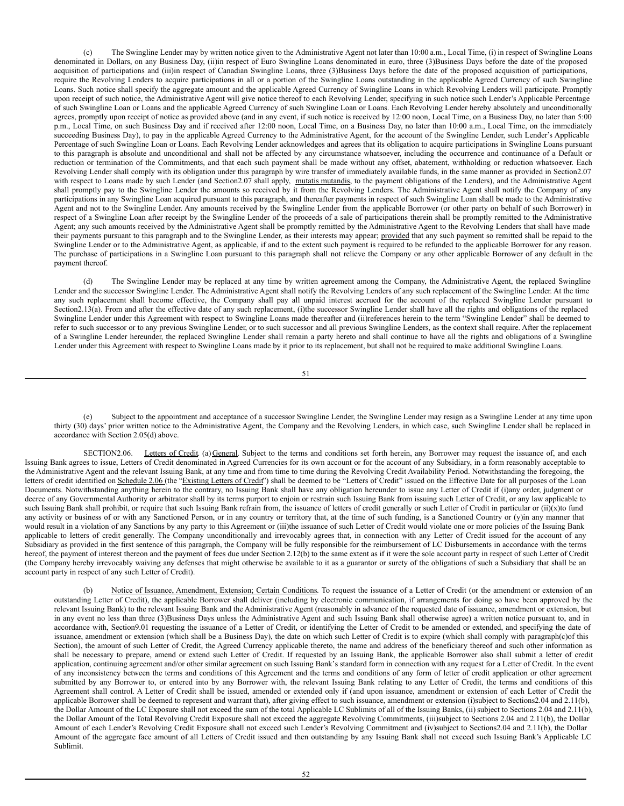(c) The Swingline Lender may by written notice given to the Administrative Agent not later than 10:00 a.m., Local Time, (i) in respect of Swingline Loans denominated in Dollars, on any Business Day, (ii)in respect of Euro Swingline Loans denominated in euro, three (3)Business Days before the date of the proposed acquisition of participations and (iii)in respect of Canadian Swingline Loans, three (3)Business Days before the date of the proposed acquisition of participations, require the Revolving Lenders to acquire participations in all or a portion of the Swingline Loans outstanding in the applicable Agreed Currency of such Swingline Loans. Such notice shall specify the aggregate amount and the applicable Agreed Currency of Swingline Loans in which Revolving Lenders will participate. Promptly upon receipt of such notice, the Administrative Agent will give notice thereof to each Revolving Lender, specifying in such notice such Lender's Applicable Percentage of such Swingline Loan or Loans and the applicable Agreed Currency of such Swingline Loan or Loans. Each Revolving Lender hereby absolutely and unconditionally agrees, promptly upon receipt of notice as provided above (and in any event, if such notice is received by 12:00 noon, Local Time, on a Business Day, no later than 5:00 p.m., Local Time, on such Business Day and if received after 12:00 noon, Local Time, on a Business Day, no later than 10:00 a.m., Local Time, on the immediately succeeding Business Day), to pay in the applicable Agreed Currency to the Administrative Agent, for the account of the Swingline Lender, such Lender's Applicable Percentage of such Swingline Loan or Loans. Each Revolving Lender acknowledges and agrees that its obligation to acquire participations in Swingline Loans pursuant to this paragraph is absolute and unconditional and shall not be affected by any circumstance whatsoever, including the occurrence and continuance of a Default or reduction or termination of the Commitments, and that each such payment shall be made without any offset, abatement, withholding or reduction whatsoever. Each Revolving Lender shall comply with its obligation under this paragraph by wire transfer of immediately available funds, in the same manner as provided in Section2.07 with respect to Loans made by such Lender (and Section2.07 shall apply, mutatis mutandis, to the payment obligations of the Lenders), and the Administrative Agent shall promptly pay to the Swingline Lender the amounts so received by it from the Revolving Lenders. The Administrative Agent shall notify the Company of any participations in any Swingline Loan acquired pursuant to this paragraph, and thereafter payments in respect of such Swingline Loan shall be made to the Administrative Agent and not to the Swingline Lender. Any amounts received by the Swingline Lender from the applicable Borrower (or other party on behalf of such Borrower) in respect of a Swingline Loan after receipt by the Swingline Lender of the proceeds of a sale of participations therein shall be promptly remitted to the Administrative Agent; any such amounts received by the Administrative Agent shall be promptly remitted by the Administrative Agent to the Revolving Lenders that shall have made their payments pursuant to this paragraph and to the Swingline Lender, as their interests may appear; provided that any such payment so remitted shall be repaid to the Swingline Lender or to the Administrative Agent, as applicable, if and to the extent such payment is required to be refunded to the applicable Borrower for any reason. The purchase of participations in a Swingline Loan pursuant to this paragraph shall not relieve the Company or any other applicable Borrower of any default in the payment thereof.

(d) The Swingline Lender may be replaced at any time by written agreement among the Company, the Administrative Agent, the replaced Swingline Lender and the successor Swingline Lender. The Administrative Agent shall notify the Revolving Lenders of any such replacement of the Swingline Lender. At the time any such replacement shall become effective, the Company shall pay all unpaid interest accrued for the account of the replaced Swingline Lender pursuant to Section2.13(a). From and after the effective date of any such replacement, (i)the successor Swingline Lender shall have all the rights and obligations of the replaced Swingline Lender under this Agreement with respect to Swingline Loans made thereafter and (ii)references herein to the term "Swingline Lender" shall be deemed to refer to such successor or to any previous Swingline Lender, or to such successor and all previous Swingline Lenders, as the context shall require. After the replacement of a Swingline Lender hereunder, the replaced Swingline Lender shall remain a party hereto and shall continue to have all the rights and obligations of a Swingline Lender under this Agreement with respect to Swingline Loans made by it prior to its replacement, but shall not be required to make additional Swingline Loans.

51

(e) Subject to the appointment and acceptance of a successor Swingline Lender, the Swingline Lender may resign as a Swingline Lender at any time upon thirty (30) days' prior written notice to the Administrative Agent, the Company and the Revolving Lenders, in which case, such Swingline Lender shall be replaced in accordance with Section 2.05(d) above.

SECTION2.06. Letters of Credit. (a) General. Subject to the terms and conditions set forth herein, any Borrower may request the issuance of, and each Issuing Bank agrees to issue, Letters of Credit denominated in Agreed Currencies for its own account or for the account of any Subsidiary, in a form reasonably acceptable to the Administrative Agent and the relevant Issuing Bank, at any time and from time to time during the Revolving Credit Availability Period. Notwithstanding the foregoing, the letters of credit identified on Schedule 2.06 (the "Existing Letters of Credit") shall be deemed to be "Letters of Credit" issued on the Effective Date for all purposes of the Loan Documents. Notwithstanding anything herein to the contrary, no Issuing Bank shall have any obligation hereunder to issue any Letter of Credit if (i)any order, judgment or decree of any Governmental Authority or arbitrator shall by its terms purport to enjoin or restrain such Issuing Bank from issuing such Letter of Credit, or any law applicable to such Issuing Bank shall prohibit, or require that such Issuing Bank refrain from, the issuance of letters of credit generally or such Letter of Credit in particular or (ii)(x) to fund any activity or business of or with any Sanctioned Person, or in any country or territory that, at the time of such funding, is a Sanctioned Country or (y)in any manner that would result in a violation of any Sanctions by any party to this Agreement or (iii)the issuance of such Letter of Credit would violate one or more policies of the Issuing Bank applicable to letters of credit generally. The Company unconditionally and irrevocably agrees that, in connection with any Letter of Credit issued for the account of any Subsidiary as provided in the first sentence of this paragraph, the Company will be fully responsible for the reimbursement of LC Disbursements in accordance with the terms hereof, the payment of interest thereon and the payment of fees due under Section 2.12(b) to the same extent as if it were the sole account party in respect of such Letter of Credit (the Company hereby irrevocably waiving any defenses that might otherwise be available to it as a guarantor or surety of the obligations of such a Subsidiary that shall be an account party in respect of any such Letter of Credit).

Notice of Issuance, Amendment, Extension; Certain Conditions. To request the issuance of a Letter of Credit (or the amendment or extension of an outstanding Letter of Credit), the applicable Borrower shall deliver (including by electronic communication, if arrangements for doing so have been approved by the relevant Issuing Bank) to the relevant Issuing Bank and the Administrative Agent (reasonably in advance of the requested date of issuance, amendment or extension, but in any event no less than three (3)Business Days unless the Administrative Agent and such Issuing Bank shall otherwise agree) a written notice pursuant to, and in accordance with, Section9.01 requesting the issuance of a Letter of Credit, or identifying the Letter of Credit to be amended or extended, and specifying the date of issuance, amendment or extension (which shall be a Business Day), the date on which such Letter of Credit is to expire (which shall comply with paragraph(c)of this Section), the amount of such Letter of Credit, the Agreed Currency applicable thereto, the name and address of the beneficiary thereof and such other information as shall be necessary to prepare, amend or extend such Letter of Credit. If requested by an Issuing Bank, the applicable Borrower also shall submit a letter of credit application, continuing agreement and/or other similar agreement on such Issuing Bank's standard form in connection with any request for a Letter of Credit. In the event of any inconsistency between the terms and conditions of this Agreement and the terms and conditions of any form of letter of credit application or other agreement submitted by any Borrower to, or entered into by any Borrower with, the relevant Issuing Bank relating to any Letter of Credit, the terms and conditions of this Agreement shall control. A Letter of Credit shall be issued, amended or extended only if (and upon issuance, amendment or extension of each Letter of Credit the applicable Borrower shall be deemed to represent and warrant that), after giving effect to such issuance, amendment or extension (i)subject to Sections2.04 and 2.11(b), the Dollar Amount of the LC Exposure shall not exceed the sum of the total Applicable LC Sublimits of all of the Issuing Banks, (ii) subject to Sections 2.04 and 2.11(b), the Dollar Amount of the Total Revolving Credit Exposure shall not exceed the aggregate Revolving Commitments, (iii)subject to Sections 2.04 and 2.11(b), the Dollar Amount of each Lender's Revolving Credit Exposure shall not exceed such Lender's Revolving Commitment and (iv)subject to Sections2.04 and 2.11(b), the Dollar Amount of the aggregate face amount of all Letters of Credit issued and then outstanding by any Issuing Bank shall not exceed such Issuing Bank's Applicable LC Sublimit.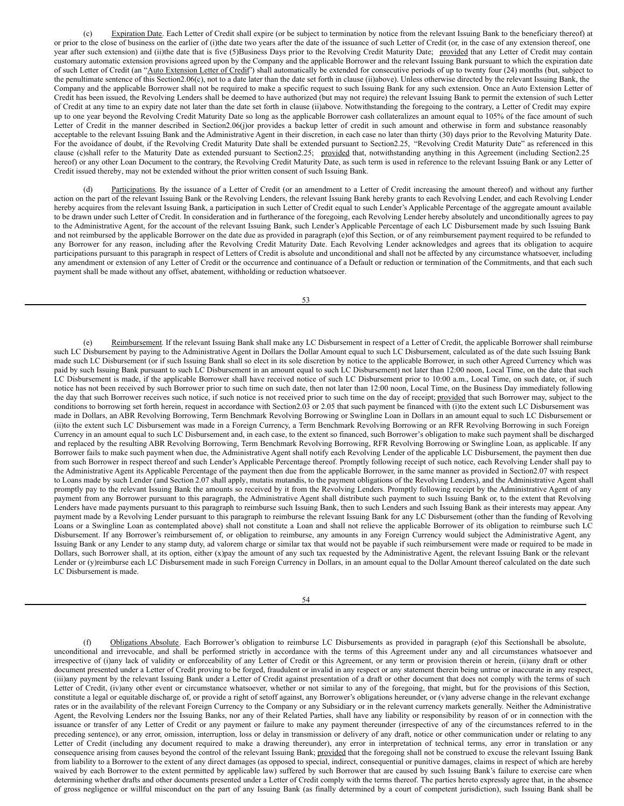(c) Expiration Date. Each Letter of Credit shall expire (or be subject to termination by notice from the relevant Issuing Bank to the beneficiary thereof) at or prior to the close of business on the earlier of (i)the date two years after the date of the issuance of such Letter of Credit (or, in the case of any extension thereof, one year after such extension) and (ii)the date that is five (5)Business Days prior to the Revolving Credit Maturity Date; provided that any Letter of Credit may contain customary automatic extension provisions agreed upon by the Company and the applicable Borrower and the relevant Issuing Bank pursuant to which the expiration date of such Letter of Credit (an "Auto Extension Letter of Credit") shall automatically be extended for consecutive periods of up to twenty four (24) months (but, subject to the penultimate sentence of this Section2.06(c), not to a date later than the date set forth in clause (ii)above). Unless otherwise directed by the relevant Issuing Bank, the Company and the applicable Borrower shall not be required to make a specific request to such Issuing Bank for any such extension. Once an Auto Extension Letter of Credit has been issued, the Revolving Lenders shall be deemed to have authorized (but may not require) the relevant Issuing Bank to permit the extension of such Letter of Credit at any time to an expiry date not later than the date set forth in clause (ii)above. Notwithstanding the foregoing to the contrary, a Letter of Credit may expire up to one year beyond the Revolving Credit Maturity Date so long as the applicable Borrower cash collateralizes an amount equal to 105% of the face amount of such Letter of Credit in the manner described in Section2.06(j)or provides a backup letter of credit in such amount and otherwise in form and substance reasonably acceptable to the relevant Issuing Bank and the Administrative Agent in their discretion, in each case no later than thirty (30) days prior to the Revolving Maturity Date. For the avoidance of doubt, if the Revolving Credit Maturity Date shall be extended pursuant to Section2.25, "Revolving Credit Maturity Date" as referenced in this clause (c)shall refer to the Maturity Date as extended pursuant to Section2.25; provided that, notwithstanding anything in this Agreement (including Section2.25 hereof) or any other Loan Document to the contrary, the Revolving Credit Maturity Date, as such term is used in reference to the relevant Issuing Bank or any Letter of Credit issued thereby, may not be extended without the prior written consent of such Issuing Bank.

(d) Participations. By the issuance of a Letter of Credit (or an amendment to a Letter of Credit increasing the amount thereof) and without any further action on the part of the relevant Issuing Bank or the Revolving Lenders, the relevant Issuing Bank hereby grants to each Revolving Lender, and each Revolving Lender hereby acquires from the relevant Issuing Bank, a participation in such Letter of Credit equal to such Lender's Applicable Percentage of the aggregate amount available to be drawn under such Letter of Credit. In consideration and in furtherance of the foregoing, each Revolving Lender hereby absolutely and unconditionally agrees to pay to the Administrative Agent, for the account of the relevant Issuing Bank, such Lender's Applicable Percentage of each LC Disbursement made by such Issuing Bank and not reimbursed by the applicable Borrower on the date due as provided in paragraph (e)of this Section, or of any reimbursement payment required to be refunded to any Borrower for any reason, including after the Revolving Credit Maturity Date. Each Revolving Lender acknowledges and agrees that its obligation to acquire participations pursuant to this paragraph in respect of Letters of Credit is absolute and unconditional and shall not be affected by any circumstance whatsoever, including any amendment or extension of any Letter of Credit or the occurrence and continuance of a Default or reduction or termination of the Commitments, and that each such payment shall be made without any offset, abatement, withholding or reduction whatsoever.

53

(e) Reimbursement. If the relevant Issuing Bank shall make any LC Disbursement in respect of a Letter of Credit, the applicable Borrower shall reimburse such LC Disbursement by paying to the Administrative Agent in Dollars the Dollar Amount equal to such LC Disbursement, calculated as of the date such Issuing Bank made such LC Disbursement (or if such Issuing Bank shall so elect in its sole discretion by notice to the applicable Borrower, in such other Agreed Currency which was paid by such Issuing Bank pursuant to such LC Disbursement in an amount equal to such LC Disbursement) not later than 12:00 noon, Local Time, on the date that such LC Disbursement is made, if the applicable Borrower shall have received notice of such LC Disbursement prior to 10:00 a.m., Local Time, on such date, or, if such notice has not been received by such Borrower prior to such time on such date, then not later than 12:00 noon, Local Time, on the Business Day immediately following the day that such Borrower receives such notice, if such notice is not received prior to such time on the day of receipt; provided that such Borrower may, subject to the conditions to borrowing set forth herein, request in accordance with Section2.03 or 2.05 that such payment be financed with (i)to the extent such LC Disbursement was made in Dollars, an ABR Revolving Borrowing, Term Benchmark Revolving Borrowing or Swingline Loan in Dollars in an amount equal to such LC Disbursement or (ii)to the extent such LC Disbursement was made in a Foreign Currency, a Term Benchmark Revolving Borrowing or an RFR Revolving Borrowing in such Foreign Currency in an amount equal to such LC Disbursement and, in each case, to the extent so financed, such Borrower's obligation to make such payment shall be discharged and replaced by the resulting ABR Revolving Borrowing, Term Benchmark Revolving Borrowing, RFR Revolving Borrowing or Swingline Loan, as applicable. If any Borrower fails to make such payment when due, the Administrative Agent shall notify each Revolving Lender of the applicable LC Disbursement, the payment then due from such Borrower in respect thereof and such Lender's Applicable Percentage thereof. Promptly following receipt of such notice, each Revolving Lender shall pay to the Administrative Agent its Applicable Percentage of the payment then due from the applicable Borrower, in the same manner as provided in Section2.07 with respect to Loans made by such Lender (and Section 2.07 shall apply, mutatis mutandis, to the payment obligations of the Revolving Lenders), and the Administrative Agent shall promptly pay to the relevant Issuing Bank the amounts so received by it from the Revolving Lenders. Promptly following receipt by the Administrative Agent of any payment from any Borrower pursuant to this paragraph, the Administrative Agent shall distribute such payment to such Issuing Bank or, to the extent that Revolving Lenders have made payments pursuant to this paragraph to reimburse such Issuing Bank, then to such Lenders and such Issuing Bank as their interests may appear. Any payment made by a Revolving Lender pursuant to this paragraph to reimburse the relevant Issuing Bank for any LC Disbursement (other than the funding of Revolving Loans or a Swingline Loan as contemplated above) shall not constitute a Loan and shall not relieve the applicable Borrower of its obligation to reimburse such LC Disbursement. If any Borrower's reimbursement of, or obligation to reimburse, any amounts in any Foreign Currency would subject the Administrative Agent, any Issuing Bank or any Lender to any stamp duty, ad valorem charge or similar tax that would not be payable if such reimbursement were made or required to be made in Dollars, such Borrower shall, at its option, either (x)pay the amount of any such tax requested by the Administrative Agent, the relevant Issuing Bank or the relevant Lender or (y)reimburse each LC Disbursement made in such Foreign Currency in Dollars, in an amount equal to the Dollar Amount thereof calculated on the date such LC Disbursement is made.

54

(f) Obligations Absolute. Each Borrower's obligation to reimburse LC Disbursements as provided in paragraph (e)of this Sectionshall be absolute, unconditional and irrevocable, and shall be performed strictly in accordance with the terms of this Agreement under any and all circumstances whatsoever and irrespective of (i)any lack of validity or enforceability of any Letter of Credit or this Agreement, or any term or provision therein or herein, (ii)any draft or other document presented under a Letter of Credit proving to be forged, fraudulent or invalid in any respect or any statement therein being untrue or inaccurate in any respect, (iii)any payment by the relevant Issuing Bank under a Letter of Credit against presentation of a draft or other document that does not comply with the terms of such Letter of Credit, (iv)any other event or circumstance whatsoever, whether or not similar to any of the foregoing, that might, but for the provisions of this Section, constitute a legal or equitable discharge of, or provide a right of setoff against, any Borrower's obligations hereunder, or (v)any adverse change in the relevant exchange rates or in the availability of the relevant Foreign Currency to the Company or any Subsidiary or in the relevant currency markets generally. Neither the Administrative Agent, the Revolving Lenders nor the Issuing Banks, nor any of their Related Parties, shall have any liability or responsibility by reason of or in connection with the issuance or transfer of any Letter of Credit or any payment or failure to make any payment thereunder (irrespective of any of the circumstances referred to in the preceding sentence), or any error, omission, interruption, loss or delay in transmission or delivery of any draft, notice or other communication under or relating to any Letter of Credit (including any document required to make a drawing thereunder), any error in interpretation of technical terms, any error in translation or any consequence arising from causes beyond the control of the relevant Issuing Bank; provided that the foregoing shall not be construed to excuse the relevant Issuing Bank from liability to a Borrower to the extent of any direct damages (as opposed to special, indirect, consequential or punitive damages, claims in respect of which are hereby waived by each Borrower to the extent permitted by applicable law) suffered by such Borrower that are caused by such Issuing Bank's failure to exercise care when determining whether drafts and other documents presented under a Letter of Credit comply with the terms thereof. The parties hereto expressly agree that, in the absence of gross negligence or willful misconduct on the part of any Issuing Bank (as finally determined by a court of competent jurisdiction), such Issuing Bank shall be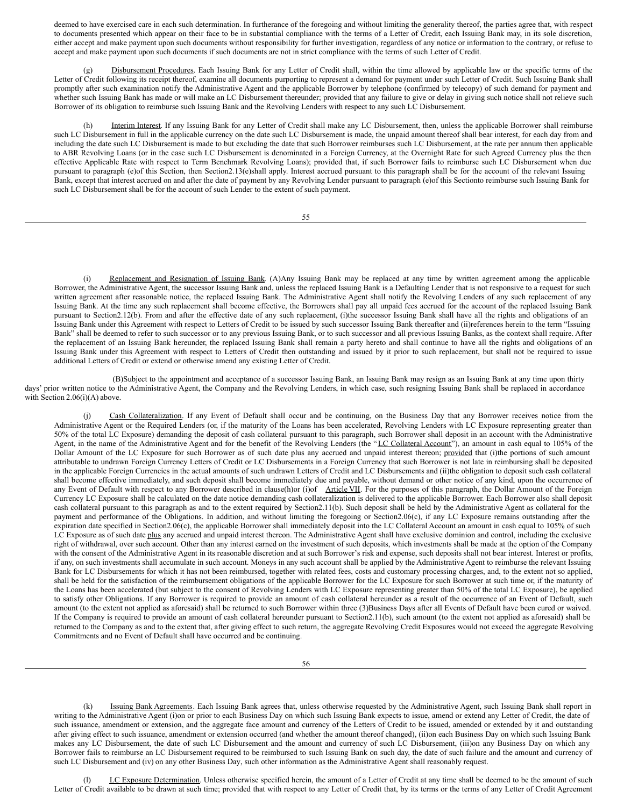deemed to have exercised care in each such determination. In furtherance of the foregoing and without limiting the generality thereof, the parties agree that, with respect to documents presented which appear on their face to be in substantial compliance with the terms of a Letter of Credit, each Issuing Bank may, in its sole discretion, either accept and make payment upon such documents without responsibility for further investigation, regardless of any notice or information to the contrary, or refuse to accept and make payment upon such documents if such documents are not in strict compliance with the terms of such Letter of Credit.

(g) Disbursement Procedures. Each Issuing Bank for any Letter of Credit shall, within the time allowed by applicable law or the specific terms of the Letter of Credit following its receipt thereof, examine all documents purporting to represent a demand for payment under such Letter of Credit. Such Issuing Bank shall promptly after such examination notify the Administrative Agent and the applicable Borrower by telephone (confirmed by telecopy) of such demand for payment and whether such Issuing Bank has made or will make an LC Disbursement thereunder; provided that any failure to give or delay in giving such notice shall not relieve such Borrower of its obligation to reimburse such Issuing Bank and the Revolving Lenders with respect to any such LC Disbursement.

Interim Interest. If any Issuing Bank for any Letter of Credit shall make any LC Disbursement, then, unless the applicable Borrower shall reimburse such LC Disbursement in full in the applicable currency on the date such LC Disbursement is made, the unpaid amount thereof shall bear interest, for each day from and including the date such LC Disbursement is made to but excluding the date that such Borrower reimburses such LC Disbursement, at the rate per annum then applicable to ABR Revolving Loans (or in the case such LC Disbursement is denominated in a Foreign Currency, at the Overnight Rate for such Agreed Currency plus the then effective Applicable Rate with respect to Term Benchmark Revolving Loans); provided that, if such Borrower fails to reimburse such LC Disbursement when due pursuant to paragraph (e)of this Section, then Section2.13(e)shall apply. Interest accrued pursuant to this paragraph shall be for the account of the relevant Issuing Bank, except that interest accrued on and after the date of payment by any Revolving Lender pursuant to paragraph (e)of this Sectionto reimburse such Issuing Bank for such LC Disbursement shall be for the account of such Lender to the extent of such payment.

55

Replacement and Resignation of Issuing Bank. (A)Any Issuing Bank may be replaced at any time by written agreement among the applicable Borrower, the Administrative Agent, the successor Issuing Bank and, unless the replaced Issuing Bank is a Defaulting Lender that is not responsive to a request for such written agreement after reasonable notice, the replaced Issuing Bank. The Administrative Agent shall notify the Revolving Lenders of any such replacement of any Issuing Bank. At the time any such replacement shall become effective, the Borrowers shall pay all unpaid fees accrued for the account of the replaced Issuing Bank pursuant to Section2.12(b). From and after the effective date of any such replacement, (i)the successor Issuing Bank shall have all the rights and obligations of an Issuing Bank under this Agreement with respect to Letters of Credit to be issued by such successor Issuing Bank thereafter and (ii)references herein to the term "Issuing Bank" shall be deemed to refer to such successor or to any previous Issuing Bank, or to such successor and all previous Issuing Banks, as the context shall require. After the replacement of an Issuing Bank hereunder, the replaced Issuing Bank shall remain a party hereto and shall continue to have all the rights and obligations of an Issuing Bank under this Agreement with respect to Letters of Credit then outstanding and issued by it prior to such replacement, but shall not be required to issue additional Letters of Credit or extend or otherwise amend any existing Letter of Credit.

(B)Subject to the appointment and acceptance of a successor Issuing Bank, an Issuing Bank may resign as an Issuing Bank at any time upon thirty days' prior written notice to the Administrative Agent, the Company and the Revolving Lenders, in which case, such resigning Issuing Bank shall be replaced in accordance with Section 2.06(i)(A) above.

(j) Cash Collateralization. If any Event of Default shall occur and be continuing, on the Business Day that any Borrower receives notice from the Administrative Agent or the Required Lenders (or, if the maturity of the Loans has been accelerated, Revolving Lenders with LC Exposure representing greater than 50% of the total LC Exposure) demanding the deposit of cash collateral pursuant to this paragraph, such Borrower shall deposit in an account with the Administrative Agent, in the name of the Administrative Agent and for the benefit of the Revolving Lenders (the "LC Collateral Account"), an amount in cash equal to 105% of the Dollar Amount of the LC Exposure for such Borrower as of such date plus any accrued and unpaid interest thereon; provided that (i)the portions of such amount attributable to undrawn Foreign Currency Letters of Credit or LC Disbursements in a Foreign Currency that such Borrower is not late in reimbursing shall be deposited in the applicable Foreign Currencies in the actual amounts of such undrawn Letters of Credit and LC Disbursements and (ii)the obligation to deposit such cash collateral shall become effective immediately, and such deposit shall become immediately due and payable, without demand or other notice of any kind, upon the occurrence of any Event of Default with respect to any Borrower described in clause(h)or (i)of Article VII. For the purposes of this paragraph, the Dollar Amount of the Foreign Currency LC Exposure shall be calculated on the date notice demanding cash collateralization is delivered to the applicable Borrower. Each Borrower also shall deposit cash collateral pursuant to this paragraph as and to the extent required by Section2.11(b). Such deposit shall be held by the Administrative Agent as collateral for the payment and performance of the Obligations. In addition, and without limiting the foregoing or Section2.06(c), if any LC Exposure remains outstanding after the expiration date specified in Section2.06(c), the applicable Borrower shall immediately deposit into the LC Collateral Account an amount in cash equal to 105% of such LC Exposure as of such date plus any accrued and unpaid interest thereon. The Administrative Agent shall have exclusive dominion and control, including the exclusive right of withdrawal, over such account. Other than any interest earned on the investment of such deposits, which investments shall be made at the option of the Company with the consent of the Administrative Agent in its reasonable discretion and at such Borrower's risk and expense, such deposits shall not bear interest. Interest or profits, if any, on such investments shall accumulate in such account. Moneys in any such account shall be applied by the Administrative Agent to reimburse the relevant Issuing Bank for LC Disbursements for which it has not been reimbursed, together with related fees, costs and customary processing charges, and, to the extent not so applied, shall be held for the satisfaction of the reimbursement obligations of the applicable Borrower for the LC Exposure for such Borrower at such time or, if the maturity of the Loans has been accelerated (but subject to the consent of Revolving Lenders with LC Exposure representing greater than 50% of the total LC Exposure), be applied to satisfy other Obligations. If any Borrower is required to provide an amount of cash collateral hereunder as a result of the occurrence of an Event of Default, such amount (to the extent not applied as aforesaid) shall be returned to such Borrower within three (3)Business Days after all Events of Default have been cured or waived. If the Company is required to provide an amount of cash collateral hereunder pursuant to Section2.11(b), such amount (to the extent not applied as aforesaid) shall be returned to the Company as and to the extent that, after giving effect to such return, the aggregate Revolving Credit Exposures would not exceed the aggregate Revolving Commitments and no Event of Default shall have occurred and be continuing.

(k) Issuing Bank Agreements. Each Issuing Bank agrees that, unless otherwise requested by the Administrative Agent, such Issuing Bank shall report in writing to the Administrative Agent (i)on or prior to each Business Day on which such Issuing Bank expects to issue, amend or extend any Letter of Credit, the date of such issuance, amendment or extension, and the aggregate face amount and currency of the Letters of Credit to be issued, amended or extended by it and outstanding after giving effect to such issuance, amendment or extension occurred (and whether the amount thereof changed), (ii)on each Business Day on which such Issuing Bank makes any LC Disbursement, the date of such LC Disbursement and the amount and currency of such LC Disbursement, (iii)on any Business Day on which any Borrower fails to reimburse an LC Disbursement required to be reimbursed to such Issuing Bank on such day, the date of such failure and the amount and currency of such LC Disbursement and (iv) on any other Business Day, such other information as the Administrative Agent shall reasonably request.

(l) LC Exposure Determination. Unless otherwise specified herein, the amount of a Letter of Credit at any time shall be deemed to be the amount of such Letter of Credit available to be drawn at such time; provided that with respect to any Letter of Credit that, by its terms or the terms of any Letter of Credit Agreement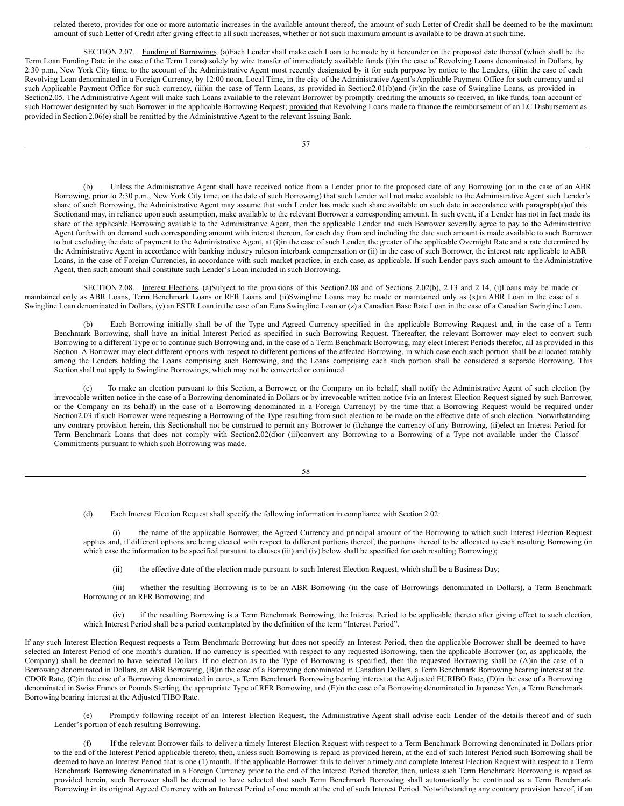related thereto, provides for one or more automatic increases in the available amount thereof, the amount of such Letter of Credit shall be deemed to be the maximum amount of such Letter of Credit after giving effect to all such increases, whether or not such maximum amount is available to be drawn at such time.

SECTION 2.07. Funding of Borrowings. (a)Each Lender shall make each Loan to be made by it hereunder on the proposed date thereof (which shall be the Term Loan Funding Date in the case of the Term Loans) solely by wire transfer of immediately available funds (i)in the case of Revolving Loans denominated in Dollars, by 2:30 p.m., New York City time, to the account of the Administrative Agent most recently designated by it for such purpose by notice to the Lenders, (ii)in the case of each Revolving Loan denominated in a Foreign Currency, by 12:00 noon, Local Time, in the city of the Administrative Agent's Applicable Payment Office for such currency and at such Applicable Payment Office for such currency, (iii)in the case of Term Loans, as provided in Section2.01(b)and (iv)in the case of Swingline Loans, as provided in Section2.05. The Administrative Agent will make such Loans available to the relevant Borrower by promptly crediting the amounts so received, in like funds, toan account of such Borrower designated by such Borrower in the applicable Borrowing Request; provided that Revolving Loans made to finance the reimbursement of an LC Disbursement as provided in Section 2.06(e) shall be remitted by the Administrative Agent to the relevant Issuing Bank.

(b) Unless the Administrative Agent shall have received notice from a Lender prior to the proposed date of any Borrowing (or in the case of an ABR Borrowing, prior to 2:30 p.m., New York City time, on the date of such Borrowing) that such Lender will not make available to the Administrative Agent such Lender's share of such Borrowing, the Administrative Agent may assume that such Lender has made such share available on such date in accordance with paragraph(a)of this Sectionand may, in reliance upon such assumption, make available to the relevant Borrower a corresponding amount. In such event, if a Lender has not in fact made its share of the applicable Borrowing available to the Administrative Agent, then the applicable Lender and such Borrower severally agree to pay to the Administrative Agent forthwith on demand such corresponding amount with interest thereon, for each day from and including the date such amount is made available to such Borrower to but excluding the date of payment to the Administrative Agent, at (i)in the case of such Lender, the greater of the applicable Overnight Rate and a rate determined by the Administrative Agent in accordance with banking industry ruleson interbank compensation or (ii) in the case of such Borrower, the interest rate applicable to ABR Loans, in the case of Foreign Currencies, in accordance with such market practice, in each case, as applicable. If such Lender pays such amount to the Administrative Agent, then such amount shall constitute such Lender's Loan included in such Borrowing.

SECTION 2.08. Interest Elections. (a)Subject to the provisions of this Section2.08 and of Sections 2.02(b), 2.13 and 2.14, (i)Loans may be made or maintained only as ABR Loans, Term Benchmark Loans or RFR Loans and (ii)Swingline Loans may be made or maintained only as (x)an ABR Loan in the case of a Swingline Loan denominated in Dollars, (y) an ESTR Loan in the case of an Euro Swingline Loan or (z) a Canadian Base Rate Loan in the case of a Canadian Swingline Loan.

(b) Each Borrowing initially shall be of the Type and Agreed Currency specified in the applicable Borrowing Request and, in the case of a Term Benchmark Borrowing, shall have an initial Interest Period as specified in such Borrowing Request. Thereafter, the relevant Borrower may elect to convert such Borrowing to a different Type or to continue such Borrowing and, in the case of a Term Benchmark Borrowing, may elect Interest Periods therefor, all as provided in this Section. A Borrower may elect different options with respect to different portions of the affected Borrowing, in which case each such portion shall be allocated ratably among the Lenders holding the Loans comprising such Borrowing, and the Loans comprising each such portion shall be considered a separate Borrowing. This Section shall not apply to Swingline Borrowings, which may not be converted or continued.

(c) To make an election pursuant to this Section, a Borrower, or the Company on its behalf, shall notify the Administrative Agent of such election (by irrevocable written notice in the case of a Borrowing denominated in Dollars or by irrevocable written notice (via an Interest Election Request signed by such Borrower, or the Company on its behalf) in the case of a Borrowing denominated in a Foreign Currency) by the time that a Borrowing Request would be required under Section2.03 if such Borrower were requesting a Borrowing of the Type resulting from such election to be made on the effective date of such election. Notwithstanding any contrary provision herein, this Sectionshall not be construed to permit any Borrower to (i)change the currency of any Borrowing, (ii)elect an Interest Period for Term Benchmark Loans that does not comply with Section2.02(d)or (iii)convert any Borrowing to a Borrowing of a Type not available under the Classof Commitments pursuant to which such Borrowing was made.

58

(d) Each Interest Election Request shall specify the following information in compliance with Section 2.02:

the name of the applicable Borrower, the Agreed Currency and principal amount of the Borrowing to which such Interest Election Request applies and, if different options are being elected with respect to different portions thereof, the portions thereof to be allocated to each resulting Borrowing (in which case the information to be specified pursuant to clauses (iii) and (iv) below shall be specified for each resulting Borrowing);

(ii) the effective date of the election made pursuant to such Interest Election Request, which shall be a Business Day;

(iii) whether the resulting Borrowing is to be an ABR Borrowing (in the case of Borrowings denominated in Dollars), a Term Benchmark Borrowing or an RFR Borrowing; and

if the resulting Borrowing is a Term Benchmark Borrowing, the Interest Period to be applicable thereto after giving effect to such election, which Interest Period shall be a period contemplated by the definition of the term "Interest Period".

If any such Interest Election Request requests a Term Benchmark Borrowing but does not specify an Interest Period, then the applicable Borrower shall be deemed to have selected an Interest Period of one month's duration. If no currency is specified with respect to any requested Borrowing, then the applicable Borrower (or, as applicable, the Company) shall be deemed to have selected Dollars. If no election as to the Type of Borrowing is specified, then the requested Borrowing shall be (A)in the case of a Borrowing denominated in Dollars, an ABR Borrowing, (B)in the case of a Borrowing denominated in Canadian Dollars, a Term Benchmark Borrowing bearing interest at the CDOR Rate, (C)in the case of a Borrowing denominated in euros, a Term Benchmark Borrowing bearing interest at the Adjusted EURIBO Rate, (D)in the case of a Borrowing denominated in Swiss Francs or Pounds Sterling, the appropriate Type of RFR Borrowing, and (E)in the case of a Borrowing denominated in Japanese Yen, a Term Benchmark Borrowing bearing interest at the Adjusted TIBO Rate.

(e) Promptly following receipt of an Interest Election Request, the Administrative Agent shall advise each Lender of the details thereof and of such Lender's portion of each resulting Borrowing.

If the relevant Borrower fails to deliver a timely Interest Election Request with respect to a Term Benchmark Borrowing denominated in Dollars prior to the end of the Interest Period applicable thereto, then, unless such Borrowing is repaid as provided herein, at the end of such Interest Period such Borrowing shall be deemed to have an Interest Period that is one (1) month. If the applicable Borrower fails to deliver a timely and complete Interest Election Request with respect to a Term Benchmark Borrowing denominated in a Foreign Currency prior to the end of the Interest Period therefor, then, unless such Term Benchmark Borrowing is repaid as provided herein, such Borrower shall be deemed to have selected that such Term Benchmark Borrowing shall automatically be continued as a Term Benchmark Borrowing in its original Agreed Currency with an Interest Period of one month at the end of such Interest Period. Notwithstanding any contrary provision hereof, if an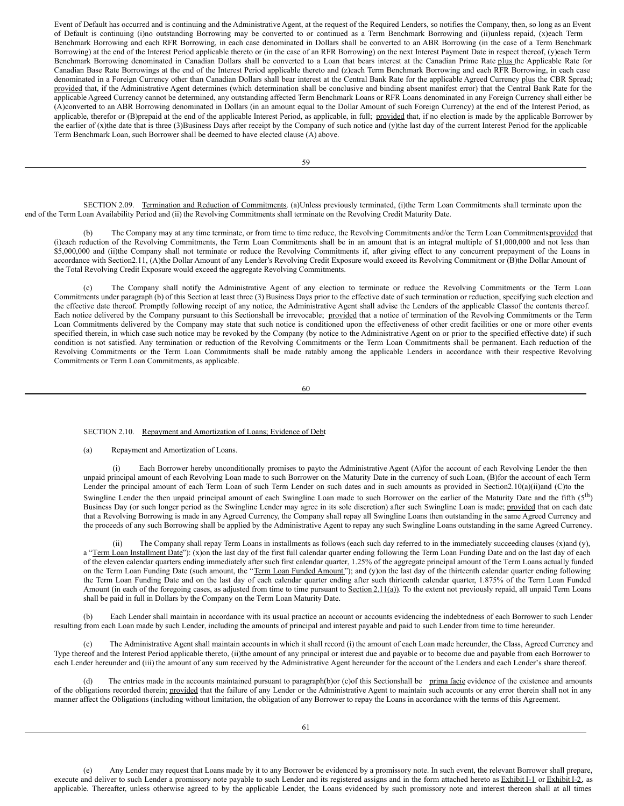Event of Default has occurred and is continuing and the Administrative Agent, at the request of the Required Lenders, so notifies the Company, then, so long as an Event of Default is continuing (i)no outstanding Borrowing may be converted to or continued as a Term Benchmark Borrowing and (ii)unless repaid, (x)each Term Benchmark Borrowing and each RFR Borrowing, in each case denominated in Dollars shall be converted to an ABR Borrowing (in the case of a Term Benchmark Borrowing) at the end of the Interest Period applicable thereto or (in the case of an RFR Borrowing) on the next Interest Payment Date in respect thereof, (y)each Term Benchmark Borrowing denominated in Canadian Dollars shall be converted to a Loan that bears interest at the Canadian Prime Rate plus the Applicable Rate for Canadian Base Rate Borrowings at the end of the Interest Period applicable thereto and (z)each Term Benchmark Borrowing and each RFR Borrowing, in each case denominated in a Foreign Currency other than Canadian Dollars shall bear interest at the Central Bank Rate for the applicable Agreed Currency plus the CBR Spread; provided that, if the Administrative Agent determines (which determination shall be conclusive and binding absent manifest error) that the Central Bank Rate for the applicable Agreed Currency cannot be determined, any outstanding affected Term Benchmark Loans or RFR Loans denominated in any Foreign Currency shall either be (A)converted to an ABR Borrowing denominated in Dollars (in an amount equal to the Dollar Amount of such Foreign Currency) at the end of the Interest Period, as applicable, therefor or (B)prepaid at the end of the applicable Interest Period, as applicable, in full; provided that, if no election is made by the applicable Borrower by the earlier of (x)the date that is three (3)Business Days after receipt by the Company of such notice and (y)the last day of the current Interest Period for the applicable Term Benchmark Loan, such Borrower shall be deemed to have elected clause (A) above.

59

SECTION 2.09. Termination and Reduction of Commitments. (a)Unless previously terminated, (i)the Term Loan Commitments shall terminate upon the end of the Term Loan Availability Period and (ii) the Revolving Commitments shall terminate on the Revolving Credit Maturity Date.

(b) The Company may at any time terminate, or from time to time reduce, the Revolving Commitments and/or the Term Loan Commitments provided that (i)each reduction of the Revolving Commitments, the Term Loan Commitments shall be in an amount that is an integral multiple of \$1,000,000 and not less than \$5,000,000 and (ii)the Company shall not terminate or reduce the Revolving Commitments if, after giving effect to any concurrent prepayment of the Loans in accordance with Section2.11, (A)the Dollar Amount of any Lender's Revolving Credit Exposure would exceed its Revolving Commitment or (B)the Dollar Amount of the Total Revolving Credit Exposure would exceed the aggregate Revolving Commitments.

(c) The Company shall notify the Administrative Agent of any election to terminate or reduce the Revolving Commitments or the Term Loan Commitments under paragraph (b) of this Section at least three (3) Business Days prior to the effective date of such termination or reduction, specifying such election and the effective date thereof. Promptly following receipt of any notice, the Administrative Agent shall advise the Lenders of the applicable Classof the contents thereof. Each notice delivered by the Company pursuant to this Sectionshall be irrevocable; provided that a notice of termination of the Revolving Commitments or the Term Loan Commitments delivered by the Company may state that such notice is conditioned upon the effectiveness of other credit facilities or one or more other events specified therein, in which case such notice may be revoked by the Company (by notice to the Administrative Agent on or prior to the specified effective date) if such condition is not satisfied. Any termination or reduction of the Revolving Commitments or the Term Loan Commitments shall be permanent. Each reduction of the Revolving Commitments or the Term Loan Commitments shall be made ratably among the applicable Lenders in accordance with their respective Revolving Commitments or Term Loan Commitments, as applicable.

60

#### SECTION 2.10. Repayment and Amortization of Loans; Evidence of Debt.

(a) Repayment and Amortization of Loans.

Each Borrower hereby unconditionally promises to payto the Administrative Agent (A)for the account of each Revolving Lender the then unpaid principal amount of each Revolving Loan made to such Borrower on the Maturity Date in the currency of such Loan, (B)for the account of each Term Lender the principal amount of each Term Loan of such Term Lender on such dates and in such amounts as provided in Section2.10(a)(ii)and (C)to the Swingline Lender the then unpaid principal amount of each Swingline Loan made to such Borrower on the earlier of the Maturity Date and the fifth (5<sup>th</sup>) Business Day (or such longer period as the Swingline Lender may agree in its sole discretion) after such Swingline Loan is made; provided that on each date that a Revolving Borrowing is made in any Agreed Currency, the Company shall repay all Swingline Loans then outstanding in the same Agreed Currency and the proceeds of any such Borrowing shall be applied by the Administrative Agent to repay any such Swingline Loans outstanding in the same Agreed Currency.

(ii) The Company shall repay Term Loans in installments as follows (each such day referred to in the immediately succeeding clauses (x)and (y), a "Term Loan Installment Date"): (x)on the last day of the first full calendar quarter ending following the Term Loan Funding Date and on the last day of each of the eleven calendar quarters ending immediately after such first calendar quarter, 1.25% of the aggregate principal amount of the Term Loans actually funded on the Term Loan Funding Date (such amount, the "Term Loan Funded Amount"); and (y)on the last day of the thirteenth calendar quarter ending following the Term Loan Funding Date and on the last day of each calendar quarter ending after such thirteenth calendar quarter, 1.875% of the Term Loan Funded Amount (in each of the foregoing cases, as adjusted from time to time pursuant to Section 2.11(a)). To the extent not previously repaid, all unpaid Term Loans shall be paid in full in Dollars by the Company on the Term Loan Maturity Date.

(b) Each Lender shall maintain in accordance with its usual practice an account or accounts evidencing the indebtedness of each Borrower to such Lender resulting from each Loan made by such Lender, including the amounts of principal and interest payable and paid to such Lender from time to time hereunder.

(c) The Administrative Agent shall maintain accounts in which it shall record (i) the amount of each Loan made hereunder, the Class, Agreed Currency and Type thereof and the Interest Period applicable thereto, (ii)the amount of any principal or interest due and payable or to become due and payable from each Borrower to each Lender hereunder and (iii) the amount of any sum received by the Administrative Agent hereunder for the account of the Lenders and each Lender's share thereof.

The entries made in the accounts maintained pursuant to paragraph(b)or (c)of this Sectionshall be prima facie evidence of the existence and amounts of the obligations recorded therein; provided that the failure of any Lender or the Administrative Agent to maintain such accounts or any error therein shall not in any manner affect the Obligations (including without limitation, the obligation of any Borrower to repay the Loans in accordance with the terms of this Agreement.

(e) Any Lender may request that Loans made by it to any Borrower be evidenced by a promissory note. In such event, the relevant Borrower shall prepare, execute and deliver to such Lender a promissory note payable to such Lender and its registered assigns and in the form attached hereto as Exhibit I-1 or Exhibit I-2, as applicable. Thereafter, unless otherwise agreed to by the applicable Lender, the Loans evidenced by such promissory note and interest thereon shall at all times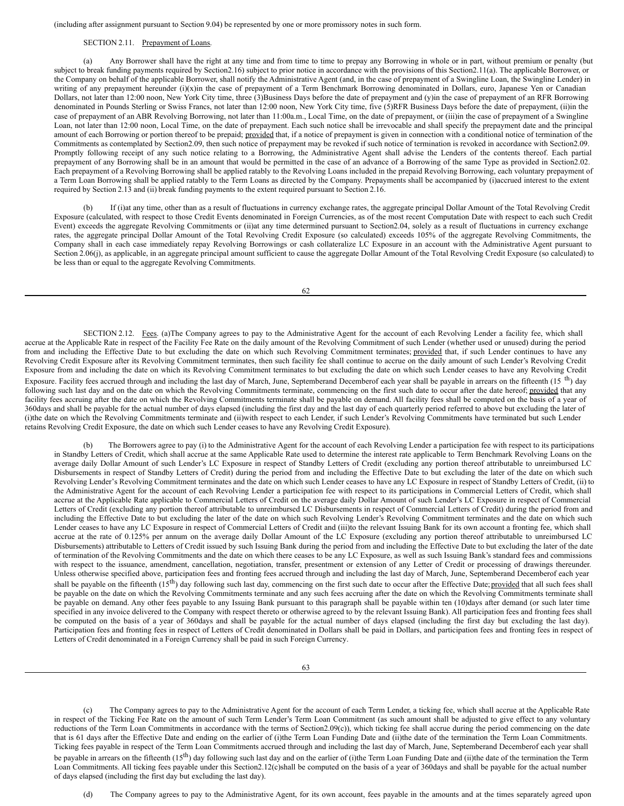(including after assignment pursuant to Section 9.04) be represented by one or more promissory notes in such form.

#### SECTION 2.11. Prepayment of Loans.

(a) Any Borrower shall have the right at any time and from time to time to prepay any Borrowing in whole or in part, without premium or penalty (but subject to break funding payments required by Section2.16) subject to prior notice in accordance with the provisions of this Section2.11(a). The applicable Borrower, or the Company on behalf of the applicable Borrower, shall notify the Administrative Agent (and, in the case of prepayment of a Swingline Loan, the Swingline Lender) in writing of any prepayment hereunder (i)(x)in the case of prepayment of a Term Benchmark Borrowing denominated in Dollars, euro, Japanese Yen or Canadian Dollars, not later than 12:00 noon, New York City time, three (3)Business Days before the date of prepayment and (y)in the case of prepayment of an RFR Borrowing denominated in Pounds Sterling or Swiss Francs, not later than 12:00 noon, New York City time, five (5)RFR Business Days before the date of prepayment, (ii)in the case of prepayment of an ABR Revolving Borrowing, not later than 11:00a.m., Local Time, on the date of prepayment, or (iii)in the case of prepayment of a Swingline Loan, not later than 12:00 noon, Local Time, on the date of prepayment. Each such notice shall be irrevocable and shall specify the prepayment date and the principal amount of each Borrowing or portion thereof to be prepaid; provided that, if a notice of prepayment is given in connection with a conditional notice of termination of the Commitments as contemplated by Section2.09, then such notice of prepayment may be revoked if such notice of termination is revoked in accordance with Section2.09. Promptly following receipt of any such notice relating to a Borrowing, the Administrative Agent shall advise the Lenders of the contents thereof. Each partial prepayment of any Borrowing shall be in an amount that would be permitted in the case of an advance of a Borrowing of the same Type as provided in Section2.02. Each prepayment of a Revolving Borrowing shall be applied ratably to the Revolving Loans included in the prepaid Revolving Borrowing, each voluntary prepayment of a Term Loan Borrowing shall be applied ratably to the Term Loans as directed by the Company. Prepayments shall be accompanied by (i)accrued interest to the extent required by Section 2.13 and (ii) break funding payments to the extent required pursuant to Section 2.16.

(b) If (i)at any time, other than as a result of fluctuations in currency exchange rates, the aggregate principal Dollar Amount of the Total Revolving Credit Exposure (calculated, with respect to those Credit Events denominated in Foreign Currencies, as of the most recent Computation Date with respect to each such Credit Event) exceeds the aggregate Revolving Commitments or (ii)at any time determined pursuant to Section2.04, solely as a result of fluctuations in currency exchange rates, the aggregate principal Dollar Amount of the Total Revolving Credit Exposure (so calculated) exceeds 105% of the aggregate Revolving Commitments, the Company shall in each case immediately repay Revolving Borrowings or cash collateralize LC Exposure in an account with the Administrative Agent pursuant to Section 2.06(j), as applicable, in an aggregate principal amount sufficient to cause the aggregate Dollar Amount of the Total Revolving Credit Exposure (so calculated) to be less than or equal to the aggregate Revolving Commitments.

62

SECTION 2.12. Fees. (a)The Company agrees to pay to the Administrative Agent for the account of each Revolving Lender a facility fee, which shall accrue at the Applicable Rate in respect of the Facility Fee Rate on the daily amount of the Revolving Commitment of such Lender (whether used or unused) during the period from and including the Effective Date to but excluding the date on which such Revolving Commitment terminates; provided that, if such Lender continues to have any Revolving Credit Exposure after its Revolving Commitment terminates, then such facility fee shall continue to accrue on the daily amount of such Lender's Revolving Credit Exposure from and including the date on which its Revolving Commitment terminates to but excluding the date on which such Lender ceases to have any Revolving Credit Exposure. Facility fees accrued through and including the last day of March, June, Septemberand Decemberof each year shall be payable in arrears on the fifteenth  $(15<sup>th</sup>)$  day following such last day and on the date on which the Revolving Commitments terminate, commencing on the first such date to occur after the date hereof; provided that any facility fees accruing after the date on which the Revolving Commitments terminate shall be payable on demand. All facility fees shall be computed on the basis of a year of 360days and shall be payable for the actual number of days elapsed (including the first day and the last day of each quarterly period referred to above but excluding the later of (i)the date on which the Revolving Commitments terminate and (ii)with respect to each Lender, if such Lender's Revolving Commitments have terminated but such Lender retains Revolving Credit Exposure, the date on which such Lender ceases to have any Revolving Credit Exposure).

The Borrowers agree to pay (i) to the Administrative Agent for the account of each Revolving Lender a participation fee with respect to its participations in Standby Letters of Credit, which shall accrue at the same Applicable Rate used to determine the interest rate applicable to Term Benchmark Revolving Loans on the average daily Dollar Amount of such Lender's LC Exposure in respect of Standby Letters of Credit (excluding any portion thereof attributable to unreimbursed LC Disbursements in respect of Standby Letters of Credit) during the period from and including the Effective Date to but excluding the later of the date on which such Revolving Lender's Revolving Commitment terminates and the date on which such Lender ceases to have any LC Exposure in respect of Standby Letters of Credit, (ii) to the Administrative Agent for the account of each Revolving Lender a participation fee with respect to its participations in Commercial Letters of Credit, which shall accrue at the Applicable Rate applicable to Commercial Letters of Credit on the average daily Dollar Amount of such Lender's LC Exposure in respect of Commercial Letters of Credit (excluding any portion thereof attributable to unreimbursed LC Disbursements in respect of Commercial Letters of Credit) during the period from and including the Effective Date to but excluding the later of the date on which such Revolving Lender's Revolving Commitment terminates and the date on which such Lender ceases to have any LC Exposure in respect of Commercial Letters of Credit and (iii)to the relevant Issuing Bank for its own account a fronting fee, which shall accrue at the rate of 0.125% per annum on the average daily Dollar Amount of the LC Exposure (excluding any portion thereof attributable to unreimbursed LC Disbursements) attributable to Letters of Credit issued by such Issuing Bank during the period from and including the Effective Date to but excluding the later of the date of termination of the Revolving Commitments and the date on which there ceases to be any LC Exposure, as well as such Issuing Bank's standard fees and commissions with respect to the issuance, amendment, cancellation, negotiation, transfer, presentment or extension of any Letter of Credit or processing of drawings thereunder. Unless otherwise specified above, participation fees and fronting fees accrued through and including the last day of March, June, Septemberand Decemberof each year shall be payable on the fifteenth (15<sup>th</sup>) day following such last day, commencing on the first such date to occur after the Effective Date; provided that all such fees shall be payable on the date on which the Revolving Commitments terminate and any such fees accruing after the date on which the Revolving Commitments terminate shall be payable on demand. Any other fees payable to any Issuing Bank pursuant to this paragraph shall be payable within ten (10)days after demand (or such later time specified in any invoice delivered to the Company with respect thereto or otherwise agreed to by the relevant Issuing Bank). All participation fees and fronting fees shall be computed on the basis of a year of 360days and shall be payable for the actual number of days elapsed (including the first day but excluding the last day). Participation fees and fronting fees in respect of Letters of Credit denominated in Dollars shall be paid in Dollars, and participation fees and fronting fees in respect of Letters of Credit denominated in a Foreign Currency shall be paid in such Foreign Currency.

(c) The Company agrees to pay to the Administrative Agent for the account of each Term Lender, a ticking fee, which shall accrue at the Applicable Rate in respect of the Ticking Fee Rate on the amount of such Term Lender's Term Loan Commitment (as such amount shall be adjusted to give effect to any voluntary reductions of the Term Loan Commitments in accordance with the terms of Section2.09(c)), which ticking fee shall accrue during the period commencing on the date that is 61 days after the Effective Date and ending on the earlier of (i)the Term Loan Funding Date and (ii)the date of the termination the Term Loan Commitments. Ticking fees payable in respect of the Term Loan Commitments accrued through and including the last day of March, June, Septemberand Decemberof each year shall be payable in arrears on the fifteenth (15<sup>th</sup>) day following such last day and on the earlier of (i)the Term Loan Funding Date and (ii)the date of the termination the Term Loan Commitments. All ticking fees payable under this Section2.12(c)shall be computed on the basis of a year of 360days and shall be payable for the actual number of days elapsed (including the first day but excluding the last day).

(d) The Company agrees to pay to the Administrative Agent, for its own account, fees payable in the amounts and at the times separately agreed upon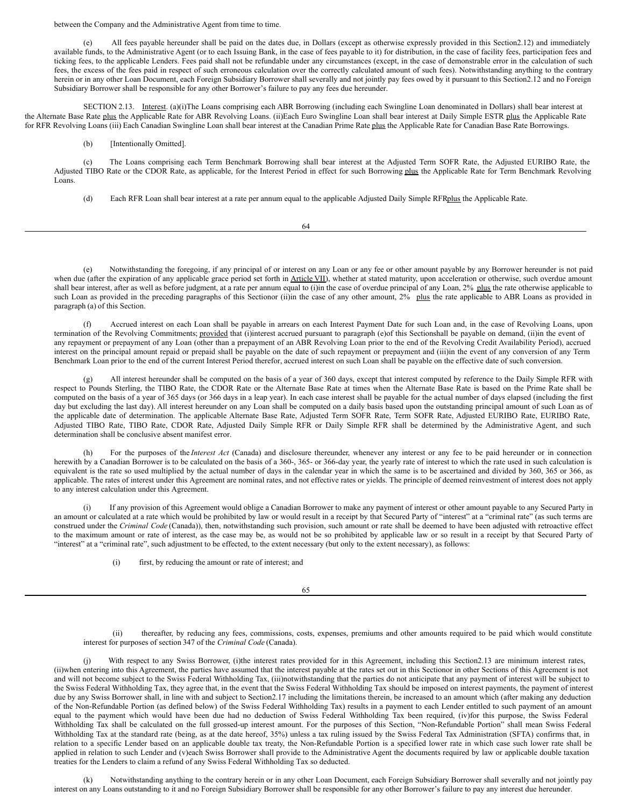between the Company and the Administrative Agent from time to time.

(e) All fees payable hereunder shall be paid on the dates due, in Dollars (except as otherwise expressly provided in this Section2.12) and immediately available funds, to the Administrative Agent (or to each Issuing Bank, in the case of fees payable to it) for distribution, in the case of facility fees, participation fees and ticking fees, to the applicable Lenders. Fees paid shall not be refundable under any circumstances (except, in the case of demonstrable error in the calculation of such fees, the excess of the fees paid in respect of such erroneous calculation over the correctly calculated amount of such fees). Notwithstanding anything to the contrary herein or in any other Loan Document, each Foreign Subsidiary Borrower shall severally and not jointly pay fees owed by it pursuant to this Section2.12 and no Foreign Subsidiary Borrower shall be responsible for any other Borrower's failure to pay any fees due hereunder.

SECTION 2.13. Interest. (a)(i)The Loans comprising each ABR Borrowing (including each Swingline Loan denominated in Dollars) shall bear interest at the Alternate Base Rate plus the Applicable Rate for ABR Revolving Loans. (ii)Each Euro Swingline Loan shall bear interest at Daily Simple ESTR plus the Applicable Rate for RFR Revolving Loans (iii) Each Canadian Swingline Loan shall bear interest at the Canadian Prime Rate plus the Applicable Rate for Canadian Base Rate Borrowings.

### (b) [Intentionally Omitted].

(c) The Loans comprising each Term Benchmark Borrowing shall bear interest at the Adjusted Term SOFR Rate, the Adjusted EURIBO Rate, the Adjusted TIBO Rate or the CDOR Rate, as applicable, for the Interest Period in effect for such Borrowing plus the Applicable Rate for Term Benchmark Revolving Loans.

(d) Each RFR Loan shall bear interest at a rate per annum equal to the applicable Adjusted Daily Simple RFRplus the Applicable Rate.

#### 64

(e) Notwithstanding the foregoing, if any principal of or interest on any Loan or any fee or other amount payable by any Borrower hereunder is not paid when due (after the expiration of any applicable grace period set forth in Article VII), whether at stated maturity, upon acceleration or otherwise, such overdue amount shall bear interest, after as well as before judgment, at a rate per annum equal to (i)in the case of overdue principal of any Loan, 2% plus the rate otherwise applicable to such Loan as provided in the preceding paragraphs of this Sectionor (ii)in the case of any other amount, 2% plus the rate applicable to ABR Loans as provided in paragraph (a) of this Section.

(f) Accrued interest on each Loan shall be payable in arrears on each Interest Payment Date for such Loan and, in the case of Revolving Loans, upon termination of the Revolving Commitments; provided that (i)interest accrued pursuant to paragraph (e)of this Sectionshall be payable on demand, (ii)in the event of any repayment or prepayment of any Loan (other than a prepayment of an ABR Revolving Loan prior to the end of the Revolving Credit Availability Period), accrued interest on the principal amount repaid or prepaid shall be payable on the date of such repayment or prepayment and (iii)in the event of any conversion of any Term Benchmark Loan prior to the end of the current Interest Period therefor, accrued interest on such Loan shall be payable on the effective date of such conversion.

(g) All interest hereunder shall be computed on the basis of a year of 360 days, except that interest computed by reference to the Daily Simple RFR with respect to Pounds Sterling, the TIBO Rate, the CDOR Rate or the Alternate Base Rate at times when the Alternate Base Rate is based on the Prime Rate shall be computed on the basis of a year of 365 days (or 366 days in a leap year). In each case interest shall be payable for the actual number of days elapsed (including the first day but excluding the last day). All interest hereunder on any Loan shall be computed on a daily basis based upon the outstanding principal amount of such Loan as of the applicable date of determination. The applicable Alternate Base Rate, Adjusted Term SOFR Rate, Term SOFR Rate, Adjusted EURIBO Rate, EURIBO Rate, Adjusted TIBO Rate, TIBO Rate, CDOR Rate, Adjusted Daily Simple RFR or Daily Simple RFR shall be determined by the Administrative Agent, and such determination shall be conclusive absent manifest error.

(h) For the purposes of the *Interest Act* (Canada) and disclosure thereunder, whenever any interest or any fee to be paid hereunder or in connection herewith by a Canadian Borrower is to be calculated on the basis of a 360-, 365- or 366-day year, the yearly rate of interest to which the rate used in such calculation is equivalent is the rate so used multiplied by the actual number of days in the calendar year in which the same is to be ascertained and divided by 360, 365 or 366, as applicable. The rates of interest under this Agreement are nominal rates, and not effective rates or yields. The principle of deemed reinvestment of interest does not apply to any interest calculation under this Agreement.

If any provision of this Agreement would oblige a Canadian Borrower to make any payment of interest or other amount payable to any Secured Party in an amount or calculated at a rate which would be prohibited by law or would result in a receipt by that Secured Party of "interest" at a "criminal rate" (as such terms are construed under the *Criminal Code* (Canada)), then, notwithstanding such provision, such amount or rate shall be deemed to have been adjusted with retroactive effect to the maximum amount or rate of interest, as the case may be, as would not be so prohibited by applicable law or so result in a receipt by that Secured Party of "interest" at a "criminal rate", such adjustment to be effected, to the extent necessary (but only to the extent necessary), as follows:

(i) first, by reducing the amount or rate of interest; and

### 65

(ii) thereafter, by reducing any fees, commissions, costs, expenses, premiums and other amounts required to be paid which would constitute interest for purposes of section 347 of the *Criminal Code* (Canada).

With respect to any Swiss Borrower, (i)the interest rates provided for in this Agreement, including this Section2.13 are minimum interest rates, (ii)when entering into this Agreement, the parties have assumed that the interest payable at the rates set out in this Sectionor in other Sections of this Agreement is not and will not become subject to the Swiss Federal Withholding Tax, (iii)notwithstanding that the parties do not anticipate that any payment of interest will be subject to the Swiss Federal Withholding Tax, they agree that, in the event that the Swiss Federal Withholding Tax should be imposed on interest payments, the payment of interest due by any Swiss Borrower shall, in line with and subject to Section2.17 including the limitations therein, be increased to an amount which (after making any deduction of the Non-Refundable Portion (as defined below) of the Swiss Federal Withholding Tax) results in a payment to each Lender entitled to such payment of an amount equal to the payment which would have been due had no deduction of Swiss Federal Withholding Tax been required, (iv)for this purpose, the Swiss Federal Withholding Tax shall be calculated on the full grossed-up interest amount. For the purposes of this Section, "Non-Refundable Portion" shall mean Swiss Federal Withholding Tax at the standard rate (being, as at the date hereof, 35%) unless a tax ruling issued by the Swiss Federal Tax Administration (SFTA) confirms that, in relation to a specific Lender based on an applicable double tax treaty, the Non-Refundable Portion is a specified lower rate in which case such lower rate shall be applied in relation to such Lender and (v)each Swiss Borrower shall provide to the Administrative Agent the documents required by law or applicable double taxation treaties for the Lenders to claim a refund of any Swiss Federal Withholding Tax so deducted.

(k) Notwithstanding anything to the contrary herein or in any other Loan Document, each Foreign Subsidiary Borrower shall severally and not jointly pay interest on any Loans outstanding to it and no Foreign Subsidiary Borrower shall be responsible for any other Borrower's failure to pay any interest due hereunder.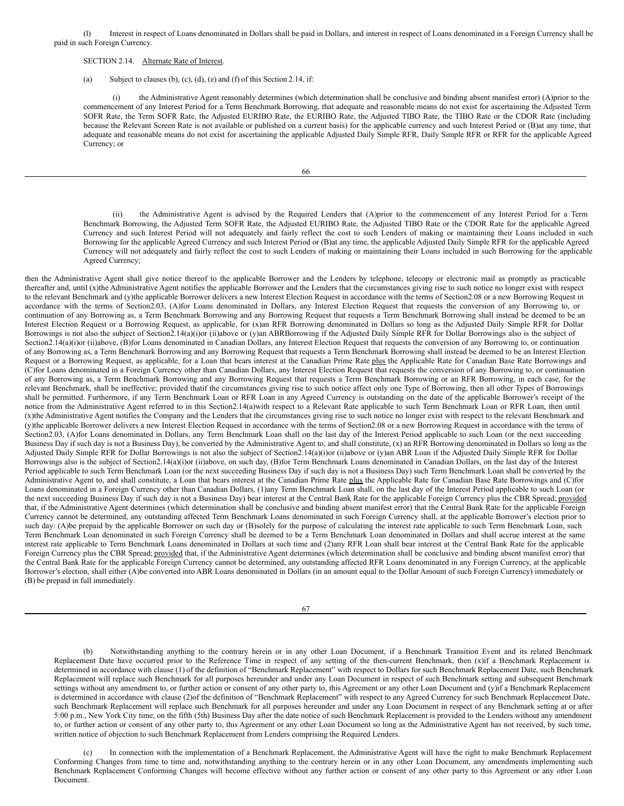(l) Interest in respect of Loans denominated in Dollars shall be paid in Dollars, and interest in respect of Loans denominated in a Foreign Currency shall be paid in such Foreign Currency.

### SECTION 2.14. Alternate Rate of Interest.

#### (a) Subject to clauses (b), (c), (d), (e) and (f) of this Section 2.14, if:

(i) the Administrative Agent reasonably determines (which determination shall be conclusive and binding absent manifest error) (A)prior to the commencement of any Interest Period for a Term Benchmark Borrowing, that adequate and reasonable means do not exist for ascertaining the Adjusted Term SOFR Rate, the Term SOFR Rate, the Adjusted EURIBO Rate, the EURIBO Rate, the Adjusted TIBO Rate, the TIBO Rate or the CDOR Rate (including because the Relevant Screen Rate is not available or published on a current basis) for the applicable currency and such Interest Period or (B)at any time, that adequate and reasonable means do not exist for ascertaining the applicable Adjusted Daily Simple RFR, Daily Simple RFR or RFR for the applicable Agreed Currency; or

66

(ii) the Administrative Agent is advised by the Required Lenders that (A)prior to the commencement of any Interest Period for a Term Benchmark Borrowing, the Adjusted Term SOFR Rate, the Adjusted EURIBO Rate, the Adjusted TIBO Rate or the CDOR Rate for the applicable Agreed Currency and such Interest Period will not adequately and fairly reflect the cost to such Lenders of making or maintaining their Loans included in such Borrowing for the applicable Agreed Currency and such Interest Period or (B)at any time, the applicable Adjusted Daily Simple RFR for the applicable Agreed Currency will not adequately and fairly reflect the cost to such Lenders of making or maintaining their Loans included in such Borrowing for the applicable Agreed Currency;

then the Administrative Agent shall give notice thereof to the applicable Borrower and the Lenders by telephone, telecopy or electronic mail as promptly as practicable thereafter and, until (x)the Administrative Agent notifies the applicable Borrower and the Lenders that the circumstances giving rise to such notice no longer exist with respect to the relevant Benchmark and (y)the applicable Borrower delivers a new Interest Election Request in accordance with the terms of Section 2.08 or a new Borrowing Request in accordance with the terms of Section2.03, (A)for Loans denominated in Dollars, any Interest Election Request that requests the conversion of any Borrowing to, or continuation of any Borrowing as, a Term Benchmark Borrowing and any Borrowing Request that requests a Term Benchmark Borrowing shall instead be deemed to be an Interest Election Request or a Borrowing Request, as applicable, for (x)an RFR Borrowing denominated in Dollars so long as the Adjusted Daily Simple RFR for Dollar Borrowings is not also the subject of Section2.14(a)(i)or (ii)above or (y)an ABRBorrowing if the Adjusted Daily Simple RFR for Dollar Borrowings also is the subject of Section2.14(a)(i)or (ii)above, (B)for Loans denominated in Canadian Dollars, any Interest Election Request that requests the conversion of any Borrowing to, or continuation of any Borrowing as, a Term Benchmark Borrowing and any Borrowing Request that requests a Term Benchmark Borrowing shall instead be deemed to be an Interest Election Request or a Borrowing Request, as applicable, for a Loan that bears interest at the Canadian Prime Rate plus the Applicable Rate for Canadian Base Rate Borrowings and (C)for Loans denominated in a Foreign Currency other than Canadian Dollars, any Interest Election Request that requests the conversion of any Borrowing to, or continuation of any Borrowing as, a Term Benchmark Borrowing and any Borrowing Request that requests a Term Benchmark Borrowing or an RFR Borrowing, in each case, for the relevant Benchmark, shall be ineffective; provided thatif the circumstances giving rise to such notice affect only one Type of Borrowing, then all other Types of Borrowings shall be permitted. Furthermore, if any Term Benchmark Loan or RFR Loan in any Agreed Currency is outstanding on the date of the applicable Borrower's receipt of the notice from the Administrative Agent referred to in this Section2.14(a)with respect to a Relevant Rate applicable to such Term Benchmark Loan or RFR Loan, then until (x)the Administrative Agent notifies the Company and the Lenders that the circumstances giving rise to such notice no longer exist with respect to the relevant Benchmark and (y)the applicable Borrower delivers a new Interest Election Request in accordance with the terms of Section2.08 or a new Borrowing Request in accordance with the terms of Section2.03, (A)for Loans denominated in Dollars, any Term Benchmark Loan shall on the last day of the Interest Period applicable to such Loan (or the next succeeding Business Day if such day is not a Business Day), be converted by the Administrative Agent to, and shall constitute, (x) an RFR Borrowing denominated in Dollars so long as the Adjusted Daily Simple RFR for Dollar Borrowings is not also the subject of Section2.14(a)(i)or (ii)above or (y)an ABR Loan if the Adjusted Daily Simple RFR for Dollar Borrowings also is the subject of Section2.14(a)(i)or (ii)above, on such day, (B)for Term Benchmark Loans denominated in Canadian Dollars, on the last day of the Interest Period applicable to such Term Benchmark Loan (or the next succeeding Business Day if such day is not a Business Day) such Term Benchmark Loan shall be converted by the Administrative Agent to, and shall constitute, a Loan that bears interest at the Canadian Prime Rate plus the Applicable Rate for Canadian Base Rate Borrowings and (C)for Loans denominated in a Foreign Currency other than Canadian Dollars, (1)any Term Benchmark Loan shall, on the last day of the Interest Period applicable to such Loan (or the next succeeding Business Day if such day is not a Business Day) bear interest at the Central Bank Rate for the applicable Foreign Currency plus the CBR Spread; provided that, if the Administrative Agent determines (which determination shall be conclusive and binding absent manifest error) that the Central Bank Rate for the applicable Foreign Currency cannot be determined, any outstanding affected Term Benchmark Loans denominated in such Foreign Currency shall, at the applicable Borrower's election prior to such day: (A)be prepaid by the applicable Borrower on such day or (B)solely for the purpose of calculating the interest rate applicable to such Term Benchmark Loan, such Term Benchmark Loan denominated in such Foreign Currency shall be deemed to be a Term Benchmark Loan denominated in Dollars and shall accrue interest at the same interest rate applicable to Term Benchmark Loans denominated in Dollars at such time and (2)any RFR Loan shall bear interest at the Central Bank Rate for the applicable Foreign Currency plus the CBR Spread; provided that, if the Administrative Agent determines (which determination shall be conclusive and binding absent manifest error) that the Central Bank Rate for the applicable Foreign Currency cannot be determined, any outstanding affected RFR Loans denominated in any Foreign Currency, at the applicable Borrower's election, shall either (A)be converted into ABR Loans denominated in Dollars (in an amount equal to the Dollar Amount of such Foreign Currency) immediately or (B) be prepaid in full immediately.

67

(b) Notwithstanding anything to the contrary herein or in any other Loan Document, if a Benchmark Transition Event and its related Benchmark Replacement Date have occurred prior to the Reference Time in respect of any setting of the then-current Benchmark, then (x)if a Benchmark Replacement is determined in accordance with clause (1) of the definition of "Benchmark Replacement" with respect to Dollars for such Benchmark Replacement Date, such Benchmark Replacement will replace such Benchmark for all purposes hereunder and under any Loan Document in respect of such Benchmark setting and subsequent Benchmark settings without any amendment to, or further action or consent of any other party to, this Agreement or any other Loan Document and (y)if a Benchmark Replacement is determined in accordance with clause (2)of the definition of "Benchmark Replacement" with respect to any Agreed Currency for such Benchmark Replacement Date, such Benchmark Replacement will replace such Benchmark for all purposes hereunder and under any Loan Document in respect of any Benchmark setting at or after 5:00 p.m., New York City time, on the fifth (5th) Business Day after the date notice of such Benchmark Replacement is provided to the Lenders without any amendment to, or further action or consent of any other party to, this Agreement or any other Loan Document so long as the Administrative Agent has not received, by such time, written notice of objection to such Benchmark Replacement from Lenders comprising the Required Lenders.

(c) In connection with the implementation of a Benchmark Replacement, the Administrative Agent will have the right to make Benchmark Replacement Conforming Changes from time to time and, notwithstanding anything to the contrary herein or in any other Loan Document, any amendments implementing such Benchmark Replacement Conforming Changes will become effective without any further action or consent of any other party to this Agreement or any other Loan Document.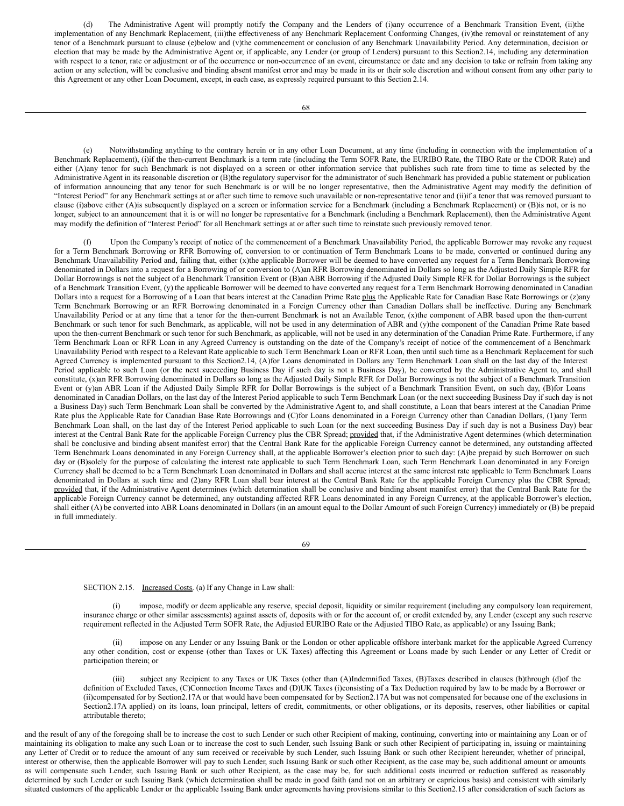(d) The Administrative Agent will promptly notify the Company and the Lenders of (i)any occurrence of a Benchmark Transition Event, (ii)the implementation of any Benchmark Replacement, (iii)the effectiveness of any Benchmark Replacement Conforming Changes, (iv)the removal or reinstatement of any tenor of a Benchmark pursuant to clause (e)below and (v)the commencement or conclusion of any Benchmark Unavailability Period. Any determination, decision or election that may be made by the Administrative Agent or, if applicable, any Lender (or group of Lenders) pursuant to this Section2.14, including any determination with respect to a tenor, rate or adjustment or of the occurrence or non-occurrence of an event, circumstance or date and any decision to take or refrain from taking any action or any selection, will be conclusive and binding absent manifest error and may be made in its or their sole discretion and without consent from any other party to this Agreement or any other Loan Document, except, in each case, as expressly required pursuant to this Section 2.14.

(e) Notwithstanding anything to the contrary herein or in any other Loan Document, at any time (including in connection with the implementation of a Benchmark Replacement), (i)if the then-current Benchmark is a term rate (including the Term SOFR Rate, the EURIBO Rate, the TIBO Rate or the CDOR Rate) and either (A)any tenor for such Benchmark is not displayed on a screen or other information service that publishes such rate from time to time as selected by the Administrative Agent in its reasonable discretion or (B)the regulatory supervisor for the administrator of such Benchmark has provided a public statement or publication of information announcing that any tenor for such Benchmark is or will be no longer representative, then the Administrative Agent may modify the definition of "Interest Period" for any Benchmark settings at or after such time to remove such unavailable or non-representative tenor and (ii)if a tenor that was removed pursuant to clause (i)above either (A)is subsequently displayed on a screen or information service for a Benchmark (including a Benchmark Replacement) or (B)is not, or is no longer, subject to an announcement that it is or will no longer be representative for a Benchmark (including a Benchmark Replacement), then the Administrative Agent may modify the definition of "Interest Period" for all Benchmark settings at or after such time to reinstate such previously removed tenor.

(f) Upon the Company's receipt of notice of the commencement of a Benchmark Unavailability Period, the applicable Borrower may revoke any request for a Term Benchmark Borrowing or RFR Borrowing of, conversion to or continuation of Term Benchmark Loans to be made, converted or continued during any Benchmark Unavailability Period and, failing that, either (x)the applicable Borrower will be deemed to have converted any request for a Term Benchmark Borrowing denominated in Dollars into a request for a Borrowing of or conversion to (A)an RFR Borrowing denominated in Dollars so long as the Adjusted Daily Simple RFR for Dollar Borrowings is not the subject of a Benchmark Transition Event or (B)an ABR Borrowing if the Adjusted Daily Simple RFR for Dollar Borrowings is the subject of a Benchmark Transition Event, (y) the applicable Borrower will be deemed to have converted any request for a Term Benchmark Borrowing denominated in Canadian Dollars into a request for a Borrowing of a Loan that bears interest at the Canadian Prime Rate plus the Applicable Rate for Canadian Base Rate Borrowings or (z)any Term Benchmark Borrowing or an RFR Borrowing denominated in a Foreign Currency other than Canadian Dollars shall be ineffective. During any Benchmark Unavailability Period or at any time that a tenor for the then-current Benchmark is not an Available Tenor, (x)the component of ABR based upon the then-current Benchmark or such tenor for such Benchmark, as applicable, will not be used in any determination of ABR and (y)the component of the Canadian Prime Rate based upon the then-current Benchmark or such tenor for such Benchmark, as applicable, will not be used in any determination of the Canadian Prime Rate. Furthermore, if any Term Benchmark Loan or RFR Loan in any Agreed Currency is outstanding on the date of the Company's receipt of notice of the commencement of a Benchmark Unavailability Period with respect to a Relevant Rate applicable to such Term Benchmark Loan or RFR Loan, then until such time as a Benchmark Replacement for such Agreed Currency is implemented pursuant to this Section2.14, (A)for Loans denominated in Dollars any Term Benchmark Loan shall on the last day of the Interest Period applicable to such Loan (or the next succeeding Business Day if such day is not a Business Day), be converted by the Administrative Agent to, and shall constitute, (x)an RFR Borrowing denominated in Dollars so long as the Adjusted Daily Simple RFR for Dollar Borrowings is not the subject of a Benchmark Transition Event or (y)an ABR Loan if the Adjusted Daily Simple RFR for Dollar Borrowings is the subject of a Benchmark Transition Event, on such day, (B)for Loans denominated in Canadian Dollars, on the last day of the Interest Period applicable to such Term Benchmark Loan (or the next succeeding Business Day if such day is not a Business Day) such Term Benchmark Loan shall be converted by the Administrative Agent to, and shall constitute, a Loan that bears interest at the Canadian Prime Rate plus the Applicable Rate for Canadian Base Rate Borrowings and (C)for Loans denominated in a Foreign Currency other than Canadian Dollars, (1)any Term Benchmark Loan shall, on the last day of the Interest Period applicable to such Loan (or the next succeeding Business Day if such day is not a Business Day) bear interest at the Central Bank Rate for the applicable Foreign Currency plus the CBR Spread; provided that, if the Administrative Agent determines (which determination shall be conclusive and binding absent manifest error) that the Central Bank Rate for the applicable Foreign Currency cannot be determined, any outstanding affected Term Benchmark Loans denominated in any Foreign Currency shall, at the applicable Borrower's election prior to such day: (A)be prepaid by such Borrower on such day or (B)solely for the purpose of calculating the interest rate applicable to such Term Benchmark Loan, such Term Benchmark Loan denominated in any Foreign Currency shall be deemed to be a Term Benchmark Loan denominated in Dollars and shall accrue interest at the same interest rate applicable to Term Benchmark Loans denominated in Dollars at such time and (2)any RFR Loan shall bear interest at the Central Bank Rate for the applicable Foreign Currency plus the CBR Spread; provided that, if the Administrative Agent determines (which determination shall be conclusive and binding absent manifest error) that the Central Bank Rate for the applicable Foreign Currency cannot be determined, any outstanding affected RFR Loans denominated in any Foreign Currency, at the applicable Borrower's election, shall either (A) be converted into ABR Loans denominated in Dollars (in an amount equal to the Dollar Amount of such Foreign Currency) immediately or (B) be prepaid in full immediately.

69

### SECTION 2.15. Increased Costs. (a) If any Change in Law shall:

(i) impose, modify or deem applicable any reserve, special deposit, liquidity or similar requirement (including any compulsory loan requirement, insurance charge or other similar assessments) against assets of, deposits with or for the account of, or credit extended by, any Lender (except any such reserve requirement reflected in the Adjusted Term SOFR Rate, the Adjusted EURIBO Rate or the Adjusted TIBO Rate, as applicable) or any Issuing Bank;

(ii) impose on any Lender or any Issuing Bank or the London or other applicable offshore interbank market for the applicable Agreed Currency any other condition, cost or expense (other than Taxes or UK Taxes) affecting this Agreement or Loans made by such Lender or any Letter of Credit or participation therein; or

(iii) subject any Recipient to any Taxes or UK Taxes (other than (A)Indemnified Taxes, (B)Taxes described in clauses (b)through (d)of the definition of Excluded Taxes, (C)Connection Income Taxes and (D)UK Taxes (i)consisting of a Tax Deduction required by law to be made by a Borrower or (ii)compensated for by Section2.17A or that would have been compensated for by Section2.17A but was not compensated for because one of the exclusions in Section2.17A applied) on its loans, loan principal, letters of credit, commitments, or other obligations, or its deposits, reserves, other liabilities or capital attributable thereto;

and the result of any of the foregoing shall be to increase the cost to such Lender or such other Recipient of making, continuing, converting into or maintaining any Loan or of maintaining its obligation to make any such Loan or to increase the cost to such Lender, such Issuing Bank or such other Recipient of participating in, issuing or maintaining any Letter of Credit or to reduce the amount of any sum received or receivable by such Lender, such Issuing Bank or such other Recipient hereunder, whether of principal, interest or otherwise, then the applicable Borrower will pay to such Lender, such Issuing Bank or such other Recipient, as the case may be, such additional amount or amounts as will compensate such Lender, such Issuing Bank or such other Recipient, as the case may be, for such additional costs incurred or reduction suffered as reasonably determined by such Lender or such Issuing Bank (which determination shall be made in good faith (and not on an arbitrary or capricious basis) and consistent with similarly situated customers of the applicable Lender or the applicable Issuing Bank under agreements having provisions similar to this Section2.15 after consideration of such factors as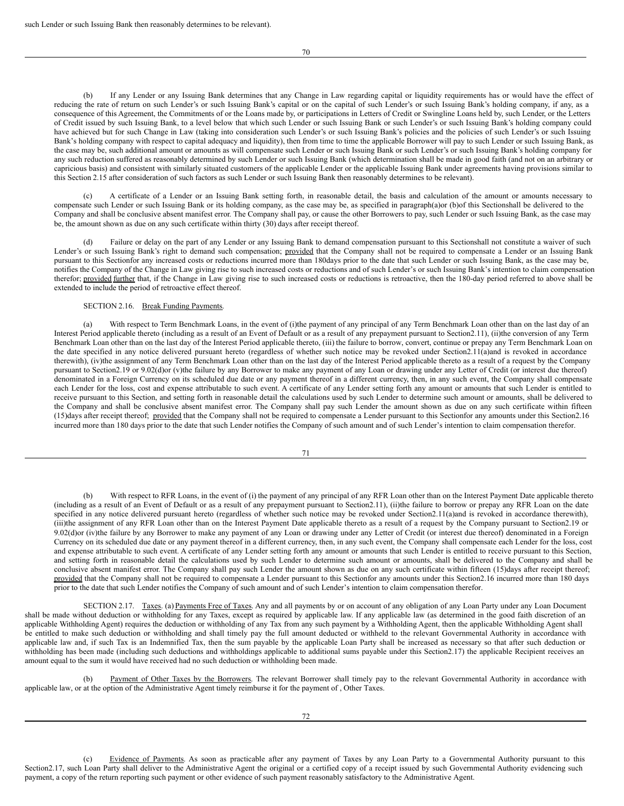(b) If any Lender or any Issuing Bank determines that any Change in Law regarding capital or liquidity requirements has or would have the effect of reducing the rate of return on such Lender's or such Issuing Bank's capital or on the capital of such Lender's or such Issuing Bank's holding company, if any, as a consequence of this Agreement, the Commitments of or the Loans made by, or participations in Letters of Credit or Swingline Loans held by, such Lender, or the Letters of Credit issued by such Issuing Bank, to a level below that which such Lender or such Issuing Bank or such Lender's or such Issuing Bank's holding company could have achieved but for such Change in Law (taking into consideration such Lender's or such Issuing Bank's policies and the policies of such Lender's or such Issuing Bank's holding company with respect to capital adequacy and liquidity), then from time to time the applicable Borrower will pay to such Lender or such Issuing Bank, as the case may be, such additional amount or amounts as will compensate such Lender or such Issuing Bank or such Lender's or such Issuing Bank's holding company for any such reduction suffered as reasonably determined by such Lender or such Issuing Bank (which determination shall be made in good faith (and not on an arbitrary or capricious basis) and consistent with similarly situated customers of the applicable Lender or the applicable Issuing Bank under agreements having provisions similar to this Section 2.15 after consideration of such factors as such Lender or such Issuing Bank then reasonably determines to be relevant).

(c) A certificate of a Lender or an Issuing Bank setting forth, in reasonable detail, the basis and calculation of the amount or amounts necessary to compensate such Lender or such Issuing Bank or its holding company, as the case may be, as specified in paragraph(a)or (b)of this Sectionshall be delivered to the Company and shall be conclusive absent manifest error. The Company shall pay, or cause the other Borrowers to pay, such Lender or such Issuing Bank, as the case may be, the amount shown as due on any such certificate within thirty (30) days after receipt thereof.

(d) Failure or delay on the part of any Lender or any Issuing Bank to demand compensation pursuant to this Sectionshall not constitute a waiver of such Lender's or such Issuing Bank's right to demand such compensation; provided that the Company shall not be required to compensate a Lender or an Issuing Bank pursuant to this Sectionfor any increased costs or reductions incurred more than 180days prior to the date that such Lender or such Issuing Bank, as the case may be, notifies the Company of the Change in Law giving rise to such increased costs or reductions and of such Lender's or such Issuing Bank's intention to claim compensation therefor; provided further that, if the Change in Law giving rise to such increased costs or reductions is retroactive, then the 180-day period referred to above shall be extended to include the period of retroactive effect thereof.

### SECTION 2.16. Break Funding Payments.

(a) With respect to Term Benchmark Loans, in the event of (i)the payment of any principal of any Term Benchmark Loan other than on the last day of an Interest Period applicable thereto (including as a result of an Event of Default or as a result of any prepayment pursuant to Section2.11), (ii)the conversion of any Term Benchmark Loan other than on the last day of the Interest Period applicable thereto, (iii) the failure to borrow, convert, continue or prepay any Term Benchmark Loan on the date specified in any notice delivered pursuant hereto (regardless of whether such notice may be revoked under Section2.11(a)and is revoked in accordance therewith), (iv)the assignment of any Term Benchmark Loan other than on the last day of the Interest Period applicable thereto as a result of a request by the Company pursuant to Section2.19 or 9.02(d)or (v)the failure by any Borrower to make any payment of any Loan or drawing under any Letter of Credit (or interest due thereof) denominated in a Foreign Currency on its scheduled due date or any payment thereof in a different currency, then, in any such event, the Company shall compensate each Lender for the loss, cost and expense attributable to such event. A certificate of any Lender setting forth any amount or amounts that such Lender is entitled to receive pursuant to this Section, and setting forth in reasonable detail the calculations used by such Lender to determine such amount or amounts, shall be delivered to the Company and shall be conclusive absent manifest error. The Company shall pay such Lender the amount shown as due on any such certificate within fifteen (15)days after receipt thereof; provided that the Company shall not be required to compensate a Lender pursuant to this Sectionfor any amounts under this Section2.16 incurred more than 180 days prior to the date that such Lender notifies the Company of such amount and of such Lender's intention to claim compensation therefor.

71

(b) With respect to RFR Loans, in the event of (i) the payment of any principal of any RFR Loan other than on the Interest Payment Date applicable thereto (including as a result of an Event of Default or as a result of any prepayment pursuant to Section2.11), (ii)the failure to borrow or prepay any RFR Loan on the date specified in any notice delivered pursuant hereto (regardless of whether such notice may be revoked under Section2.11(a)and is revoked in accordance therewith), (iii)the assignment of any RFR Loan other than on the Interest Payment Date applicable thereto as a result of a request by the Company pursuant to Section2.19 or 9.02(d)or (iv)the failure by any Borrower to make any payment of any Loan or drawing under any Letter of Credit (or interest due thereof) denominated in a Foreign Currency on its scheduled due date or any payment thereof in a different currency, then, in any such event, the Company shall compensate each Lender for the loss, cost and expense attributable to such event. A certificate of any Lender setting forth any amount or amounts that such Lender is entitled to receive pursuant to this Section, and setting forth in reasonable detail the calculations used by such Lender to determine such amount or amounts, shall be delivered to the Company and shall be conclusive absent manifest error. The Company shall pay such Lender the amount shown as due on any such certificate within fifteen (15)days after receipt thereof; provided that the Company shall not be required to compensate a Lender pursuant to this Sectionfor any amounts under this Section2.16 incurred more than 180 days prior to the date that such Lender notifies the Company of such amount and of such Lender's intention to claim compensation therefor.

SECTION 2.17. Taxes. (a) Payments Free of Taxes. Any and all payments by or on account of any obligation of any Loan Party under any Loan Document shall be made without deduction or withholding for any Taxes, except as required by applicable law. If any applicable law (as determined in the good faith discretion of an applicable Withholding Agent) requires the deduction or withholding of any Tax from any such payment by a Withholding Agent, then the applicable Withholding Agent shall be entitled to make such deduction or withholding and shall timely pay the full amount deducted or withheld to the relevant Governmental Authority in accordance with applicable law and, if such Tax is an Indemnified Tax, then the sum payable by the applicable Loan Party shall be increased as necessary so that after such deduction or withholding has been made (including such deductions and withholdings applicable to additional sums payable under this Section2.17) the applicable Recipient receives an amount equal to the sum it would have received had no such deduction or withholding been made.

(b) Payment of Other Taxes by the Borrowers. The relevant Borrower shall timely pay to the relevant Governmental Authority in accordance with applicable law, or at the option of the Administrative Agent timely reimburse it for the payment of , Other Taxes.

(c) Evidence of Payments. As soon as practicable after any payment of Taxes by any Loan Party to a Governmental Authority pursuant to this Section2.17, such Loan Party shall deliver to the Administrative Agent the original or a certified copy of a receipt issued by such Governmental Authority evidencing such payment, a copy of the return reporting such payment or other evidence of such payment reasonably satisfactory to the Administrative Agent.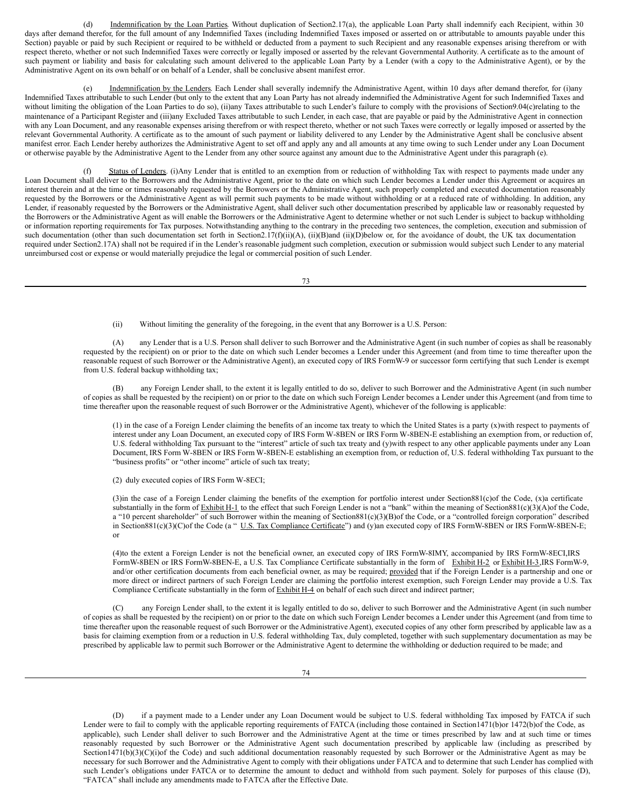(d) Indemnification by the Loan Parties. Without duplication of Section2.17(a), the applicable Loan Party shall indemnify each Recipient, within 30 days after demand therefor, for the full amount of any Indemnified Taxes (including Indemnified Taxes imposed or asserted on or attributable to amounts payable under this Section) payable or paid by such Recipient or required to be withheld or deducted from a payment to such Recipient and any reasonable expenses arising therefrom or with respect thereto, whether or not such Indemnified Taxes were correctly or legally imposed or asserted by the relevant Governmental Authority. A certificate as to the amount of such payment or liability and basis for calculating such amount delivered to the applicable Loan Party by a Lender (with a copy to the Administrative Agent), or by the Administrative Agent on its own behalf or on behalf of a Lender, shall be conclusive absent manifest error.

(e) Indemnification by the Lenders. Each Lender shall severally indemnify the Administrative Agent, within 10 days after demand therefor, for (i)any Indemnified Taxes attributable to such Lender (but only to the extent that any Loan Party has not already indemnified the Administrative Agent for such Indemnified Taxes and without limiting the obligation of the Loan Parties to do so), (ii)any Taxes attributable to such Lender's failure to comply with the provisions of Section9.04(c)relating to the maintenance of a Participant Register and (iii)any Excluded Taxes attributable to such Lender, in each case, that are payable or paid by the Administrative Agent in connection with any Loan Document, and any reasonable expenses arising therefrom or with respect thereto, whether or not such Taxes were correctly or legally imposed or asserted by the relevant Governmental Authority. A certificate as to the amount of such payment or liability delivered to any Lender by the Administrative Agent shall be conclusive absent manifest error. Each Lender hereby authorizes the Administrative Agent to set off and apply any and all amounts at any time owing to such Lender under any Loan Document or otherwise payable by the Administrative Agent to the Lender from any other source against any amount due to the Administrative Agent under this paragraph (e).

Status of Lenders. (i)Any Lender that is entitled to an exemption from or reduction of withholding Tax with respect to payments made under any Loan Document shall deliver to the Borrowers and the Administrative Agent, prior to the date on which such Lender becomes a Lender under this Agreement or acquires an interest therein and at the time or times reasonably requested by the Borrowers or the Administrative Agent, such properly completed and executed documentation reasonably requested by the Borrowers or the Administrative Agent as will permit such payments to be made without withholding or at a reduced rate of withholding. In addition, any Lender, if reasonably requested by the Borrowers or the Administrative Agent, shall deliver such other documentation prescribed by applicable law or reasonably requested by the Borrowers or the Administrative Agent as will enable the Borrowers or the Administrative Agent to determine whether or not such Lender is subject to backup withholding or information reporting requirements for Tax purposes. Notwithstanding anything to the contrary in the preceding two sentences, the completion, execution and submission of such documentation (other than such documentation set forth in Section2.17(f)(ii)(A), (ii)(B)and (ii)(D)below or, for the avoidance of doubt, the UK tax documentation required under Section2.17A) shall not be required if in the Lender's reasonable judgment such completion, execution or submission would subject such Lender to any material unreimbursed cost or expense or would materially prejudice the legal or commercial position of such Lender.

73

(ii) Without limiting the generality of the foregoing, in the event that any Borrower is a U.S. Person:

(A) any Lender that is a U.S. Person shall deliver to such Borrower and the Administrative Agent (in such number of copies as shall be reasonably requested by the recipient) on or prior to the date on which such Lender becomes a Lender under this Agreement (and from time to time thereafter upon the reasonable request of such Borrower or the Administrative Agent), an executed copy of IRS FormW-9 or successor form certifying that such Lender is exempt from U.S. federal backup withholding tax;

(B) any Foreign Lender shall, to the extent it is legally entitled to do so, deliver to such Borrower and the Administrative Agent (in such number of copies as shall be requested by the recipient) on or prior to the date on which such Foreign Lender becomes a Lender under this Agreement (and from time to time thereafter upon the reasonable request of such Borrower or the Administrative Agent), whichever of the following is applicable:

(1) in the case of a Foreign Lender claiming the benefits of an income tax treaty to which the United States is a party (x)with respect to payments of interest under any Loan Document, an executed copy of IRS Form W-8BEN or IRS Form W-8BEN-E establishing an exemption from, or reduction of, U.S. federal withholding Tax pursuant to the "interest" article of such tax treaty and (y)with respect to any other applicable payments under any Loan Document, IRS Form W-8BEN or IRS Form W-8BEN-E establishing an exemption from, or reduction of, U.S. federal withholding Tax pursuant to the "business profits" or "other income" article of such tax treaty;

(2) duly executed copies of IRS Form W-8ECI;

(3)in the case of a Foreign Lender claiming the benefits of the exemption for portfolio interest under Section881(c)of the Code, (x)a certificate substantially in the form of  $\frac{\text{Exhibit H-1}}{\text{Ex}}$  to the effect that such Foreign Lender is not a "bank" within the meaning of Section881(c)(3)(A)of the Code, a "10 percent shareholder" of such Borrower within the meaning of Section881(c)(3)(B)of the Code, or a "controlled foreign corporation" described in Section881(c)(3)(C)of the Code (a " U.S. Tax Compliance Certificate") and (y)an executed copy of IRS FormW-8BEN or IRS FormW-8BEN-E; or

(4)to the extent a Foreign Lender is not the beneficial owner, an executed copy of IRS FormW-8IMY, accompanied by IRS FormW-8ECI,IRS FormW-8BEN or IRS FormW-8BEN-E, a U.S. Tax Compliance Certificate substantially in the form of Exhibit H-2 or Exhibit H-3, IRS FormW-9, and/or other certification documents from each beneficial owner, as may be required; provided that if the Foreign Lender is a partnership and one or more direct or indirect partners of such Foreign Lender are claiming the portfolio interest exemption, such Foreign Lender may provide a U.S. Tax Compliance Certificate substantially in the form of **Exhibit H-4** on behalf of each such direct and indirect partner;

(C) any Foreign Lender shall, to the extent it is legally entitled to do so, deliver to such Borrower and the Administrative Agent (in such number of copies as shall be requested by the recipient) on or prior to the date on which such Foreign Lender becomes a Lender under this Agreement (and from time to time thereafter upon the reasonable request of such Borrower or the Administrative Agent), executed copies of any other form prescribed by applicable law as a basis for claiming exemption from or a reduction in U.S. federal withholding Tax, duly completed, together with such supplementary documentation as may be prescribed by applicable law to permit such Borrower or the Administrative Agent to determine the withholding or deduction required to be made; and

(D) if a payment made to a Lender under any Loan Document would be subject to U.S. federal withholding Tax imposed by FATCA if such Lender were to fail to comply with the applicable reporting requirements of FATCA (including those contained in Section1471(b)or 1472(b)of the Code, as applicable), such Lender shall deliver to such Borrower and the Administrative Agent at the time or times prescribed by law and at such time or times reasonably requested by such Borrower or the Administrative Agent such documentation prescribed by applicable law (including as prescribed by Section1471(b)(3)(C)(i)of the Code) and such additional documentation reasonably requested by such Borrower or the Administrative Agent as may be necessary for such Borrower and the Administrative Agent to comply with their obligations under FATCA and to determine that such Lender has complied with such Lender's obligations under FATCA or to determine the amount to deduct and withhold from such payment. Solely for purposes of this clause (D), "FATCA" shall include any amendments made to FATCA after the Effective Date.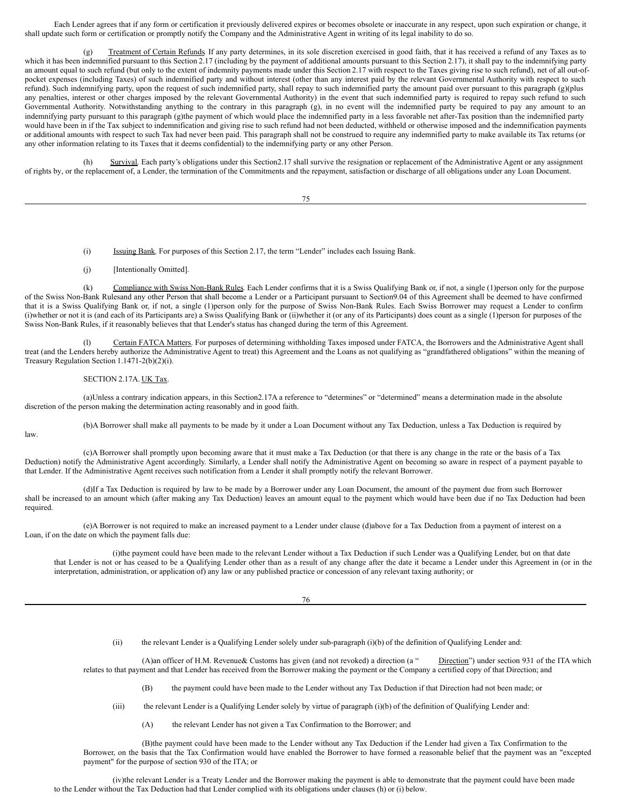Each Lender agrees that if any form or certification it previously delivered expires or becomes obsolete or inaccurate in any respect, upon such expiration or change, it shall update such form or certification or promptly notify the Company and the Administrative Agent in writing of its legal inability to do so.

(g) Treatment of Certain Refunds. If any party determines, in its sole discretion exercised in good faith, that it has received a refund of any Taxes as to which it has been indemnified pursuant to this Section 2.17 (including by the payment of additional amounts pursuant to this Section 2.17), it shall pay to the indemnifying party an amount equal to such refund (but only to the extent of indemnity payments made under this Section 2.17 with respect to the Taxes giving rise to such refund), net of all out-ofpocket expenses (including Taxes) of such indemnified party and without interest (other than any interest paid by the relevant Governmental Authority with respect to such refund). Such indemnifying party, upon the request of such indemnified party, shall repay to such indemnified party the amount paid over pursuant to this paragraph (g)(plus any penalties, interest or other charges imposed by the relevant Governmental Authority) in the event that such indemnified party is required to repay such refund to such Governmental Authority. Notwithstanding anything to the contrary in this paragraph (g), in no event will the indemnified party be required to pay any amount to an indemnifying party pursuant to this paragraph (g)the payment of which would place the indemnified party in a less favorable net after-Tax position than the indemnified party would have been in if the Tax subject to indemnification and giving rise to such refund had not been deducted, withheld or otherwise imposed and the indemnification payments or additional amounts with respect to such Tax had never been paid. This paragraph shall not be construed to require any indemnified party to make available its Tax returns (or any other information relating to its Taxes that it deems confidential) to the indemnifying party or any other Person.

(h) Survival. Each party's obligations under this Section2.17 shall survive the resignation or replacement of the Administrative Agent or any assignment of rights by, or the replacement of, a Lender, the termination of the Commitments and the repayment, satisfaction or discharge of all obligations under any Loan Document.

75

- (i) Issuing Bank. For purposes of this Section 2.17, the term "Lender" includes each Issuing Bank.
- (i) [Intentionally Omitted].

(k) Compliance with Swiss Non-Bank Rules. Each Lender confirms that it is a Swiss Qualifying Bank or, if not, a single (1)person only for the purpose of the Swiss Non-Bank Rulesand any other Person that shall become a Lender or a Participant pursuant to Section9.04 of this Agreement shall be deemed to have confirmed that it is a Swiss Qualifying Bank or, if not, a single (1)person only for the purpose of Swiss Non-Bank Rules. Each Swiss Borrower may request a Lender to confirm (i)whether or not it is (and each of its Participants are) a Swiss Qualifying Bank or (ii)whether it (or any of its Participants) does count as a single (1)person for purposes of the Swiss Non-Bank Rules, if it reasonably believes that that Lender's status has changed during the term of this Agreement.

Certain FATCA Matters. For purposes of determining withholding Taxes imposed under FATCA, the Borrowers and the Administrative Agent shall treat (and the Lenders hereby authorize the Administrative Agent to treat) this Agreement and the Loans as not qualifying as "grandfathered obligations" within the meaning of Treasury Regulation Section 1.1471-2(b)(2)(i).

# SECTION 2.17A. UK Tax.

(a)Unless a contrary indication appears, in this Section2.17A a reference to "determines" or "determined" means a determination made in the absolute discretion of the person making the determination acting reasonably and in good faith.

(b)A Borrower shall make all payments to be made by it under a Loan Document without any Tax Deduction, unless a Tax Deduction is required by law.

(c)A Borrower shall promptly upon becoming aware that it must make a Tax Deduction (or that there is any change in the rate or the basis of a Tax Deduction) notify the Administrative Agent accordingly. Similarly, a Lender shall notify the Administrative Agent on becoming so aware in respect of a payment payable to that Lender. If the Administrative Agent receives such notification from a Lender it shall promptly notify the relevant Borrower.

(d)If a Tax Deduction is required by law to be made by a Borrower under any Loan Document, the amount of the payment due from such Borrower shall be increased to an amount which (after making any Tax Deduction) leaves an amount equal to the payment which would have been due if no Tax Deduction had been required.

(e)A Borrower is not required to make an increased payment to a Lender under clause (d)above for a Tax Deduction from a payment of interest on a Loan, if on the date on which the payment falls due:

(i)the payment could have been made to the relevant Lender without a Tax Deduction if such Lender was a Qualifying Lender, but on that date that Lender is not or has ceased to be a Qualifying Lender other than as a result of any change after the date it became a Lender under this Agreement in (or in the interpretation, administration, or application of) any law or any published practice or concession of any relevant taxing authority; or

(ii) the relevant Lender is a Qualifying Lender solely under sub-paragraph (i)(b) of the definition of Qualifying Lender and:

(A)an officer of H.M. Revenue& Customs has given (and not revoked) a direction (a " Direction") under section 931 of the ITA which relates to that payment and that Lender has received from the Borrower making the payment or the Company a certified copy of that Direction; and

- (B) the payment could have been made to the Lender without any Tax Deduction if that Direction had not been made; or
- (iii) the relevant Lender is a Qualifying Lender solely by virtue of paragraph (i)(b) of the definition of Qualifying Lender and:
	- (A) the relevant Lender has not given a Tax Confirmation to the Borrower; and

(B)the payment could have been made to the Lender without any Tax Deduction if the Lender had given a Tax Confirmation to the Borrower, on the basis that the Tax Confirmation would have enabled the Borrower to have formed a reasonable belief that the payment was an "excepted payment" for the purpose of section 930 of the ITA; or

(iv)the relevant Lender is a Treaty Lender and the Borrower making the payment is able to demonstrate that the payment could have been made to the Lender without the Tax Deduction had that Lender complied with its obligations under clauses (h) or (i) below.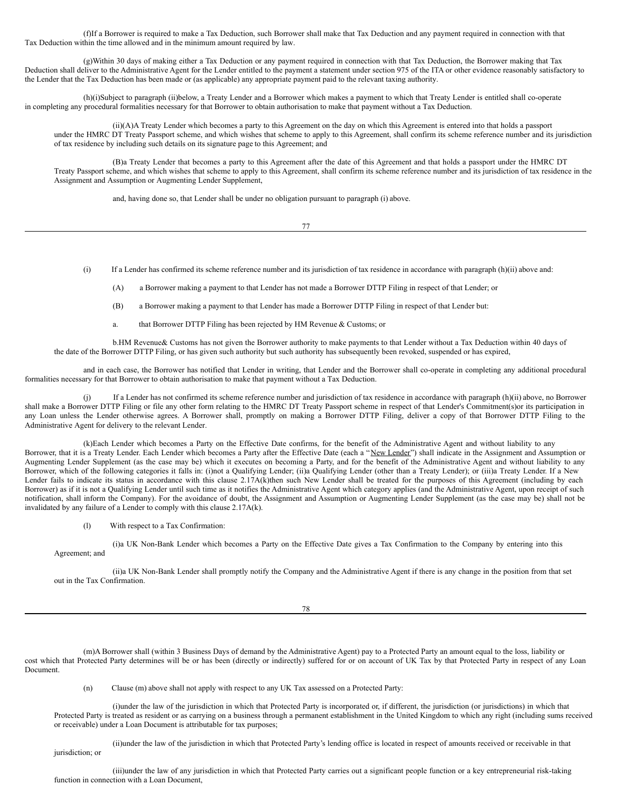(f)If a Borrower is required to make a Tax Deduction, such Borrower shall make that Tax Deduction and any payment required in connection with that Tax Deduction within the time allowed and in the minimum amount required by law.

(g)Within 30 days of making either a Tax Deduction or any payment required in connection with that Tax Deduction, the Borrower making that Tax Deduction shall deliver to the Administrative Agent for the Lender entitled to the payment a statement under section 975 of the ITA or other evidence reasonably satisfactory to the Lender that the Tax Deduction has been made or (as applicable) any appropriate payment paid to the relevant taxing authority.

(h)(i)Subject to paragraph (ii)below, a Treaty Lender and a Borrower which makes a payment to which that Treaty Lender is entitled shall co-operate in completing any procedural formalities necessary for that Borrower to obtain authorisation to make that payment without a Tax Deduction.

(ii)(A)A Treaty Lender which becomes a party to this Agreement on the day on which this Agreement is entered into that holds a passport under the HMRC DT Treaty Passport scheme, and which wishes that scheme to apply to this Agreement, shall confirm its scheme reference number and its jurisdiction of tax residence by including such details on its signature page to this Agreement; and

(B)a Treaty Lender that becomes a party to this Agreement after the date of this Agreement and that holds a passport under the HMRC DT Treaty Passport scheme, and which wishes that scheme to apply to this Agreement, shall confirm its scheme reference number and its jurisdiction of tax residence in the Assignment and Assumption or Augmenting Lender Supplement,

and, having done so, that Lender shall be under no obligation pursuant to paragraph (i) above.

(i) If a Lender has confirmed its scheme reference number and its jurisdiction of tax residence in accordance with paragraph (h)(ii) above and:

(A) a Borrower making a payment to that Lender has not made a Borrower DTTP Filing in respect of that Lender; or

(B) a Borrower making a payment to that Lender has made a Borrower DTTP Filing in respect of that Lender but:

a. that Borrower DTTP Filing has been rejected by HM Revenue & Customs; or

b.HM Revenue& Customs has not given the Borrower authority to make payments to that Lender without a Tax Deduction within 40 days of the date of the Borrower DTTP Filing, or has given such authority but such authority has subsequently been revoked, suspended or has expired,

and in each case, the Borrower has notified that Lender in writing, that Lender and the Borrower shall co-operate in completing any additional procedural formalities necessary for that Borrower to obtain authorisation to make that payment without a Tax Deduction.

If a Lender has not confirmed its scheme reference number and jurisdiction of tax residence in accordance with paragraph (h)(ii) above, no Borrower shall make a Borrower DTTP Filing or file any other form relating to the HMRC DT Treaty Passport scheme in respect of that Lender's Commitment(s) or its participation in any Loan unless the Lender otherwise agrees. A Borrower shall, promptly on making a Borrower DTTP Filing, deliver a copy of that Borrower DTTP Filing to the Administrative Agent for delivery to the relevant Lender.

(k)Each Lender which becomes a Party on the Effective Date confirms, for the benefit of the Administrative Agent and without liability to any Borrower, that it is a Treaty Lender. Each Lender which becomes a Party after the Effective Date (each a "New Lender") shall indicate in the Assignment and Assumption or Augmenting Lender Supplement (as the case may be) which it executes on becoming a Party, and for the benefit of the Administrative Agent and without liability to any Borrower, which of the following categories it falls in: (i)not a Qualifying Lender; (ii)a Qualifying Lender (other than a Treaty Lender); or (iii)a Treaty Lender. If a New Lender fails to indicate its status in accordance with this clause 2.17A(k)then such New Lender shall be treated for the purposes of this Agreement (including by each Borrower) as if it is not a Qualifying Lender until such time as it notifies the Administrative Agent which category applies (and the Administrative Agent, upon receipt of such notification, shall inform the Company). For the avoidance of doubt, the Assignment and Assumption or Augmenting Lender Supplement (as the case may be) shall not be invalidated by any failure of a Lender to comply with this clause 2.17A(k).

(l) With respect to a Tax Confirmation:

Agreement; and

(i)a UK Non-Bank Lender which becomes a Party on the Effective Date gives a Tax Confirmation to the Company by entering into this

(ii)a UK Non-Bank Lender shall promptly notify the Company and the Administrative Agent if there is any change in the position from that set out in the Tax Confirmation.

78

(m)A Borrower shall (within 3 Business Days of demand by the Administrative Agent) pay to a Protected Party an amount equal to the loss, liability or cost which that Protected Party determines will be or has been (directly or indirectly) suffered for or on account of UK Tax by that Protected Party in respect of any Loan Document.

(n) Clause (m) above shall not apply with respect to any UK Tax assessed on a Protected Party:

(i)under the law of the jurisdiction in which that Protected Party is incorporated or, if different, the jurisdiction (or jurisdictions) in which that Protected Party is treated as resident or as carrying on a business through a permanent establishment in the United Kingdom to which any right (including sums received or receivable) under a Loan Document is attributable for tax purposes;

(ii)under the law of the jurisdiction in which that Protected Party's lending office is located in respect of amounts received or receivable in that jurisdiction; or

(iii)under the law of any jurisdiction in which that Protected Party carries out a significant people function or a key entrepreneurial risk-taking function in connection with a Loan Document,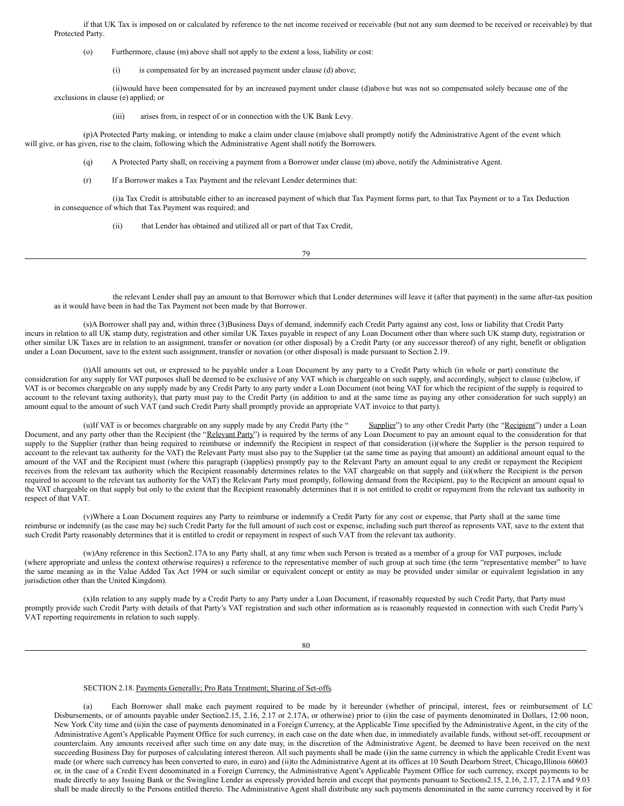if that UK Tax is imposed on or calculated by reference to the net income received or receivable (but not any sum deemed to be received or receivable) by that Protected Party.

- (o) Furthermore, clause (m) above shall not apply to the extent a loss, liability or cost:
	- (i) is compensated for by an increased payment under clause (d) above;

(ii)would have been compensated for by an increased payment under clause (d)above but was not so compensated solely because one of the exclusions in clause (e) applied; or

(iii) arises from, in respect of or in connection with the UK Bank Levy.

(p)A Protected Party making, or intending to make a claim under clause (m)above shall promptly notify the Administrative Agent of the event which will give, or has given, rise to the claim, following which the Administrative Agent shall notify the Borrowers.

- (q) A Protected Party shall, on receiving a payment from a Borrower under clause (m) above, notify the Administrative Agent.
- (r) If a Borrower makes a Tax Payment and the relevant Lender determines that:

(i)a Tax Credit is attributable either to an increased payment of which that Tax Payment forms part, to that Tax Payment or to a Tax Deduction in consequence of which that Tax Payment was required; and

(ii) that Lender has obtained and utilized all or part of that Tax Credit,

79

the relevant Lender shall pay an amount to that Borrower which that Lender determines will leave it (after that payment) in the same after-tax position as it would have been in had the Tax Payment not been made by that Borrower.

(s)A Borrower shall pay and, within three (3)Business Days of demand, indemnify each Credit Party against any cost, loss or liability that Credit Party incurs in relation to all UK stamp duty, registration and other similar UK Taxes payable in respect of any Loan Document other than where such UK stamp duty, registration or other similar UK Taxes are in relation to an assignment, transfer or novation (or other disposal) by a Credit Party (or any successor thereof) of any right, benefit or obligation under a Loan Document, save to the extent such assignment, transfer or novation (or other disposal) is made pursuant to Section 2.19.

(t)All amounts set out, or expressed to be payable under a Loan Document by any party to a Credit Party which (in whole or part) constitute the consideration for any supply for VAT purposes shall be deemed to be exclusive of any VAT which is chargeable on such supply, and accordingly, subject to clause (u)below, if VAT is or becomes chargeable on any supply made by any Credit Party to any party under a Loan Document (not being VAT for which the recipient of the supply is required to account to the relevant taxing authority), that party must pay to the Credit Party (in addition to and at the same time as paying any other consideration for such supply) an amount equal to the amount of such VAT (and such Credit Party shall promptly provide an appropriate VAT invoice to that party).

(u)If VAT is or becomes chargeable on any supply made by any Credit Party (the "Supplier") to any other Credit Party (the "Recipient") under a Loan Document, and any party other than the Recipient (the "Relevant Party") is required by the terms of any Loan Document to pay an amount equal to the consideration for that supply to the Supplier (rather than being required to reimburse or indemnify the Recipient in respect of that consideration (i)(where the Supplier is the person required to account to the relevant tax authority for the VAT) the Relevant Party must also pay to the Supplier (at the same time as paying that amount) an additional amount equal to the amount of the VAT and the Recipient must (where this paragraph (i)applies) promptly pay to the Relevant Party an amount equal to any credit or repayment the Recipient receives from the relevant tax authority which the Recipient reasonably determines relates to the VAT chargeable on that supply and (ii)(where the Recipient is the person required to account to the relevant tax authority for the VAT) the Relevant Party must promptly, following demand from the Recipient, pay to the Recipient an amount equal to the VAT chargeable on that supply but only to the extent that the Recipient reasonably determines that it is not entitled to credit or repayment from the relevant tax authority in respect of that VAT.

(v)Where a Loan Document requires any Party to reimburse or indemnify a Credit Party for any cost or expense, that Party shall at the same time reimburse or indemnify (as the case may be) such Credit Party for the full amount of such cost or expense, including such part thereof as represents VAT, save to the extent that such Credit Party reasonably determines that it is entitled to credit or repayment in respect of such VAT from the relevant tax authority.

(w)Any reference in this Section2.17A to any Party shall, at any time when such Person is treated as a member of a group for VAT purposes, include (where appropriate and unless the context otherwise requires) a reference to the representative member of such group at such time (the term "representative member" to have the same meaning as in the Value Added Tax Act 1994 or such similar or equivalent concept or entity as may be provided under similar or equivalent legislation in any jurisdiction other than the United Kingdom).

(x)In relation to any supply made by a Credit Party to any Party under a Loan Document, if reasonably requested by such Credit Party, that Party must promptly provide such Credit Party with details of that Party's VAT registration and such other information as is reasonably requested in connection with such Credit Party's VAT reporting requirements in relation to such supply.

80

### SECTION 2.18. Payments Generally; Pro Rata Treatment; Sharing of Set-offs.

Each Borrower shall make each payment required to be made by it hereunder (whether of principal, interest, fees or reimbursement of LC Disbursements, or of amounts payable under Section2.15, 2.16, 2.17 or 2.17A, or otherwise) prior to (i)in the case of payments denominated in Dollars, 12:00 noon, New York City time and (ii)in the case of payments denominated in a Foreign Currency, at the Applicable Time specified by the Administrative Agent, in the city of the Administrative Agent's Applicable Payment Office for such currency, in each case on the date when due, in immediately available funds, without set-off, recoupment or counterclaim. Any amounts received after such time on any date may, in the discretion of the Administrative Agent, be deemed to have been received on the next succeeding Business Day for purposes of calculating interest thereon. All such payments shall be made (i)in the same currency in which the applicable Credit Event was made (or where such currency has been converted to euro, in euro) and (ii)to the Administrative Agent at its offices at 10 South Dearborn Street, Chicago,Illinois 60603 or, in the case of a Credit Event denominated in a Foreign Currency, the Administrative Agent's Applicable Payment Office for such currency, except payments to be made directly to any Issuing Bank or the Swingline Lender as expressly provided herein and except that payments pursuant to Sections2.15, 2.16, 2.17, 2.17A and 9.03 shall be made directly to the Persons entitled thereto. The Administrative Agent shall distribute any such payments denominated in the same currency received by it for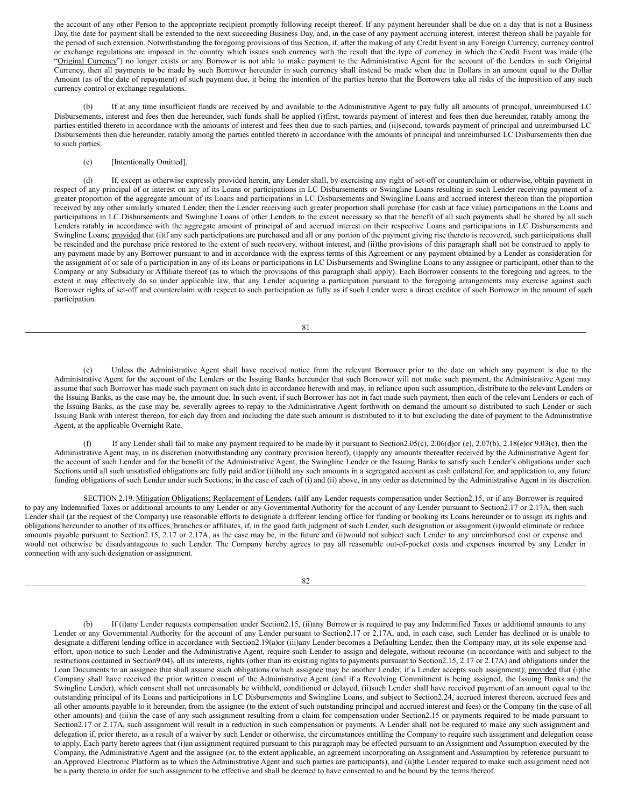the account of any other Person to the appropriate recipient promptly following receipt thereof. If any payment hereunder shall be due on a day that is not a Business Day, the date for payment shall be extended to the next succeeding Business Day, and, in the case of any payment accruing interest, interest thereon shall be payable for the period of such extension. Notwithstanding the foregoing provisions of this Section, if, after the making of any Credit Event in any Foreign Currency, currency control or exchange regulations are imposed in the country which issues such currency with the result that the type of currency in which the Credit Event was made (the "Original Currency") no longer exists or any Borrower is not able to make payment to the Administrative Agent for the account of the Lenders in such Original Currency, then all payments to be made by such Borrower hereunder in such currency shall instead be made when due in Dollars in an amount equal to the Dollar Amount (as of the date of repayment) of such payment due, it being the intention of the parties hereto that the Borrowers take all risks of the imposition of any such currency control or exchange regulations.

(b) If at any time insufficient funds are received by and available to the Administrative Agent to pay fully all amounts of principal, unreimbursed LC Disbursements, interest and fees then due hereunder, such funds shall be applied (i)first, towards payment of interest and fees then due hereunder, ratably among the parties entitled thereto in accordance with the amounts of interest and fees then due to such parties, and (ii)second, towards payment of principal and unreimbursed LC Disbursements then due hereunder, ratably among the parties entitled thereto in accordance with the amounts of principal and unreimbursed LC Disbursements then due to such parties.

(c) [Intentionally Omitted].

(d) If, except as otherwise expressly provided herein, any Lender shall, by exercising any right of set-off or counterclaim or otherwise, obtain payment in respect of any principal of or interest on any of its Loans or participations in LC Disbursements or Swingline Loans resulting in such Lender receiving payment of a greater proportion of the aggregate amount of its Loans and participations in LC Disbursements and Swingline Loans and accrued interest thereon than the proportion received by any other similarly situated Lender, then the Lender receiving such greater proportion shall purchase (for cash at face value) participations in the Loans and participations in LC Disbursements and Swingline Loans of other Lenders to the extent necessary so that the benefit of all such payments shall be shared by all such Lenders ratably in accordance with the aggregate amount of principal of and accrued interest on their respective Loans and participations in LC Disbursements and Swingline Loans; provided that (i)if any such participations are purchased and all or any portion of the payment giving rise thereto is recovered, such participations shall be rescinded and the purchase price restored to the extent of such recovery, without interest, and (ii)the provisions of this paragraph shall not be construed to apply to any payment made by any Borrower pursuant to and in accordance with the express terms of this Agreement or any payment obtained by a Lender as consideration for the assignment of or sale of a participation in any of its Loans or participations in LC Disbursements and Swingline Loans to any assignee or participant, other than to the Company or any Subsidiary or Affiliate thereof (as to which the provisions of this paragraph shall apply). Each Borrower consents to the foregoing and agrees, to the extent it may effectively do so under applicable law, that any Lender acquiring a participation pursuant to the foregoing arrangements may exercise against such Borrower rights of set-off and counterclaim with respect to such participation as fully as if such Lender were a direct creditor of such Borrower in the amount of such participation.

81

(e) Unless the Administrative Agent shall have received notice from the relevant Borrower prior to the date on which any payment is due to the Administrative Agent for the account of the Lenders or the Issuing Banks hereunder that such Borrower will not make such payment, the Administrative Agent may assume that such Borrower has made such payment on such date in accordance herewith and may, in reliance upon such assumption, distribute to the relevant Lenders or the Issuing Banks, as the case may be, the amount due. In such event, if such Borrower has not in fact made such payment, then each of the relevant Lenders or each of the Issuing Banks, as the case may be, severally agrees to repay to the Administrative Agent forthwith on demand the amount so distributed to such Lender or such Issuing Bank with interest thereon, for each day from and including the date such amount is distributed to it to but excluding the date of payment to the Administrative Agent, at the applicable Overnight Rate.

If any Lender shall fail to make any payment required to be made by it pursuant to Section2.05(c), 2.06(d)or (e), 2.07(b), 2.18(e)or 9.03(c), then the Administrative Agent may, in its discretion (notwithstanding any contrary provision hereof), (i)apply any amounts thereafter received by the Administrative Agent for the account of such Lender and for the benefit of the Administrative Agent, the Swingline Lender or the Issuing Banks to satisfy such Lender's obligations under such Sections until all such unsatisfied obligations are fully paid and/or (ii)hold any such amounts in a segregated account as cash collateral for, and application to, any future funding obligations of such Lender under such Sections; in the case of each of (i) and (ii) above, in any order as determined by the Administrative Agent in its discretion.

SECTION 2.19. Mitigation Obligations; Replacement of Lenders. (a)If any Lender requests compensation under Section2.15, or if any Borrower is required to pay any Indemnified Taxes or additional amounts to any Lender or any Governmental Authority for the account of any Lender pursuant to Section2.17 or 2.17A, then such Lender shall (at the request of the Company) use reasonable efforts to designate a different lending office for funding or booking its Loans hereunder or to assign its rights and obligations hereunder to another of its offices, branches or affiliates, if, in the good faith judgment of such Lender, such designation or assignment (i)would eliminate or reduce amounts payable pursuant to Section2.15, 2.17 or 2.17A, as the case may be, in the future and (ii)would not subject such Lender to any unreimbursed cost or expense and would not otherwise be disadvantageous to such Lender. The Company hereby agrees to pay all reasonable out-of-pocket costs and expenses incurred by any Lender in connection with any such designation or assignment.

82

(b) If (i)any Lender requests compensation under Section2.15, (ii)any Borrower is required to pay any Indemnified Taxes or additional amounts to any Lender or any Governmental Authority for the account of any Lender pursuant to Section2.17 or 2.17A, and, in each case, such Lender has declined or is unable to designate a different lending office in accordance with Section2.19(a)or (iii)any Lender becomes a Defaulting Lender, then the Company may, at its sole expense and effort, upon notice to such Lender and the Administrative Agent, require such Lender to assign and delegate, without recourse (in accordance with and subject to the restrictions contained in Section9.04), all its interests, rights (other than its existing rights to payments pursuant to Section2.15, 2.17 or 2.17A) and obligations under the Loan Documents to an assignee that shall assume such obligations (which assignee may be another Lender, if a Lender accepts such assignment); provided that (i)the Company shall have received the prior written consent of the Administrative Agent (and if a Revolving Commitment is being assigned, the Issuing Banks and the Swingline Lender), which consent shall not unreasonably be withheld, conditioned or delayed, (ii)such Lender shall have received payment of an amount equal to the outstanding principal of its Loans and participations in LC Disbursements and Swingline Loans, and subject to Section2.24, accrued interest thereon, accrued fees and all other amounts payable to it hereunder, from the assignee (to the extent of such outstanding principal and accrued interest and fees) or the Company (in the case of all other amounts) and (iii)in the case of any such assignment resulting from a claim for compensation under Section2.15 or payments required to be made pursuant to Section2.17 or 2.17A, such assignment will result in a reduction in such compensation or payments. A Lender shall not be required to make any such assignment and delegation if, prior thereto, as a result of a waiver by such Lender or otherwise, the circumstances entitling the Company to require such assignment and delegation cease to apply. Each party hereto agrees that (i)an assignment required pursuant to this paragraph may be effected pursuant to an Assignment and Assumption executed by the Company, the Administrative Agent and the assignee (or, to the extent applicable, an agreement incorporating an Assignment and Assumption by reference pursuant to an Approved Electronic Platform as to which the Administrative Agent and such parties are participants), and (ii)the Lender required to make such assignment need not be a party thereto in order for such assignment to be effective and shall be deemed to have consented to and be bound by the terms thereof.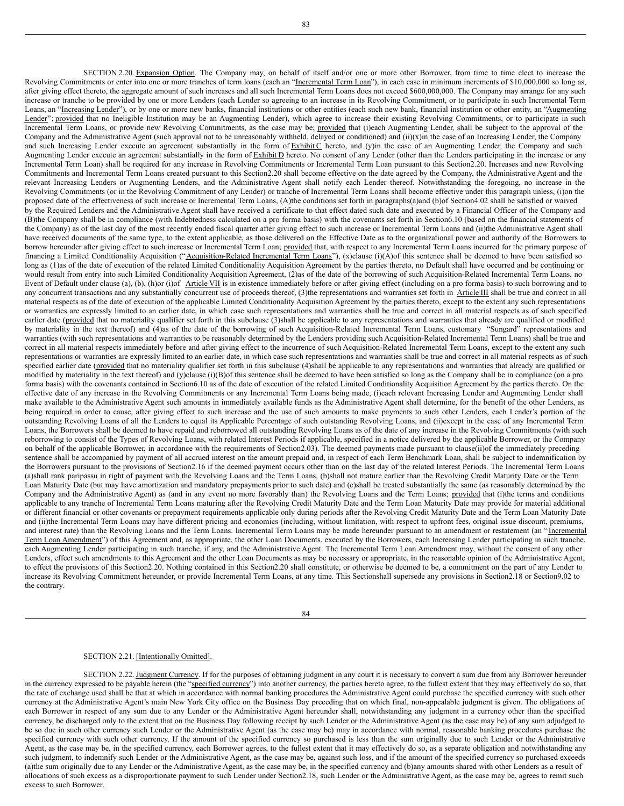SECTION 2.20. Expansion Option. The Company may, on behalf of itself and/or one or more other Borrower, from time to time elect to increase the Revolving Commitments or enter into one or more tranches of term loans (each an "Incremental Term Loan"), in each case in minimum increments of \$10,000,000 so long as, after giving effect thereto, the aggregate amount of such increases and all such Incremental Term Loans does not exceed \$600,000,000. The Company may arrange for any such increase or tranche to be provided by one or more Lenders (each Lender so agreeing to an increase in its Revolving Commitment, or to participate in such Incremental Term Loans, an "Increasing Lender"), or by one or more new banks, financial institutions or other entities (each such new bank, financial institution or other entity, an "Augmenting Lender"; provided that no Ineligible Institution may be an Augmenting Lender), which agree to increase their existing Revolving Commitments, or to participate in such Incremental Term Loans, or provide new Revolving Commitments, as the case may be; provided that (i)each Augmenting Lender, shall be subject to the approval of the Company and the Administrative Agent (such approval not to be unreasonably withheld, delayed or conditioned) and  $(ii)(x)$  in the case of an Increasing Lender, the Company and such Increasing Lender execute an agreement substantially in the form of Exhibit C hereto, and (y)in the case of an Augmenting Lender, the Company and such Augmenting Lender execute an agreement substantially in the form of Exhibit D hereto. No consent of any Lender (other than the Lenders participating in the increase or any Incremental Term Loan) shall be required for any increase in Revolving Commitments or Incremental Term Loan pursuant to this Section2.20. Increases and new Revolving Commitments and Incremental Term Loans created pursuant to this Section2.20 shall become effective on the date agreed by the Company, the Administrative Agent and the relevant Increasing Lenders or Augmenting Lenders, and the Administrative Agent shall notify each Lender thereof. Notwithstanding the foregoing, no increase in the Revolving Commitments (or in the Revolving Commitment of any Lender) or tranche of Incremental Term Loans shall become effective under this paragraph unless, (i)on the proposed date of the effectiveness of such increase or Incremental Term Loans, (A)the conditions set forth in paragraphs(a)and (b)of Section4.02 shall be satisfied or waived by the Required Lenders and the Administrative Agent shall have received a certificate to that effect dated such date and executed by a Financial Officer of the Company and (B)the Company shall be in compliance (with Indebtedness calculated on a pro forma basis) with the covenants set forth in Section6.10 (based on the financial statements of the Company) as of the last day of the most recently ended fiscal quarter after giving effect to such increase or Incremental Term Loans and (ii)the Administrative Agent shall have received documents of the same type, to the extent applicable, as those delivered on the Effective Date as to the organizational power and authority of the Borrowers to borrow hereunder after giving effect to such increase or Incremental Term Loan; provided that, with respect to any Incremental Term Loans incurred for the primary purpose of financing a Limited Conditionality Acquisition ("Acquisition-Related Incremental Term Loans"), (x)clause (i)(A)of this sentence shall be deemed to have been satisfied so long as (1)as of the date of execution of the related Limited Conditionality Acquisition Agreement by the parties thereto, no Default shall have occurred and be continuing or would result from entry into such Limited Conditionality Acquisition Agreement, (2)as of the date of the borrowing of such Acquisition-Related Incremental Term Loans, no Event of Default under clause (a), (b), (h)or (i)of Article VII is in existence immediately before or after giving effect (including on a pro forma basis) to such borrowing and to any concurrent transactions and any substantially concurrent use of proceeds thereof, (3)the representations and warranties set forth in Article III shall be true and correct in all material respects as of the date of execution of the applicable Limited Conditionality Acquisition Agreement by the parties thereto, except to the extent any such representations or warranties are expressly limited to an earlier date, in which case such representations and warranties shall be true and correct in all material respects as of such specified earlier date (provided that no materiality qualifier set forth in this subclause (3)shall be applicable to any representations and warranties that already are qualified or modified by materiality in the text thereof) and (4)as of the date of the borrowing of such Acquisition-Related Incremental Term Loans, customary "Sungard" representations and warranties (with such representations and warranties to be reasonably determined by the Lenders providing such Acquisition-Related Incremental Term Loans) shall be true and correct in all material respects immediately before and after giving effect to the incurrence of such Acquisition-Related Incremental Term Loans, except to the extent any such representations or warranties are expressly limited to an earlier date, in which case such representations and warranties shall be true and correct in all material respects as of such specified earlier date (provided that no materiality qualifier set forth in this subclause (4)shall be applicable to any representations and warranties that already are qualified or modified by materiality in the text thereof) and (y)clause (i)(B)of this sentence shall be deemed to have been satisfied so long as the Company shall be in compliance (on a pro forma basis) with the covenants contained in Section6.10 as of the date of execution of the related Limited Conditionality Acquisition Agreement by the parties thereto. On the effective date of any increase in the Revolving Commitments or any Incremental Term Loans being made, (i)each relevant Increasing Lender and Augmenting Lender shall make available to the Administrative Agent such amounts in immediately available funds as the Administrative Agent shall determine, for the benefit of the other Lenders, as being required in order to cause, after giving effect to such increase and the use of such amounts to make payments to such other Lenders, each Lender's portion of the outstanding Revolving Loans of all the Lenders to equal its Applicable Percentage of such outstanding Revolving Loans, and (ii)except in the case of any Incremental Term Loans, the Borrowers shall be deemed to have repaid and reborrowed all outstanding Revolving Loans as of the date of any increase in the Revolving Commitments (with such reborrowing to consist of the Types of Revolving Loans, with related Interest Periods if applicable, specified in a notice delivered by the applicable Borrower, or the Company on behalf of the applicable Borrower, in accordance with the requirements of Section2.03). The deemed payments made pursuant to clause(ii)of the immediately preceding sentence shall be accompanied by payment of all accrued interest on the amount prepaid and, in respect of each Term Benchmark Loan, shall be subject to indemnification by the Borrowers pursuant to the provisions of Section2.16 if the deemed payment occurs other than on the last day of the related Interest Periods. The Incremental Term Loans (a)shall rank paripassu in right of payment with the Revolving Loans and the Term Loans, (b)shall not mature earlier than the Revolving Credit Maturity Date or the Term Loan Maturity Date (but may have amortization and mandatory prepayments prior to such date) and (c)shall be treated substantially the same (as reasonably determined by the Company and the Administrative Agent) as (and in any event no more favorably than) the Revolving Loans and the Term Loans; provided that (i)the terms and conditions applicable to any tranche of Incremental Term Loans maturing after the Revolving Credit Maturity Date and the Term Loan Maturity Date may provide for material additional or different financial or other covenants or prepayment requirements applicable only during periods after the Revolving Credit Maturity Date and the Term Loan Maturity Date and (ii)the Incremental Term Loans may have different pricing and economics (including, without limitation, with respect to upfront fees, original issue discount, premiums, and interest rate) than the Revolving Loans and the Term Loans. Incremental Term Loans may be made hereunder pursuant to an amendment or restatement (an "Incremental Term Loan Amendment") of this Agreement and, as appropriate, the other Loan Documents, executed by the Borrowers, each Increasing Lender participating in such tranche, each Augmenting Lender participating in such tranche, if any, and the Administrative Agent. The Incremental Term Loan Amendment may, without the consent of any other Lenders, effect such amendments to this Agreement and the other Loan Documents as may be necessary or appropriate, in the reasonable opinion of the Administrative Agent, to effect the provisions of this Section2.20. Nothing contained in this Section2.20 shall constitute, or otherwise be deemed to be, a commitment on the part of any Lender to increase its Revolving Commitment hereunder, or provide Incremental Term Loans, at any time. This Sectionshall supersede any provisions in Section2.18 or Section9.02 to the contrary.

84

### SECTION 2.21. [Intentionally Omitted].

SECTION 2.22. Judgment Currency. If for the purposes of obtaining judgment in any court it is necessary to convert a sum due from any Borrower hereunder in the currency expressed to be payable herein (the "specified currency") into another currency, the parties hereto agree, to the fullest extent that they may effectively do so, that the rate of exchange used shall be that at which in accordance with normal banking procedures the Administrative Agent could purchase the specified currency with such other currency at the Administrative Agent's main New York City office on the Business Day preceding that on which final, non-appealable judgment is given. The obligations of each Borrower in respect of any sum due to any Lender or the Administrative Agent hereunder shall, notwithstanding any judgment in a currency other than the specified currency, be discharged only to the extent that on the Business Day following receipt by such Lender or the Administrative Agent (as the case may be) of any sum adjudged to be so due in such other currency such Lender or the Administrative Agent (as the case may be) may in accordance with normal, reasonable banking procedures purchase the specified currency with such other currency. If the amount of the specified currency so purchased is less than the sum originally due to such Lender or the Administrative Agent, as the case may be, in the specified currency, each Borrower agrees, to the fullest extent that it may effectively do so, as a separate obligation and notwithstanding any such judgment, to indemnify such Lender or the Administrative Agent, as the case may be, against such loss, and if the amount of the specified currency so purchased exceeds (a)the sum originally due to any Lender or the Administrative Agent, as the case may be, in the specified currency and (b)any amounts shared with other Lenders as a result of allocations of such excess as a disproportionate payment to such Lender under Section2.18, such Lender or the Administrative Agent, as the case may be, agrees to remit such excess to such Borrower.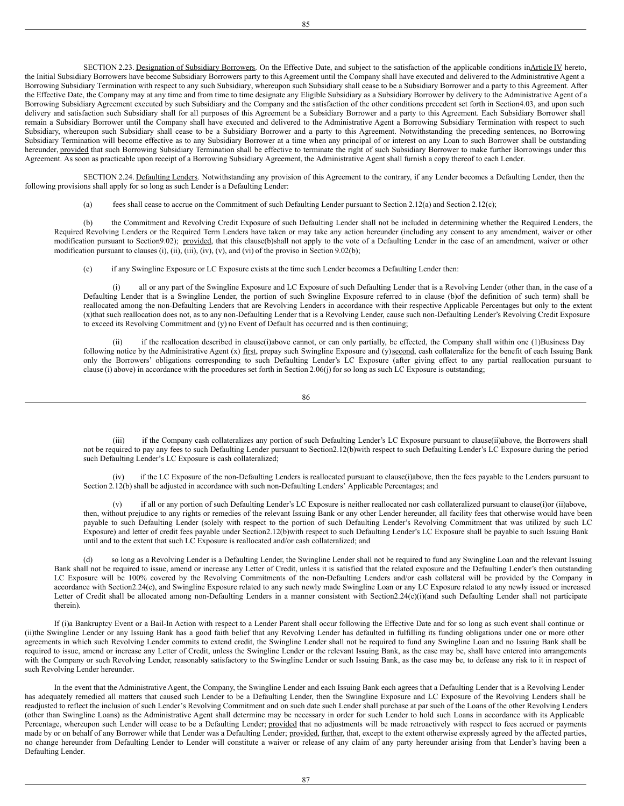SECTION 2.23. Designation of Subsidiary Borrowers. On the Effective Date, and subject to the satisfaction of the applicable conditions inArticle IV hereto, the Initial Subsidiary Borrowers have become Subsidiary Borrowers party to this Agreement until the Company shall have executed and delivered to the Administrative Agent a Borrowing Subsidiary Termination with respect to any such Subsidiary, whereupon such Subsidiary shall cease to be a Subsidiary Borrower and a party to this Agreement. After the Effective Date, the Company may at any time and from time to time designate any Eligible Subsidiary as a Subsidiary Borrower by delivery to the Administrative Agent of a Borrowing Subsidiary Agreement executed by such Subsidiary and the Company and the satisfaction of the other conditions precedent set forth in Section4.03, and upon such delivery and satisfaction such Subsidiary shall for all purposes of this Agreement be a Subsidiary Borrower and a party to this Agreement. Each Subsidiary Borrower shall remain a Subsidiary Borrower until the Company shall have executed and delivered to the Administrative Agent a Borrowing Subsidiary Termination with respect to such Subsidiary, whereupon such Subsidiary shall cease to be a Subsidiary Borrower and a party to this Agreement. Notwithstanding the preceding sentences, no Borrowing Subsidiary Termination will become effective as to any Subsidiary Borrower at a time when any principal of or interest on any Loan to such Borrower shall be outstanding hereunder, provided that such Borrowing Subsidiary Termination shall be effective to terminate the right of such Subsidiary Borrower to make further Borrowings under this Agreement. As soon as practicable upon receipt of a Borrowing Subsidiary Agreement, the Administrative Agent shall furnish a copy thereof to each Lender.

SECTION 2.24. Defaulting Lenders. Notwithstanding any provision of this Agreement to the contrary, if any Lender becomes a Defaulting Lender, then the following provisions shall apply for so long as such Lender is a Defaulting Lender:

(a) fees shall cease to accrue on the Commitment of such Defaulting Lender pursuant to Section 2.12(a) and Section 2.12(c);

(b) the Commitment and Revolving Credit Exposure of such Defaulting Lender shall not be included in determining whether the Required Lenders, the Required Revolving Lenders or the Required Term Lenders have taken or may take any action hereunder (including any consent to any amendment, waiver or other modification pursuant to Section9.02); provided, that this clause(b)shall not apply to the vote of a Defaulting Lender in the case of an amendment, waiver or other modification pursuant to clauses (i), (ii), (iii), (iv), (v), and (vi) of the proviso in Section 9.02(b);

(c) if any Swingline Exposure or LC Exposure exists at the time such Lender becomes a Defaulting Lender then:

(i) all or any part of the Swingline Exposure and LC Exposure of such Defaulting Lender that is a Revolving Lender (other than, in the case of a Defaulting Lender that is a Swingline Lender, the portion of such Swingline Exposure referred to in clause (b)of the definition of such term) shall be reallocated among the non-Defaulting Lenders that are Revolving Lenders in accordance with their respective Applicable Percentages but only to the extent (x)that such reallocation does not, as to any non-Defaulting Lender that is a Revolving Lender, cause such non-Defaulting Lender's Revolving Credit Exposure to exceed its Revolving Commitment and (y) no Event of Default has occurred and is then continuing;

if the reallocation described in clause(i)above cannot, or can only partially, be effected, the Company shall within one (1)Business Day following notice by the Administrative Agent (x) first, prepay such Swingline Exposure and (y)second, cash collateralize for the benefit of each Issuing Bank only the Borrowers' obligations corresponding to such Defaulting Lender's LC Exposure (after giving effect to any partial reallocation pursuant to clause (i) above) in accordance with the procedures set forth in Section 2.06(j) for so long as such LC Exposure is outstanding;

86

(iii) if the Company cash collateralizes any portion of such Defaulting Lender's LC Exposure pursuant to clause(ii)above, the Borrowers shall not be required to pay any fees to such Defaulting Lender pursuant to Section2.12(b)with respect to such Defaulting Lender's LC Exposure during the period such Defaulting Lender's LC Exposure is cash collateralized;

(iv) if the LC Exposure of the non-Defaulting Lenders is reallocated pursuant to clause(i)above, then the fees payable to the Lenders pursuant to Section 2.12(b) shall be adjusted in accordance with such non-Defaulting Lenders' Applicable Percentages; and

(v) if all or any portion of such Defaulting Lender's LC Exposure is neither reallocated nor cash collateralized pursuant to clause(i)or (ii)above, then, without prejudice to any rights or remedies of the relevant Issuing Bank or any other Lender hereunder, all facility fees that otherwise would have been payable to such Defaulting Lender (solely with respect to the portion of such Defaulting Lender's Revolving Commitment that was utilized by such LC Exposure) and letter of credit fees payable under Section2.12(b)with respect to such Defaulting Lender's LC Exposure shall be payable to such Issuing Bank until and to the extent that such LC Exposure is reallocated and/or cash collateralized; and

(d) so long as a Revolving Lender is a Defaulting Lender, the Swingline Lender shall not be required to fund any Swingline Loan and the relevant Issuing Bank shall not be required to issue, amend or increase any Letter of Credit, unless it is satisfied that the related exposure and the Defaulting Lender's then outstanding LC Exposure will be 100% covered by the Revolving Commitments of the non-Defaulting Lenders and/or cash collateral will be provided by the Company in accordance with Section2.24(c), and Swingline Exposure related to any such newly made Swingline Loan or any LC Exposure related to any newly issued or increased Letter of Credit shall be allocated among non-Defaulting Lenders in a manner consistent with Section2.24(c)(i)(and such Defaulting Lender shall not participate therein).

If (i)a Bankruptcy Event or a Bail-In Action with respect to a Lender Parent shall occur following the Effective Date and for so long as such event shall continue or (ii)the Swingline Lender or any Issuing Bank has a good faith belief that any Revolving Lender has defaulted in fulfilling its funding obligations under one or more other agreements in which such Revolving Lender commits to extend credit, the Swingline Lender shall not be required to fund any Swingline Loan and no Issuing Bank shall be required to issue, amend or increase any Letter of Credit, unless the Swingline Lender or the relevant Issuing Bank, as the case may be, shall have entered into arrangements with the Company or such Revolving Lender, reasonably satisfactory to the Swingline Lender or such Issuing Bank, as the case may be, to defease any risk to it in respect of such Revolving Lender hereunder.

In the event that the Administrative Agent, the Company, the Swingline Lender and each Issuing Bank each agrees that a Defaulting Lender that is a Revolving Lender has adequately remedied all matters that caused such Lender to be a Defaulting Lender, then the Swingline Exposure and LC Exposure of the Revolving Lenders shall be readjusted to reflect the inclusion of such Lender's Revolving Commitment and on such date such Lender shall purchase at par such of the Loans of the other Revolving Lenders (other than Swingline Loans) as the Administrative Agent shall determine may be necessary in order for such Lender to hold such Loans in accordance with its Applicable Percentage, whereupon such Lender will cease to be a Defaulting Lender; provided that no adjustments will be made retroactively with respect to fees accrued or payments made by or on behalf of any Borrower while that Lender was a Defaulting Lender; provided, further, that, except to the extent otherwise expressly agreed by the affected parties, no change hereunder from Defaulting Lender to Lender will constitute a waiver or release of any claim of any party hereunder arising from that Lender's having been a Defaulting Lender.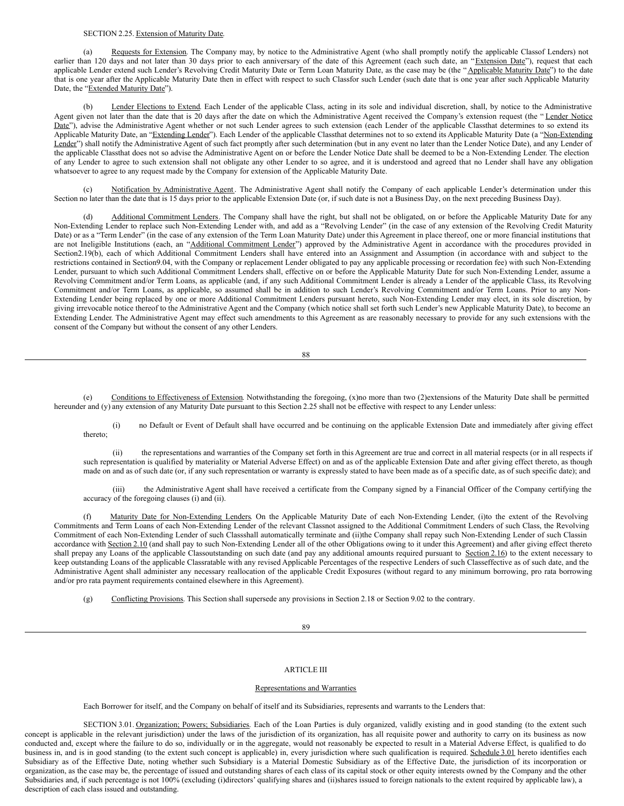(a) Requests for Extension. The Company may, by notice to the Administrative Agent (who shall promptly notify the applicable Classof Lenders) not earlier than 120 days and not later than 30 days prior to each anniversary of the date of this Agreement (each such date, an "Extension Date"), request that each applicable Lender extend such Lender's Revolving Credit Maturity Date or Term Loan Maturity Date, as the case may be (the "Applicable Maturity Date") to the date that is one year after the Applicable Maturity Date then in effect with respect to such Classfor such Lender (such date that is one year after such Applicable Maturity Date, the "Extended Maturity Date").

(b) Lender Elections to Extend. Each Lender of the applicable Class, acting in its sole and individual discretion, shall, by notice to the Administrative Agent given not later than the date that is 20 days after the date on which the Administrative Agent received the Company's extension request (the "Lender Notice Date"), advise the Administrative Agent whether or not such Lender agrees to such extension (each Lender of the applicable Classthat determines to so extend its Applicable Maturity Date, an "Extending Lender"). Each Lender of the applicable Classthat determines not to so extend its Applicable Maturity Date (a "Non-Extending Lender") shall notify the Administrative Agent of such fact promptly after such determination (but in any event no later than the Lender Notice Date), and any Lender of the applicable Classthat does not so advise the Administrative Agent on or before the Lender Notice Date shall be deemed to be a Non-Extending Lender. The election of any Lender to agree to such extension shall not obligate any other Lender to so agree, and it is understood and agreed that no Lender shall have any obligation whatsoever to agree to any request made by the Company for extension of the Applicable Maturity Date.

Notification by Administrative Agent. The Administrative Agent shall notify the Company of each applicable Lender's determination under this Section no later than the date that is 15 days prior to the applicable Extension Date (or, if such date is not a Business Day, on the next preceding Business Day).

Additional Commitment Lenders. The Company shall have the right, but shall not be obligated, on or before the Applicable Maturity Date for any Non-Extending Lender to replace such Non-Extending Lender with, and add as a "Revolving Lender" (in the case of any extension of the Revolving Credit Maturity Date) or as a "Term Lender" (in the case of any extension of the Term Loan Maturity Date) under this Agreement in place thereof, one or more financial institutions that are not Ineligible Institutions (each, an "Additional Commitment Lender") approved by the Administrative Agent in accordance with the procedures provided in Section2.19(b), each of which Additional Commitment Lenders shall have entered into an Assignment and Assumption (in accordance with and subject to the restrictions contained in Section9.04, with the Company or replacement Lender obligated to pay any applicable processing or recordation fee) with such Non-Extending Lender, pursuant to which such Additional Commitment Lenders shall, effective on or before the Applicable Maturity Date for such Non-Extending Lender, assume a Revolving Commitment and/or Term Loans, as applicable (and, if any such Additional Commitment Lender is already a Lender of the applicable Class, its Revolving Commitment and/or Term Loans, as applicable, so assumed shall be in addition to such Lender's Revolving Commitment and/or Term Loans. Prior to any Non-Extending Lender being replaced by one or more Additional Commitment Lenders pursuant hereto, such Non-Extending Lender may elect, in its sole discretion, by giving irrevocable notice thereof to the Administrative Agent and the Company (which notice shall set forth such Lender's new Applicable Maturity Date), to become an Extending Lender. The Administrative Agent may effect such amendments to this Agreement as are reasonably necessary to provide for any such extensions with the consent of the Company but without the consent of any other Lenders.

88

(e) Conditions to Effectiveness of Extension. Notwithstanding the foregoing, (x)no more than two (2)extensions of the Maturity Date shall be permitted hereunder and (y) any extension of any Maturity Date pursuant to this Section 2.25 shall not be effective with respect to any Lender unless:

(i) no Default or Event of Default shall have occurred and be continuing on the applicable Extension Date and immediately after giving effect thereto;

(ii) the representations and warranties of the Company set forth in this Agreement are true and correct in all material respects (or in all respects if such representation is qualified by materiality or Material Adverse Effect) on and as of the applicable Extension Date and after giving effect thereto, as though made on and as of such date (or, if any such representation or warranty is expressly stated to have been made as of a specific date, as of such specific date); and

(iii) the Administrative Agent shall have received a certificate from the Company signed by a Financial Officer of the Company certifying the accuracy of the foregoing clauses (i) and (ii).

(f) Maturity Date for Non-Extending Lenders. On the Applicable Maturity Date of each Non-Extending Lender, (i)to the extent of the Revolving Commitments and Term Loans of each Non-Extending Lender of the relevant Classnot assigned to the Additional Commitment Lenders of such Class, the Revolving Commitment of each Non-Extending Lender of such Classshall automatically terminate and (ii)the Company shall repay such Non-Extending Lender of such Classin accordance with Section 2.10 (and shall pay to such Non-Extending Lender all of the other Obligations owing to it under this Agreement) and after giving effect thereto shall prepay any Loans of the applicable Classoutstanding on such date (and pay any additional amounts required pursuant to Section 2.16) to the extent necessary to keep outstanding Loans of the applicable Classratable with any revised Applicable Percentages of the respective Lenders of such Classeffective as of such date, and the Administrative Agent shall administer any necessary reallocation of the applicable Credit Exposures (without regard to any minimum borrowing, pro rata borrowing and/or pro rata payment requirements contained elsewhere in this Agreement).

(g) Conflicting Provisions. This Section shall supersede any provisions in Section 2.18 or Section 9.02 to the contrary.

89

### ARTICLE III

### Representations and Warranties

Each Borrower for itself, and the Company on behalf of itself and its Subsidiaries, represents and warrants to the Lenders that:

SECTION 3.01. Organization; Powers; Subsidiaries. Each of the Loan Parties is duly organized, validly existing and in good standing (to the extent such concept is applicable in the relevant jurisdiction) under the laws of the jurisdiction of its organization, has all requisite power and authority to carry on its business as now conducted and, except where the failure to do so, individually or in the aggregate, would not reasonably be expected to result in a Material Adverse Effect, is qualified to do business in, and is in good standing (to the extent such concept is applicable) in, every jurisdiction where such qualification is required. Schedule 3.01 hereto identifies each Subsidiary as of the Effective Date, noting whether such Subsidiary is a Material Domestic Subsidiary as of the Effective Date, the jurisdiction of its incorporation or organization, as the case may be, the percentage of issued and outstanding shares of each class of its capital stock or other equity interests owned by the Company and the other Subsidiaries and, if such percentage is not 100% (excluding (i)directors' qualifying shares and (ii)shares issued to foreign nationals to the extent required by applicable law), a description of each class issued and outstanding.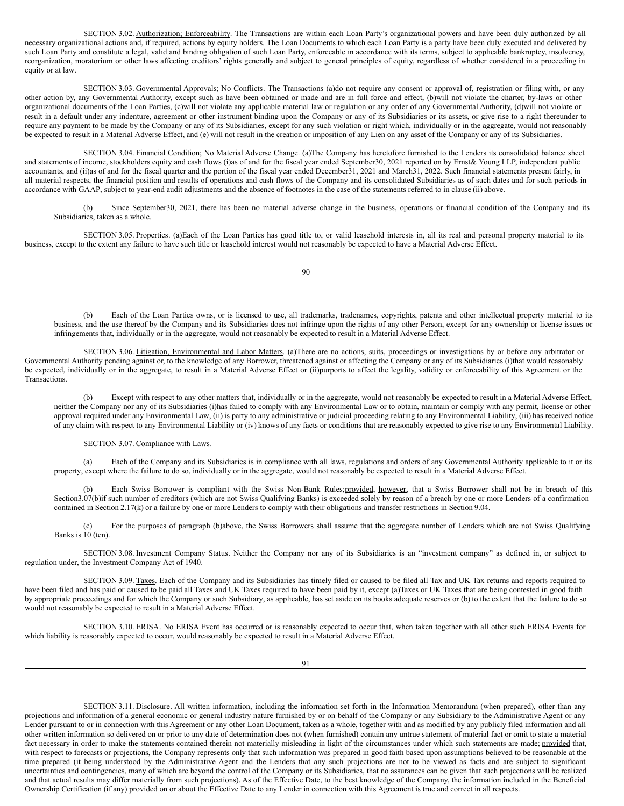SECTION 3.02. Authorization; Enforceability. The Transactions are within each Loan Party's organizational powers and have been duly authorized by all necessary organizational actions and, if required, actions by equity holders. The Loan Documents to which each Loan Party is a party have been duly executed and delivered by such Loan Party and constitute a legal, valid and binding obligation of such Loan Party, enforceable in accordance with its terms, subject to applicable bankruptcy, insolvency, reorganization, moratorium or other laws affecting creditors' rights generally and subject to general principles of equity, regardless of whether considered in a proceeding in equity or at law.

SECTION 3.03. Governmental Approvals; No Conflicts. The Transactions (a)do not require any consent or approval of, registration or filing with, or any other action by, any Governmental Authority, except such as have been obtained or made and are in full force and effect, (b)will not violate the charter, by-laws or other organizational documents of the Loan Parties, (c)will not violate any applicable material law or regulation or any order of any Governmental Authority, (d)will not violate or result in a default under any indenture, agreement or other instrument binding upon the Company or any of its Subsidiaries or its assets, or give rise to a right thereunder to require any payment to be made by the Company or any of its Subsidiaries, except for any such violation or right which, individually or in the aggregate, would not reasonably be expected to result in a Material Adverse Effect, and (e) will not result in the creation or imposition of any Lien on any asset of the Company or any of its Subsidiaries.

SECTION 3.04. Financial Condition; No Material Adverse Change. (a)The Company has heretofore furnished to the Lenders its consolidated balance sheet and statements of income, stockholders equity and cash flows (i)as of and for the fiscal year ended September30, 2021 reported on by Ernst& Young LLP, independent public accountants, and (ii)as of and for the fiscal quarter and the portion of the fiscal year ended December31, 2021 and March31, 2022. Such financial statements present fairly, in all material respects, the financial position and results of operations and cash flows of the Company and its consolidated Subsidiaries as of such dates and for such periods in accordance with GAAP, subject to year-end audit adjustments and the absence of footnotes in the case of the statements referred to in clause (ii) above.

(b) Since September30, 2021, there has been no material adverse change in the business, operations or financial condition of the Company and its Subsidiaries, taken as a whole.

SECTION 3.05. Properties. (a)Each of the Loan Parties has good title to, or valid leasehold interests in, all its real and personal property material to its business, except to the extent any failure to have such title or leasehold interest would not reasonably be expected to have a Material Adverse Effect.

90

Each of the Loan Parties owns, or is licensed to use, all trademarks, tradenames, copyrights, patents and other intellectual property material to its business, and the use thereof by the Company and its Subsidiaries does not infringe upon the rights of any other Person, except for any ownership or license issues or infringements that, individually or in the aggregate, would not reasonably be expected to result in a Material Adverse Effect.

SECTION 3.06. Litigation, Environmental and Labor Matters. (a)There are no actions, suits, proceedings or investigations by or before any arbitrator or Governmental Authority pending against or, to the knowledge of any Borrower, threatened against or affecting the Company or any of its Subsidiaries (i)that would reasonably be expected, individually or in the aggregate, to result in a Material Adverse Effect or (ii)purports to affect the legality, validity or enforceability of this Agreement or the Transactions.

Except with respect to any other matters that, individually or in the aggregate, would not reasonably be expected to result in a Material Adverse Effect, neither the Company nor any of its Subsidiaries (i)has failed to comply with any Environmental Law or to obtain, maintain or comply with any permit, license or other approval required under any Environmental Law, (ii) is party to any administrative or judicial proceeding relating to any Environmental Liability, (iii) has received notice of any claim with respect to any Environmental Liability or (iv) knows of any facts or conditions that are reasonably expected to give rise to any Environmental Liability.

# SECTION 3.07. Compliance with Laws.

(a) Each of the Company and its Subsidiaries is in compliance with all laws, regulations and orders of any Governmental Authority applicable to it or its property, except where the failure to do so, individually or in the aggregate, would not reasonably be expected to result in a Material Adverse Effect.

Each Swiss Borrower is compliant with the Swiss Non-Bank Rules;provided, however, that a Swiss Borrower shall not be in breach of this Section3.07(b)if such number of creditors (which are not Swiss Qualifying Banks) is exceeded solely by reason of a breach by one or more Lenders of a confirmation contained in Section 2.17(k) or a failure by one or more Lenders to comply with their obligations and transfer restrictions in Section 9.04.

(c) For the purposes of paragraph (b)above, the Swiss Borrowers shall assume that the aggregate number of Lenders which are not Swiss Qualifying Banks is 10 (ten).

SECTION 3.08. Investment Company Status. Neither the Company nor any of its Subsidiaries is an "investment company" as defined in, or subject to regulation under, the Investment Company Act of 1940.

SECTION 3.09. Taxes. Each of the Company and its Subsidiaries has timely filed or caused to be filed all Tax and UK Tax returns and reports required to have been filed and has paid or caused to be paid all Taxes and UK Taxes required to have been paid by it, except (a)Taxes or UK Taxes that are being contested in good faith by appropriate proceedings and for which the Company or such Subsidiary, as applicable, has set aside on its books adequate reserves or (b) to the extent that the failure to do so would not reasonably be expected to result in a Material Adverse Effect.

SECTION 3.10. ERISA. No ERISA Event has occurred or is reasonably expected to occur that, when taken together with all other such ERISA Events for which liability is reasonably expected to occur, would reasonably be expected to result in a Material Adverse Effect.

SECTION 3.11. Disclosure. All written information, including the information set forth in the Information Memorandum (when prepared), other than any projections and information of a general economic or general industry nature furnished by or on behalf of the Company or any Subsidiary to the Administrative Agent or any Lender pursuant to or in connection with this Agreement or any other Loan Document, taken as a whole, together with and as modified by any publicly filed information and all other written information so delivered on or prior to any date of determination does not (when furnished) contain any untrue statement of material fact or omit to state a material fact necessary in order to make the statements contained therein not materially misleading in light of the circumstances under which such statements are made; provided that, with respect to forecasts or projections, the Company represents only that such information was prepared in good faith based upon assumptions believed to be reasonable at the time prepared (it being understood by the Administrative Agent and the Lenders that any such projections are not to be viewed as facts and are subject to significant uncertainties and contingencies, many of which are beyond the control of the Company or its Subsidiaries, that no assurances can be given that such projections will be realized and that actual results may differ materially from such projections). As of the Effective Date, to the best knowledge of the Company, the information included in the Beneficial Ownership Certification (if any) provided on or about the Effective Date to any Lender in connection with this Agreement is true and correct in all respects.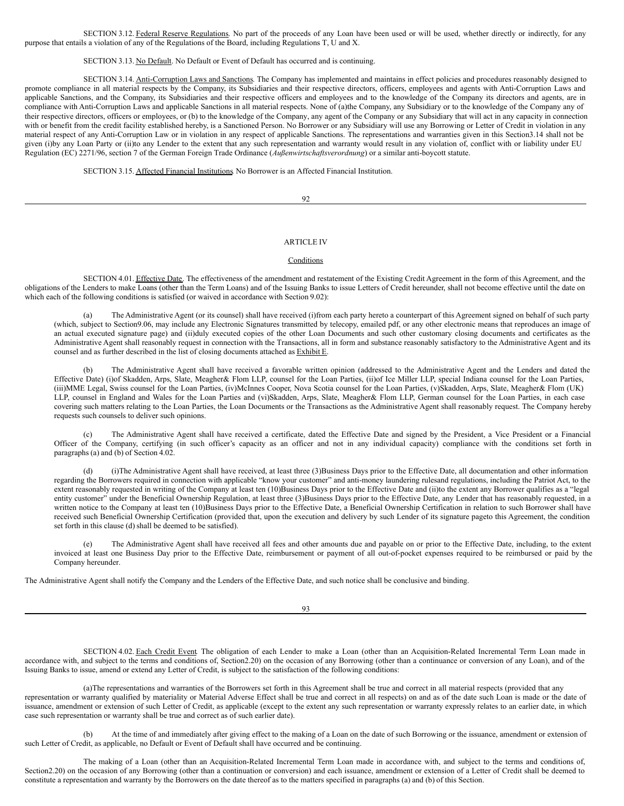SECTION 3.12. Federal Reserve Regulations. No part of the proceeds of any Loan have been used or will be used, whether directly or indirectly, for any purpose that entails a violation of any of the Regulations of the Board, including Regulations T, U and X.

### SECTION 3.13. No Default. No Default or Event of Default has occurred and is continuing.

SECTION 3.14. Anti-Corruption Laws and Sanctions. The Company has implemented and maintains in effect policies and procedures reasonably designed to promote compliance in all material respects by the Company, its Subsidiaries and their respective directors, officers, employees and agents with Anti-Corruption Laws and applicable Sanctions, and the Company, its Subsidiaries and their respective officers and employees and to the knowledge of the Company its directors and agents, are in compliance with Anti-Corruption Laws and applicable Sanctions in all material respects. None of (a)the Company, any Subsidiary or to the knowledge of the Company any of their respective directors, officers or employees, or (b) to the knowledge of the Company, any agent of the Company or any Subsidiary that will act in any capacity in connection with or benefit from the credit facility established hereby, is a Sanctioned Person. No Borrower or any Subsidiary will use any Borrowing or Letter of Credit in violation in any material respect of any Anti-Corruption Law or in violation in any respect of applicable Sanctions. The representations and warranties given in this Section3.14 shall not be given (i)by any Loan Party or (ii)to any Lender to the extent that any such representation and warranty would result in any violation of, conflict with or liability under EU Regulation (EC) 2271/96, section 7 of the German Foreign Trade Ordinance (*Außenwirtschaftsverordnung*) or a similar anti-boycott statute.

SECTION 3.15. Affected Financial Institutions. No Borrower is an Affected Financial Institution.

92

# ARTICLE IV

### **Conditions**

SECTION 4.01. Effective Date. The effectiveness of the amendment and restatement of the Existing Credit Agreement in the form of this Agreement, and the obligations of the Lenders to make Loans (other than the Term Loans) and of the Issuing Banks to issue Letters of Credit hereunder, shall not become effective until the date on which each of the following conditions is satisfied (or waived in accordance with Section 9.02):

(a) The Administrative Agent (or its counsel) shall have received (i)from each party hereto a counterpart of this Agreement signed on behalf of such party (which, subject to Section9.06, may include any Electronic Signatures transmitted by telecopy, emailed pdf, or any other electronic means that reproduces an image of an actual executed signature page) and (ii)duly executed copies of the other Loan Documents and such other customary closing documents and certificates as the Administrative Agent shall reasonably request in connection with the Transactions, all in form and substance reasonably satisfactory to the Administrative Agent and its counsel and as further described in the list of closing documents attached as **Exhibit E**.

(b) The Administrative Agent shall have received a favorable written opinion (addressed to the Administrative Agent and the Lenders and dated the Effective Date) (i)of Skadden, Arps, Slate, Meagher& Flom LLP, counsel for the Loan Parties, (ii)of Ice Miller LLP, special Indiana counsel for the Loan Parties, (iii)MME Legal, Swiss counsel for the Loan Parties, (iv)McInnes Cooper, Nova Scotia counsel for the Loan Parties, (v)Skadden, Arps, Slate, Meagher& Flom (UK) LLP, counsel in England and Wales for the Loan Parties and (vi)Skadden, Arps, Slate, Meagher& Flom LLP, German counsel for the Loan Parties, in each case covering such matters relating to the Loan Parties, the Loan Documents or the Transactions as the Administrative Agent shall reasonably request. The Company hereby requests such counsels to deliver such opinions.

(c) The Administrative Agent shall have received a certificate, dated the Effective Date and signed by the President, a Vice President or a Financial Officer of the Company, certifying (in such officer's capacity as an officer and not in any individual capacity) compliance with the conditions set forth in paragraphs (a) and (b) of Section 4.02.

(i)The Administrative Agent shall have received, at least three (3)Business Days prior to the Effective Date, all documentation and other information regarding the Borrowers required in connection with applicable "know your customer" and anti-money laundering rulesand regulations, including the Patriot Act, to the extent reasonably requested in writing of the Company at least ten (10)Business Days prior to the Effective Date and (ii)to the extent any Borrower qualifies as a "legal entity customer" under the Beneficial Ownership Regulation, at least three (3)Business Days prior to the Effective Date, any Lender that has reasonably requested, in a written notice to the Company at least ten (10)Business Days prior to the Effective Date, a Beneficial Ownership Certification in relation to such Borrower shall have received such Beneficial Ownership Certification (provided that, upon the execution and delivery by such Lender of its signature pageto this Agreement, the condition set forth in this clause (d) shall be deemed to be satisfied).

(e) The Administrative Agent shall have received all fees and other amounts due and payable on or prior to the Effective Date, including, to the extent invoiced at least one Business Day prior to the Effective Date, reimbursement or payment of all out-of-pocket expenses required to be reimbursed or paid by the Company hereunder.

The Administrative Agent shall notify the Company and the Lenders of the Effective Date, and such notice shall be conclusive and binding.

93

SECTION 4.02. Each Credit Event. The obligation of each Lender to make a Loan (other than an Acquisition-Related Incremental Term Loan made in accordance with, and subject to the terms and conditions of, Section2.20) on the occasion of any Borrowing (other than a continuance or conversion of any Loan), and of the Issuing Banks to issue, amend or extend any Letter of Credit, is subject to the satisfaction of the following conditions:

(a)The representations and warranties of the Borrowers set forth in this Agreement shall be true and correct in all material respects (provided that any representation or warranty qualified by materiality or Material Adverse Effect shall be true and correct in all respects) on and as of the date such Loan is made or the date of issuance, amendment or extension of such Letter of Credit, as applicable (except to the extent any such representation or warranty expressly relates to an earlier date, in which case such representation or warranty shall be true and correct as of such earlier date).

(b) At the time of and immediately after giving effect to the making of a Loan on the date of such Borrowing or the issuance, amendment or extension of such Letter of Credit, as applicable, no Default or Event of Default shall have occurred and be continuing.

The making of a Loan (other than an Acquisition-Related Incremental Term Loan made in accordance with, and subject to the terms and conditions of, Section2.20) on the occasion of any Borrowing (other than a continuation or conversion) and each issuance, amendment or extension of a Letter of Credit shall be deemed to constitute a representation and warranty by the Borrowers on the date thereof as to the matters specified in paragraphs (a) and (b) of this Section.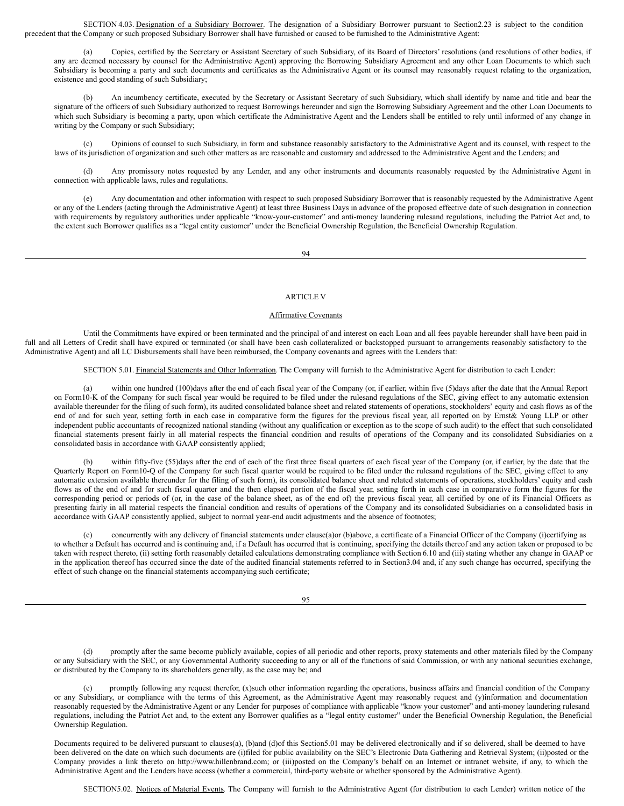SECTION 4.03. Designation of a Subsidiary Borrower. The designation of a Subsidiary Borrower pursuant to Section2.23 is subject to the condition precedent that the Company or such proposed Subsidiary Borrower shall have furnished or caused to be furnished to the Administrative Agent:

(a) Copies, certified by the Secretary or Assistant Secretary of such Subsidiary, of its Board of Directors' resolutions (and resolutions of other bodies, if any are deemed necessary by counsel for the Administrative Agent) approving the Borrowing Subsidiary Agreement and any other Loan Documents to which such Subsidiary is becoming a party and such documents and certificates as the Administrative Agent or its counsel may reasonably request relating to the organization, existence and good standing of such Subsidiary;

(b) An incumbency certificate, executed by the Secretary or Assistant Secretary of such Subsidiary, which shall identify by name and title and bear the signature of the officers of such Subsidiary authorized to request Borrowings hereunder and sign the Borrowing Subsidiary Agreement and the other Loan Documents to which such Subsidiary is becoming a party, upon which certificate the Administrative Agent and the Lenders shall be entitled to rely until informed of any change in writing by the Company or such Subsidiary;

(c) Opinions of counsel to such Subsidiary, in form and substance reasonably satisfactory to the Administrative Agent and its counsel, with respect to the laws of its jurisdiction of organization and such other matters as are reasonable and customary and addressed to the Administrative Agent and the Lenders; and

(d) Any promissory notes requested by any Lender, and any other instruments and documents reasonably requested by the Administrative Agent in connection with applicable laws, rules and regulations.

(e) Any documentation and other information with respect to such proposed Subsidiary Borrower that is reasonably requested by the Administrative Agent or any of the Lenders (acting through the Administrative Agent) at least three Business Days in advance of the proposed effective date of such designation in connection with requirements by regulatory authorities under applicable "know-your-customer" and anti-money laundering rulesand regulations, including the Patriot Act and, to the extent such Borrower qualifies as a "legal entity customer" under the Beneficial Ownership Regulation, the Beneficial Ownership Regulation.

94

# ARTICLE V

### Affirmative Covenants

Until the Commitments have expired or been terminated and the principal of and interest on each Loan and all fees payable hereunder shall have been paid in full and all Letters of Credit shall have expired or terminated (or shall have been cash collateralized or backstopped pursuant to arrangements reasonably satisfactory to the Administrative Agent) and all LC Disbursements shall have been reimbursed, the Company covenants and agrees with the Lenders that:

### SECTION 5.01. Financial Statements and Other Information. The Company will furnish to the Administrative Agent for distribution to each Lender:

(a) within one hundred (100)days after the end of each fiscal year of the Company (or, if earlier, within five (5)days after the date that the Annual Report on Form10-K of the Company for such fiscal year would be required to be filed under the rulesand regulations of the SEC, giving effect to any automatic extension available thereunder for the filing of such form), its audited consolidated balance sheet and related statements of operations, stockholders' equity and cash flows as of the end of and for such year, setting forth in each case in comparative form the figures for the previous fiscal year, all reported on by Ernst& Young LLP or other independent public accountants of recognized national standing (without any qualification or exception as to the scope of such audit) to the effect that such consolidated financial statements present fairly in all material respects the financial condition and results of operations of the Company and its consolidated Subsidiaries on a consolidated basis in accordance with GAAP consistently applied;

within fifty-five (55)days after the end of each of the first three fiscal quarters of each fiscal year of the Company (or, if earlier, by the date that the Quarterly Report on Form10-Q of the Company for such fiscal quarter would be required to be filed under the rulesand regulations of the SEC, giving effect to any automatic extension available thereunder for the filing of such form), its consolidated balance sheet and related statements of operations, stockholders' equity and cash flows as of the end of and for such fiscal quarter and the then elapsed portion of the fiscal year, setting forth in each case in comparative form the figures for the corresponding period or periods of (or, in the case of the balance sheet, as of the end of) the previous fiscal year, all certified by one of its Financial Officers as presenting fairly in all material respects the financial condition and results of operations of the Company and its consolidated Subsidiaries on a consolidated basis in accordance with GAAP consistently applied, subject to normal year-end audit adjustments and the absence of footnotes;

(c) concurrently with any delivery of financial statements under clause(a)or (b)above, a certificate of a Financial Officer of the Company (i)certifying as to whether a Default has occurred and is continuing and, if a Default has occurred that is continuing, specifying the details thereof and any action taken or proposed to be taken with respect thereto, (ii) setting forth reasonably detailed calculations demonstrating compliance with Section 6.10 and (iii) stating whether any change in GAAP or in the application thereof has occurred since the date of the audited financial statements referred to in Section3.04 and, if any such change has occurred, specifying the effect of such change on the financial statements accompanying such certificate;

95

(d) promptly after the same become publicly available, copies of all periodic and other reports, proxy statements and other materials filed by the Company or any Subsidiary with the SEC, or any Governmental Authority succeeding to any or all of the functions of said Commission, or with any national securities exchange, or distributed by the Company to its shareholders generally, as the case may be; and

(e) promptly following any request therefor, (x)such other information regarding the operations, business affairs and financial condition of the Company or any Subsidiary, or compliance with the terms of this Agreement, as the Administrative Agent may reasonably request and (y)information and documentation reasonably requested by the Administrative Agent or any Lender for purposes of compliance with applicable "know your customer" and anti-money laundering rulesand regulations, including the Patriot Act and, to the extent any Borrower qualifies as a "legal entity customer" under the Beneficial Ownership Regulation, the Beneficial Ownership Regulation.

Documents required to be delivered pursuant to clauses(a), (b)and (d)of this Section5.01 may be delivered electronically and if so delivered, shall be deemed to have been delivered on the date on which such documents are (i)filed for public availability on the SEC's Electronic Data Gathering and Retrieval System; (ii)posted or the Company provides a link thereto on http://www.hillenbrand.com; or (iii)posted on the Company's behalf on an Internet or intranet website, if any, to which the Administrative Agent and the Lenders have access (whether a commercial, third-party website or whether sponsored by the Administrative Agent).

SECTION5.02. Notices of Material Events. The Company will furnish to the Administrative Agent (for distribution to each Lender) written notice of the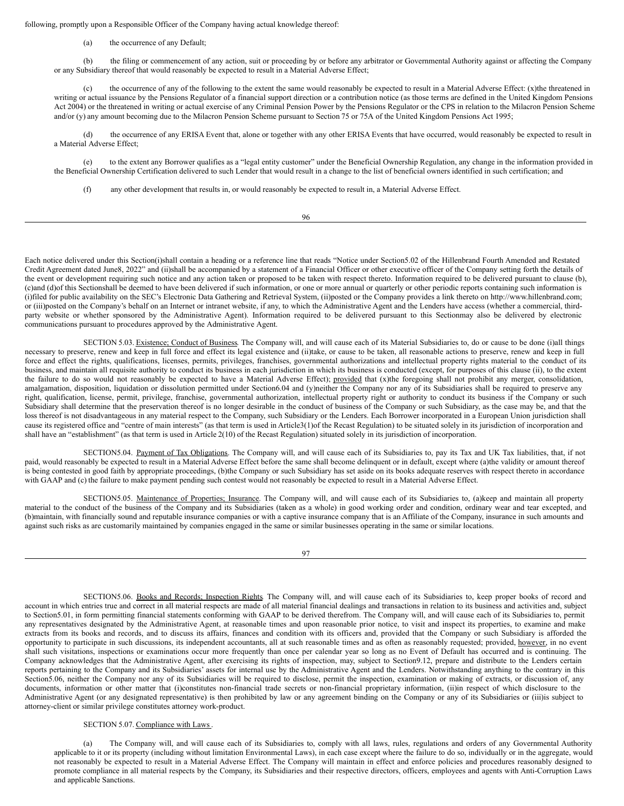following, promptly upon a Responsible Officer of the Company having actual knowledge thereof:

(a) the occurrence of any Default;

(b) the filing or commencement of any action, suit or proceeding by or before any arbitrator or Governmental Authority against or affecting the Company or any Subsidiary thereof that would reasonably be expected to result in a Material Adverse Effect;

(c) the occurrence of any of the following to the extent the same would reasonably be expected to result in a Material Adverse Effect: (x)the threatened in writing or actual issuance by the Pensions Regulator of a financial support direction or a contribution notice (as those terms are defined in the United Kingdom Pensions Act 2004) or the threatened in writing or actual exercise of any Criminal Pension Power by the Pensions Regulator or the CPS in relation to the Milacron Pension Scheme and/or (y) any amount becoming due to the Milacron Pension Scheme pursuant to Section 75 or 75A of the United Kingdom Pensions Act 1995;

(d) the occurrence of any ERISA Event that, alone or together with any other ERISA Events that have occurred, would reasonably be expected to result in a Material Adverse Effect;

(e) to the extent any Borrower qualifies as a "legal entity customer" under the Beneficial Ownership Regulation, any change in the information provided in the Beneficial Ownership Certification delivered to such Lender that would result in a change to the list of beneficial owners identified in such certification; and

(f) any other development that results in, or would reasonably be expected to result in, a Material Adverse Effect.

96

Each notice delivered under this Section(i)shall contain a heading or a reference line that reads "Notice under Section5.02 of the Hillenbrand Fourth Amended and Restated Credit Agreement dated June8, 2022" and (ii)shall be accompanied by a statement of a Financial Officer or other executive officer of the Company setting forth the details of the event or development requiring such notice and any action taken or proposed to be taken with respect thereto. Information required to be delivered pursuant to clause (b), (c)and (d)of this Sectionshall be deemed to have been delivered if such information, or one or more annual or quarterly or other periodic reports containing such information is (i)filed for public availability on the SEC's Electronic Data Gathering and Retrieval System, (ii)posted or the Company provides a link thereto on http://www.hillenbrand.com; or (iii)posted on the Company's behalf on an Internet or intranet website, if any, to which the Administrative Agent and the Lenders have access (whether a commercial, thirdparty website or whether sponsored by the Administrative Agent). Information required to be delivered pursuant to this Sectionmay also be delivered by electronic communications pursuant to procedures approved by the Administrative Agent.

SECTION 5.03. Existence; Conduct of Business. The Company will, and will cause each of its Material Subsidiaries to, do or cause to be done (i)all things necessary to preserve, renew and keep in full force and effect its legal existence and (ii)take, or cause to be taken, all reasonable actions to preserve, renew and keep in full force and effect the rights, qualifications, licenses, permits, privileges, franchises, governmental authorizations and intellectual property rights material to the conduct of its business, and maintain all requisite authority to conduct its business in each jurisdiction in which its business is conducted (except, for purposes of this clause (ii), to the extent the failure to do so would not reasonably be expected to have a Material Adverse Effect); provided that (x)the foregoing shall not prohibit any merger, consolidation, amalgamation, disposition, liquidation or dissolution permitted under Section6.04 and (y)neither the Company nor any of its Subsidiaries shall be required to preserve any right, qualification, license, permit, privilege, franchise, governmental authorization, intellectual property right or authority to conduct its business if the Company or such Subsidiary shall determine that the preservation thereof is no longer desirable in the conduct of business of the Company or such Subsidiary, as the case may be, and that the loss thereof is not disadvantageous in any material respect to the Company, such Subsidiary or the Lenders. Each Borrower incorporated in a European Union jurisdiction shall cause its registered office and "centre of main interests" (as that term is used in Article3(1)of the Recast Regulation) to be situated solely in its jurisdiction of incorporation and shall have an "establishment" (as that term is used in Article 2(10) of the Recast Regulation) situated solely in its jurisdiction of incorporation.

SECTION5.04. Payment of Tax Obligations. The Company will, and will cause each of its Subsidiaries to, pay its Tax and UK Tax liabilities, that, if not paid, would reasonably be expected to result in a Material Adverse Effect before the same shall become delinquent or in default, except where (a)the validity or amount thereof is being contested in good faith by appropriate proceedings, (b)the Company or such Subsidiary has set aside on its books adequate reserves with respect thereto in accordance with GAAP and (c) the failure to make payment pending such contest would not reasonably be expected to result in a Material Adverse Effect.

SECTION5.05. Maintenance of Properties: Insurance. The Company will, and will cause each of its Subsidiaries to, (a)keep and maintain all property material to the conduct of the business of the Company and its Subsidiaries (taken as a whole) in good working order and condition, ordinary wear and tear excepted, and (b)maintain, with financially sound and reputable insurance companies or with a captive insurance company that is an Affiliate of the Company, insurance in such amounts and against such risks as are customarily maintained by companies engaged in the same or similar businesses operating in the same or similar locations.

97

SECTION5.06. Books and Records; Inspection Rights. The Company will, and will cause each of its Subsidiaries to, keep proper books of record and account in which entries true and correct in all material respects are made of all material financial dealings and transactions in relation to its business and activities and, subject to Section5.01, in form permitting financial statements conforming with GAAP to be derived therefrom. The Company will, and will cause each of its Subsidiaries to, permit any representatives designated by the Administrative Agent, at reasonable times and upon reasonable prior notice, to visit and inspect its properties, to examine and make extracts from its books and records, and to discuss its affairs, finances and condition with its officers and, provided that the Company or such Subsidiary is afforded the opportunity to participate in such discussions, its independent accountants, all at such reasonable times and as often as reasonably requested; provided, however, in no event shall such visitations, inspections or examinations occur more frequently than once per calendar year so long as no Event of Default has occurred and is continuing. The Company acknowledges that the Administrative Agent, after exercising its rights of inspection, may, subject to Section9.12, prepare and distribute to the Lenders certain reports pertaining to the Company and its Subsidiaries' assets for internal use by the Administrative Agent and the Lenders. Notwithstanding anything to the contrary in this Section5.06, neither the Company nor any of its Subsidiaries will be required to disclose, permit the inspection, examination or making of extracts, or discussion of, any documents, information or other matter that (i)constitutes non-financial trade secrets or non-financial proprietary information, (ii)in respect of which disclosure to the Administrative Agent (or any designated representative) is then prohibited by law or any agreement binding on the Company or any of its Subsidiaries or (iii)is subject to attorney-client or similar privilege constitutes attorney work-product.

### SECTION 5.07. Compliance with Laws.

(a) The Company will, and will cause each of its Subsidiaries to, comply with all laws, rules, regulations and orders of any Governmental Authority applicable to it or its property (including without limitation Environmental Laws), in each case except where the failure to do so, individually or in the aggregate, would not reasonably be expected to result in a Material Adverse Effect. The Company will maintain in effect and enforce policies and procedures reasonably designed to promote compliance in all material respects by the Company, its Subsidiaries and their respective directors, officers, employees and agents with Anti-Corruption Laws and applicable Sanctions.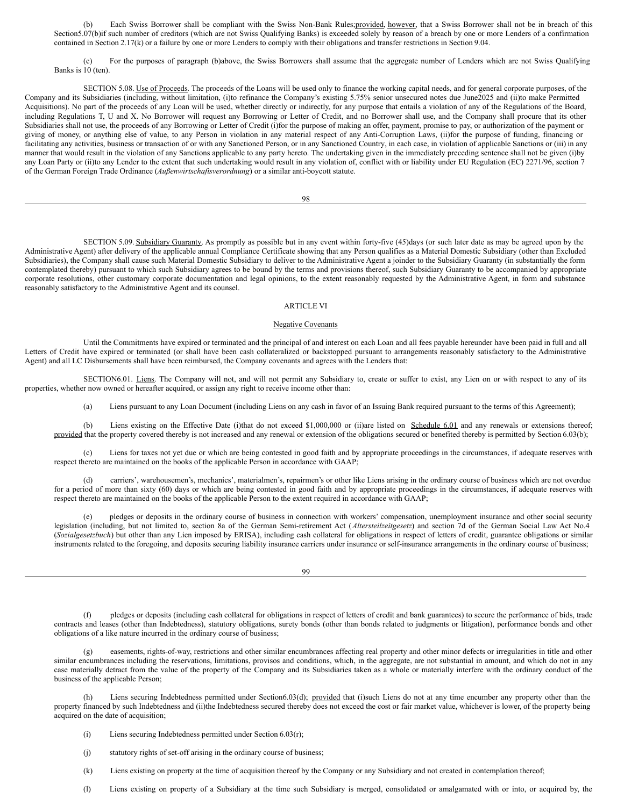(b) Each Swiss Borrower shall be compliant with the Swiss Non-Bank Rules;provided, however, that a Swiss Borrower shall not be in breach of this Section5.07(b)if such number of creditors (which are not Swiss Qualifying Banks) is exceeded solely by reason of a breach by one or more Lenders of a confirmation contained in Section 2.17(k) or a failure by one or more Lenders to comply with their obligations and transfer restrictions in Section 9.04.

For the purposes of paragraph (b)above, the Swiss Borrowers shall assume that the aggregate number of Lenders which are not Swiss Qualifying Banks is 10 (ten).

SECTION 5.08. Use of Proceeds. The proceeds of the Loans will be used only to finance the working capital needs, and for general corporate purposes, of the Company and its Subsidiaries (including, without limitation, (i)to refinance the Company's existing 5.75% senior unsecured notes due June2025 and (ii)to make Permitted Acquisitions). No part of the proceeds of any Loan will be used, whether directly or indirectly, for any purpose that entails a violation of any of the Regulations of the Board, including Regulations T, U and X. No Borrower will request any Borrowing or Letter of Credit, and no Borrower shall use, and the Company shall procure that its other Subsidiaries shall not use, the proceeds of any Borrowing or Letter of Credit (i)for the purpose of making an offer, payment, promise to pay, or authorization of the payment or giving of money, or anything else of value, to any Person in violation in any material respect of any Anti-Corruption Laws, (ii)for the purpose of funding, financing or facilitating any activities, business or transaction of or with any Sanctioned Person, or in any Sanctioned Country, in each case, in violation of applicable Sanctions or (iii) in any manner that would result in the violation of any Sanctions applicable to any party hereto. The undertaking given in the immediately preceding sentence shall not be given (i)by any Loan Party or (ii)to any Lender to the extent that such undertaking would result in any violation of, conflict with or liability under EU Regulation (EC) 2271/96, section 7 of the German Foreign Trade Ordinance (*Außenwirtschaftsverordnung*) or a similar anti-boycott statute.

98

SECTION 5.09. Subsidiary Guaranty. As promptly as possible but in any event within forty-five (45)days (or such later date as may be agreed upon by the Administrative Agent) after delivery of the applicable annual Compliance Certificate showing that any Person qualifies as a Material Domestic Subsidiary (other than Excluded Subsidiaries), the Company shall cause such Material Domestic Subsidiary to deliver to the Administrative Agent a joinder to the Subsidiary Guaranty (in substantially the form contemplated thereby) pursuant to which such Subsidiary agrees to be bound by the terms and provisions thereof, such Subsidiary Guaranty to be accompanied by appropriate corporate resolutions, other customary corporate documentation and legal opinions, to the extent reasonably requested by the Administrative Agent, in form and substance reasonably satisfactory to the Administrative Agent and its counsel.

#### ARTICLE VI

#### Negative Covenants

Until the Commitments have expired or terminated and the principal of and interest on each Loan and all fees payable hereunder have been paid in full and all Letters of Credit have expired or terminated (or shall have been cash collateralized or backstopped pursuant to arrangements reasonably satisfactory to the Administrative Agent) and all LC Disbursements shall have been reimbursed, the Company covenants and agrees with the Lenders that:

SECTION6.01. Liens. The Company will not, and will not permit any Subsidiary to, create or suffer to exist, any Lien on or with respect to any of its properties, whether now owned or hereafter acquired, or assign any right to receive income other than:

(a) Liens pursuant to any Loan Document (including Liens on any cash in favor of an Issuing Bank required pursuant to the terms of this Agreement);

(b) Liens existing on the Effective Date (i)that do not exceed \$1,000,000 or (ii)are listed on Schedule 6.01 and any renewals or extensions thereof; provided that the property covered thereby is not increased and any renewal or extension of the obligations secured or benefited thereby is permitted by Section 6.03(b);

(c) Liens for taxes not yet due or which are being contested in good faith and by appropriate proceedings in the circumstances, if adequate reserves with respect thereto are maintained on the books of the applicable Person in accordance with GAAP;

(d) carriers', warehousemen's, mechanics', materialmen's, repairmen's or other like Liens arising in the ordinary course of business which are not overdue for a period of more than sixty (60) days or which are being contested in good faith and by appropriate proceedings in the circumstances, if adequate reserves with respect thereto are maintained on the books of the applicable Person to the extent required in accordance with GAAP;

(e) pledges or deposits in the ordinary course of business in connection with workers' compensation, unemployment insurance and other social security legislation (including, but not limited to, section 8a of the German Semi-retirement Act (*Altersteilzeitgesetz*) and section 7d of the German Social Law Act No.4 (*Sozialgesetzbuch*) but other than any Lien imposed by ERISA), including cash collateral for obligations in respect of letters of credit, guarantee obligations or similar instruments related to the foregoing, and deposits securing liability insurance carriers under insurance or self-insurance arrangements in the ordinary course of business;

99

(f) pledges or deposits (including cash collateral for obligations in respect of letters of credit and bank guarantees) to secure the performance of bids, trade contracts and leases (other than Indebtedness), statutory obligations, surety bonds (other than bonds related to judgments or litigation), performance bonds and other obligations of a like nature incurred in the ordinary course of business;

(g) easements, rights-of-way, restrictions and other similar encumbrances affecting real property and other minor defects or irregularities in title and other similar encumbrances including the reservations, limitations, provisos and conditions, which, in the aggregate, are not substantial in amount, and which do not in any case materially detract from the value of the property of the Company and its Subsidiaries taken as a whole or materially interfere with the ordinary conduct of the business of the applicable Person;

(h) Liens securing Indebtedness permitted under Section6.03(d); provided that (i)such Liens do not at any time encumber any property other than the property financed by such Indebtedness and (ii)the Indebtedness secured thereby does not exceed the cost or fair market value, whichever is lower, of the property being acquired on the date of acquisition;

- (i) Liens securing Indebtedness permitted under Section 6.03(r);
- (j) statutory rights of set-off arising in the ordinary course of business;
- (k) Liens existing on property at the time of acquisition thereof by the Company or any Subsidiary and not created in contemplation thereof;
- (l) Liens existing on property of a Subsidiary at the time such Subsidiary is merged, consolidated or amalgamated with or into, or acquired by, the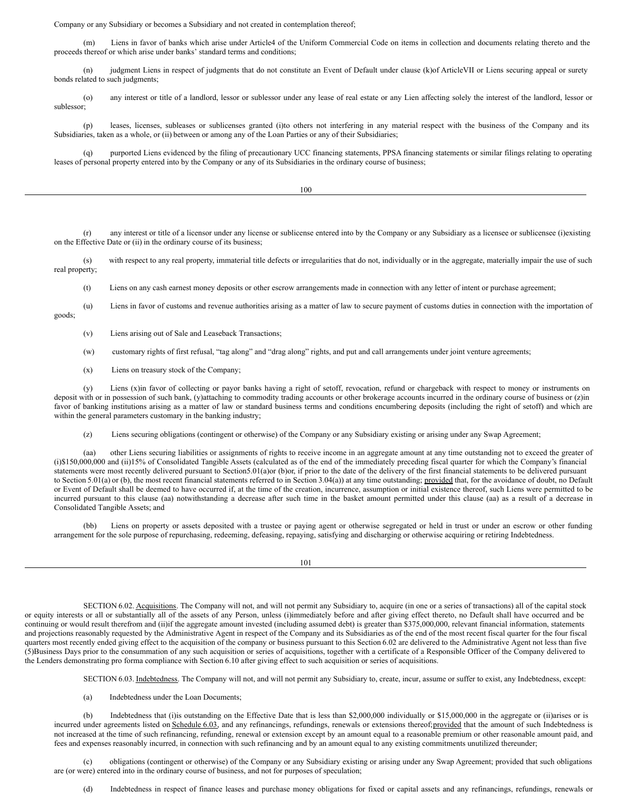Company or any Subsidiary or becomes a Subsidiary and not created in contemplation thereof;

(m) Liens in favor of banks which arise under Article4 of the Uniform Commercial Code on items in collection and documents relating thereto and the proceeds thereof or which arise under banks' standard terms and conditions;

(n) judgment Liens in respect of judgments that do not constitute an Event of Default under clause (k)of ArticleVII or Liens securing appeal or surety bonds related to such judgments;

(o) any interest or title of a landlord, lessor or sublessor under any lease of real estate or any Lien affecting solely the interest of the landlord, lessor or sublessor;

(p) leases, licenses, subleases or sublicenses granted (i)to others not interfering in any material respect with the business of the Company and its Subsidiaries, taken as a whole, or (ii) between or among any of the Loan Parties or any of their Subsidiaries;

(q) purported Liens evidenced by the filing of precautionary UCC financing statements, PPSA financing statements or similar filings relating to operating leases of personal property entered into by the Company or any of its Subsidiaries in the ordinary course of business;

100

(r) any interest or title of a licensor under any license or sublicense entered into by the Company or any Subsidiary as a licensee or sublicensee (i)existing on the Effective Date or (ii) in the ordinary course of its business;

(s) with respect to any real property, immaterial title defects or irregularities that do not, individually or in the aggregate, materially impair the use of such real property;

(t) Liens on any cash earnest money deposits or other escrow arrangements made in connection with any letter of intent or purchase agreement;

(u) Liens in favor of customs and revenue authorities arising as a matter of law to secure payment of customs duties in connection with the importation of goods;

- (v) Liens arising out of Sale and Leaseback Transactions;
- (w) customary rights of first refusal, "tag along" and "drag along" rights, and put and call arrangements under joint venture agreements;
- (x) Liens on treasury stock of the Company;

(y) Liens (x)in favor of collecting or payor banks having a right of setoff, revocation, refund or chargeback with respect to money or instruments on deposit with or in possession of such bank, (y)attaching to commodity trading accounts or other brokerage accounts incurred in the ordinary course of business or (z)in favor of banking institutions arising as a matter of law or standard business terms and conditions encumbering deposits (including the right of setoff) and which are within the general parameters customary in the banking industry;

(z) Liens securing obligations (contingent or otherwise) of the Company or any Subsidiary existing or arising under any Swap Agreement;

(aa) other Liens securing liabilities or assignments of rights to receive income in an aggregate amount at any time outstanding not to exceed the greater of (i)\$150,000,000 and (ii)15% of Consolidated Tangible Assets (calculated as of the end of the immediately preceding fiscal quarter for which the Company's financial statements were most recently delivered pursuant to Section5.01(a)or (b)or, if prior to the date of the delivery of the first financial statements to be delivered pursuant to Section 5.01(a) or (b), the most recent financial statements referred to in Section 3.04(a)) at any time outstanding; provided that, for the avoidance of doubt, no Default or Event of Default shall be deemed to have occurred if, at the time of the creation, incurrence, assumption or initial existence thereof, such Liens were permitted to be incurred pursuant to this clause (aa) notwithstanding a decrease after such time in the basket amount permitted under this clause (aa) as a result of a decrease in Consolidated Tangible Assets; and

(bb) Liens on property or assets deposited with a trustee or paying agent or otherwise segregated or held in trust or under an escrow or other funding arrangement for the sole purpose of repurchasing, redeeming, defeasing, repaying, satisfying and discharging or otherwise acquiring or retiring Indebtedness.

101

SECTION 6.02. Acquisitions. The Company will not, and will not permit any Subsidiary to, acquire (in one or a series of transactions) all of the capital stock or equity interests or all or substantially all of the assets of any Person, unless (i)immediately before and after giving effect thereto, no Default shall have occurred and be continuing or would result therefrom and (ii)if the aggregate amount invested (including assumed debt) is greater than \$375,000,000, relevant financial information, statements and projections reasonably requested by the Administrative Agent in respect of the Company and its Subsidiaries as of the end of the most recent fiscal quarter for the four fiscal quarters most recently ended giving effect to the acquisition of the company or business pursuant to this Section 6.02 are delivered to the Administrative Agent not less than five (5)Business Days prior to the consummation of any such acquisition or series of acquisitions, together with a certificate of a Responsible Officer of the Company delivered to the Lenders demonstrating pro forma compliance with Section 6.10 after giving effect to such acquisition or series of acquisitions.

SECTION 6.03. Indebtedness. The Company will not, and will not permit any Subsidiary to, create, incur, assume or suffer to exist, any Indebtedness, except:

(a) Indebtedness under the Loan Documents;

(b) Indebtedness that (i)is outstanding on the Effective Date that is less than \$2,000,000 individually or \$15,000,000 in the aggregate or (ii)arises or is incurred under agreements listed on Schedule 6.03, and any refinancings, refundings, renewals or extensions thereof;provided that the amount of such Indebtedness is not increased at the time of such refinancing, refunding, renewal or extension except by an amount equal to a reasonable premium or other reasonable amount paid, and fees and expenses reasonably incurred, in connection with such refinancing and by an amount equal to any existing commitments unutilized thereunder;

(c) obligations (contingent or otherwise) of the Company or any Subsidiary existing or arising under any Swap Agreement; provided that such obligations are (or were) entered into in the ordinary course of business, and not for purposes of speculation;

(d) Indebtedness in respect of finance leases and purchase money obligations for fixed or capital assets and any refinancings, refundings, renewals or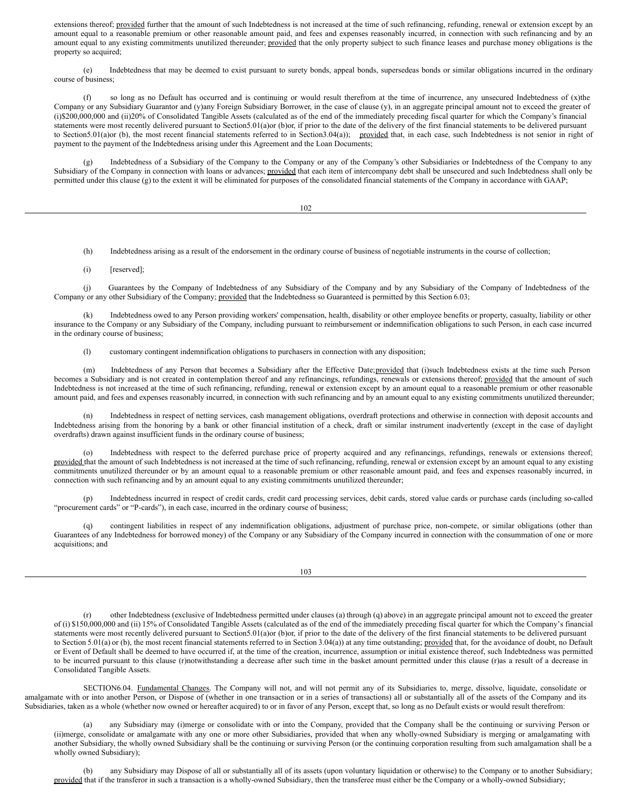extensions thereof; provided further that the amount of such Indebtedness is not increased at the time of such refinancing, refunding, renewal or extension except by an amount equal to a reasonable premium or other reasonable amount paid, and fees and expenses reasonably incurred, in connection with such refinancing and by an amount equal to any existing commitments unutilized thereunder; provided that the only property subject to such finance leases and purchase money obligations is the property so acquired;

(e) Indebtedness that may be deemed to exist pursuant to surety bonds, appeal bonds, supersedeas bonds or similar obligations incurred in the ordinary course of business;

(f) so long as no Default has occurred and is continuing or would result therefrom at the time of incurrence, any unsecured Indebtedness of (x)the Company or any Subsidiary Guarantor and (y)any Foreign Subsidiary Borrower, in the case of clause (y), in an aggregate principal amount not to exceed the greater of (i)\$200,000,000 and (ii)20% of Consolidated Tangible Assets (calculated as of the end of the immediately preceding fiscal quarter for which the Company's financial statements were most recently delivered pursuant to Section5.01(a)or (b)or, if prior to the date of the delivery of the first financial statements to be delivered pursuant to Section5.01(a)or (b), the most recent financial statements referred to in Section3.04(a)); provided that, in each case, such Indebtedness is not senior in right of payment to the payment of the Indebtedness arising under this Agreement and the Loan Documents;

(g) Indebtedness of a Subsidiary of the Company to the Company or any of the Company's other Subsidiaries or Indebtedness of the Company to any Subsidiary of the Company in connection with loans or advances; provided that each item of intercompany debt shall be unsecured and such Indebtedness shall only be permitted under this clause (g) to the extent it will be eliminated for purposes of the consolidated financial statements of the Company in accordance with GAAP;

102

(h) Indebtedness arising as a result of the endorsement in the ordinary course of business of negotiable instruments in the course of collection;

(i) [reserved]:

(j) Guarantees by the Company of Indebtedness of any Subsidiary of the Company and by any Subsidiary of the Company of Indebtedness of the Company or any other Subsidiary of the Company; provided that the Indebtedness so Guaranteed is permitted by this Section 6.03;

(k) Indebtedness owed to any Person providing workers' compensation, health, disability or other employee benefits or property, casualty, liability or other insurance to the Company or any Subsidiary of the Company, including pursuant to reimbursement or indemnification obligations to such Person, in each case incurred in the ordinary course of business;

(l) customary contingent indemnification obligations to purchasers in connection with any disposition;

(m) Indebtedness of any Person that becomes a Subsidiary after the Effective Date;provided that (i)such Indebtedness exists at the time such Person becomes a Subsidiary and is not created in contemplation thereof and any refinancings, refundings, renewals or extensions thereof; provided that the amount of such Indebtedness is not increased at the time of such refinancing, refunding, renewal or extension except by an amount equal to a reasonable premium or other reasonable amount paid, and fees and expenses reasonably incurred, in connection with such refinancing and by an amount equal to any existing commitments unutilized thereunder;

(n) Indebtedness in respect of netting services, cash management obligations, overdraft protections and otherwise in connection with deposit accounts and Indebtedness arising from the honoring by a bank or other financial institution of a check, draft or similar instrument inadvertently (except in the case of daylight overdrafts) drawn against insufficient funds in the ordinary course of business;

(o) Indebtedness with respect to the deferred purchase price of property acquired and any refinancings, refundings, renewals or extensions thereof; provided that the amount of such Indebtedness is not increased at the time of such refinancing, refunding, renewal or extension except by an amount equal to any existing commitments unutilized thereunder or by an amount equal to a reasonable premium or other reasonable amount paid, and fees and expenses reasonably incurred, in connection with such refinancing and by an amount equal to any existing commitments unutilized thereunder;

(p) Indebtedness incurred in respect of credit cards, credit card processing services, debit cards, stored value cards or purchase cards (including so-called "procurement cards" or "P-cards"), in each case, incurred in the ordinary course of business;

(q) contingent liabilities in respect of any indemnification obligations, adjustment of purchase price, non-compete, or similar obligations (other than Guarantees of any Indebtedness for borrowed money) of the Company or any Subsidiary of the Company incurred in connection with the consummation of one or more acquisitions; and

103

(r) other Indebtedness (exclusive of Indebtedness permitted under clauses (a) through (q) above) in an aggregate principal amount not to exceed the greater of (i) \$150,000,000 and (ii) 15% of Consolidated Tangible Assets (calculated as of the end of the immediately preceding fiscal quarter for which the Company's financial statements were most recently delivered pursuant to Section5.01(a)or (b)or, if prior to the date of the delivery of the first financial statements to be delivered pursuant to Section 5.01(a) or (b), the most recent financial statements referred to in Section 3.04(a)) at any time outstanding; provided that, for the avoidance of doubt, no Default or Event of Default shall be deemed to have occurred if, at the time of the creation, incurrence, assumption or initial existence thereof, such Indebtedness was permitted to be incurred pursuant to this clause (r)notwithstanding a decrease after such time in the basket amount permitted under this clause (r)as a result of a decrease in Consolidated Tangible Assets.

SECTION6.04. Fundamental Changes. The Company will not, and will not permit any of its Subsidiaries to, merge, dissolve, liquidate, consolidate or amalgamate with or into another Person, or Dispose of (whether in one transaction or in a series of transactions) all or substantially all of the assets of the Company and its Subsidiaries, taken as a whole (whether now owned or hereafter acquired) to or in favor of any Person, except that, so long as no Default exists or would result therefrom:

any Subsidiary may (i)merge or consolidate with or into the Company, provided that the Company shall be the continuing or surviving Person or (ii)merge, consolidate or amalgamate with any one or more other Subsidiaries, provided that when any wholly-owned Subsidiary is merging or amalgamating with another Subsidiary, the wholly owned Subsidiary shall be the continuing or surviving Person (or the continuing corporation resulting from such amalgamation shall be a wholly owned Subsidiary);

any Subsidiary may Dispose of all or substantially all of its assets (upon voluntary liquidation or otherwise) to the Company or to another Subsidiary; provided that if the transferor in such a transaction is a wholly-owned Subsidiary, then the transferee must either be the Company or a wholly-owned Subsidiary;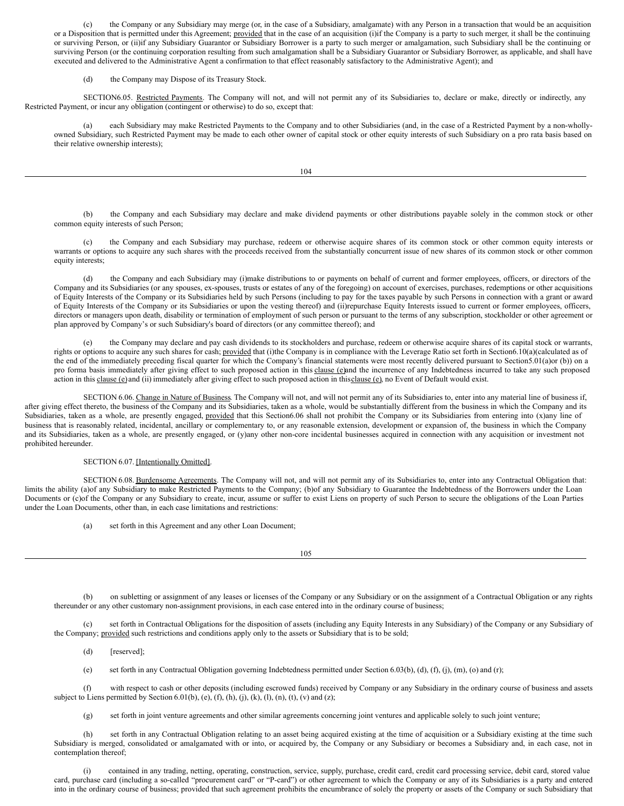(c) the Company or any Subsidiary may merge (or, in the case of a Subsidiary, amalgamate) with any Person in a transaction that would be an acquisition or a Disposition that is permitted under this Agreement; provided that in the case of an acquisition (i)if the Company is a party to such merger, it shall be the continuing or surviving Person, or (ii)if any Subsidiary Guarantor or Subsidiary Borrower is a party to such merger or amalgamation, such Subsidiary shall be the continuing or surviving Person (or the continuing corporation resulting from such amalgamation shall be a Subsidiary Guarantor or Subsidiary Borrower, as applicable, and shall have executed and delivered to the Administrative Agent a confirmation to that effect reasonably satisfactory to the Administrative Agent); and

#### (d) the Company may Dispose of its Treasury Stock.

SECTION6.05. Restricted Payments. The Company will not, and will not permit any of its Subsidiaries to, declare or make, directly or indirectly, any Restricted Payment, or incur any obligation (contingent or otherwise) to do so, except that:

each Subsidiary may make Restricted Payments to the Company and to other Subsidiaries (and, in the case of a Restricted Payment by a non-whollyowned Subsidiary, such Restricted Payment may be made to each other owner of capital stock or other equity interests of such Subsidiary on a pro rata basis based on their relative ownership interests);

104

(b) the Company and each Subsidiary may declare and make dividend payments or other distributions payable solely in the common stock or other common equity interests of such Person;

(c) the Company and each Subsidiary may purchase, redeem or otherwise acquire shares of its common stock or other common equity interests or warrants or options to acquire any such shares with the proceeds received from the substantially concurrent issue of new shares of its common stock or other common equity interests;

(d) the Company and each Subsidiary may (i)make distributions to or payments on behalf of current and former employees, officers, or directors of the Company and its Subsidiaries (or any spouses, ex-spouses, trusts or estates of any of the foregoing) on account of exercises, purchases, redemptions or other acquisitions of Equity Interests of the Company or its Subsidiaries held by such Persons (including to pay for the taxes payable by such Persons in connection with a grant or award of Equity Interests of the Company or its Subsidiaries or upon the vesting thereof) and (ii)repurchase Equity Interests issued to current or former employees, officers, directors or managers upon death, disability or termination of employment of such person or pursuant to the terms of any subscription, stockholder or other agreement or plan approved by Company's or such Subsidiary's board of directors (or any committee thereof); and

the Company may declare and pay cash dividends to its stockholders and purchase, redeem or otherwise acquire shares of its capital stock or warrants, rights or options to acquire any such shares for cash; provided that (i)the Company is in compliance with the Leverage Ratio set forth in Section6.10(a)(calculated as of the end of the immediately preceding fiscal quarter for which the Company's financial statements were most recently delivered pursuant to Section5.01(a)or (b)) on a pro forma basis immediately after giving effect to such proposed action in this clause (e)and the incurrence of any Indebtedness incurred to take any such proposed action in this clause (e) and (ii) immediately after giving effect to such proposed action in this clause (e), no Event of Default would exist.

SECTION 6.06. Change in Nature of Business. The Company will not, and will not permit any of its Subsidiaries to, enter into any material line of business if, after giving effect thereto, the business of the Company and its Subsidiaries, taken as a whole, would be substantially different from the business in which the Company and its Subsidiaries, taken as a whole, are presently engaged, provided that this Section6.06 shall not prohibit the Company or its Subsidiaries from entering into (x)any line of business that is reasonably related, incidental, ancillary or complementary to, or any reasonable extension, development or expansion of, the business in which the Company and its Subsidiaries, taken as a whole, are presently engaged, or (y)any other non-core incidental businesses acquired in connection with any acquisition or investment not prohibited hereunder.

#### SECTION 6.07. [Intentionally Omitted].

SECTION 6.08. Burdensome Agreements. The Company will not, and will not permit any of its Subsidiaries to, enter into any Contractual Obligation that: limits the ability (a)of any Subsidiary to make Restricted Payments to the Company; (b)of any Subsidiary to Guarantee the Indebtedness of the Borrowers under the Loan Documents or (c)of the Company or any Subsidiary to create, incur, assume or suffer to exist Liens on property of such Person to secure the obligations of the Loan Parties under the Loan Documents, other than, in each case limitations and restrictions:

(a) set forth in this Agreement and any other Loan Document;

105

(b) on subletting or assignment of any leases or licenses of the Company or any Subsidiary or on the assignment of a Contractual Obligation or any rights thereunder or any other customary non-assignment provisions, in each case entered into in the ordinary course of business;

(c) set forth in Contractual Obligations for the disposition of assets (including any Equity Interests in any Subsidiary) of the Company or any Subsidiary of the Company; provided such restrictions and conditions apply only to the assets or Subsidiary that is to be sold;

- (d) [reserved];
- (e) set forth in any Contractual Obligation governing Indebtedness permitted under Section 6.03(b), (d), (f), (j), (m), (o) and (r);

(f) with respect to cash or other deposits (including escrowed funds) received by Company or any Subsidiary in the ordinary course of business and assets subject to Liens permitted by Section 6.01(b), (e), (f), (h), (j), (k), (l), (n), (t), (v) and (z);

(g) set forth in joint venture agreements and other similar agreements concerning joint ventures and applicable solely to such joint venture;

(h) set forth in any Contractual Obligation relating to an asset being acquired existing at the time of acquisition or a Subsidiary existing at the time such Subsidiary is merged, consolidated or amalgamated with or into, or acquired by, the Company or any Subsidiary or becomes a Subsidiary and, in each case, not in contemplation thereof;

contained in any trading, netting, operating, construction, service, supply, purchase, credit card, credit card processing service, debit card, stored value card, purchase card (including a so-called "procurement card" or "P-card") or other agreement to which the Company or any of its Subsidiaries is a party and entered into in the ordinary course of business; provided that such agreement prohibits the encumbrance of solely the property or assets of the Company or such Subsidiary that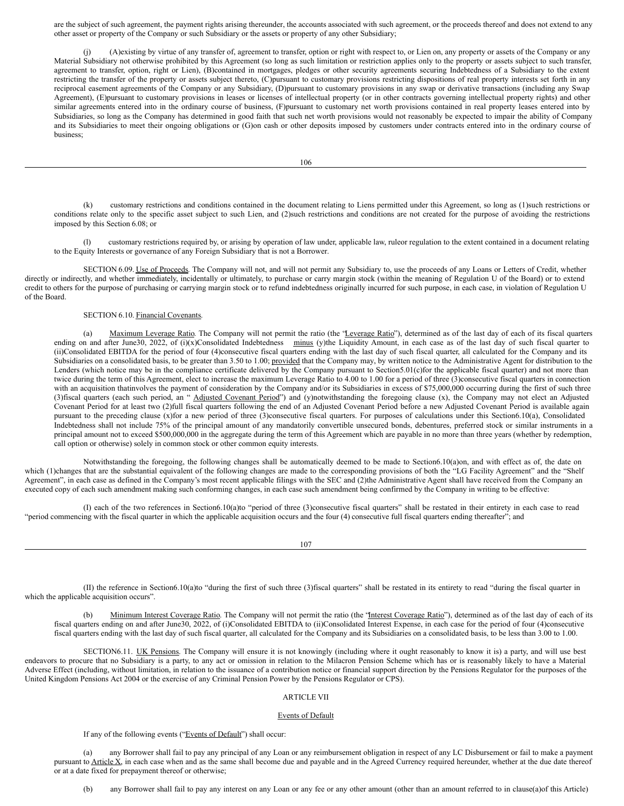are the subject of such agreement, the payment rights arising thereunder, the accounts associated with such agreement, or the proceeds thereof and does not extend to any other asset or property of the Company or such Subsidiary or the assets or property of any other Subsidiary;

(A)existing by virtue of any transfer of, agreement to transfer, option or right with respect to, or Lien on, any property or assets of the Company or any Material Subsidiary not otherwise prohibited by this Agreement (so long as such limitation or restriction applies only to the property or assets subject to such transfer, agreement to transfer, option, right or Lien), (B)contained in mortgages, pledges or other security agreements securing Indebtedness of a Subsidiary to the extent restricting the transfer of the property or assets subject thereto, (C)pursuant to customary provisions restricting dispositions of real property interests set forth in any reciprocal easement agreements of the Company or any Subsidiary, (D)pursuant to customary provisions in any swap or derivative transactions (including any Swap Agreement), (E)pursuant to customary provisions in leases or licenses of intellectual property (or in other contracts governing intellectual property rights) and other similar agreements entered into in the ordinary course of business, (F)pursuant to customary net worth provisions contained in real property leases entered into by Subsidiaries, so long as the Company has determined in good faith that such net worth provisions would not reasonably be expected to impair the ability of Company and its Subsidiaries to meet their ongoing obligations or (G)on cash or other deposits imposed by customers under contracts entered into in the ordinary course of business;

106

(k) customary restrictions and conditions contained in the document relating to Liens permitted under this Agreement, so long as (1)such restrictions or conditions relate only to the specific asset subject to such Lien, and (2)such restrictions and conditions are not created for the purpose of avoiding the restrictions imposed by this Section 6.08; or

(l) customary restrictions required by, or arising by operation of law under, applicable law, ruleor regulation to the extent contained in a document relating to the Equity Interests or governance of any Foreign Subsidiary that is not a Borrower.

SECTION 6.09. Use of Proceeds. The Company will not, and will not permit any Subsidiary to, use the proceeds of any Loans or Letters of Credit, whether directly or indirectly, and whether immediately, incidentally or ultimately, to purchase or carry margin stock (within the meaning of Regulation U of the Board) or to extend credit to others for the purpose of purchasing or carrying margin stock or to refund indebtedness originally incurred for such purpose, in each case, in violation of Regulation U of the Board.

### SECTION 6.10. Financial Covenants.

(a) Maximum Leverage Ratio. The Company will not permit the ratio (the "Leverage Ratio"), determined as of the last day of each of its fiscal quarters ending on and after June30, 2022, of (i)(x)Consolidated Indebtedness minus (y)the Liquidity Amount, in each case as of the last day of such fiscal quarter to (ii)Consolidated EBITDA for the period of four (4)consecutive fiscal quarters ending with the last day of such fiscal quarter, all calculated for the Company and its Subsidiaries on a consolidated basis, to be greater than 3.50 to 1.00; provided that the Company may, by written notice to the Administrative Agent for distribution to the Lenders (which notice may be in the compliance certificate delivered by the Company pursuant to Section5.01(c)for the applicable fiscal quarter) and not more than twice during the term of this Agreement, elect to increase the maximum Leverage Ratio to 4.00 to 1.00 for a period of three (3)consecutive fiscal quarters in connection with an acquisition thatinvolves the payment of consideration by the Company and/or its Subsidiaries in excess of \$75,000,000 occurring during the first of such three (3)fiscal quarters (each such period, an "Adjusted Covenant Period") and (y)notwithstanding the foregoing clause (x), the Company may not elect an Adjusted Covenant Period for at least two (2)full fiscal quarters following the end of an Adjusted Covenant Period before a new Adjusted Covenant Period is available again pursuant to the preceding clause (x)for a new period of three (3)consecutive fiscal quarters. For purposes of calculations under this Section6.10(a), Consolidated Indebtedness shall not include 75% of the principal amount of any mandatorily convertible unsecured bonds, debentures, preferred stock or similar instruments in a principal amount not to exceed \$500,000,000 in the aggregate during the term of this Agreement which are payable in no more than three years (whether by redemption, call option or otherwise) solely in common stock or other common equity interests.

Notwithstanding the foregoing, the following changes shall be automatically deemed to be made to Section6.10(a)on, and with effect as of, the date on which (1)changes that are the substantial equivalent of the following changes are made to the corresponding provisions of both the "LG Facility Agreement" and the "Shelf Agreement", in each case as defined in the Company's most recent applicable filings with the SEC and (2)the Administrative Agent shall have received from the Company an executed copy of each such amendment making such conforming changes, in each case such amendment being confirmed by the Company in writing to be effective:

(I) each of the two references in Section6.10(a)to "period of three (3)consecutive fiscal quarters" shall be restated in their entirety in each case to read "period commencing with the fiscal quarter in which the applicable acquisition occurs and the four (4) consecutive full fiscal quarters ending thereafter"; and

107

(II) the reference in Section6.10(a)to "during the first of such three (3)fiscal quarters" shall be restated in its entirety to read "during the fiscal quarter in which the applicable acquisition occurs".

Minimum Interest Coverage Ratio. The Company will not permit the ratio (the "Interest Coverage Ratio"), determined as of the last day of each of its fiscal quarters ending on and after June30, 2022, of (i)Consolidated EBITDA to (ii)Consolidated Interest Expense, in each case for the period of four (4)consecutive fiscal quarters ending with the last day of such fiscal quarter, all calculated for the Company and its Subsidiaries on a consolidated basis, to be less than 3.00 to 1.00.

SECTION6.11. UK Pensions. The Company will ensure it is not knowingly (including where it ought reasonably to know it is) a party, and will use best endeavors to procure that no Subsidiary is a party, to any act or omission in relation to the Milacron Pension Scheme which has or is reasonably likely to have a Material Adverse Effect (including, without limitation, in relation to the issuance of a contribution notice or financial support direction by the Pensions Regulator for the purposes of the United Kingdom Pensions Act 2004 or the exercise of any Criminal Pension Power by the Pensions Regulator or CPS).

#### ARTICLE VII

# Events of Default

If any of the following events ("Events of Default") shall occur:

(a) any Borrower shall fail to pay any principal of any Loan or any reimbursement obligation in respect of any LC Disbursement or fail to make a payment pursuant to Article X, in each case when and as the same shall become due and payable and in the Agreed Currency required hereunder, whether at the due date thereof or at a date fixed for prepayment thereof or otherwise;

(b) any Borrower shall fail to pay any interest on any Loan or any fee or any other amount (other than an amount referred to in clause(a)of this Article)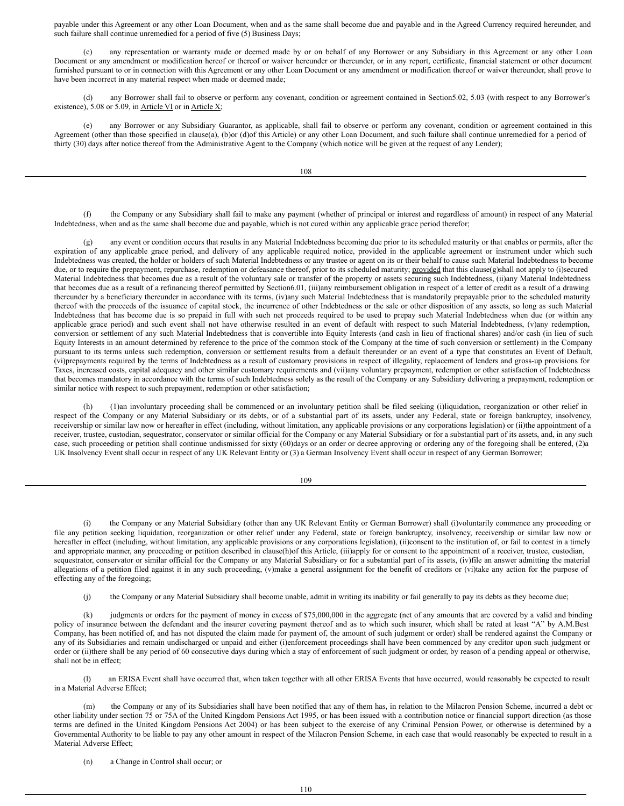payable under this Agreement or any other Loan Document, when and as the same shall become due and payable and in the Agreed Currency required hereunder, and such failure shall continue unremedied for a period of five (5) Business Days;

(c) any representation or warranty made or deemed made by or on behalf of any Borrower or any Subsidiary in this Agreement or any other Loan Document or any amendment or modification hereof or thereof or waiver hereunder or thereunder, or in any report, certificate, financial statement or other document furnished pursuant to or in connection with this Agreement or any other Loan Document or any amendment or modification thereof or waiver thereunder, shall prove to have been incorrect in any material respect when made or deemed made;

(d) any Borrower shall fail to observe or perform any covenant, condition or agreement contained in Section5.02, 5.03 (with respect to any Borrower's existence), 5.08 or 5.09, in  $\Delta$ rticle VI or in  $\Delta$ rticle X;

(e) any Borrower or any Subsidiary Guarantor, as applicable, shall fail to observe or perform any covenant, condition or agreement contained in this Agreement (other than those specified in clause(a), (b)or (d)of this Article) or any other Loan Document, and such failure shall continue unremedied for a period of thirty (30) days after notice thereof from the Administrative Agent to the Company (which notice will be given at the request of any Lender);

108

(f) the Company or any Subsidiary shall fail to make any payment (whether of principal or interest and regardless of amount) in respect of any Material Indebtedness, when and as the same shall become due and payable, which is not cured within any applicable grace period therefor;

(g) any event or condition occurs that results in any Material Indebtedness becoming due prior to its scheduled maturity or that enables or permits, after the expiration of any applicable grace period, and delivery of any applicable required notice, provided in the applicable agreement or instrument under which such Indebtedness was created, the holder or holders of such Material Indebtedness or any trustee or agent on its or their behalf to cause such Material Indebtedness to become due, or to require the prepayment, repurchase, redemption or defeasance thereof, prior to its scheduled maturity; provided that this clause(g)shall not apply to (i)secured Material Indebtedness that becomes due as a result of the voluntary sale or transfer of the property or assets securing such Indebtedness, (ii)any Material Indebtedness that becomes due as a result of a refinancing thereof permitted by Section6.01, (iii)any reimbursement obligation in respect of a letter of credit as a result of a drawing thereunder by a beneficiary thereunder in accordance with its terms, (iv)any such Material Indebtedness that is mandatorily prepayable prior to the scheduled maturity thereof with the proceeds of the issuance of capital stock, the incurrence of other Indebtedness or the sale or other disposition of any assets, so long as such Material Indebtedness that has become due is so prepaid in full with such net proceeds required to be used to prepay such Material Indebtedness when due (or within any applicable grace period) and such event shall not have otherwise resulted in an event of default with respect to such Material Indebtedness, (v)any redemption, conversion or settlement of any such Material Indebtedness that is convertible into Equity Interests (and cash in lieu of fractional shares) and/or cash (in lieu of such Equity Interests in an amount determined by reference to the price of the common stock of the Company at the time of such conversion or settlement) in the Company pursuant to its terms unless such redemption, conversion or settlement results from a default thereunder or an event of a type that constitutes an Event of Default, (vi)prepayments required by the terms of Indebtedness as a result of customary provisions in respect of illegality, replacement of lenders and gross-up provisions for Taxes, increased costs, capital adequacy and other similar customary requirements and (vii)any voluntary prepayment, redemption or other satisfaction of Indebtedness that becomes mandatory in accordance with the terms of such Indebtedness solely as the result of the Company or any Subsidiary delivering a prepayment, redemption or similar notice with respect to such prepayment, redemption or other satisfaction;

(h) (1)an involuntary proceeding shall be commenced or an involuntary petition shall be filed seeking (i)liquidation, reorganization or other relief in respect of the Company or any Material Subsidiary or its debts, or of a substantial part of its assets, under any Federal, state or foreign bankruptcy, insolvency, receivership or similar law now or hereafter in effect (including, without limitation, any applicable provisions or any corporations legislation) or (ii)the appointment of a receiver, trustee, custodian, sequestrator, conservator or similar official for the Company or any Material Subsidiary or for a substantial part of its assets, and, in any such case, such proceeding or petition shall continue undismissed for sixty (60)days or an order or decree approving or ordering any of the foregoing shall be entered, (2)a UK Insolvency Event shall occur in respect of any UK Relevant Entity or (3) a German Insolvency Event shall occur in respect of any German Borrower;

109

(i) the Company or any Material Subsidiary (other than any UK Relevant Entity or German Borrower) shall (i)voluntarily commence any proceeding or file any petition seeking liquidation, reorganization or other relief under any Federal, state or foreign bankruptcy, insolvency, receivership or similar law now or hereafter in effect (including, without limitation, any applicable provisions or any corporations legislation), (ii)consent to the institution of, or fail to contest in a timely and appropriate manner, any proceeding or petition described in clause(h)of this Article, (iii)apply for or consent to the appointment of a receiver, trustee, custodian, sequestrator, conservator or similar official for the Company or any Material Subsidiary or for a substantial part of its assets, (iv)file an answer admitting the material allegations of a petition filed against it in any such proceeding, (v)make a general assignment for the benefit of creditors or (vi)take any action for the purpose of effecting any of the foregoing;

(j) the Company or any Material Subsidiary shall become unable, admit in writing its inability or fail generally to pay its debts as they become due;

(k) judgments or orders for the payment of money in excess of \$75,000,000 in the aggregate (net of any amounts that are covered by a valid and binding policy of insurance between the defendant and the insurer covering payment thereof and as to which such insurer, which shall be rated at least "A" by A.M.Best Company, has been notified of, and has not disputed the claim made for payment of, the amount of such judgment or order) shall be rendered against the Company or any of its Subsidiaries and remain undischarged or unpaid and either (i)enforcement proceedings shall have been commenced by any creditor upon such judgment or order or (ii)there shall be any period of 60 consecutive days during which a stay of enforcement of such judgment or order, by reason of a pending appeal or otherwise, shall not be in effect;

(l) an ERISA Event shall have occurred that, when taken together with all other ERISA Events that have occurred, would reasonably be expected to result in a Material Adverse Effect;

the Company or any of its Subsidiaries shall have been notified that any of them has, in relation to the Milacron Pension Scheme, incurred a debt or other liability under section 75 or 75A of the United Kingdom Pensions Act 1995, or has been issued with a contribution notice or financial support direction (as those terms are defined in the United Kingdom Pensions Act 2004) or has been subject to the exercise of any Criminal Pension Power, or otherwise is determined by a Governmental Authority to be liable to pay any other amount in respect of the Milacron Pension Scheme, in each case that would reasonably be expected to result in a Material Adverse Effect;

(n) a Change in Control shall occur; or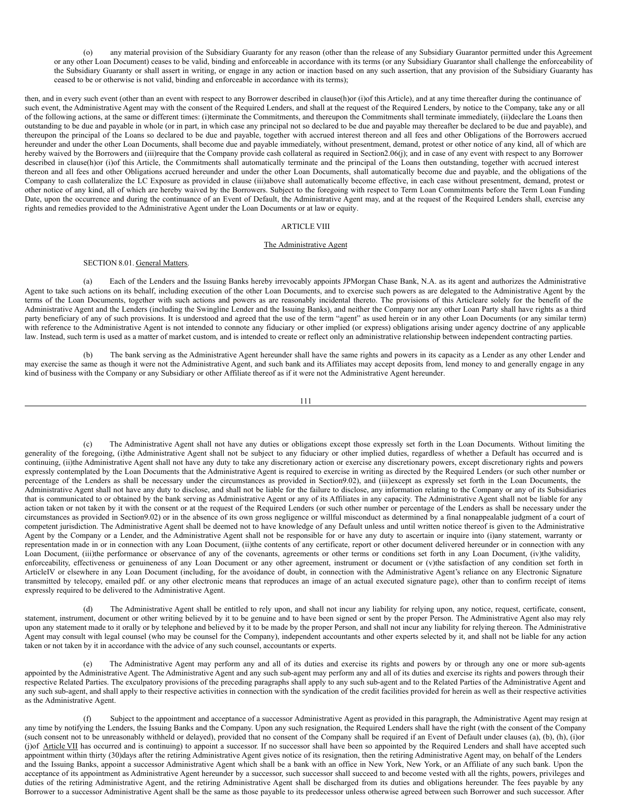(o) any material provision of the Subsidiary Guaranty for any reason (other than the release of any Subsidiary Guarantor permitted under this Agreement or any other Loan Document) ceases to be valid, binding and enforceable in accordance with its terms (or any Subsidiary Guarantor shall challenge the enforceability of the Subsidiary Guaranty or shall assert in writing, or engage in any action or inaction based on any such assertion, that any provision of the Subsidiary Guaranty has ceased to be or otherwise is not valid, binding and enforceable in accordance with its terms);

then, and in every such event (other than an event with respect to any Borrower described in clause(h)or (i)of this Article), and at any time thereafter during the continuance of such event, the Administrative Agent may with the consent of the Required Lenders, and shall at the request of the Required Lenders, by notice to the Company, take any or all of the following actions, at the same or different times: (i)terminate the Commitments, and thereupon the Commitments shall terminate immediately, (ii)declare the Loans then outstanding to be due and payable in whole (or in part, in which case any principal not so declared to be due and payable may thereafter be declared to be due and payable), and thereupon the principal of the Loans so declared to be due and payable, together with accrued interest thereon and all fees and other Obligations of the Borrowers accrued hereunder and under the other Loan Documents, shall become due and payable immediately, without presentment, demand, protest or other notice of any kind, all of which are hereby waived by the Borrowers and (iii)require that the Company provide cash collateral as required in Section 2.06(j); and in case of any event with respect to any Borrower described in clause(h)or (i)of this Article, the Commitments shall automatically terminate and the principal of the Loans then outstanding, together with accrued interest thereon and all fees and other Obligations accrued hereunder and under the other Loan Documents, shall automatically become due and payable, and the obligations of the Company to cash collateralize the LC Exposure as provided in clause (iii)above shall automatically become effective, in each case without presentment, demand, protest or other notice of any kind, all of which are hereby waived by the Borrowers. Subject to the foregoing with respect to Term Loan Commitments before the Term Loan Funding Date, upon the occurrence and during the continuance of an Event of Default, the Administrative Agent may, and at the request of the Required Lenders shall, exercise any rights and remedies provided to the Administrative Agent under the Loan Documents or at law or equity.

### ARTICLE VIII

### The Administrative Agent

## SECTION 8.01. General Matters.

(a) Each of the Lenders and the Issuing Banks hereby irrevocably appoints JPMorgan Chase Bank, N.A. as its agent and authorizes the Administrative Agent to take such actions on its behalf, including execution of the other Loan Documents, and to exercise such powers as are delegated to the Administrative Agent by the terms of the Loan Documents, together with such actions and powers as are reasonably incidental thereto. The provisions of this Articleare solely for the benefit of the Administrative Agent and the Lenders (including the Swingline Lender and the Issuing Banks), and neither the Company nor any other Loan Party shall have rights as a third party beneficiary of any of such provisions. It is understood and agreed that the use of the term "agent" as used herein or in any other Loan Documents (or any similar term) with reference to the Administrative Agent is not intended to connote any fiduciary or other implied (or express) obligations arising under agency doctrine of any applicable law. Instead, such term is used as a matter of market custom, and is intended to create or reflect only an administrative relationship between independent contracting parties.

(b) The bank serving as the Administrative Agent hereunder shall have the same rights and powers in its capacity as a Lender as any other Lender and may exercise the same as though it were not the Administrative Agent, and such bank and its Affiliates may accept deposits from, lend money to and generally engage in any kind of business with the Company or any Subsidiary or other Affiliate thereof as if it were not the Administrative Agent hereunder.

#### 111

The Administrative Agent shall not have any duties or obligations except those expressly set forth in the Loan Documents. Without limiting the generality of the foregoing, (i)the Administrative Agent shall not be subject to any fiduciary or other implied duties, regardless of whether a Default has occurred and is continuing, (ii)the Administrative Agent shall not have any duty to take any discretionary action or exercise any discretionary powers, except discretionary rights and powers expressly contemplated by the Loan Documents that the Administrative Agent is required to exercise in writing as directed by the Required Lenders (or such other number or percentage of the Lenders as shall be necessary under the circumstances as provided in Section9.02), and (iii)except as expressly set forth in the Loan Documents, the Administrative Agent shall not have any duty to disclose, and shall not be liable for the failure to disclose, any information relating to the Company or any of its Subsidiaries that is communicated to or obtained by the bank serving as Administrative Agent or any of its Affiliates in any capacity. The Administrative Agent shall not be liable for any action taken or not taken by it with the consent or at the request of the Required Lenders (or such other number or percentage of the Lenders as shall be necessary under the circumstances as provided in Section9.02) or in the absence of its own gross negligence or willful misconduct as determined by a final nonappealable judgment of a court of competent jurisdiction. The Administrative Agent shall be deemed not to have knowledge of any Default unless and until written notice thereof is given to the Administrative Agent by the Company or a Lender, and the Administrative Agent shall not be responsible for or have any duty to ascertain or inquire into (i)any statement, warranty or representation made in or in connection with any Loan Document, (ii)the contents of any certificate, report or other document delivered hereunder or in connection with any Loan Document, (iii)the performance or observance of any of the covenants, agreements or other terms or conditions set forth in any Loan Document, (iv)the validity, enforceability, effectiveness or genuineness of any Loan Document or any other agreement, instrument or document or (v)the satisfaction of any condition set forth in ArticleIV or elsewhere in any Loan Document (including, for the avoidance of doubt, in connection with the Administrative Agent's reliance on any Electronic Signature transmitted by telecopy, emailed pdf. or any other electronic means that reproduces an image of an actual executed signature page), other than to confirm receipt of items expressly required to be delivered to the Administrative Agent.

(d) The Administrative Agent shall be entitled to rely upon, and shall not incur any liability for relying upon, any notice, request, certificate, consent, statement, instrument, document or other writing believed by it to be genuine and to have been signed or sent by the proper Person. The Administrative Agent also may rely upon any statement made to it orally or by telephone and believed by it to be made by the proper Person, and shall not incur any liability for relying thereon. The Administrative Agent may consult with legal counsel (who may be counsel for the Company), independent accountants and other experts selected by it, and shall not be liable for any action taken or not taken by it in accordance with the advice of any such counsel, accountants or experts.

The Administrative Agent may perform any and all of its duties and exercise its rights and powers by or through any one or more sub-agents appointed by the Administrative Agent. The Administrative Agent and any such sub-agent may perform any and all of its duties and exercise its rights and powers through their respective Related Parties. The exculpatory provisions of the preceding paragraphs shall apply to any such sub-agent and to the Related Parties of the Administrative Agent and any such sub-agent, and shall apply to their respective activities in connection with the syndication of the credit facilities provided for herein as well as their respective activities as the Administrative Agent.

(f) Subject to the appointment and acceptance of a successor Administrative Agent as provided in this paragraph, the Administrative Agent may resign at any time by notifying the Lenders, the Issuing Banks and the Company. Upon any such resignation, the Required Lenders shall have the right (with the consent of the Company (such consent not to be unreasonably withheld or delayed), provided that no consent of the Company shall be required if an Event of Default under clauses (a), (b), (h), (i)or (j)of Article VII has occurred and is continuing) to appoint a successor. If no successor shall have been so appointed by the Required Lenders and shall have accepted such appointment within thirty (30)days after the retiring Administrative Agent gives notice of its resignation, then the retiring Administrative Agent may, on behalf of the Lenders and the Issuing Banks, appoint a successor Administrative Agent which shall be a bank with an office in New York, New York, or an Affiliate of any such bank. Upon the acceptance of its appointment as Administrative Agent hereunder by a successor, such successor shall succeed to and become vested with all the rights, powers, privileges and duties of the retiring Administrative Agent, and the retiring Administrative Agent shall be discharged from its duties and obligations hereunder. The fees payable by any Borrower to a successor Administrative Agent shall be the same as those payable to its predecessor unless otherwise agreed between such Borrower and such successor. After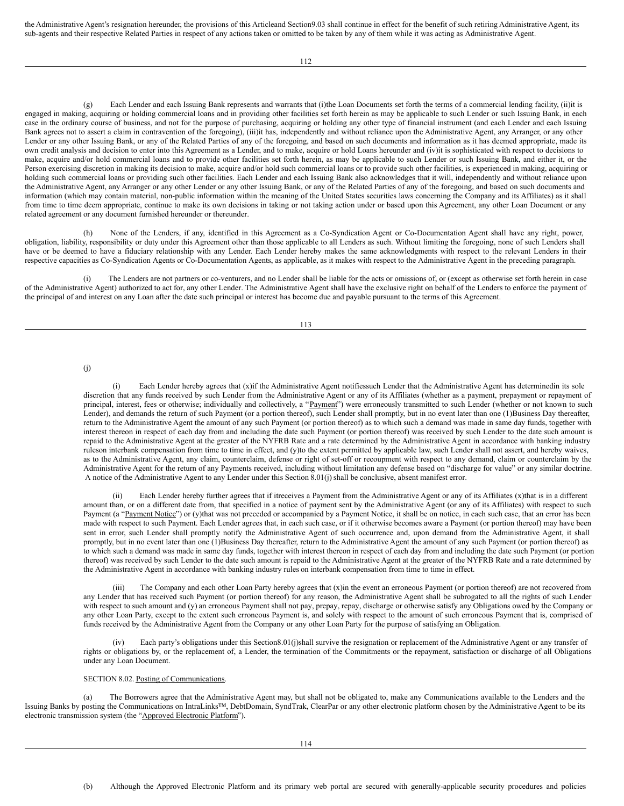the Administrative Agent's resignation hereunder, the provisions of this Articleand Section9.03 shall continue in effect for the benefit of such retiring Administrative Agent, its sub-agents and their respective Related Parties in respect of any actions taken or omitted to be taken by any of them while it was acting as Administrative Agent.

#### 112

(g) Each Lender and each Issuing Bank represents and warrants that (i)the Loan Documents set forth the terms of a commercial lending facility, (ii)it is engaged in making, acquiring or holding commercial loans and in providing other facilities set forth herein as may be applicable to such Lender or such Issuing Bank, in each case in the ordinary course of business, and not for the purpose of purchasing, acquiring or holding any other type of financial instrument (and each Lender and each Issuing Bank agrees not to assert a claim in contravention of the foregoing), (iii)it has, independently and without reliance upon the Administrative Agent, any Arranger, or any other Lender or any other Issuing Bank, or any of the Related Parties of any of the foregoing, and based on such documents and information as it has deemed appropriate, made its own credit analysis and decision to enter into this Agreement as a Lender, and to make, acquire or hold Loans hereunder and (iv)it is sophisticated with respect to decisions to make, acquire and/or hold commercial loans and to provide other facilities set forth herein, as may be applicable to such Lender or such Issuing Bank, and either it, or the Person exercising discretion in making its decision to make, acquire and/or hold such commercial loans or to provide such other facilities, is experienced in making, acquiring or holding such commercial loans or providing such other facilities. Each Lender and each Issuing Bank also acknowledges that it will, independently and without reliance upon the Administrative Agent, any Arranger or any other Lender or any other Issuing Bank, or any of the Related Parties of any of the foregoing, and based on such documents and information (which may contain material, non-public information within the meaning of the United States securities laws concerning the Company and its Affiliates) as it shall from time to time deem appropriate, continue to make its own decisions in taking or not taking action under or based upon this Agreement, any other Loan Document or any related agreement or any document furnished hereunder or thereunder.

(h) None of the Lenders, if any, identified in this Agreement as a Co-Syndication Agent or Co-Documentation Agent shall have any right, power, obligation, liability, responsibility or duty under this Agreement other than those applicable to all Lenders as such. Without limiting the foregoing, none of such Lenders shall have or be deemed to have a fiduciary relationship with any Lender. Each Lender hereby makes the same acknowledgments with respect to the relevant Lenders in their respective capacities as Co-Syndication Agents or Co-Documentation Agents, as applicable, as it makes with respect to the Administrative Agent in the preceding paragraph.

The Lenders are not partners or co-venturers, and no Lender shall be liable for the acts or omissions of, or (except as otherwise set forth herein in case of the Administrative Agent) authorized to act for, any other Lender. The Administrative Agent shall have the exclusive right on behalf of the Lenders to enforce the payment of the principal of and interest on any Loan after the date such principal or interest has become due and payable pursuant to the terms of this Agreement.

(j)

Each Lender hereby agrees that (x)if the Administrative Agent notifiessuch Lender that the Administrative Agent has determinedin its sole discretion that any funds received by such Lender from the Administrative Agent or any of its Affiliates (whether as a payment, prepayment or repayment of principal, interest, fees or otherwise; individually and collectively, a "Payment") were erroneously transmitted to such Lender (whether or not known to such Lender), and demands the return of such Payment (or a portion thereof), such Lender shall promptly, but in no event later than one (1)Business Day thereafter, return to the Administrative Agent the amount of any such Payment (or portion thereof) as to which such a demand was made in same day funds, together with interest thereon in respect of each day from and including the date such Payment (or portion thereof) was received by such Lender to the date such amount is repaid to the Administrative Agent at the greater of the NYFRB Rate and a rate determined by the Administrative Agent in accordance with banking industry ruleson interbank compensation from time to time in effect, and (y)to the extent permitted by applicable law, such Lender shall not assert, and hereby waives, as to the Administrative Agent, any claim, counterclaim, defense or right of set-off or recoupment with respect to any demand, claim or counterclaim by the Administrative Agent for the return of any Payments received, including without limitation any defense based on "discharge for value" or any similar doctrine. A notice of the Administrative Agent to any Lender under this Section 8.01(j) shall be conclusive, absent manifest error.

(ii) Each Lender hereby further agrees that if itreceives a Payment from the Administrative Agent or any of its Affiliates (x)that is in a different amount than, or on a different date from, that specified in a notice of payment sent by the Administrative Agent (or any of its Affiliates) with respect to such Payment (a "Payment Notice") or (y)that was not preceded or accompanied by a Payment Notice, it shall be on notice, in each such case, that an error has been made with respect to such Payment. Each Lender agrees that, in each such case, or if it otherwise becomes aware a Payment (or portion thereof) may have been sent in error, such Lender shall promptly notify the Administrative Agent of such occurrence and, upon demand from the Administrative Agent, it shall promptly, but in no event later than one (1)Business Day thereafter, return to the Administrative Agent the amount of any such Payment (or portion thereof) as to which such a demand was made in same day funds, together with interest thereon in respect of each day from and including the date such Payment (or portion thereof) was received by such Lender to the date such amount is repaid to the Administrative Agent at the greater of the NYFRB Rate and a rate determined by the Administrative Agent in accordance with banking industry rules on interbank compensation from time to time in effect.

(iii) The Company and each other Loan Party hereby agrees that (x)in the event an erroneous Payment (or portion thereof) are not recovered from any Lender that has received such Payment (or portion thereof) for any reason, the Administrative Agent shall be subrogated to all the rights of such Lender with respect to such amount and (y) an erroneous Payment shall not pay, prepay, repay, discharge or otherwise satisfy any Obligations owed by the Company or any other Loan Party, except to the extent such erroneous Payment is, and solely with respect to the amount of such erroneous Payment that is, comprised of funds received by the Administrative Agent from the Company or any other Loan Party for the purpose of satisfying an Obligation.

Each party's obligations under this Section8.01(j)shall survive the resignation or replacement of the Administrative Agent or any transfer of rights or obligations by, or the replacement of, a Lender, the termination of the Commitments or the repayment, satisfaction or discharge of all Obligations under any Loan Document.

#### SECTION 8.02. Posting of Communications.

(a) The Borrowers agree that the Administrative Agent may, but shall not be obligated to, make any Communications available to the Lenders and the Issuing Banks by posting the Communications on IntraLinks™, DebtDomain, SyndTrak, ClearPar or any other electronic platform chosen by the Administrative Agent to be its electronic transmission system (the "Approved Electronic Platform").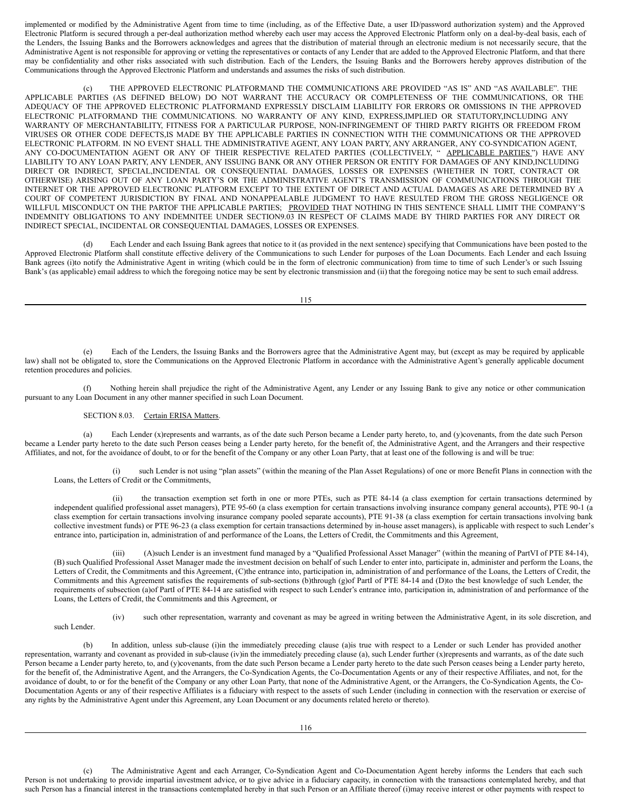implemented or modified by the Administrative Agent from time to time (including, as of the Effective Date, a user ID/password authorization system) and the Approved Electronic Platform is secured through a per-deal authorization method whereby each user may access the Approved Electronic Platform only on a deal-by-deal basis, each of the Lenders, the Issuing Banks and the Borrowers acknowledges and agrees that the distribution of material through an electronic medium is not necessarily secure, that the Administrative Agent is not responsible for approving or vetting the representatives or contacts of any Lender that are added to the Approved Electronic Platform, and that there may be confidentiality and other risks associated with such distribution. Each of the Lenders, the Issuing Banks and the Borrowers hereby approves distribution of the Communications through the Approved Electronic Platform and understands and assumes the risks of such distribution.

(c) THE APPROVED ELECTRONIC PLATFORMAND THE COMMUNICATIONS ARE PROVIDED "AS IS" AND "AS AVAILABLE". THE APPLICABLE PARTIES (AS DEFINED BELOW) DO NOT WARRANT THE ACCURACY OR COMPLETENESS OF THE COMMUNICATIONS, OR THE ADEQUACY OF THE APPROVED ELECTRONIC PLATFORMAND EXPRESSLY DISCLAIM LIABILITY FOR ERRORS OR OMISSIONS IN THE APPROVED ELECTRONIC PLATFORMAND THE COMMUNICATIONS. NO WARRANTY OF ANY KIND, EXPRESS,IMPLIED OR STATUTORY,INCLUDING ANY WARRANTY OF MERCHANTABILITY, FITNESS FOR A PARTICULAR PURPOSE, NON-INFRINGEMENT OF THIRD PARTY RIGHTS OR FREEDOM FROM VIRUSES OR OTHER CODE DEFECTS,IS MADE BY THE APPLICABLE PARTIES IN CONNECTION WITH THE COMMUNICATIONS OR THE APPROVED ELECTRONIC PLATFORM. IN NO EVENT SHALL THE ADMINISTRATIVE AGENT, ANY LOAN PARTY, ANY ARRANGER, ANY CO-SYNDICATION AGENT, ANY CO-DOCUMENTATION AGENT OR ANY OF THEIR RESPECTIVE RELATED PARTIES (COLLECTIVELY, "APPLICABLE PARTIES") HAVE ANY LIABILITY TO ANY LOAN PARTY, ANY LENDER, ANY ISSUING BANK OR ANY OTHER PERSON OR ENTITY FOR DAMAGES OF ANY KIND,INCLUDING DIRECT OR INDIRECT, SPECIAL,INCIDENTAL OR CONSEQUENTIAL DAMAGES, LOSSES OR EXPENSES (WHETHER IN TORT, CONTRACT OR OTHERWISE) ARISING OUT OF ANY LOAN PARTY'S OR THE ADMINISTRATIVE AGENT'S TRANSMISSION OF COMMUNICATIONS THROUGH THE INTERNET OR THE APPROVED ELECTRONIC PLATFORM EXCEPT TO THE EXTENT OF DIRECT AND ACTUAL DAMAGES AS ARE DETERMINED BY A COURT OF COMPETENT JURISDICTION BY FINAL AND NONAPPEALABLE JUDGMENT TO HAVE RESULTED FROM THE GROSS NEGLIGENCE OR WILLFUL MISCONDUCT ON THE PARTOF THE APPLICABLE PARTIES; PROVIDED THAT NOTHING IN THIS SENTENCE SHALL LIMIT THE COMPANY'S INDEMNITY OBLIGATIONS TO ANY INDEMNITEE UNDER SECTION9.03 IN RESPECT OF CLAIMS MADE BY THIRD PARTIES FOR ANY DIRECT OR INDIRECT SPECIAL, INCIDENTAL OR CONSEQUENTIAL DAMAGES, LOSSES OR EXPENSES.

(d) Each Lender and each Issuing Bank agrees that notice to it (as provided in the next sentence) specifying that Communications have been posted to the Approved Electronic Platform shall constitute effective delivery of the Communications to such Lender for purposes of the Loan Documents. Each Lender and each Issuing Bank agrees (i)to notify the Administrative Agent in writing (which could be in the form of electronic communication) from time to time of such Lender's or such Issuing Bank's (as applicable) email address to which the foregoing notice may be sent by electronic transmission and (ii) that the foregoing notice may be sent to such email address.

115

Each of the Lenders, the Issuing Banks and the Borrowers agree that the Administrative Agent may, but (except as may be required by applicable law) shall not be obligated to, store the Communications on the Approved Electronic Platform in accordance with the Administrative Agent's generally applicable document retention procedures and policies.

(f) Nothing herein shall prejudice the right of the Administrative Agent, any Lender or any Issuing Bank to give any notice or other communication pursuant to any Loan Document in any other manner specified in such Loan Document.

#### SECTION 8.03. Certain ERISA Matters.

(a) Each Lender (x)represents and warrants, as of the date such Person became a Lender party hereto, to, and (y)covenants, from the date such Person became a Lender party hereto to the date such Person ceases being a Lender party hereto, for the benefit of, the Administrative Agent, and the Arrangers and their respective Affiliates, and not, for the avoidance of doubt, to or for the benefit of the Company or any other Loan Party, that at least one of the following is and will be true:

(i) such Lender is not using "plan assets" (within the meaning of the Plan Asset Regulations) of one or more Benefit Plans in connection with the Loans, the Letters of Credit or the Commitments,

(ii) the transaction exemption set forth in one or more PTEs, such as PTE 84-14 (a class exemption for certain transactions determined by independent qualified professional asset managers), PTE 95-60 (a class exemption for certain transactions involving insurance company general accounts), PTE 90-1 (a class exemption for certain transactions involving insurance company pooled separate accounts), PTE 91-38 (a class exemption for certain transactions involving bank collective investment funds) or PTE 96-23 (a class exemption for certain transactions determined by in-house asset managers), is applicable with respect to such Lender's entrance into, participation in, administration of and performance of the Loans, the Letters of Credit, the Commitments and this Agreement,

(A)such Lender is an investment fund managed by a "Qualified Professional Asset Manager" (within the meaning of PartVI of PTE 84-14), (B) such Qualified Professional Asset Manager made the investment decision on behalf of such Lender to enter into, participate in, administer and perform the Loans, the Letters of Credit, the Commitments and this Agreement, (C)the entrance into, participation in, administration of and performance of the Loans, the Letters of Credit, the Commitments and this Agreement satisfies the requirements of sub-sections (b)through (g)of PartI of PTE 84-14 and (D)to the best knowledge of such Lender, the requirements of subsection (a)of PartI of PTE 84-14 are satisfied with respect to such Lender's entrance into, participation in, administration of and performance of the Loans, the Letters of Credit, the Commitments and this Agreement, or

such Lender.

(iv) such other representation, warranty and covenant as may be agreed in writing between the Administrative Agent, in its sole discretion, and

In addition, unless sub-clause (i)in the immediately preceding clause (a)is true with respect to a Lender or such Lender has provided another representation, warranty and covenant as provided in sub-clause (iv)in the immediately preceding clause (a), such Lender further (x)represents and warrants, as of the date such Person became a Lender party hereto, to, and (y)covenants, from the date such Person became a Lender party hereto to the date such Person ceases being a Lender party hereto, for the benefit of, the Administrative Agent, and the Arrangers, the Co-Syndication Agents, the Co-Documentation Agents or any of their respective Affiliates, and not, for the avoidance of doubt, to or for the benefit of the Company or any other Loan Party, that none of the Administrative Agent, or the Arrangers, the Co-Syndication Agents, the Co-Documentation Agents or any of their respective Affiliates is a fiduciary with respect to the assets of such Lender (including in connection with the reservation or exercise of any rights by the Administrative Agent under this Agreement, any Loan Document or any documents related hereto or thereto).

The Administrative Agent and each Arranger, Co-Syndication Agent and Co-Documentation Agent hereby informs the Lenders that each such Person is not undertaking to provide impartial investment advice, or to give advice in a fiduciary capacity, in connection with the transactions contemplated hereby, and that such Person has a financial interest in the transactions contemplated hereby in that such Person or an Affiliate thereof (i)may receive interest or other payments with respect to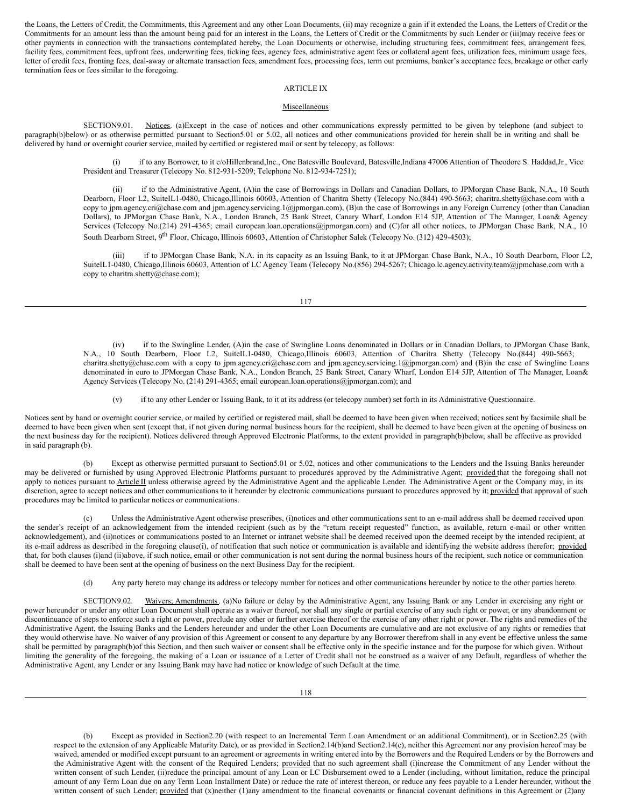the Loans, the Letters of Credit, the Commitments, this Agreement and any other Loan Documents, (ii) may recognize a gain if it extended the Loans, the Letters of Credit or the Commitments for an amount less than the amount being paid for an interest in the Loans, the Letters of Credit or the Commitments by such Lender or (iii)may receive fees or other payments in connection with the transactions contemplated hereby, the Loan Documents or otherwise, including structuring fees, commitment fees, arrangement fees, facility fees, commitment fees, upfront fees, underwriting fees, ticking fees, agency fees, administrative agent fees or collateral agent fees, utilization fees, minimum usage fees, letter of credit fees, fronting fees, deal-away or alternate transaction fees, amendment fees, processing fees, term out premiums, banker's acceptance fees, breakage or other early termination fees or fees similar to the foregoing.

# ARTICLE IX

#### Miscellaneous

SECTION9.01. Notices. (a)Except in the case of notices and other communications expressly permitted to be given by telephone (and subject to paragraph(b)below) or as otherwise permitted pursuant to Section5.01 or 5.02, all notices and other communications provided for herein shall be in writing and shall be delivered by hand or overnight courier service, mailed by certified or registered mail or sent by telecopy, as follows:

> (i) if to any Borrower, to it c/oHillenbrand,Inc., One Batesville Boulevard, Batesville,Indiana 47006 Attention of Theodore S. Haddad,Jr., Vice President and Treasurer (Telecopy No. 812-931-5209; Telephone No. 812-934-7251);

if to the Administrative Agent, (A)in the case of Borrowings in Dollars and Canadian Dollars, to JPMorgan Chase Bank, N.A., 10 South Dearborn, Floor L2, SuiteIL1-0480, Chicago,Illinois 60603, Attention of Charitra Shetty (Telecopy No.(844) 490-5663; charitra.shetty@chase.com with a copy to jpm.agency.cri@chase.com and jpm.agency.servicing.1@jpmorgan.com), (B)in the case of Borrowings in any Foreign Currency (other than Canadian Dollars), to JPMorgan Chase Bank, N.A., London Branch, 25 Bank Street, Canary Wharf, London E14 5JP, Attention of The Manager, Loan& Agency Services (Telecopy No.(214) 291-4365; email european.loan.operations@jpmorgan.com) and (C)for all other notices, to JPMorgan Chase Bank, N.A., 10 South Dearborn Street, 9<sup>th</sup> Floor, Chicago, Illinois 60603, Attention of Christopher Salek (Telecopy No. (312) 429-4503);

if to JPMorgan Chase Bank, N.A. in its capacity as an Issuing Bank, to it at JPMorgan Chase Bank, N.A., 10 South Dearborn, Floor L2, SuiteIL1-0480, Chicago,Illinois 60603, Attention of LC Agency Team (Telecopy No.(856) 294-5267; Chicago.lc.agency.activity.team@jpmchase.com with a copy to charitra.shetty@chase.com);

117

(iv) if to the Swingline Lender, (A)in the case of Swingline Loans denominated in Dollars or in Canadian Dollars, to JPMorgan Chase Bank, N.A., 10 South Dearborn, Floor L2, SuiteIL1-0480, Chicago,Illinois 60603, Attention of Charitra Shetty (Telecopy No.(844) 490-5663; charitra.shetty@chase.com with a copy to jpm.agency.cri@chase.com and jpm.agency.servicing.1@jpmorgan.com) and (B)in the case of Swingline Loans denominated in euro to JPMorgan Chase Bank, N.A., London Branch, 25 Bank Street, Canary Wharf, London E14 5JP, Attention of The Manager, Loan& Agency Services (Telecopy No. (214) 291-4365; email european.loan.operations@jpmorgan.com); and

(v) if to any other Lender or Issuing Bank, to it at its address (or telecopy number) set forth in its Administrative Questionnaire.

Notices sent by hand or overnight courier service, or mailed by certified or registered mail, shall be deemed to have been given when received; notices sent by facsimile shall be deemed to have been given when sent (except that, if not given during normal business hours for the recipient, shall be deemed to have been given at the opening of business on the next business day for the recipient). Notices delivered through Approved Electronic Platforms, to the extent provided in paragraph(b)below, shall be effective as provided in said paragraph (b).

(b) Except as otherwise permitted pursuant to Section5.01 or 5.02, notices and other communications to the Lenders and the Issuing Banks hereunder may be delivered or furnished by using Approved Electronic Platforms pursuant to procedures approved by the Administrative Agent; provided that the foregoing shall not apply to notices pursuant to Article II unless otherwise agreed by the Administrative Agent and the applicable Lender. The Administrative Agent or the Company may, in its discretion, agree to accept notices and other communications to it hereunder by electronic communications pursuant to procedures approved by it; provided that approval of such procedures may be limited to particular notices or communications.

(c) Unless the Administrative Agent otherwise prescribes, (i)notices and other communications sent to an e-mail address shall be deemed received upon the sender's receipt of an acknowledgement from the intended recipient (such as by the "return receipt requested" function, as available, return e-mail or other written acknowledgement), and (ii)notices or communications posted to an Internet or intranet website shall be deemed received upon the deemed receipt by the intended recipient, at its e-mail address as described in the foregoing clause(i), of notification that such notice or communication is available and identifying the website address therefor; provided that, for both clauses (i)and (ii)above, if such notice, email or other communication is not sent during the normal business hours of the recipient, such notice or communication shall be deemed to have been sent at the opening of business on the next Business Day for the recipient.

(d) Any party hereto may change its address or telecopy number for notices and other communications hereunder by notice to the other parties hereto.

SECTION9.02. Waivers; Amendments. (a)No failure or delay by the Administrative Agent, any Issuing Bank or any Lender in exercising any right or power hereunder or under any other Loan Document shall operate as a waiver thereof, nor shall any single or partial exercise of any such right or power, or any abandonment or discontinuance of steps to enforce such a right or power, preclude any other or further exercise thereof or the exercise of any other right or power. The rights and remedies of the Administrative Agent, the Issuing Banks and the Lenders hereunder and under the other Loan Documents are cumulative and are not exclusive of any rights or remedies that they would otherwise have. No waiver of any provision of this Agreement or consent to any departure by any Borrower therefrom shall in any event be effective unless the same shall be permitted by paragraph(b)of this Section, and then such waiver or consent shall be effective only in the specific instance and for the purpose for which given. Without limiting the generality of the foregoing, the making of a Loan or issuance of a Letter of Credit shall not be construed as a waiver of any Default, regardless of whether the Administrative Agent, any Lender or any Issuing Bank may have had notice or knowledge of such Default at the time.

(b) Except as provided in Section2.20 (with respect to an Incremental Term Loan Amendment or an additional Commitment), or in Section2.25 (with respect to the extension of any Applicable Maturity Date), or as provided in Section2.14(b)and Section2.14(c), neither this Agreement nor any provision hereof may be waived, amended or modified except pursuant to an agreement or agreements in writing entered into by the Borrowers and the Required Lenders or by the Borrowers and the Administrative Agent with the consent of the Required Lenders; provided that no such agreement shall (i)increase the Commitment of any Lender without the written consent of such Lender, (ii)reduce the principal amount of any Loan or LC Disbursement owed to a Lender (including, without limitation, reduce the principal amount of any Term Loan due on any Term Loan Installment Date) or reduce the rate of interest thereon, or reduce any fees payable to a Lender hereunder, without the written consent of such Lender; provided that (x)neither (1)any amendment to the financial covenants or financial covenant definitions in this Agreement or (2)any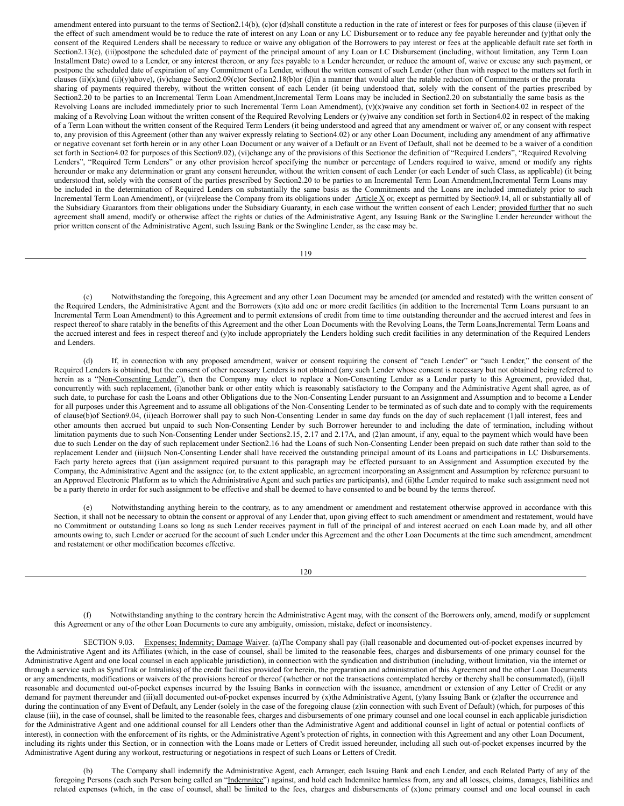amendment entered into pursuant to the terms of Section2.14(b), (c)or (d)shall constitute a reduction in the rate of interest or fees for purposes of this clause (ii)even if the effect of such amendment would be to reduce the rate of interest on any Loan or any LC Disbursement or to reduce any fee payable hereunder and (y)that only the consent of the Required Lenders shall be necessary to reduce or waive any obligation of the Borrowers to pay interest or fees at the applicable default rate set forth in Section2.13(e), (iii)postpone the scheduled date of payment of the principal amount of any Loan or LC Disbursement (including, without limitation, any Term Loan Installment Date) owed to a Lender, or any interest thereon, or any fees payable to a Lender hereunder, or reduce the amount of, waive or excuse any such payment, or postpone the scheduled date of expiration of any Commitment of a Lender, without the written consent of such Lender (other than with respect to the matters set forth in clauses (ii)(x)and (ii)(y)above), (iv)change Section2.09(c)or Section2.18(b)or (d)in a manner that would alter the ratable reduction of Commitments or the prorata sharing of payments required thereby, without the written consent of each Lender (it being understood that, solely with the consent of the parties prescribed by Section2.20 to be parties to an Incremental Term Loan Amendment,Incremental Term Loans may be included in Section2.20 on substantially the same basis as the Revolving Loans are included immediately prior to such Incremental Term Loan Amendment), (v)(x)waive any condition set forth in Section4.02 in respect of the making of a Revolving Loan without the written consent of the Required Revolving Lenders or (y)waive any condition set forth in Section4.02 in respect of the making of a Term Loan without the written consent of the Required Term Lenders (it being understood and agreed that any amendment or waiver of, or any consent with respect to, any provision of this Agreement (other than any waiver expressly relating to Section4.02) or any other Loan Document, including any amendment of any affirmative or negative covenant set forth herein or in any other Loan Document or any waiver of a Default or an Event of Default, shall not be deemed to be a waiver of a condition set forth in Section4.02 for purposes of this Section9.02), (vi)change any of the provisions of this Sectionor the definition of "Required Lenders", "Required Revolving Lenders", "Required Term Lenders" or any other provision hereof specifying the number or percentage of Lenders required to waive, amend or modify any rights hereunder or make any determination or grant any consent hereunder, without the written consent of each Lender (or each Lender of such Class, as applicable) (it being understood that, solely with the consent of the parties prescribed by Section2.20 to be parties to an Incremental Term Loan Amendment,Incremental Term Loans may be included in the determination of Required Lenders on substantially the same basis as the Commitments and the Loans are included immediately prior to such Incremental Term Loan Amendment), or (vii)release the Company from its obligations under Article X or, except as permitted by Section9.14, all or substantially all of the Subsidiary Guarantors from their obligations under the Subsidiary Guaranty, in each case without the written consent of each Lender; provided further that no such agreement shall amend, modify or otherwise affect the rights or duties of the Administrative Agent, any Issuing Bank or the Swingline Lender hereunder without the prior written consent of the Administrative Agent, such Issuing Bank or the Swingline Lender, as the case may be.

119

(c) Notwithstanding the foregoing, this Agreement and any other Loan Document may be amended (or amended and restated) with the written consent of the Required Lenders, the Administrative Agent and the Borrowers (x)to add one or more credit facilities (in addition to the Incremental Term Loans pursuant to an Incremental Term Loan Amendment) to this Agreement and to permit extensions of credit from time to time outstanding thereunder and the accrued interest and fees in respect thereof to share ratably in the benefits of this Agreement and the other Loan Documents with the Revolving Loans, the Term Loans, Incremental Term Loans and the accrued interest and fees in respect thereof and (y)to include appropriately the Lenders holding such credit facilities in any determination of the Required Lenders and Lenders.

(d) If, in connection with any proposed amendment, waiver or consent requiring the consent of "each Lender" or "such Lender," the consent of the Required Lenders is obtained, but the consent of other necessary Lenders is not obtained (any such Lender whose consent is necessary but not obtained being referred to herein as a "Non-Consenting Lender"), then the Company may elect to replace a Non-Consenting Lender as a Lender party to this Agreement, provided that, concurrently with such replacement, (i)another bank or other entity which is reasonably satisfactory to the Company and the Administrative Agent shall agree, as of such date, to purchase for cash the Loans and other Obligations due to the Non-Consenting Lender pursuant to an Assignment and Assumption and to become a Lender for all purposes under this Agreement and to assume all obligations of the Non-Consenting Lender to be terminated as of such date and to comply with the requirements of clause(b)of Section9.04, (ii)each Borrower shall pay to such Non-Consenting Lender in same day funds on the day of such replacement (1)all interest, fees and other amounts then accrued but unpaid to such Non-Consenting Lender by such Borrower hereunder to and including the date of termination, including without limitation payments due to such Non-Consenting Lender under Sections2.15, 2.17 and 2.17A, and (2)an amount, if any, equal to the payment which would have been due to such Lender on the day of such replacement under Section2.16 had the Loans of such Non-Consenting Lender been prepaid on such date rather than sold to the replacement Lender and (iii)such Non-Consenting Lender shall have received the outstanding principal amount of its Loans and participations in LC Disbursements. Each party hereto agrees that (i)an assignment required pursuant to this paragraph may be effected pursuant to an Assignment and Assumption executed by the Company, the Administrative Agent and the assignee (or, to the extent applicable, an agreement incorporating an Assignment and Assumption by reference pursuant to an Approved Electronic Platform as to which the Administrative Agent and such parties are participants), and (ii)the Lender required to make such assignment need not be a party thereto in order for such assignment to be effective and shall be deemed to have consented to and be bound by the terms thereof.

Notwithstanding anything herein to the contrary, as to any amendment or amendment and restatement otherwise approved in accordance with this Section, it shall not be necessary to obtain the consent or approval of any Lender that, upon giving effect to such amendment or amendment and restatement, would have no Commitment or outstanding Loans so long as such Lender receives payment in full of the principal of and interest accrued on each Loan made by, and all other amounts owing to, such Lender or accrued for the account of such Lender under this Agreement and the other Loan Documents at the time such amendment, amendment and restatement or other modification becomes effective.

120

(f) Notwithstanding anything to the contrary herein the Administrative Agent may, with the consent of the Borrowers only, amend, modify or supplement this Agreement or any of the other Loan Documents to cure any ambiguity, omission, mistake, defect or inconsistency.

SECTION 9.03. Expenses; Indemnity; Damage Waiver. (a)The Company shall pay (i)all reasonable and documented out-of-pocket expenses incurred by the Administrative Agent and its Affiliates (which, in the case of counsel, shall be limited to the reasonable fees, charges and disbursements of one primary counsel for the Administrative Agent and one local counsel in each applicable jurisdiction), in connection with the syndication and distribution (including, without limitation, via the internet or through a service such as SyndTrak or Intralinks) of the credit facilities provided for herein, the preparation and administration of this Agreement and the other Loan Documents or any amendments, modifications or waivers of the provisions hereof or thereof (whether or not the transactions contemplated hereby or thereby shall be consummated), (ii)all reasonable and documented out-of-pocket expenses incurred by the Issuing Banks in connection with the issuance, amendment or extension of any Letter of Credit or any demand for payment thereunder and (iii)all documented out-of-pocket expenses incurred by (x)the Administrative Agent, (y)any Issuing Bank or (z)after the occurrence and during the continuation of any Event of Default, any Lender (solely in the case of the foregoing clause (z)in connection with such Event of Default) (which, for purposes of this clause (iii), in the case of counsel, shall be limited to the reasonable fees, charges and disbursements of one primary counsel and one local counsel in each applicable jurisdiction for the Administrative Agent and one additional counsel for all Lenders other than the Administrative Agent and additional counsel in light of actual or potential conflicts of interest), in connection with the enforcement of its rights, or the Administrative Agent's protection of rights, in connection with this Agreement and any other Loan Document, including its rights under this Section, or in connection with the Loans made or Letters of Credit issued hereunder, including all such out-of-pocket expenses incurred by the Administrative Agent during any workout, restructuring or negotiations in respect of such Loans or Letters of Credit.

The Company shall indemnify the Administrative Agent, each Arranger, each Issuing Bank and each Lender, and each Related Party of any of the foregoing Persons (each such Person being called an "Indemnitee") against, and hold each Indemnitee harmless from, any and all losses, claims, damages, liabilities and related expenses (which, in the case of counsel, shall be limited to the fees, charges and disbursements of (x)one primary counsel and one local counsel in each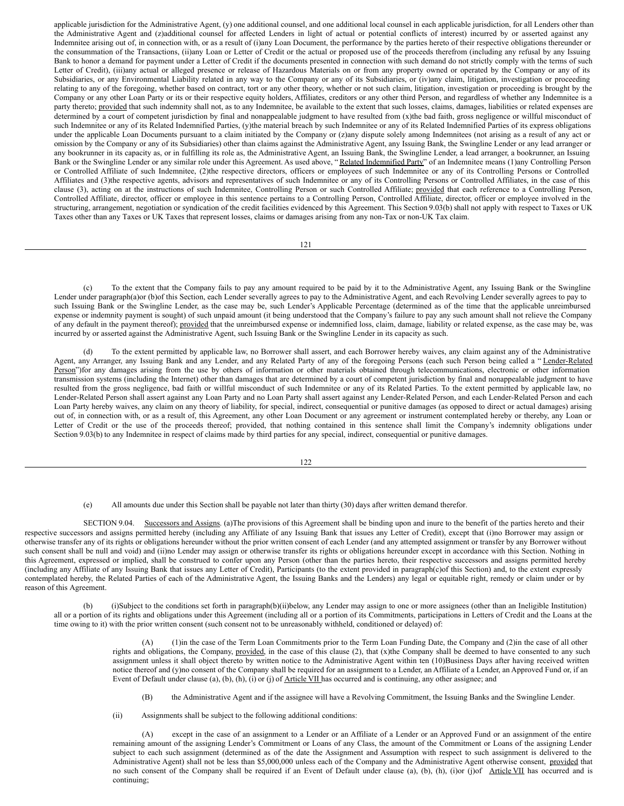applicable jurisdiction for the Administrative Agent, (y) one additional counsel, and one additional local counsel in each applicable jurisdiction, for all Lenders other than the Administrative Agent and (z)additional counsel for affected Lenders in light of actual or potential conflicts of interest) incurred by or asserted against any Indemnitee arising out of, in connection with, or as a result of (i)any Loan Document, the performance by the parties hereto of their respective obligations thereunder or the consummation of the Transactions, (ii)any Loan or Letter of Credit or the actual or proposed use of the proceeds therefrom (including any refusal by any Issuing Bank to honor a demand for payment under a Letter of Credit if the documents presented in connection with such demand do not strictly comply with the terms of such Letter of Credit), (iii)any actual or alleged presence or release of Hazardous Materials on or from any property owned or operated by the Company or any of its Subsidiaries, or any Environmental Liability related in any way to the Company or any of its Subsidiaries, or (iv)any claim, litigation, investigation or proceeding relating to any of the foregoing, whether based on contract, tort or any other theory, whether or not such claim, litigation, investigation or proceeding is brought by the Company or any other Loan Party or its or their respective equity holders, Affiliates, creditors or any other third Person, and regardless of whether any Indemnitee is a party thereto; provided that such indemnity shall not, as to any Indemnitee, be available to the extent that such losses, claims, damages, liabilities or related expenses are determined by a court of competent jurisdiction by final and nonappealable judgment to have resulted from (x)the bad faith, gross negligence or willful misconduct of such Indemnitee or any of its Related Indemnified Parties, (y)the material breach by such Indemnitee or any of its Related Indemnified Parties of its express obligations under the applicable Loan Documents pursuant to a claim initiated by the Company or (z)any dispute solely among Indemnitees (not arising as a result of any act or omission by the Company or any of its Subsidiaries) other than claims against the Administrative Agent, any Issuing Bank, the Swingline Lender or any lead arranger or any bookrunner in its capacity as, or in fulfilling its role as, the Administrative Agent, an Issuing Bank, the Swingline Lender, a lead arranger, a bookrunner, an Issuing Bank or the Swingline Lender or any similar role under this Agreement. As used above, "Related Indemnified Party" of an Indemnitee means (1)any Controlling Person or Controlled Affiliate of such Indemnitee, (2)the respective directors, officers or employees of such Indemnitee or any of its Controlling Persons or Controlled Affiliates and (3)the respective agents, advisors and representatives of such Indemnitee or any of its Controlling Persons or Controlled Affiliates, in the case of this clause (3), acting on at the instructions of such Indemnitee, Controlling Person or such Controlled Affiliate; provided that each reference to a Controlling Person, Controlled Affiliate, director, officer or employee in this sentence pertains to a Controlling Person, Controlled Affiliate, director, officer or employee involved in the structuring, arrangement, negotiation or syndication of the credit facilities evidenced by this Agreement. This Section 9.03(b) shall not apply with respect to Taxes or UK Taxes other than any Taxes or UK Taxes that represent losses, claims or damages arising from any non-Tax or non-UK Tax claim.

121

(c) To the extent that the Company fails to pay any amount required to be paid by it to the Administrative Agent, any Issuing Bank or the Swingline Lender under paragraph(a)or (b)of this Section, each Lender severally agrees to pay to the Administrative Agent, and each Revolving Lender severally agrees to pay to such Issuing Bank or the Swingline Lender, as the case may be, such Lender's Applicable Percentage (determined as of the time that the applicable unreimbursed expense or indemnity payment is sought) of such unpaid amount (it being understood that the Company's failure to pay any such amount shall not relieve the Company of any default in the payment thereof); provided that the unreimbursed expense or indemnified loss, claim, damage, liability or related expense, as the case may be, was incurred by or asserted against the Administrative Agent, such Issuing Bank or the Swingline Lender in its capacity as such.

(d) To the extent permitted by applicable law, no Borrower shall assert, and each Borrower hereby waives, any claim against any of the Administrative Agent, any Arranger, any Issuing Bank and any Lender, and any Related Party of any of the foregoing Persons (each such Person being called a " Lender-Related Person")for any damages arising from the use by others of information or other materials obtained through telecommunications, electronic or other information transmission systems (including the Internet) other than damages that are determined by a court of competent jurisdiction by final and nonappealable judgment to have resulted from the gross negligence, bad faith or willful misconduct of such Indemnitee or any of its Related Parties. To the extent permitted by applicable law, no Lender-Related Person shall assert against any Loan Party and no Loan Party shall assert against any Lender-Related Person, and each Lender-Related Person and each Loan Party hereby waives, any claim on any theory of liability, for special, indirect, consequential or punitive damages (as opposed to direct or actual damages) arising out of, in connection with, or as a result of, this Agreement, any other Loan Document or any agreement or instrument contemplated hereby or thereby, any Loan or Letter of Credit or the use of the proceeds thereof; provided, that nothing contained in this sentence shall limit the Company's indemnity obligations under Section 9.03(b) to any Indemnitee in respect of claims made by third parties for any special, indirect, consequential or punitive damages.

(e) All amounts due under this Section shall be payable not later than thirty (30) days after written demand therefor.

SECTION 9.04. Successors and Assigns. (a)The provisions of this Agreement shall be binding upon and inure to the benefit of the parties hereto and their respective successors and assigns permitted hereby (including any Affiliate of any Issuing Bank that issues any Letter of Credit), except that (i)no Borrower may assign or otherwise transfer any of its rights or obligations hereunder without the prior written consent of each Lender (and any attempted assignment or transfer by any Borrower without such consent shall be null and void) and (ii)no Lender may assign or otherwise transfer its rights or obligations hereunder except in accordance with this Section. Nothing in this Agreement, expressed or implied, shall be construed to confer upon any Person (other than the parties hereto, their respective successors and assigns permitted hereby (including any Affiliate of any Issuing Bank that issues any Letter of Credit), Participants (to the extent provided in paragraph(c)of this Section) and, to the extent expressly contemplated hereby, the Related Parties of each of the Administrative Agent, the Issuing Banks and the Lenders) any legal or equitable right, remedy or claim under or by reason of this Agreement.

(b) (i)Subject to the conditions set forth in paragraph(b)(ii)below, any Lender may assign to one or more assignees (other than an Ineligible Institution) all or a portion of its rights and obligations under this Agreement (including all or a portion of its Commitments, participations in Letters of Credit and the Loans at the time owing to it) with the prior written consent (such consent not to be unreasonably withheld, conditioned or delayed) of:

> (A) (1)in the case of the Term Loan Commitments prior to the Term Loan Funding Date, the Company and (2)in the case of all other rights and obligations, the Company, provided, in the case of this clause (2), that (x)the Company shall be deemed to have consented to any such assignment unless it shall object thereto by written notice to the Administrative Agent within ten (10)Business Days after having received written notice thereof and (y)no consent of the Company shall be required for an assignment to a Lender, an Affiliate of a Lender, an Approved Fund or, if an Event of Default under clause (a), (b), (h), (i) or (j) of Article VII has occurred and is continuing, any other assignee; and

- (B) the Administrative Agent and if the assignee will have a Revolving Commitment, the Issuing Banks and the Swingline Lender.
- (ii) Assignments shall be subject to the following additional conditions:

(A) except in the case of an assignment to a Lender or an Affiliate of a Lender or an Approved Fund or an assignment of the entire remaining amount of the assigning Lender's Commitment or Loans of any Class, the amount of the Commitment or Loans of the assigning Lender subject to each such assignment (determined as of the date the Assignment and Assumption with respect to such assignment is delivered to the Administrative Agent) shall not be less than \$5,000,000 unless each of the Company and the Administrative Agent otherwise consent, provided that no such consent of the Company shall be required if an Event of Default under clause (a), (b), (h), (i)or (j)of Article VII has occurred and is continuing;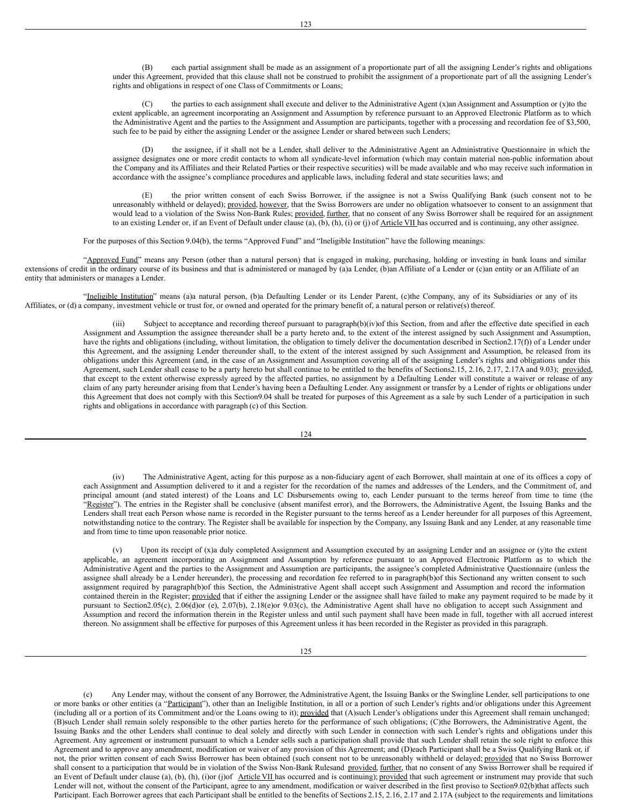(B) each partial assignment shall be made as an assignment of a proportionate part of all the assigning Lender's rights and obligations under this Agreement, provided that this clause shall not be construed to prohibit the assignment of a proportionate part of all the assigning Lender's rights and obligations in respect of one Class of Commitments or Loans;

the parties to each assignment shall execute and deliver to the Administrative Agent (x)an Assignment and Assumption or (y)to the extent applicable, an agreement incorporating an Assignment and Assumption by reference pursuant to an Approved Electronic Platform as to which the Administrative Agent and the parties to the Assignment and Assumption are participants, together with a processing and recordation fee of \$3,500, such fee to be paid by either the assigning Lender or the assignee Lender or shared between such Lenders;

the assignee, if it shall not be a Lender, shall deliver to the Administrative Agent an Administrative Questionnaire in which the assignee designates one or more credit contacts to whom all syndicate-level information (which may contain material non-public information about the Company and its Affiliates and their Related Parties or their respective securities) will be made available and who may receive such information in accordance with the assignee's compliance procedures and applicable laws, including federal and state securities laws; and

(E) the prior written consent of each Swiss Borrower, if the assignee is not a Swiss Qualifying Bank (such consent not to be unreasonably withheld or delayed); provided, however, that the Swiss Borrowers are under no obligation whatsoever to consent to an assignment that would lead to a violation of the Swiss Non-Bank Rules; provided, further, that no consent of any Swiss Borrower shall be required for an assignment to an existing Lender or, if an Event of Default under clause (a), (b), (h), (i) or (j) of Article VII has occurred and is continuing, any other assignee.

For the purposes of this Section 9.04(b), the terms "Approved Fund" and "Ineligible Institution" have the following meanings:

"Approved Fund" means any Person (other than a natural person) that is engaged in making, purchasing, holding or investing in bank loans and similar extensions of credit in the ordinary course of its business and that is administered or managed by (a)a Lender, (b)an Affiliate of a Lender or (c)an entity or an Affiliate of an entity that administers or manages a Lender.

"Ineligible Institution" means (a)a natural person, (b)a Defaulting Lender or its Lender Parent, (c)the Company, any of its Subsidiaries or any of its Affiliates, or (d) a company, investment vehicle or trust for, or owned and operated for the primary benefit of, a natural person or relative(s) thereof.

> (iii) Subject to acceptance and recording thereof pursuant to paragraph(b)(iv)of this Section, from and after the effective date specified in each Assignment and Assumption the assignee thereunder shall be a party hereto and, to the extent of the interest assigned by such Assignment and Assumption, have the rights and obligations (including, without limitation, the obligation to timely deliver the documentation described in Section2.17(f)) of a Lender under this Agreement, and the assigning Lender thereunder shall, to the extent of the interest assigned by such Assignment and Assumption, be released from its obligations under this Agreement (and, in the case of an Assignment and Assumption covering all of the assigning Lender's rights and obligations under this Agreement, such Lender shall cease to be a party hereto but shall continue to be entitled to the benefits of Sections2.15, 2.16, 2.17, 2.17A and 9.03); provided, that except to the extent otherwise expressly agreed by the affected parties, no assignment by a Defaulting Lender will constitute a waiver or release of any claim of any party hereunder arising from that Lender's having been a Defaulting Lender. Any assignment or transfer by a Lender of rights or obligations under this Agreement that does not comply with this Section9.04 shall be treated for purposes of this Agreement as a sale by such Lender of a participation in such rights and obligations in accordance with paragraph (c) of this Section.

> > 124

(iv) The Administrative Agent, acting for this purpose as a non-fiduciary agent of each Borrower, shall maintain at one of its offices a copy of each Assignment and Assumption delivered to it and a register for the recordation of the names and addresses of the Lenders, and the Commitment of, and principal amount (and stated interest) of the Loans and LC Disbursements owing to, each Lender pursuant to the terms hereof from time to time (the "Register"). The entries in the Register shall be conclusive (absent manifest error), and the Borrowers, the Administrative Agent, the Issuing Banks and the Lenders shall treat each Person whose name is recorded in the Register pursuant to the terms hereof as a Lender hereunder for all purposes of this Agreement, notwithstanding notice to the contrary. The Register shall be available for inspection by the Company, any Issuing Bank and any Lender, at any reasonable time and from time to time upon reasonable prior notice.

(v) Upon its receipt of (x)a duly completed Assignment and Assumption executed by an assigning Lender and an assignee or (y)to the extent applicable, an agreement incorporating an Assignment and Assumption by reference pursuant to an Approved Electronic Platform as to which the Administrative Agent and the parties to the Assignment and Assumption are participants, the assignee's completed Administrative Questionnaire (unless the assignee shall already be a Lender hereunder), the processing and recordation fee referred to in paragraph(b)of this Sectionand any written consent to such assignment required by paragraph(b)of this Section, the Administrative Agent shall accept such Assignment and Assumption and record the information contained therein in the Register; provided that if either the assigning Lender or the assignee shall have failed to make any payment required to be made by it pursuant to Section2.05(c), 2.06(d)or (e), 2.07(b), 2.18(e)or 9.03(c), the Administrative Agent shall have no obligation to accept such Assignment and Assumption and record the information therein in the Register unless and until such payment shall have been made in full, together with all accrued interest thereon. No assignment shall be effective for purposes of this Agreement unless it has been recorded in the Register as provided in this paragraph.

(c) Any Lender may, without the consent of any Borrower, the Administrative Agent, the Issuing Banks or the Swingline Lender, sell participations to one or more banks or other entities (a "Participant"), other than an Ineligible Institution, in all or a portion of such Lender's rights and/or obligations under this Agreement (including all or a portion of its Commitment and/or the Loans owing to it); provided that (A)such Lender's obligations under this Agreement shall remain unchanged; (B)such Lender shall remain solely responsible to the other parties hereto for the performance of such obligations; (C)the Borrowers, the Administrative Agent, the Issuing Banks and the other Lenders shall continue to deal solely and directly with such Lender in connection with such Lender's rights and obligations under this Agreement. Any agreement or instrument pursuant to which a Lender sells such a participation shall provide that such Lender shall retain the sole right to enforce this Agreement and to approve any amendment, modification or waiver of any provision of this Agreement; and (D)each Participant shall be a Swiss Qualifying Bank or, if not, the prior written consent of each Swiss Borrower has been obtained (such consent not to be unreasonably withheld or delayed; provided that no Swiss Borrower shall consent to a participation that would be in violation of the Swiss Non-Bank Rulesand provided, further, that no consent of any Swiss Borrower shall be required if an Event of Default under clause (a), (b), (h), (i)or (j)of Article VII has occurred and is continuing); provided that such agreement or instrument may provide that such Lender will not, without the consent of the Participant, agree to any amendment, modification or waiver described in the first proviso to Section9.02(b)that affects such Participant. Each Borrower agrees that each Participant shall be entitled to the benefits of Sections 2.15, 2.16, 2.17 and 2.17A (subject to the requirements and limitations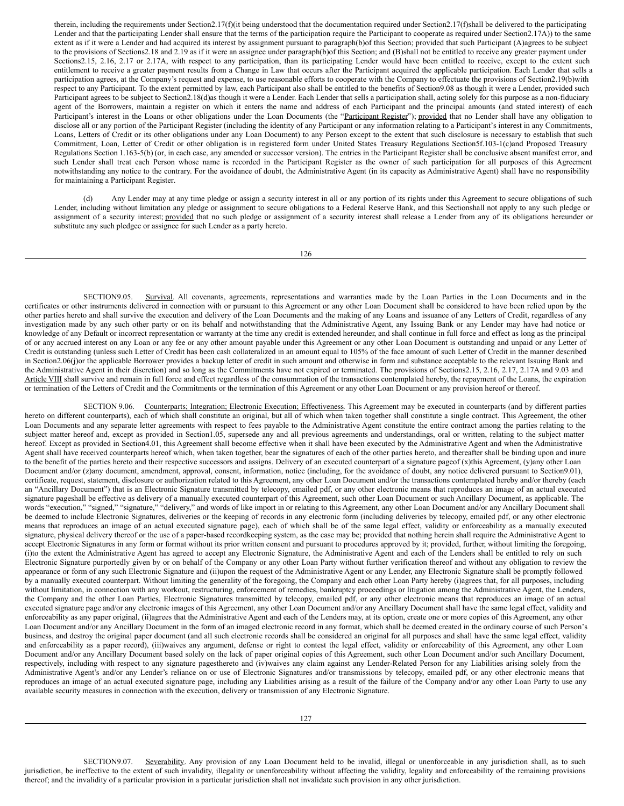therein, including the requirements under Section2.17(f)(it being understood that the documentation required under Section2.17(f)shall be delivered to the participating Lender and that the participating Lender shall ensure that the terms of the participation require the Participant to cooperate as required under Section2.17A)) to the same extent as if it were a Lender and had acquired its interest by assignment pursuant to paragraph(b)of this Section; provided that such Participant (A)agrees to be subject to the provisions of Sections2.18 and 2.19 as if it were an assignee under paragraph(b)of this Section; and (B)shall not be entitled to receive any greater payment under Sections2.15, 2.16, 2.17 or 2.17A, with respect to any participation, than its participating Lender would have been entitled to receive, except to the extent such entitlement to receive a greater payment results from a Change in Law that occurs after the Participant acquired the applicable participation. Each Lender that sells a participation agrees, at the Company's request and expense, to use reasonable efforts to cooperate with the Company to effectuate the provisions of Section2.19(b)with respect to any Participant. To the extent permitted by law, each Participant also shall be entitled to the benefits of Section9.08 as though it were a Lender, provided such Participant agrees to be subject to Section2.18(d)as though it were a Lender. Each Lender that sells a participation shall, acting solely for this purpose as a non-fiduciary agent of the Borrowers, maintain a register on which it enters the name and address of each Participant and the principal amounts (and stated interest) of each Participant's interest in the Loans or other obligations under the Loan Documents (the "Participant Register"); provided that no Lender shall have any obligation to disclose all or any portion of the Participant Register (including the identity of any Participant or any information relating to a Participant's interest in any Commitments, Loans, Letters of Credit or its other obligations under any Loan Document) to any Person except to the extent that such disclosure is necessary to establish that such Commitment, Loan, Letter of Credit or other obligation is in registered form under United States Treasury Regulations Section5f.103-1(c)and Proposed Treasury Regulations Section 1.163-5(b) (or, in each case, any amended or successor version). The entries in the Participant Register shall be conclusive absent manifest error, and such Lender shall treat each Person whose name is recorded in the Participant Register as the owner of such participation for all purposes of this Agreement notwithstanding any notice to the contrary. For the avoidance of doubt, the Administrative Agent (in its capacity as Administrative Agent) shall have no responsibility for maintaining a Participant Register.

(d) Any Lender may at any time pledge or assign a security interest in all or any portion of its rights under this Agreement to secure obligations of such Lender, including without limitation any pledge or assignment to secure obligations to a Federal Reserve Bank, and this Sectionshall not apply to any such pledge or assignment of a security interest; provided that no such pledge or assignment of a security interest shall release a Lender from any of its obligations hereunder or substitute any such pledgee or assignee for such Lender as a party hereto.

126

SECTION9.05. Survival. All covenants, agreements, representations and warranties made by the Loan Parties in the Loan Documents and in the certificates or other instruments delivered in connection with or pursuant to this Agreement or any other Loan Document shall be considered to have been relied upon by the other parties hereto and shall survive the execution and delivery of the Loan Documents and the making of any Loans and issuance of any Letters of Credit, regardless of any investigation made by any such other party or on its behalf and notwithstanding that the Administrative Agent, any Issuing Bank or any Lender may have had notice or knowledge of any Default or incorrect representation or warranty at the time any credit is extended hereunder, and shall continue in full force and effect as long as the principal of or any accrued interest on any Loan or any fee or any other amount payable under this Agreement or any other Loan Document is outstanding and unpaid or any Letter of Credit is outstanding (unless such Letter of Credit has been cash collateralized in an amount equal to 105% of the face amount of such Letter of Credit in the manner described in Section2.06(j)or the applicable Borrower provides a backup letter of credit in such amount and otherwise in form and substance acceptable to the relevant Issuing Bank and the Administrative Agent in their discretion) and so long as the Commitments have not expired or terminated. The provisions of Sections2.15, 2.16, 2.17, 2.17A and 9.03 and Article VIII shall survive and remain in full force and effect regardless of the consummation of the transactions contemplated hereby, the repayment of the Loans, the expiration or termination of the Letters of Credit and the Commitments or the termination of this Agreement or any other Loan Document or any provision hereof or thereof.

SECTION 9.06. Counterparts; Integration; Electronic Execution; Effectiveness. This Agreement may be executed in counterparts (and by different parties hereto on different counterparts), each of which shall constitute an original, but all of which when taken together shall constitute a single contract. This Agreement, the other Loan Documents and any separate letter agreements with respect to fees payable to the Administrative Agent constitute the entire contract among the parties relating to the subject matter hereof and, except as provided in Section1.05, supersede any and all previous agreements and understandings, oral or written, relating to the subject matter hereof. Except as provided in Section4.01, this Agreement shall become effective when it shall have been executed by the Administrative Agent and when the Administrative Agent shall have received counterparts hereof which, when taken together, bear the signatures of each of the other parties hereto, and thereafter shall be binding upon and inure to the benefit of the parties hereto and their respective successors and assigns. Delivery of an executed counterpart of a signature pageof (x)this Agreement, (y)any other Loan Document and/or (z)any document, amendment, approval, consent, information, notice (including, for the avoidance of doubt, any notice delivered pursuant to Section9.01), certificate, request, statement, disclosure or authorization related to this Agreement, any other Loan Document and/or the transactions contemplated hereby and/or thereby (each an "Ancillary Document") that is an Electronic Signature transmitted by telecopy, emailed pdf, or any other electronic means that reproduces an image of an actual executed signature pageshall be effective as delivery of a manually executed counterpart of this Agreement, such other Loan Document or such Ancillary Document, as applicable. The words "execution," "signed," "signature," "delivery," and words of like import in or relating to this Agreement, any other Loan Document and/or any Ancillary Document shall be deemed to include Electronic Signatures, deliveries or the keeping of records in any electronic form (including deliveries by telecopy, emailed pdf, or any other electronic means that reproduces an image of an actual executed signature page), each of which shall be of the same legal effect, validity or enforceability as a manually executed signature, physical delivery thereof or the use of a paper-based recordkeeping system, as the case may be; provided that nothing herein shall require the Administrative Agent to accept Electronic Signatures in any form or format without its prior written consent and pursuant to procedures approved by it; provided, further, without limiting the foregoing, (i)to the extent the Administrative Agent has agreed to accept any Electronic Signature, the Administrative Agent and each of the Lenders shall be entitled to rely on such Electronic Signature purportedly given by or on behalf of the Company or any other Loan Party without further verification thereof and without any obligation to review the appearance or form of any such Electronic Signature and (ii)upon the request of the Administrative Agent or any Lender, any Electronic Signature shall be promptly followed by a manually executed counterpart. Without limiting the generality of the foregoing, the Company and each other Loan Party hereby (i)agrees that, for all purposes, including without limitation, in connection with any workout, restructuring, enforcement of remedies, bankruptcy proceedings or litigation among the Administrative Agent, the Lenders, the Company and the other Loan Parties, Electronic Signatures transmitted by telecopy, emailed pdf, or any other electronic means that reproduces an image of an actual executed signature page and/or any electronic images of this Agreement, any other Loan Document and/or any Ancillary Document shall have the same legal effect, validity and enforceability as any paper original, (ii)agrees that the Administrative Agent and each of the Lenders may, at its option, create one or more copies of this Agreement, any other Loan Document and/or any Ancillary Document in the form of an imaged electronic record in any format, which shall be deemed created in the ordinary course of such Person's business, and destroy the original paper document (and all such electronic records shall be considered an original for all purposes and shall have the same legal effect, validity and enforceability as a paper record), (iii)waives any argument, defense or right to contest the legal effect, validity or enforceability of this Agreement, any other Loan Document and/or any Ancillary Document based solely on the lack of paper original copies of this Agreement, such other Loan Document and/or such Ancillary Document, respectively, including with respect to any signature pagesthereto and (iv)waives any claim against any Lender-Related Person for any Liabilities arising solely from the Administrative Agent's and/or any Lender's reliance on or use of Electronic Signatures and/or transmissions by telecopy, emailed pdf, or any other electronic means that reproduces an image of an actual executed signature page, including any Liabilities arising as a result of the failure of the Company and/or any other Loan Party to use any available security measures in connection with the execution, delivery or transmission of any Electronic Signature.

SECTION9.07. Severability. Any provision of any Loan Document held to be invalid, illegal or unenforceable in any jurisdiction shall, as to such jurisdiction, be ineffective to the extent of such invalidity, illegality or unenforceability without affecting the validity, legality and enforceability of the remaining provisions thereof; and the invalidity of a particular provision in a particular jurisdiction shall not invalidate such provision in any other jurisdiction.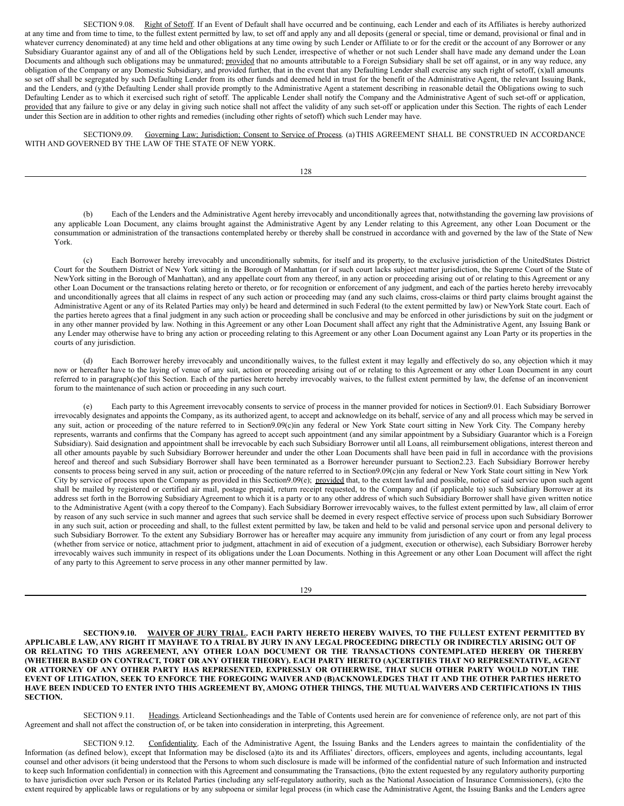SECTION 9.08. Right of Setoff. If an Event of Default shall have occurred and be continuing, each Lender and each of its Affiliates is hereby authorized at any time and from time to time, to the fullest extent permitted by law, to set off and apply any and all deposits (general or special, time or demand, provisional or final and in whatever currency denominated) at any time held and other obligations at any time owing by such Lender or Affiliate to or for the credit or the account of any Borrower or any Subsidiary Guarantor against any of and all of the Obligations held by such Lender, irrespective of whether or not such Lender shall have made any demand under the Loan Documents and although such obligations may be unmatured; provided that no amounts attributable to a Foreign Subsidiary shall be set off against, or in any way reduce, any obligation of the Company or any Domestic Subsidiary, and provided further, that in the event that any Defaulting Lender shall exercise any such right of setoff, (x)all amounts so set off shall be segregated by such Defaulting Lender from its other funds and deemed held in trust for the benefit of the Administrative Agent, the relevant Issuing Bank, and the Lenders, and (y)the Defaulting Lender shall provide promptly to the Administrative Agent a statement describing in reasonable detail the Obligations owing to such Defaulting Lender as to which it exercised such right of setoff. The applicable Lender shall notify the Company and the Administrative Agent of such set-off or application, provided that any failure to give or any delay in giving such notice shall not affect the validity of any such set-off or application under this Section. The rights of each Lender under this Section are in addition to other rights and remedies (including other rights of setoff) which such Lender may have.

SECTION9.09. Governing Law; Jurisdiction; Consent to Service of Process. (a) THIS AGREEMENT SHALL BE CONSTRUED IN ACCORDANCE WITH AND GOVERNED BY THE LAW OF THE STATE OF NEW YORK.

128

(b) Each of the Lenders and the Administrative Agent hereby irrevocably and unconditionally agrees that, notwithstanding the governing law provisions of any applicable Loan Document, any claims brought against the Administrative Agent by any Lender relating to this Agreement, any other Loan Document or the consummation or administration of the transactions contemplated hereby or thereby shall be construed in accordance with and governed by the law of the State of New York.

(c) Each Borrower hereby irrevocably and unconditionally submits, for itself and its property, to the exclusive jurisdiction of the UnitedStates District Court for the Southern District of New York sitting in the Borough of Manhattan (or if such court lacks subject matter jurisdiction, the Supreme Court of the State of NewYork sitting in the Borough of Manhattan), and any appellate court from any thereof, in any action or proceeding arising out of or relating to this Agreement or any other Loan Document or the transactions relating hereto or thereto, or for recognition or enforcement of any judgment, and each of the parties hereto hereby irrevocably and unconditionally agrees that all claims in respect of any such action or proceeding may (and any such claims, cross-claims or third party claims brought against the Administrative Agent or any of its Related Parties may only) be heard and determined in such Federal (to the extent permitted by law) or NewYork State court. Each of the parties hereto agrees that a final judgment in any such action or proceeding shall be conclusive and may be enforced in other jurisdictions by suit on the judgment or in any other manner provided by law. Nothing in this Agreement or any other Loan Document shall affect any right that the Administrative Agent, any Issuing Bank or any Lender may otherwise have to bring any action or proceeding relating to this Agreement or any other Loan Document against any Loan Party or its properties in the courts of any jurisdiction.

(d) Each Borrower hereby irrevocably and unconditionally waives, to the fullest extent it may legally and effectively do so, any objection which it may now or hereafter have to the laying of venue of any suit, action or proceeding arising out of or relating to this Agreement or any other Loan Document in any court referred to in paragraph(c)of this Section. Each of the parties hereto hereby irrevocably waives, to the fullest extent permitted by law, the defense of an inconvenient forum to the maintenance of such action or proceeding in any such court.

Each party to this Agreement irrevocably consents to service of process in the manner provided for notices in Section9.01. Each Subsidiary Borrower irrevocably designates and appoints the Company, as its authorized agent, to accept and acknowledge on its behalf, service of any and all process which may be served in any suit, action or proceeding of the nature referred to in Section9.09(c)in any federal or New York State court sitting in New York City. The Company hereby represents, warrants and confirms that the Company has agreed to accept such appointment (and any similar appointment by a Subsidiary Guarantor which is a Foreign Subsidiary). Said designation and appointment shall be irrevocable by each such Subsidiary Borrower until all Loans, all reimbursement obligations, interest thereon and all other amounts payable by such Subsidiary Borrower hereunder and under the other Loan Documents shall have been paid in full in accordance with the provisions hereof and thereof and such Subsidiary Borrower shall have been terminated as a Borrower hereunder pursuant to Section2.23. Each Subsidiary Borrower hereby consents to process being served in any suit, action or proceeding of the nature referred to in Section9.09(c)in any federal or New York State court sitting in New York City by service of process upon the Company as provided in this Section9.09(e); provided that, to the extent lawful and possible, notice of said service upon such agent shall be mailed by registered or certified air mail, postage prepaid, return receipt requested, to the Company and (if applicable to) such Subsidiary Borrower at its address set forth in the Borrowing Subsidiary Agreement to which it is a party or to any other address of which such Subsidiary Borrower shall have given written notice to the Administrative Agent (with a copy thereof to the Company). Each Subsidiary Borrower irrevocably waives, to the fullest extent permitted by law, all claim of error by reason of any such service in such manner and agrees that such service shall be deemed in every respect effective service of process upon such Subsidiary Borrower in any such suit, action or proceeding and shall, to the fullest extent permitted by law, be taken and held to be valid and personal service upon and personal delivery to such Subsidiary Borrower. To the extent any Subsidiary Borrower has or hereafter may acquire any immunity from jurisdiction of any court or from any legal process (whether from service or notice, attachment prior to judgment, attachment in aid of execution of a judgment, execution or otherwise), each Subsidiary Borrower hereby irrevocably waives such immunity in respect of its obligations under the Loan Documents. Nothing in this Agreement or any other Loan Document will affect the right of any party to this Agreement to serve process in any other manner permitted by law.

| ł<br>۰.<br>۰, |  |
|---------------|--|

**SECTION 9.10. WAIVER OF JURY TRIAL. EACH PARTY HERETO HEREBY WAIVES, TO THE FULLEST EXTENT PERMITTED BY** APPLICABLE LAW, ANY RIGHT IT MAYHAVE TO A TRIAL BY JURY IN ANY LEGAL PROCEEDING DIRECTLY OR INDIRECTLY ARISING OUT OF **OR RELATING TO THIS AGREEMENT, ANY OTHER LOAN DOCUMENT OR THE TRANSACTIONS CONTEMPLATED HEREBY OR THEREBY** (WHETHER BASED ON CONTRACT, TORT OR ANY OTHER THEORY). EACH PARTY HERETO (A)CERTIFIES THAT NO REPRESENTATIVE, AGENT OR ATTORNEY OF ANY OTHER PARTY HAS REPRESENTED, EXPRESSLY OR OTHERWISE, THAT SUCH OTHER PARTY WOULD NOT,IN THE EVENT OF LITIGATION, SEEK TO ENFORCE THE FOREGOING WAIVER AND (B)ACKNOWLEDGES THAT IT AND THE OTHER PARTIES HERETO HAVE BEEN INDUCED TO ENTER INTO THIS AGREEMENT BY, AMONG OTHER THINGS, THE MUTUAL WAIVERS AND CERTIFICATIONS IN THIS **SECTION.**

SECTION 9.11. Headings. Articleand Sectionheadings and the Table of Contents used herein are for convenience of reference only, are not part of this Agreement and shall not affect the construction of, or be taken into consideration in interpreting, this Agreement.

SECTION 9.12. Confidentiality. Each of the Administrative Agent, the Issuing Banks and the Lenders agrees to maintain the confidentiality of the Information (as defined below), except that Information may be disclosed (a)to its and its Affiliates' directors, officers, employees and agents, including accountants, legal counsel and other advisors (it being understood that the Persons to whom such disclosure is made will be informed of the confidential nature of such Information and instructed to keep such Information confidential) in connection with this Agreement and consummating the Transactions, (b)to the extent requested by any regulatory authority purporting to have jurisdiction over such Person or its Related Parties (including any self-regulatory authority, such as the National Association of Insurance Commissioners), (c)to the extent required by applicable laws or regulations or by any subpoena or similar legal process (in which case the Administrative Agent, the Issuing Banks and the Lenders agree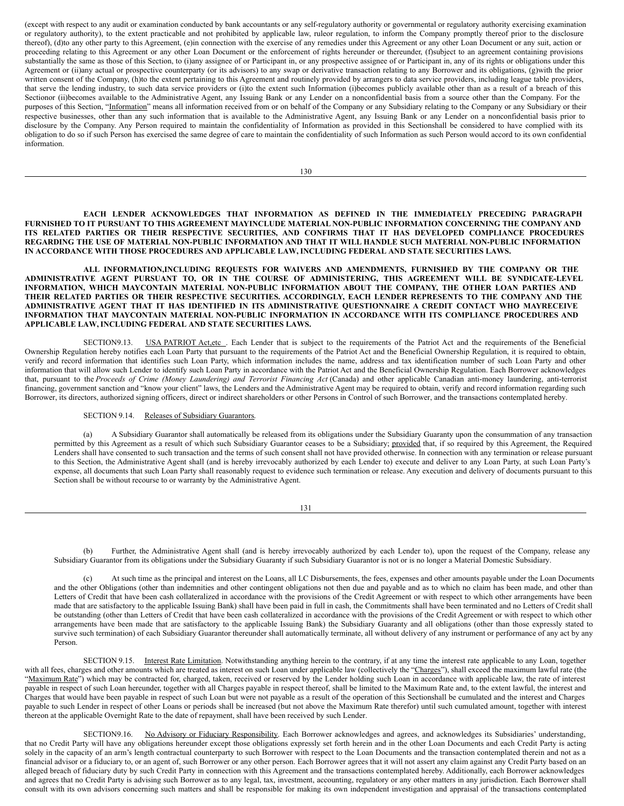(except with respect to any audit or examination conducted by bank accountants or any self-regulatory authority or governmental or regulatory authority exercising examination or regulatory authority), to the extent practicable and not prohibited by applicable law, ruleor regulation, to inform the Company promptly thereof prior to the disclosure thereof), (d)to any other party to this Agreement, (e)in connection with the exercise of any remedies under this Agreement or any other Loan Document or any suit, action or proceeding relating to this Agreement or any other Loan Document or the enforcement of rights hereunder or thereunder, (f)subject to an agreement containing provisions substantially the same as those of this Section, to (i)any assignee of or Participant in, or any prospective assignee of or Participant in, any of its rights or obligations under this Agreement or (ii)any actual or prospective counterparty (or its advisors) to any swap or derivative transaction relating to any Borrower and its obligations, (g)with the prior written consent of the Company, (h)to the extent pertaining to this Agreement and routinely provided by arrangers to data service providers, including league table providers, that serve the lending industry, to such data service providers or (i)to the extent such Information (i)becomes publicly available other than as a result of a breach of this Sectionor (ii)becomes available to the Administrative Agent, any Issuing Bank or any Lender on a nonconfidential basis from a source other than the Company. For the purposes of this Section, "Information" means all information received from or on behalf of the Company or any Subsidiary relating to the Company or any Subsidiary or their respective businesses, other than any such information that is available to the Administrative Agent, any Issuing Bank or any Lender on a nonconfidential basis prior to disclosure by the Company. Any Person required to maintain the confidentiality of Information as provided in this Sectionshall be considered to have complied with its obligation to do so if such Person has exercised the same degree of care to maintain the confidentiality of such Information as such Person would accord to its own confidential information.

130

**EACH LENDER ACKNOWLEDGES THAT INFORMATION AS DEFINED IN THE IMMEDIATELY PRECEDING PARAGRAPH FURNISHED TO IT PURSUANT TO THIS AGREEMENT MAYINCLUDE MATERIAL NON-PUBLIC INFORMATION CONCERNING THE COMPANY AND ITS RELATED PARTIES OR THEIR RESPECTIVE SECURITIES, AND CONFIRMS THAT IT HAS DEVELOPED COMPLIANCE PROCEDURES** REGARDING THE USE OF MATERIAL NON-PUBLIC INFORMATION AND THAT IT WILL HANDLE SUCH MATERIAL NON-PUBLIC INFORMATION **IN ACCORDANCE WITH THOSE PROCEDURES AND APPLICABLE LAW, INCLUDING FEDERAL AND STATE SECURITIES LAWS.**

**ALL INFORMATION,INCLUDING REQUESTS FOR WAIVERS AND AMENDMENTS, FURNISHED BY THE COMPANY OR THE ADMINISTRATIVE AGENT PURSUANT TO, OR IN THE COURSE OF ADMINISTERING, THIS AGREEMENT WILL BE SYNDICATE-LEVEL INFORMATION, WHICH MAYCONTAIN MATERIAL NON-PUBLIC INFORMATION ABOUT THE COMPANY, THE OTHER LOAN PARTIES AND THEIR RELATED PARTIES OR THEIR RESPECTIVE SECURITIES. ACCORDINGLY, EACH LENDER REPRESENTS TO THE COMPANY AND THE ADMINISTRATIVE AGENT THAT IT HAS IDENTIFIED IN ITS ADMINISTRATIVE QUESTIONNAIRE A CREDIT CONTACT WHO MAYRECEIVE INFORMATION THAT MAYCONTAIN MATERIAL NON-PUBLIC INFORMATION IN ACCORDANCE WITH ITS COMPLIANCE PROCEDURES AND APPLICABLE LAW, INCLUDING FEDERAL AND STATE SECURITIES LAWS.**

SECTION9.13. USA PATRIOT Act,etc. Each Lender that is subject to the requirements of the Patriot Act and the requirements of the Beneficial Ownership Regulation hereby notifies each Loan Party that pursuant to the requirements of the Patriot Act and the Beneficial Ownership Regulation, it is required to obtain, verify and record information that identifies such Loan Party, which information includes the name, address and tax identification number of such Loan Party and other information that will allow such Lender to identify such Loan Party in accordance with the Patriot Act and the Beneficial Ownership Regulation. Each Borrower acknowledges that, pursuant to the Proceeds of Crime (Money Laundering) and Terrorist Financing Act (Canada) and other applicable Canadian anti-money laundering, anti-terrorist financing, government sanction and "know your client" laws, the Lenders and the Administrative Agent may be required to obtain, verify and record information regarding such Borrower, its directors, authorized signing officers, direct or indirect shareholders or other Persons in Control of such Borrower, and the transactions contemplated hereby.

### SECTION 9.14. Releases of Subsidiary Guarantors.

(a) A Subsidiary Guarantor shall automatically be released from its obligations under the Subsidiary Guaranty upon the consummation of any transaction permitted by this Agreement as a result of which such Subsidiary Guarantor ceases to be a Subsidiary; provided that, if so required by this Agreement, the Required Lenders shall have consented to such transaction and the terms of such consent shall not have provided otherwise. In connection with any termination or release pursuant to this Section, the Administrative Agent shall (and is hereby irrevocably authorized by each Lender to) execute and deliver to any Loan Party, at such Loan Party's expense, all documents that such Loan Party shall reasonably request to evidence such termination or release. Any execution and delivery of documents pursuant to this Section shall be without recourse to or warranty by the Administrative Agent.

131

(b) Further, the Administrative Agent shall (and is hereby irrevocably authorized by each Lender to), upon the request of the Company, release any Subsidiary Guarantor from its obligations under the Subsidiary Guaranty if such Subsidiary Guarantor is not or is no longer a Material Domestic Subsidiary.

(c) At such time as the principal and interest on the Loans, all LC Disbursements, the fees, expenses and other amounts payable under the Loan Documents and the other Obligations (other than indemnities and other contingent obligations not then due and payable and as to which no claim has been made, and other than Letters of Credit that have been cash collateralized in accordance with the provisions of the Credit Agreement or with respect to which other arrangements have been made that are satisfactory to the applicable Issuing Bank) shall have been paid in full in cash, the Commitments shall have been terminated and no Letters of Credit shall be outstanding (other than Letters of Credit that have been cash collateralized in accordance with the provisions of the Credit Agreement or with respect to which other arrangements have been made that are satisfactory to the applicable Issuing Bank) the Subsidiary Guaranty and all obligations (other than those expressly stated to survive such termination) of each Subsidiary Guarantor thereunder shall automatically terminate, all without delivery of any instrument or performance of any act by any Person.

SECTION 9.15. Interest Rate Limitation. Notwithstanding anything herein to the contrary, if at any time the interest rate applicable to any Loan, together with all fees, charges and other amounts which are treated as interest on such Loan under applicable law (collectively the "Charges"), shall exceed the maximum lawful rate (the "Maximum Rate") which may be contracted for, charged, taken, received or reserved by the Lender holding such Loan in accordance with applicable law, the rate of interest payable in respect of such Loan hereunder, together with all Charges payable in respect thereof, shall be limited to the Maximum Rate and, to the extent lawful, the interest and Charges that would have been payable in respect of such Loan but were not payable as a result of the operation of this Sectionshall be cumulated and the interest and Charges payable to such Lender in respect of other Loans or periods shall be increased (but not above the Maximum Rate therefor) until such cumulated amount, together with interest thereon at the applicable Overnight Rate to the date of repayment, shall have been received by such Lender.

SECTION9.16. No Advisory or Fiduciary Responsibility. Each Borrower acknowledges and agrees, and acknowledges its Subsidiaries' understanding, that no Credit Party will have any obligations hereunder except those obligations expressly set forth herein and in the other Loan Documents and each Credit Party is acting solely in the capacity of an arm's length contractual counterparty to such Borrower with respect to the Loan Documents and the transaction contemplated therein and not as a financial advisor or a fiduciary to, or an agent of, such Borrower or any other person. Each Borrower agrees that it will not assert any claim against any Credit Party based on an alleged breach of fiduciary duty by such Credit Party in connection with this Agreement and the transactions contemplated hereby. Additionally, each Borrower acknowledges and agrees that no Credit Party is advising such Borrower as to any legal, tax, investment, accounting, regulatory or any other matters in any jurisdiction. Each Borrower shall consult with its own advisors concerning such matters and shall be responsible for making its own independent investigation and appraisal of the transactions contemplated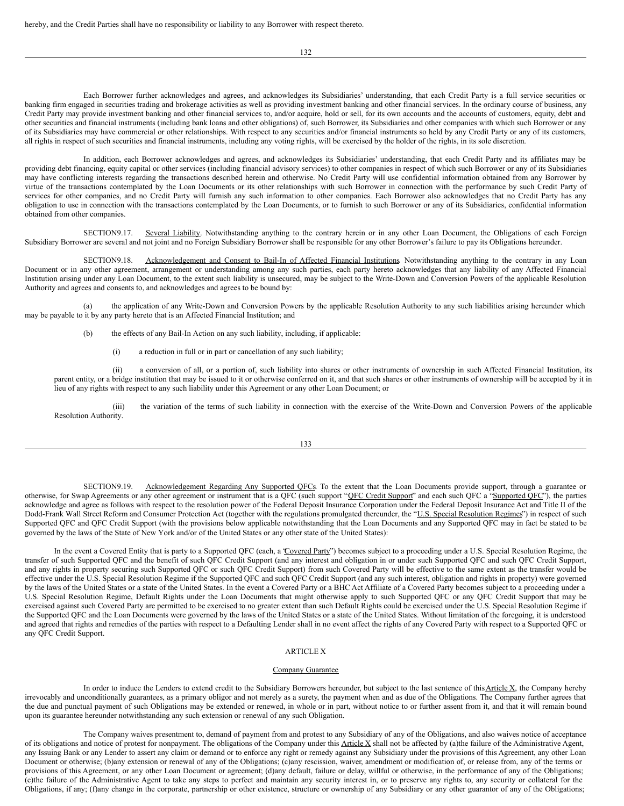Each Borrower further acknowledges and agrees, and acknowledges its Subsidiaries' understanding, that each Credit Party is a full service securities or banking firm engaged in securities trading and brokerage activities as well as providing investment banking and other financial services. In the ordinary course of business, any Credit Party may provide investment banking and other financial services to, and/or acquire, hold or sell, for its own accounts and the accounts of customers, equity, debt and other securities and financial instruments (including bank loans and other obligations) of, such Borrower, its Subsidiaries and other companies with which such Borrower or any of its Subsidiaries may have commercial or other relationships. With respect to any securities and/or financial instruments so held by any Credit Party or any of its customers, all rights in respect of such securities and financial instruments, including any voting rights, will be exercised by the holder of the rights, in its sole discretion.

In addition, each Borrower acknowledges and agrees, and acknowledges its Subsidiaries' understanding, that each Credit Party and its affiliates may be providing debt financing, equity capital or other services (including financial advisory services) to other companies in respect of which such Borrower or any of its Subsidiaries may have conflicting interests regarding the transactions described herein and otherwise. No Credit Party will use confidential information obtained from any Borrower by virtue of the transactions contemplated by the Loan Documents or its other relationships with such Borrower in connection with the performance by such Credit Party of services for other companies, and no Credit Party will furnish any such information to other companies. Each Borrower also acknowledges that no Credit Party has any obligation to use in connection with the transactions contemplated by the Loan Documents, or to furnish to such Borrower or any of its Subsidiaries, confidential information obtained from other companies.

SECTION9.17. Several Liability. Notwithstanding anything to the contrary herein or in any other Loan Document, the Obligations of each Foreign Subsidiary Borrower are several and not joint and no Foreign Subsidiary Borrower shall be responsible for any other Borrower's failure to pay its Obligations hereunder.

SECTION9.18. Acknowledgement and Consent to Bail-In of Affected Financial Institutions. Notwithstanding anything to the contrary in any Loan Document or in any other agreement, arrangement or understanding among any such parties, each party hereto acknowledges that any liability of any Affected Financial Institution arising under any Loan Document, to the extent such liability is unsecured, may be subject to the Write-Down and Conversion Powers of the applicable Resolution Authority and agrees and consents to, and acknowledges and agrees to be bound by:

(a) the application of any Write-Down and Conversion Powers by the applicable Resolution Authority to any such liabilities arising hereunder which may be payable to it by any party hereto that is an Affected Financial Institution; and

- (b) the effects of any Bail-In Action on any such liability, including, if applicable:
	- (i) a reduction in full or in part or cancellation of any such liability;

(ii) a conversion of all, or a portion of, such liability into shares or other instruments of ownership in such Affected Financial Institution, its parent entity, or a bridge institution that may be issued to it or otherwise conferred on it, and that such shares or other instruments of ownership will be accepted by it in lieu of any rights with respect to any such liability under this Agreement or any other Loan Document; or

(iii) the variation of the terms of such liability in connection with the exercise of the Write-Down and Conversion Powers of the applicable Resolution Authority.

133

SECTION9.19. Acknowledgement Regarding Any Supported QFCs To the extent that the Loan Documents provide support, through a guarantee or otherwise, for Swap Agreements or any other agreement or instrument that is a QFC (such support "QFC Credit Support" and each such QFC a "Supported QFC"), the parties acknowledge and agree as follows with respect to the resolution power of the Federal Deposit Insurance Corporation under the Federal Deposit Insurance Act and Title II of the Dodd-Frank Wall Street Reform and Consumer Protection Act (together with the regulations promulgated thereunder, the "U.S. Special Resolution Regimes") in respect of such Supported QFC and QFC Credit Support (with the provisions below applicable notwithstanding that the Loan Documents and any Supported QFC may in fact be stated to be governed by the laws of the State of New York and/or of the United States or any other state of the United States):

In the event a Covered Entity that is party to a Supported QFC (each, a 'Covered Party'') becomes subject to a proceeding under a U.S. Special Resolution Regime, the transfer of such Supported QFC and the benefit of such QFC Credit Support (and any interest and obligation in or under such Supported QFC and such QFC Credit Support, and any rights in property securing such Supported QFC or such QFC Credit Support) from such Covered Party will be effective to the same extent as the transfer would be effective under the U.S. Special Resolution Regime if the Supported QFC and such QFC Credit Support (and any such interest, obligation and rights in property) were governed by the laws of the United States or a state of the United States. In the event a Covered Party or a BHC Act Affiliate of a Covered Party becomes subject to a proceeding under a U.S. Special Resolution Regime, Default Rights under the Loan Documents that might otherwise apply to such Supported QFC or any QFC Credit Support that may be exercised against such Covered Party are permitted to be exercised to no greater extent than such Default Rights could be exercised under the U.S. Special Resolution Regime if the Supported QFC and the Loan Documents were governed by the laws of the United States or a state of the United States. Without limitation of the foregoing, it is understood and agreed that rights and remedies of the parties with respect to a Defaulting Lender shall in no event affect the rights of any Covered Party with respect to a Supported QFC or any QFC Credit Support.

#### ARTICLE X

#### Company Guarantee

In order to induce the Lenders to extend credit to the Subsidiary Borrowers hereunder, but subject to the last sentence of this Article X, the Company hereby irrevocably and unconditionally guarantees, as a primary obligor and not merely as a surety, the payment when and as due of the Obligations. The Company further agrees that the due and punctual payment of such Obligations may be extended or renewed, in whole or in part, without notice to or further assent from it, and that it will remain bound upon its guarantee hereunder notwithstanding any such extension or renewal of any such Obligation.

The Company waives presentment to, demand of payment from and protest to any Subsidiary of any of the Obligations, and also waives notice of acceptance of its obligations and notice of protest for nonpayment. The obligations of the Company under this Article X shall not be affected by (a)the failure of the Administrative Agent, any Issuing Bank or any Lender to assert any claim or demand or to enforce any right or remedy against any Subsidiary under the provisions of this Agreement, any other Loan Document or otherwise; (b)any extension or renewal of any of the Obligations; (c)any rescission, waiver, amendment or modification of, or release from, any of the terms or provisions of this Agreement, or any other Loan Document or agreement; (d)any default, failure or delay, willful or otherwise, in the performance of any of the Obligations; (e)the failure of the Administrative Agent to take any steps to perfect and maintain any security interest in, or to preserve any rights to, any security or collateral for the Obligations, if any; (f)any change in the corporate, partnership or other existence, structure or ownership of any Subsidiary or any other guarantor of any of the Obligations;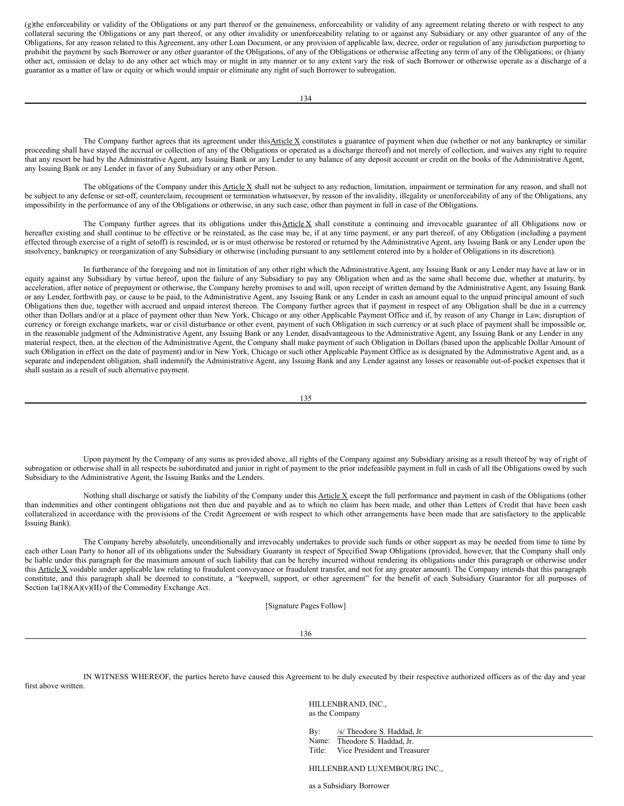(g)the enforceability or validity of the Obligations or any part thereof or the genuineness, enforceability or validity of any agreement relating thereto or with respect to any collateral securing the Obligations or any part thereof, or any other invalidity or unenforceability relating to or against any Subsidiary or any other guarantor of any of the Obligations, for any reason related to this Agreement, any other Loan Document, or any provision of applicable law, decree, order or regulation of any jurisdiction purporting to prohibit the payment by such Borrower or any other guarantor of the Obligations, of any of the Obligations or otherwise affecting any term of any of the Obligations; or (h)any other act, omission or delay to do any other act which may or might in any manner or to any extent vary the risk of such Borrower or otherwise operate as a discharge of a guarantor as a matter of law or equity or which would impair or eliminate any right of such Borrower to subrogation.

The Company further agrees that its agreement under this Article X constitutes a guarantee of payment when due (whether or not any bankruptcy or similar proceeding shall have stayed the accrual or collection of any of the Obligations or operated as a discharge thereof) and not merely of collection, and waives any right to require that any resort be had by the Administrative Agent, any Issuing Bank or any Lender to any balance of any deposit account or credit on the books of the Administrative Agent, any Issuing Bank or any Lender in favor of any Subsidiary or any other Person.

The obligations of the Company under this **Article X** shall not be subject to any reduction, limitation, impairment or termination for any reason, and shall not be subject to any defense or set-off, counterclaim, recoupment or termination whatsoever, by reason of the invalidity, illegality or unenforceability of any of the Obligations, any impossibility in the performance of any of the Obligations or otherwise, in any such case, other than payment in full in case of the Obligations.

The Company further agrees that its obligations under this $\Delta$ rticle X shall constitute a continuing and irrevocable guarantee of all Obligations now or hereafter existing and shall continue to be effective or be reinstated, as the case may be, if at any time payment, or any part thereof, of any Obligation (including a payment effected through exercise of a right of setoff) is rescinded, or is or must otherwise be restored or returned by the Administrative Agent, any Issuing Bank or any Lender upon the insolvency, bankruptcy or reorganization of any Subsidiary or otherwise (including pursuant to any settlement entered into by a holder of Obligations in its discretion).

In furtherance of the foregoing and not in limitation of any other right which the Administrative Agent, any Issuing Bank or any Lender may have at law or in equity against any Subsidiary by virtue hereof, upon the failure of any Subsidiary to pay any Obligation when and as the same shall become due, whether at maturity, by acceleration, after notice of prepayment or otherwise, the Company hereby promises to and will, upon receipt of written demand by the Administrative Agent, any Issuing Bank or any Lender, forthwith pay, or cause to be paid, to the Administrative Agent, any Issuing Bank or any Lender in cash an amount equal to the unpaid principal amount of such Obligations then due, together with accrued and unpaid interest thereon. The Company further agrees that if payment in respect of any Obligation shall be due in a currency other than Dollars and/or at a place of payment other than New York, Chicago or any other Applicable Payment Office and if, by reason of any Change in Law, disruption of currency or foreign exchange markets, war or civil disturbance or other event, payment of such Obligation in such currency or at such place of payment shall be impossible or, in the reasonable judgment of the Administrative Agent, any Issuing Bank or any Lender, disadvantageous to the Administrative Agent, any Issuing Bank or any Lender in any material respect, then, at the election of the Administrative Agent, the Company shall make payment of such Obligation in Dollars (based upon the applicable Dollar Amount of such Obligation in effect on the date of payment) and/or in New York, Chicago or such other Applicable Payment Office as is designated by the Administrative Agent and, as a separate and independent obligation, shall indemnify the Administrative Agent, any Issuing Bank and any Lender against any losses or reasonable out-of-pocket expenses that it shall sustain as a result of such alternative payment.

135

Upon payment by the Company of any sums as provided above, all rights of the Company against any Subsidiary arising as a result thereof by way of right of subrogation or otherwise shall in all respects be subordinated and junior in right of payment to the prior indefeasible payment in full in cash of all the Obligations owed by such Subsidiary to the Administrative Agent, the Issuing Banks and the Lenders.

Nothing shall discharge or satisfy the liability of the Company under this Article X except the full performance and payment in cash of the Obligations (other than indemnities and other contingent obligations not then due and payable and as to which no claim has been made, and other than Letters of Credit that have been cash collateralized in accordance with the provisions of the Credit Agreement or with respect to which other arrangements have been made that are satisfactory to the applicable Issuing Bank).

The Company hereby absolutely, unconditionally and irrevocably undertakes to provide such funds or other support as may be needed from time to time by each other Loan Party to honor all of its obligations under the Subsidiary Guaranty in respect of Specified Swap Obligations (provided, however, that the Company shall only be liable under this paragraph for the maximum amount of such liability that can be hereby incurred without rendering its obligations under this paragraph or otherwise under this Article X voidable under applicable law relating to fraudulent conveyance or fraudulent transfer, and not for any greater amount). The Company intends that this paragraph constitute, and this paragraph shall be deemed to constitute, a "keepwell, support, or other agreement" for the benefit of each Subsidiary Guarantor for all purposes of Section 1a(18)(A)(v)(II) of the Commodity Exchange Act.

[Signature Pages Follow]

136

IN WITNESS WHEREOF, the parties hereto have caused this Agreement to be duly executed by their respective authorized officers as of the day and year first above written.

> HILLENBRAND, INC., as the Company

By: /s/ Theodore S. Haddad, Jr.

Name: Theodore S. Haddad, Jr. Title: Vice President and Treasurer

HILLENBRAND LUXEMBOURG INC.,

as a Subsidiary Borrower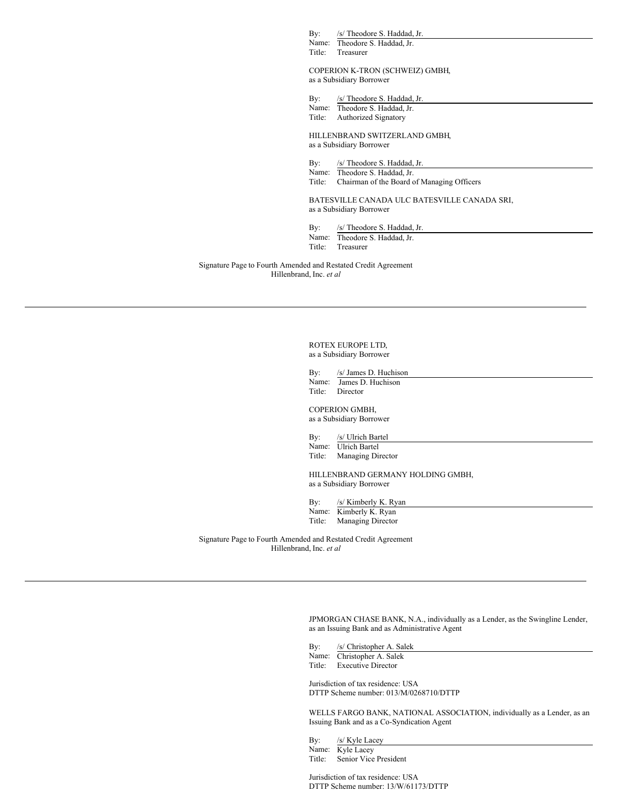By: /s/ Theodore S. Haddad, Jr.

Name: Theodore S. Haddad, Jr. Title: Treasurer

COPERION K-TRON (SCHWEIZ) GMBH, as a Subsidiary Borrower

By: /s/ Theodore S. Haddad, Jr.

Name: Theodore S. Haddad, Jr. Title: Authorized Signatory

HILLENBRAND SWITZERLAND GMBH,

as a Subsidiary Borrower

By: /s/ Theodore S. Haddad, Jr. Name: Theodore S. Haddad, Jr. Title: Chairman of the Board of Managing Officers

BATESVILLE CANADA ULC BATESVILLE CANADA SRI, as a Subsidiary Borrower

By: /s/ Theodore S. Haddad, Jr.

Name: Theodore S. Haddad, Jr. Title: Treasurer

Signature Page to Fourth Amended and Restated Credit Agreement Hillenbrand, Inc. *et al*

> ROTEX EUROPE LTD, as a Subsidiary Borrower

By: /s/ James D. Huchison Name: James D. Huchison Title: Director

COPERION GMBH, as a Subsidiary Borrower

By: /s/ Ulrich Bartel Name: Ulrich Bartel

Title: Managing Director

HILLENBRAND GERMANY HOLDING GMBH, as a Subsidiary Borrower

By: /s/ Kimberly K. Ryan Name: Kimberly K. Ryan Title: Managing Director

Signature Page to Fourth Amended and Restated Credit Agreement Hillenbrand, Inc. *et al*

> JPMORGAN CHASE BANK, N.A., individually as a Lender, as the Swingline Lender, as an Issuing Bank and as Administrative Agent

By: /s/ Christopher A. Salek

Name: Christopher A. Salek Title: Executive Director

Jurisdiction of tax residence: USA DTTP Scheme number: 013/M/0268710/DTTP

WELLS FARGO BANK, NATIONAL ASSOCIATION, individually as a Lender, as an Issuing Bank and as a Co-Syndication Agent

By: /s/ Kyle Lacey Name: Kyle Lacey Title: Senior Vice President

Jurisdiction of tax residence: USA DTTP Scheme number: 13/W/61173/DTTP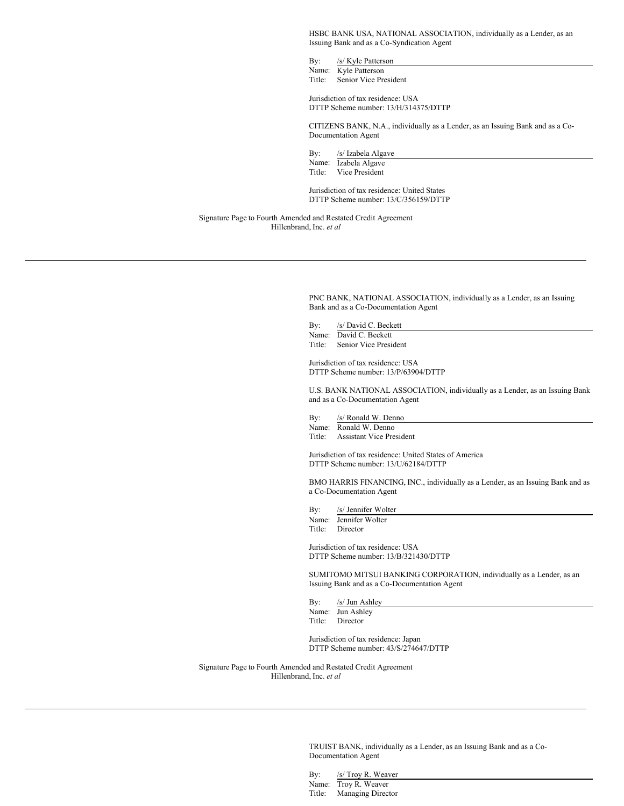HSBC BANK USA, NATIONAL ASSOCIATION, individually as a Lender, as an Issuing Bank and as a Co-Syndication Agent

By: /s/ Kyle Patterson Name: Kyle Patterson Title: Senior Vice President

Jurisdiction of tax residence: USA DTTP Scheme number: 13/H/314375/DTTP

CITIZENS BANK, N.A., individually as a Lender, as an Issuing Bank and as a Co-Documentation Agent

By: /s/ Izabela Algave Name: Izabela Algave<br>Title: Vice President Vice President

Jurisdiction of tax residence: United States DTTP Scheme number: 13/C/356159/DTTP

Signature Page to Fourth Amended and Restated Credit Agreement Hillenbrand, Inc. *et al*

> PNC BANK, NATIONAL ASSOCIATION, individually as a Lender, as an Issuing Bank and as a Co-Documentation Agent

By: /s/ David C. Beckett Name: David C. Beckett

Title: Senior Vice President

Jurisdiction of tax residence: USA DTTP Scheme number: 13/P/63904/DTTP

U.S. BANK NATIONAL ASSOCIATION, individually as a Lender, as an Issuing Bank and as a Co-Documentation Agent

By: /s/ Ronald W. Denno Name: Ronald W. Denno Title: Assistant Vice President

Jurisdiction of tax residence: United States of America DTTP Scheme number: 13/U/62184/DTTP

BMO HARRIS FINANCING, INC., individually as a Lender, as an Issuing Bank and as a Co-Documentation Agent

By: /s/ Jennifer Wolter

Name: Jennifer Wolter Title: Director

Jurisdiction of tax residence: USA DTTP Scheme number: 13/B/321430/DTTP

SUMITOMO MITSUI BANKING CORPORATION, individually as a Lender, as an Issuing Bank and as a Co-Documentation Agent

By: /s/ Jun Ashley Name: Jun Ashley<br>Title: Director Director

Jurisdiction of tax residence: Japan DTTP Scheme number: 43/S/274647/DTTP

Signature Page to Fourth Amended and Restated Credit Agreement Hillenbrand, Inc. *et al*

> TRUIST BANK, individually as a Lender, as an Issuing Bank and as a Co-Documentation Agent

By: /s/ Troy R. Weaver Name: Troy R. Weaver Title: Managing Director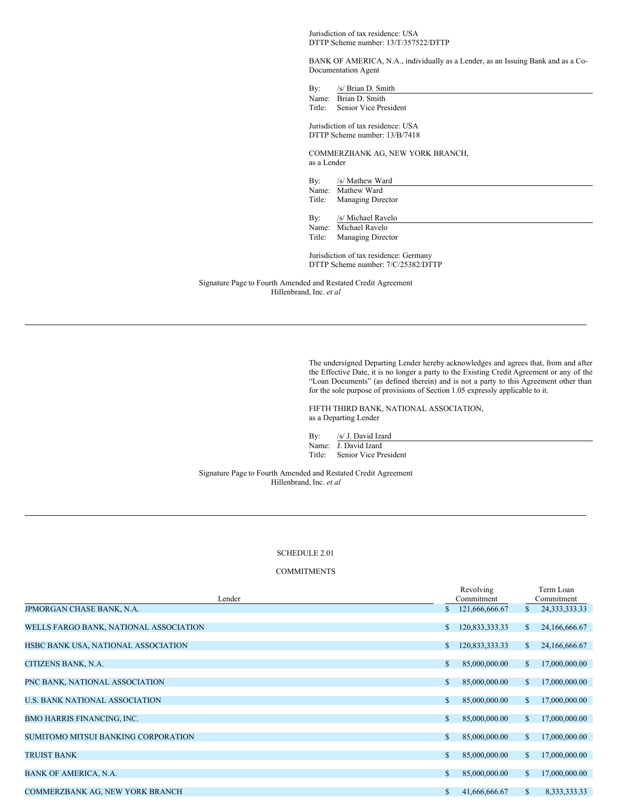Jurisdiction of tax residence: USA DTTP Scheme number: 13/T/357522/DTTP

BANK OF AMERICA, N.A., individually as a Lender, as an Issuing Bank and as a Co-Documentation Agent

By: /s/ Brian D. Smith Name: Brian D. Smith<br>Title: Senior Vice Pre Senior Vice President

Jurisdiction of tax residence: USA DTTP Scheme number: 13/B/7418

COMMERZBANK AG, NEW YORK BRANCH, as a Lender

By: /s/ Mathew Ward Name: Mathew Ward<br>Title: Managing Dire Managing Director

By: /s/ Michael Ravelo

Name: Michael Ravelo Title: Managing Director

Jurisdiction of tax residence: Germany DTTP Scheme number: 7/C/25382/DTTP

Signature Page to Fourth Amended and Restated Credit Agreement Hillenbrand, Inc. *et al*

> The undersigned Departing Lender hereby acknowledges and agrees that, from and after the Effective Date, it is no longer a party to the Existing Credit Agreement or any of the "Loan Documents" (as defined therein) and is not a party to this Agreement other than for the sole purpose of provisions of Section 1.05 expressly applicable to it.

FIFTH THIRD BANK, NATIONAL ASSOCIATION, as a Departing Lender

By: /s/ J. David Izard Name: J. David Izard Title: Senior Vice President

Signature Page to Fourth Amended and Restated Credit Agreement Hillenbrand, Inc. *et al*

## SCHEDULE 2.01

### **COMMITMENTS**

| Lender                                 | Revolving<br>Commitment |               | Term Loan<br>Commitment |
|----------------------------------------|-------------------------|---------------|-------------------------|
| JPMORGAN CHASE BANK, N.A.              | \$<br>121,666,666.67    | S             | 24, 333, 333, 33        |
| WELLS FARGO BANK, NATIONAL ASSOCIATION | \$<br>120,833,333.33    | <sup>\$</sup> | 24, 166, 666. 67        |
| HSBC BANK USA, NATIONAL ASSOCIATION    | \$<br>120,833,333.33    | $\mathbb{S}$  | 24,166,666.67           |
| CITIZENS BANK, N.A.                    | \$<br>85,000,000.00     | \$            | 17,000,000.00           |
| PNC BANK, NATIONAL ASSOCIATION         | \$<br>85,000,000.00     | <sup>\$</sup> | 17,000,000.00           |
| <b>U.S. BANK NATIONAL ASSOCIATION</b>  | \$<br>85,000,000.00     | <sup>\$</sup> | 17,000,000.00           |
| <b>BMO HARRIS FINANCING, INC.</b>      | \$<br>85,000,000.00     | <sup>\$</sup> | 17,000,000.00           |
| SUMITOMO MITSUI BANKING CORPORATION    | \$<br>85,000,000.00     | \$            | 17,000,000.00           |
| <b>TRUIST BANK</b>                     | \$<br>85,000,000.00     | <sup>\$</sup> | 17,000,000.00           |
| <b>BANK OF AMERICA, N.A.</b>           | \$<br>85,000,000.00     | S.            | 17,000,000.00           |
| COMMERZBANK AG, NEW YORK BRANCH        | \$<br>41,666,666.67     | S.            | 8, 333, 333, 33         |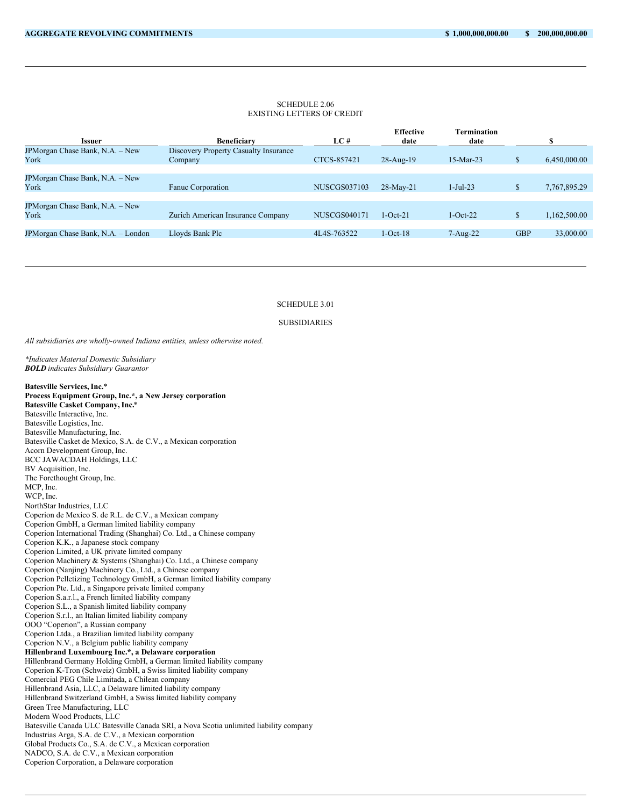### SCHEDULE 2.06 EXISTING LETTERS OF CREDIT

|                                         |                                                  |              | <b>Effective</b> | Termination  |            |              |
|-----------------------------------------|--------------------------------------------------|--------------|------------------|--------------|------------|--------------|
| <i><u><b>Issuer</b></u></i>             | <b>Beneficiary</b>                               | LC#          | date             | date         |            |              |
| JPMorgan Chase Bank, N.A. - New<br>York | Discovery Property Casualty Insurance<br>Company | CTCS-857421  | $28-Aug-19$      | 15-Mar-23    |            | 6,450,000.00 |
| JPMorgan Chase Bank, N.A. - New<br>York | Fanuc Corporation                                | NUSCGS037103 | $28$ -May-21     | $1-Jul-23$   |            | 7,767,895.29 |
| JPMorgan Chase Bank, N.A. - New<br>York | Zurich American Insurance Company                | NUSCGS040171 | $1-Oct-21$       | $1-Oct-22$   |            | 1,162,500.00 |
| JPMorgan Chase Bank, N.A. - London      | Lloyds Bank Plc                                  | 4L4S-763522  | $1-Oct-18$       | $7 - Aug-22$ | <b>GBP</b> | 33,000.00    |

#### SCHEDULE 3.01

### SUBSIDIARIES

*All subsidiaries are wholly-owned Indiana entities, unless otherwise noted.*

*\*Indicates Material Domestic Subsidiary BOLD indicates Subsidiary Guarantor*

**Batesville Services, Inc.**\* **Process Equipment Group, Inc.\*, a New Jersey corporation Batesville Casket Company, Inc.**\* Batesville Interactive, Inc. Batesville Logistics, Inc. Batesville Manufacturing, Inc. Batesville Casket de Mexico, S.A. de C.V., a Mexican corporation Acorn Development Group, Inc. BCC JAWACDAH Holdings, LLC BV Acquisition, Inc. The Forethought Group, Inc. MCP, Inc. WCP, Inc. NorthStar Industries, LLC Coperion de Mexico S. de R.L. de C.V., a Mexican company Coperion GmbH, a German limited liability company Coperion International Trading (Shanghai) Co. Ltd., a Chinese company Coperion K.K., a Japanese stock company Coperion Limited, a UK private limited company Coperion Machinery & Systems (Shanghai) Co. Ltd., a Chinese company Coperion (Nanjing) Machinery Co., Ltd., a Chinese company Coperion Pelletizing Technology GmbH, a German limited liability company Coperion Pte. Ltd., a Singapore private limited company Coperion S.a.r.l., a French limited liability company Coperion S.L., a Spanish limited liability company Coperion S.r.l., an Italian limited liability company OOO "Coperion", a Russian company Coperion Ltda., a Brazilian limited liability company Coperion N.V., a Belgium public liability company **Hillenbrand Luxembourg Inc.\*, a Delaware corporation** Hillenbrand Germany Holding GmbH, a German limited liability company Coperion K-Tron (Schweiz) GmbH, a Swiss limited liability company Comercial PEG Chile Limitada, a Chilean company Hillenbrand Asia, LLC, a Delaware limited liability company Hillenbrand Switzerland GmbH, a Swiss limited liability company Green Tree Manufacturing, LLC Modern Wood Products, LLC Batesville Canada ULC Batesville Canada SRI, a Nova Scotia unlimited liability company Industrias Arga, S.A. de C.V., a Mexican corporation Global Products Co., S.A. de C.V., a Mexican corporation NADCO, S.A. de C.V., a Mexican corporation Coperion Corporation, a Delaware corporation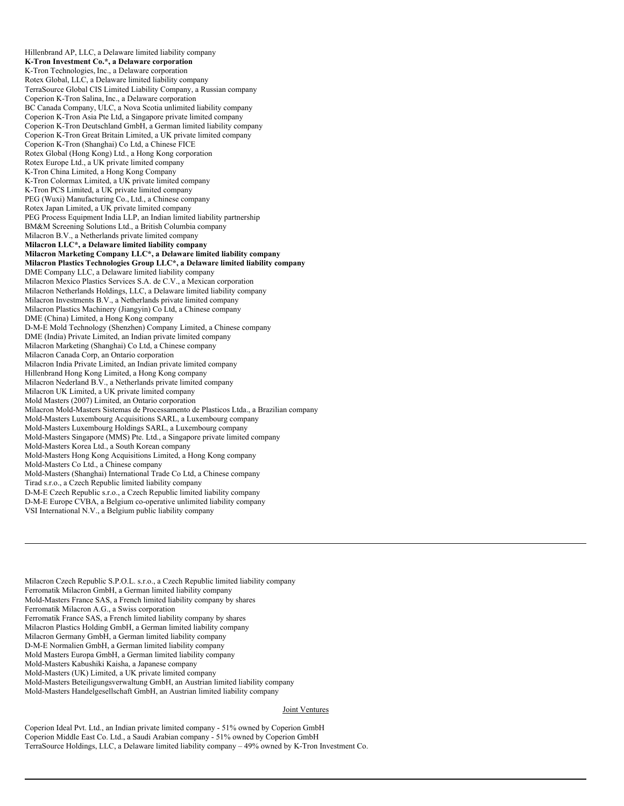Hillenbrand AP, LLC, a Delaware limited liability company **K-Tron Investment Co.\*, a Delaware corporation** K-Tron Technologies, Inc., a Delaware corporation Rotex Global, LLC, a Delaware limited liability company TerraSource Global CIS Limited Liability Company, a Russian company Coperion K-Tron Salina, Inc., a Delaware corporation BC Canada Company, ULC, a Nova Scotia unlimited liability company Coperion K-Tron Asia Pte Ltd, a Singapore private limited company Coperion K-Tron Deutschland GmbH, a German limited liability company Coperion K-Tron Great Britain Limited, a UK private limited company Coperion K-Tron (Shanghai) Co Ltd, a Chinese FICE Rotex Global (Hong Kong) Ltd., a Hong Kong corporation Rotex Europe Ltd., a UK private limited company K-Tron China Limited, a Hong Kong Company K-Tron Colormax Limited, a UK private limited company K-Tron PCS Limited, a UK private limited company PEG (Wuxi) Manufacturing Co., Ltd., a Chinese company Rotex Japan Limited, a UK private limited company PEG Process Equipment India LLP, an Indian limited liability partnership BM&M Screening Solutions Ltd., a British Columbia company Milacron B.V., a Netherlands private limited company **Milacron LLC\*, a Delaware limited liability company Milacron Marketing Company LLC\*, a Delaware limited liability company Milacron Plastics Technologies Group LLC\*, a Delaware limited liability company** DME Company LLC, a Delaware limited liability company Milacron Mexico Plastics Services S.A. de C.V., a Mexican corporation Milacron Netherlands Holdings, LLC, a Delaware limited liability company Milacron Investments B.V., a Netherlands private limited company Milacron Plastics Machinery (Jiangyin) Co Ltd, a Chinese company DME (China) Limited, a Hong Kong company D-M-E Mold Technology (Shenzhen) Company Limited, a Chinese company DME (India) Private Limited, an Indian private limited company Milacron Marketing (Shanghai) Co Ltd, a Chinese company Milacron Canada Corp, an Ontario corporation Milacron India Private Limited, an Indian private limited company Hillenbrand Hong Kong Limited, a Hong Kong company Milacron Nederland B.V., a Netherlands private limited company Milacron UK Limited, a UK private limited company Mold Masters (2007) Limited, an Ontario corporation Milacron Mold-Masters Sistemas de Processamento de Plasticos Ltda., a Brazilian company Mold-Masters Luxembourg Acquisitions SARL, a Luxembourg company Mold-Masters Luxembourg Holdings SARL, a Luxembourg company Mold-Masters Singapore (MMS) Pte. Ltd., a Singapore private limited company Mold-Masters Korea Ltd., a South Korean company Mold-Masters Hong Kong Acquisitions Limited, a Hong Kong company Mold-Masters Co Ltd., a Chinese company Mold-Masters (Shanghai) International Trade Co Ltd, a Chinese company Tirad s.r.o., a Czech Republic limited liability company D-M-E Czech Republic s.r.o., a Czech Republic limited liability company D-M-E Europe CVBA, a Belgium co-operative unlimited liability company VSI International N.V., a Belgium public liability company

Milacron Czech Republic S.P.O.L. s.r.o., a Czech Republic limited liability company Ferromatik Milacron GmbH, a German limited liability company Mold-Masters France SAS, a French limited liability company by shares Ferromatik Milacron A.G., a Swiss corporation Ferromatik France SAS, a French limited liability company by shares Milacron Plastics Holding GmbH, a German limited liability company Milacron Germany GmbH, a German limited liability company D-M-E Normalien GmbH, a German limited liability company Mold Masters Europa GmbH, a German limited liability company Mold-Masters Kabushiki Kaisha, a Japanese company Mold-Masters (UK) Limited, a UK private limited company Mold-Masters Beteiligungsverwaltung GmbH, an Austrian limited liability company Mold-Masters Handelgesellschaft GmbH, an Austrian limited liability company

## Joint Ventures

Coperion Ideal Pvt. Ltd., an Indian private limited company - 51% owned by Coperion GmbH Coperion Middle East Co. Ltd., a Saudi Arabian company - 51% owned by Coperion GmbH TerraSource Holdings, LLC, a Delaware limited liability company – 49% owned by K-Tron Investment Co.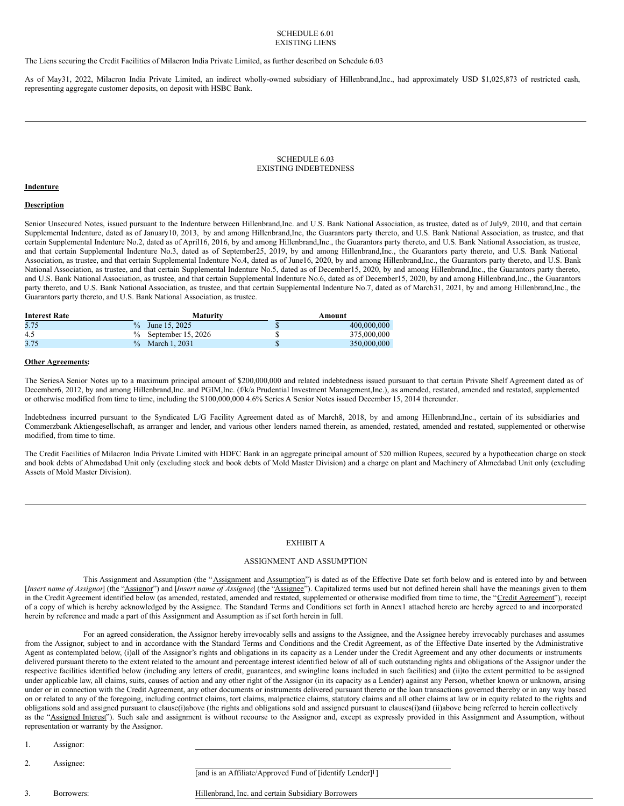#### SCHEDULE 6.01 EXISTING LIENS

The Liens securing the Credit Facilities of Milacron India Private Limited, as further described on Schedule 6.03

As of May31, 2022, Milacron India Private Limited, an indirect wholly-owned subsidiary of Hillenbrand,Inc., had approximately USD \$1,025,873 of restricted cash, representing aggregate customer deposits, on deposit with HSBC Bank.

### SCHEDULE 6.03 EXISTING INDEBTEDNESS

#### **Indenture**

### **Description**

Senior Unsecured Notes, issued pursuant to the Indenture between Hillenbrand,Inc. and U.S. Bank National Association, as trustee, dated as of July9, 2010, and that certain Supplemental Indenture, dated as of January10, 2013, by and among Hillenbrand,Inc, the Guarantors party thereto, and U.S. Bank National Association, as trustee, and that certain Supplemental Indenture No.2, dated as of April16, 2016, by and among Hillenbrand,Inc., the Guarantors party thereto, and U.S. Bank National Association, as trustee, and that certain Supplemental Indenture No.3, dated as of September25, 2019, by and among Hillenbrand,Inc., the Guarantors party thereto, and U.S. Bank National Association, as trustee, and that certain Supplemental Indenture No.4, dated as of June16, 2020, by and among Hillenbrand,Inc., the Guarantors party thereto, and U.S. Bank National Association, as trustee, and that certain Supplemental Indenture No.5, dated as of December15, 2020, by and among Hillenbrand,Inc., the Guarantors party thereto, and U.S. Bank National Association, as trustee, and that certain Supplemental Indenture No.6, dated as of December15, 2020, by and among Hillenbrand,Inc., the Guarantors party thereto, and U.S. Bank National Association, as trustee, and that certain Supplemental Indenture No.7, dated as of March31, 2021, by and among Hillenbrand,Inc., the Guarantors party thereto, and U.S. Bank National Association, as trustee.

| <b>Interest Rate</b> |  | Maturitv                |  | Amount      |
|----------------------|--|-------------------------|--|-------------|
| 5.75                 |  | % June 15, 2025         |  | 400,000,000 |
| 4.5                  |  | $\%$ September 15, 2026 |  | 375,000,000 |
| 3.75                 |  | % March 1, 2031         |  | 350,000,000 |

#### **Other Agreements:**

The SeriesA Senior Notes up to a maximum principal amount of \$200,000,000 and related indebtedness issued pursuant to that certain Private Shelf Agreement dated as of December6, 2012, by and among Hillenbrand,Inc. and PGIM,Inc. (f/k/a Prudential Investment Management,Inc.), as amended, restated, amended and restated, supplemented or otherwise modified from time to time, including the \$100,000,000 4.6% Series A Senior Notes issued December 15, 2014 thereunder.

Indebtedness incurred pursuant to the Syndicated L/G Facility Agreement dated as of March8, 2018, by and among Hillenbrand,Inc., certain of its subsidiaries and Commerzbank Aktiengesellschaft, as arranger and lender, and various other lenders named therein, as amended, restated, amended and restated, supplemented or otherwise modified, from time to time.

The Credit Facilities of Milacron India Private Limited with HDFC Bank in an aggregate principal amount of 520 million Rupees, secured by a hypothecation charge on stock and book debts of Ahmedabad Unit only (excluding stock and book debts of Mold Master Division) and a charge on plant and Machinery of Ahmedabad Unit only (excluding Assets of Mold Master Division).

### EXHIBIT A

#### ASSIGNMENT AND ASSUMPTION

This Assignment and Assumption (the "Assignment and Assumption") is dated as of the Effective Date set forth below and is entered into by and between [Insert name of Assignor] (the "Assignor") and [Insert name of Assignee] (the "Assignee"). Capitalized terms used but not defined herein shall have the meanings given to them in the Credit Agreement identified below (as amended, restated, amended and restated, supplemented or otherwise modified from time to time, the "Credit Agreement"), receipt of a copy of which is hereby acknowledged by the Assignee. The Standard Terms and Conditions set forth in Annex1 attached hereto are hereby agreed to and incorporated herein by reference and made a part of this Assignment and Assumption as if set forth herein in full.

For an agreed consideration, the Assignor hereby irrevocably sells and assigns to the Assignee, and the Assignee hereby irrevocably purchases and assumes from the Assignor, subject to and in accordance with the Standard Terms and Conditions and the Credit Agreement, as of the Effective Date inserted by the Administrative Agent as contemplated below, (i)all of the Assignor's rights and obligations in its capacity as a Lender under the Credit Agreement and any other documents or instruments delivered pursuant thereto to the extent related to the amount and percentage interest identified below of all of such outstanding rights and obligations of the Assignor under the respective facilities identified below (including any letters of credit, guarantees, and swingline loans included in such facilities) and (ii)to the extent permitted to be assigned under applicable law, all claims, suits, causes of action and any other right of the Assignor (in its capacity as a Lender) against any Person, whether known or unknown, arising under or in connection with the Credit Agreement, any other documents or instruments delivered pursuant thereto or the loan transactions governed thereby or in any way based on or related to any of the foregoing, including contract claims, tort claims, malpractice claims, statutory claims and all other claims at law or in equity related to the rights and obligations sold and assigned pursuant to clause(i)above (the rights and obligations sold and assigned pursuant to clauses(i)and (ii)above being referred to herein collectively as the "Assigned Interest"). Such sale and assignment is without recourse to the Assignor and, except as expressly provided in this Assignment and Assumption, without representation or warranty by the Assignor.

|  | Assignor: |
|--|-----------|
|--|-----------|

2. Assignee:

[and is an Affiliate/Approved Fund of [identify Lender]<sup>1</sup>]

3. Borrowers: Hillenbrand, Inc. and certain Subsidiary Borrowers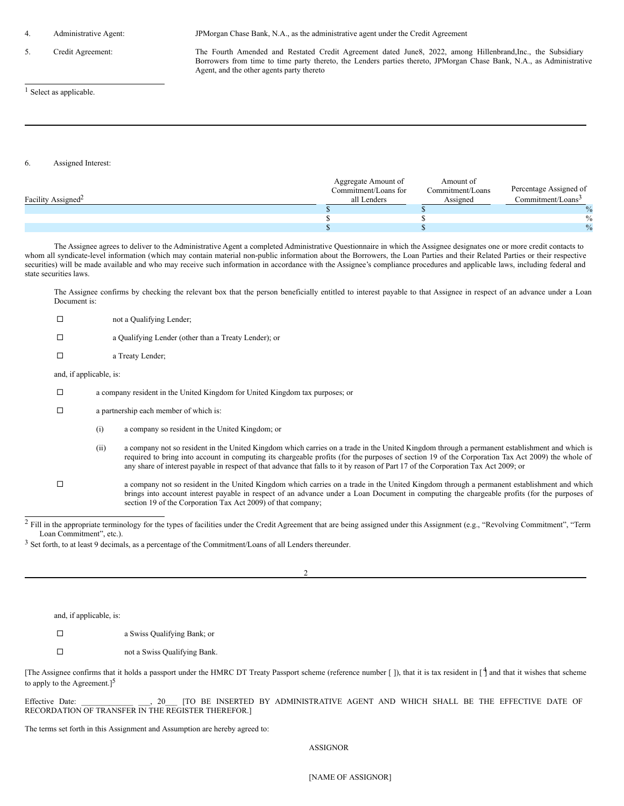4. Administrative Agent: JPMorgan Chase Bank, N.A., as the administrative agent under the Credit Agreement

5. Credit Agreement: The Fourth Amended and Restated Credit Agreement dated June8, 2022, among Hillenbrand,Inc., the Subsidiary Borrowers from time to time party thereto, the Lenders parties thereto, JPMorgan Chase Bank, N.A., as Administrative Agent, and the other agents party thereto

<sup>1</sup> Select as applicable.

### 6. Assigned Interest:

| Facility Assigned <sup>2</sup> | Aggregate Amount of<br>Commitment/Loans for<br>all Lenders | Amount of<br>Commitment/Loans<br>Assigned | Percentage Assigned of<br>Commitment/Loans <sup>3</sup> |
|--------------------------------|------------------------------------------------------------|-------------------------------------------|---------------------------------------------------------|
|                                |                                                            |                                           | $\%$                                                    |
|                                |                                                            |                                           | $\%$                                                    |
|                                |                                                            |                                           | $\frac{0}{0}$                                           |

The Assignee agrees to deliver to the Administrative Agent a completed Administrative Questionnaire in which the Assignee designates one or more credit contacts to whom all syndicate-level information (which may contain material non-public information about the Borrowers, the Loan Parties and their Related Parties or their respective securities) will be made available and who may receive such information in accordance with the Assignee's compliance procedures and applicable laws, including federal and state securities laws.

The Assignee confirms by checking the relevant box that the person beneficially entitled to interest payable to that Assignee in respect of an advance under a Loan Document is:

- $\square$  not a Qualifying Lender;
- □ a Qualifying Lender (other than a Treaty Lender); or
- □ a Treaty Lender;

and, if applicable, is:

□ a company resident in the United Kingdom for United Kingdom tax purposes; or

 $\Box$  a partnership each member of which is:

- (i) a company so resident in the United Kingdom; or
- (ii) a company not so resident in the United Kingdom which carries on a trade in the United Kingdom through a permanent establishment and which is required to bring into account in computing its chargeable profits (for the purposes of section 19 of the Corporation Tax Act 2009) the whole of any share of interest payable in respect of that advance that falls to it by reason of Part 17 of the Corporation Tax Act 2009; or
- □ a company not so resident in the United Kingdom which carries on a trade in the United Kingdom through a permanent establishment and which brings into account interest payable in respect of an advance under a Loan Document in computing the chargeable profits (for the purposes of section 19 of the Corporation Tax Act 2009) of that company;

and, if applicable, is:

□ a Swiss Qualifying Bank; or

 $\square$  not a Swiss Qualifying Bank.

[The Assignee confirms that it holds a passport under the HMRC DT Treaty Passport scheme (reference number  $\lceil \cdot \rceil$ ), that it is tax resident in  $\lceil \cdot \rceil$  and that it wishes that scheme to apply to the Agreement. $]^{5}$ 

Effective Date:  $\begin{array}{ccc} 20 & \text{[TO BE INSERIED BY ADMINISTRATIVE AGENT AND WHICH SHALL BE THE EFFECTIVE DATE OF\end{array}$ RECORDATION OF TRANSFER IN THE REGISTER THEREFOR.]

The terms set forth in this Assignment and Assumption are hereby agreed to:

### ASSIGNOR

[NAME OF ASSIGNOR]

 $2$  Fill in the appropriate terminology for the types of facilities under the Credit Agreement that are being assigned under this Assignment (e.g., "Revolving Commitment", "Term Loan Commitment", etc.).

<sup>3</sup> Set forth, to at least 9 decimals, as a percentage of the Commitment/Loans of all Lenders thereunder.

 $\overline{2}$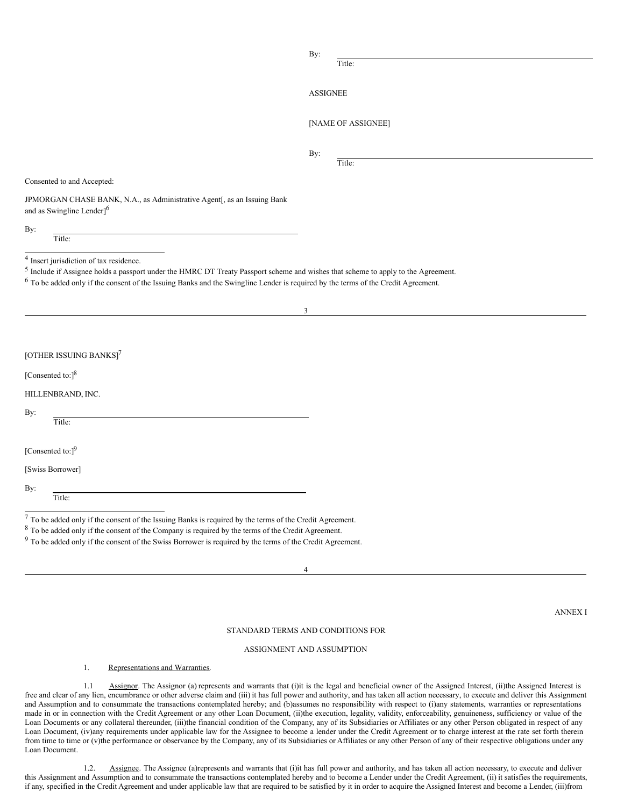| [NAME OF ASSIGNEE] |  |
|--------------------|--|
|                    |  |
|                    |  |
|                    |  |
|                    |  |

Consented to and Accepted:

JPMORGAN CHASE BANK, N.A., as Administrative Agent[, as an Issuing Ba and as Swingline Lender] 6

By:

Title:

4 Insert jurisdiction of tax residence.

<sup>5</sup> Include if Assignee holds a passport under the HMRC DT Treaty Passport scheme and wishes that scheme to apply to the Agreement.

<sup>6</sup> To be added only if the consent of the Issuing Banks and the Swingline Lender is required by the terms of the Credit Agreement.

3

[OTHER ISSUING BANKS]<sup>7</sup>

[Consented to:]<sup>8</sup>

HILLENBRAND, INC.

By:

Title:

[Consented to:]<sup>9</sup>

[Swiss Borrower]

Title:

By:

<sup>7</sup> To be added only if the consent of the Issuing Banks is required by the terms of the Credit Agreement.

<sup>8</sup> To be added only if the consent of the Company is required by the terms of the Credit Agreement.

<sup>9</sup> To be added only if the consent of the Swiss Borrower is required by the terms of the Credit Agreement.

4

ANNEX I

## STANDARD TERMS AND CONDITIONS FOR

## ASSIGNMENT AND ASSUMPTION

## 1. Representations and Warranties.

1.1 Assignor. The Assignor (a) represents and warrants that (i)it is the legal and beneficial owner of the Assigned Interest, (ii)the Assigned Interest is free and clear of any lien, encumbrance or other adverse claim and (iii) it has full power and authority, and has taken all action necessary, to execute and deliver this Assignment and Assumption and to consummate the transactions contemplated hereby; and (b)assumes no responsibility with respect to (i)any statements, warranties or representations made in or in connection with the Credit Agreement or any other Loan Document, (ii)the execution, legality, validity, enforceability, genuineness, sufficiency or value of the Loan Documents or any collateral thereunder, (iii)the financial condition of the Company, any of its Subsidiaries or Affiliates or any other Person obligated in respect of any Loan Document, (iv)any requirements under applicable law for the Assignee to become a lender under the Credit Agreement or to charge interest at the rate set forth therein from time to time or (v)the performance or observance by the Company, any of its Subsidiaries or Affiliates or any other Person of any of their respective obligations under any Loan Document.

1.2. Assignee. The Assignee (a)represents and warrants that (i)it has full power and authority, and has taken all action necessary, to execute and deliver this Assignment and Assumption and to consummate the transactions contemplated hereby and to become a Lender under the Credit Agreement, (ii) it satisfies the requirements, if any, specified in the Credit Agreement and under applicable law that are required to be satisfied by it in order to acquire the Assigned Interest and become a Lender, (iii)from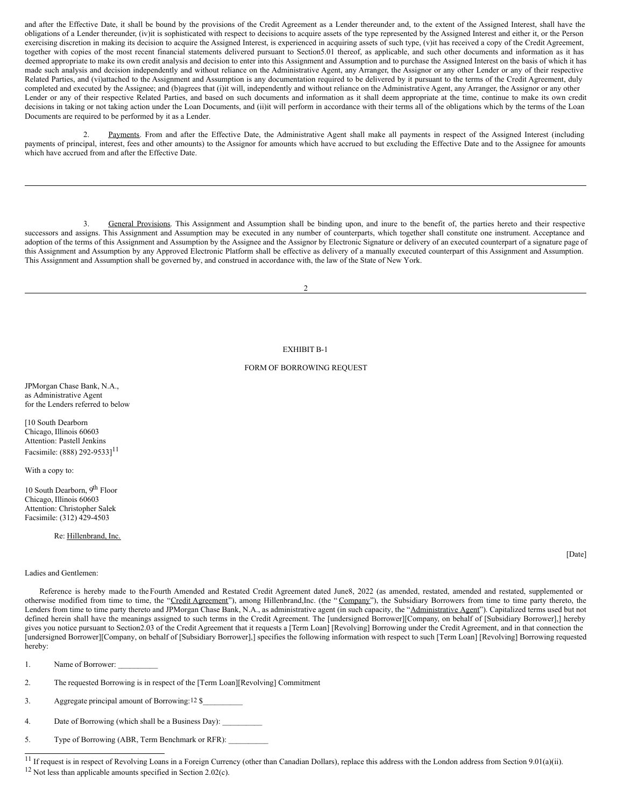and after the Effective Date, it shall be bound by the provisions of the Credit Agreement as a Lender thereunder and, to the extent of the Assigned Interest, shall have the obligations of a Lender thereunder, (iv)it is sophisticated with respect to decisions to acquire assets of the type represented by the Assigned Interest and either it, or the Person exercising discretion in making its decision to acquire the Assigned Interest, is experienced in acquiring assets of such type, (v)it has received a copy of the Credit Agreement, together with copies of the most recent financial statements delivered pursuant to Section5.01 thereof, as applicable, and such other documents and information as it has deemed appropriate to make its own credit analysis and decision to enter into this Assignment and Assumption and to purchase the Assigned Interest on the basis of which it has made such analysis and decision independently and without reliance on the Administrative Agent, any Arranger, the Assignor or any other Lender or any of their respective Related Parties, and (vi)attached to the Assignment and Assumption is any documentation required to be delivered by it pursuant to the terms of the Credit Agreement, duly completed and executed by the Assignee; and (b)agrees that (i)it will, independently and without reliance on the Administrative Agent, any Arranger, the Assignor or any other Lender or any of their respective Related Parties, and based on such documents and information as it shall deem appropriate at the time, continue to make its own credit decisions in taking or not taking action under the Loan Documents, and (ii)it will perform in accordance with their terms all of the obligations which by the terms of the Loan Documents are required to be performed by it as a Lender.

2. Payments. From and after the Effective Date, the Administrative Agent shall make all payments in respect of the Assigned Interest (including payments of principal, interest, fees and other amounts) to the Assignor for amounts which have accrued to but excluding the Effective Date and to the Assignee for amounts which have accrued from and after the Effective Date.

3. General Provisions. This Assignment and Assumption shall be binding upon, and inure to the benefit of, the parties hereto and their respective successors and assigns. This Assignment and Assumption may be executed in any number of counterparts, which together shall constitute one instrument. Acceptance and adoption of the terms of this Assignment and Assumption by the Assignee and the Assignor by Electronic Signature or delivery of an executed counterpart of a signature page of this Assignment and Assumption by any Approved Electronic Platform shall be effective as delivery of a manually executed counterpart of this Assignment and Assumption. This Assignment and Assumption shall be governed by, and construed in accordance with, the law of the State of New York.

2

### EXHIBIT B-1

## FORM OF BORROWING REQUEST

JPMorgan Chase Bank, N.A., as Administrative Agent for the Lenders referred to below

[10 South Dearborn] Chicago, Illinois 60603 Attention: Pastell Jenkins Facsimile: (888) 292-9533]<sup>11</sup>

With a copy to:

Chicago, Illinois 60603 Attention: Christopher Salek Facsimile: (312) 429-4503

Re: Hillenbrand, Inc.

Ladies and Gentlemen:

Reference is hereby made to the Fourth Amended and Restated Credit Agreement dated June8, 2022 (as amended, restated, amended and restated, supplemented or

[Date]

otherwise modified from time to time, the "Credit Agreement"), among Hillenbrand,Inc. (the "Company"), the Subsidiary Borrowers from time to time party thereto, the Lenders from time to time party thereto and JPMorgan Chase Bank, N.A., as administrative agent (in such capacity, the "Administrative Agent"). Capitalized terms used but not defined herein shall have the meanings assigned to such terms in the Credit Agreement. The [undersigned Borrower][Company, on behalf of [Subsidiary Borrower],] hereby gives you notice pursuant to Section2.03 of the Credit Agreement that it requests a [Term Loan] [Revolving] Borrowing under the Credit Agreement, and in that connection the [undersigned Borrower][Company, on behalf of [Subsidiary Borrower],] specifies the following information with respect to such [Term Loan] [Revolving] Borrowing requested hereby:

1. Name of Borrower:

2. The requested Borrowing is in respect of the [Term Loan][Revolving] Commitment

3. Aggregate principal amount of Borrowing: 12 \$

4. Date of Borrowing (which shall be a Business Day):

5. Type of Borrowing (ABR, Term Benchmark or RFR):

<sup>11</sup> If request is in respect of Revolving Loans in a Foreign Currency (other than Canadian Dollars), replace this address with the London address from Section 9.01(a)(ii).

<sup>12</sup> Not less than applicable amounts specified in Section 2.02(c).

10 South Dearborn, 9<sup>th</sup> Floor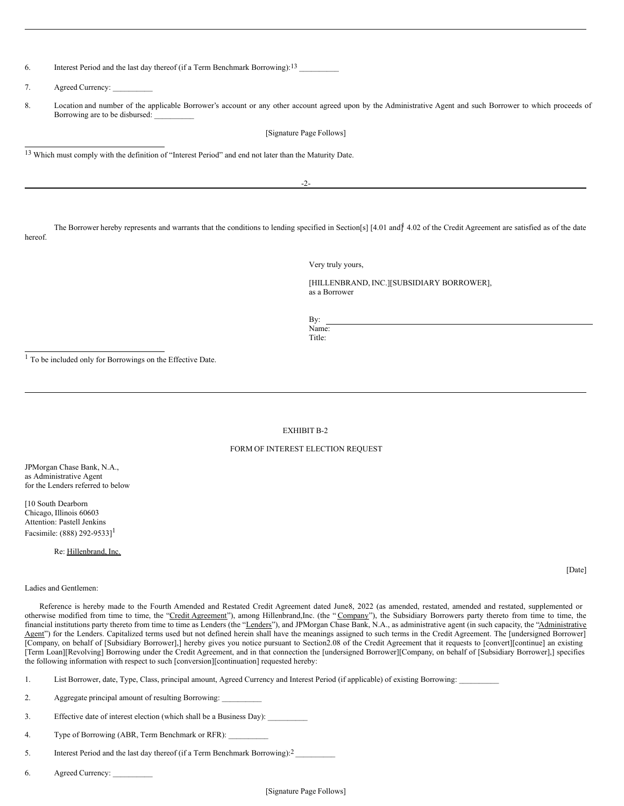6. Interest Period and the last day thereof (if a Term Benchmark Borrowing):<sup>13</sup>

7. Agreed Currency:

8. Location and number of the applicable Borrower's account or any other account agreed upon by the Administrative Agent and such Borrower to which proceeds of Borrowing are to be disbursed:

[Signature Page Follows]

<sup>13</sup> Which must comply with the definition of "Interest Period" and end not later than the Maturity Date.

-2-

The Borrower hereby represents and warrants that the conditions to lending specified in Section[s] [4.01 and]<sup>1</sup> 4.02 of the Credit Agreement are satisfied as of the date hereof.

Very truly yours,

[HILLENBRAND, INC.][SUBSIDIARY BORROWER], as a Borrower

[Date]

By: Name:

Title:

<sup>1</sup> To be included only for Borrowings on the Effective Date.

## EXHIBIT B-2

### FORM OF INTEREST ELECTION REQUEST

JPMorgan Chase Bank, N.A., as Administrative Agent for the Lenders referred to below

[10 South Dearborn Chicago, Illinois 60603 Attention: Pastell Jenkins Facsimile: (888) 292-9533]<sup>1</sup>

Re: Hillenbrand, Inc.

Ladies and Gentlemen:

Reference is hereby made to the Fourth Amended and Restated Credit Agreement dated June8, 2022 (as amended, restated, amended and restated, supplemented or otherwise modified from time to time, the "Credit Agreement"), among Hillenbrand,Inc. (the "Company"), the Subsidiary Borrowers party thereto from time to time, the financial institutions party thereto from time to time as Lenders (the "Lenders"), and JPMorgan Chase Bank, N.A., as administrative agent (in such capacity, the "Administrative Agent") for the Lenders. Capitalized terms used but not defined herein shall have the meanings assigned to such terms in the Credit Agreement. The [undersigned Borrower] [Company, on behalf of [Subsidiary Borrower],] hereby gives you notice pursuant to Section2.08 of the Credit Agreement that it requests to [convert][continue] an existing [Term Loan][Revolving] Borrowing under the Credit Agreement, and in that connection the [undersigned Borrower][Company, on behalf of [Subsidiary Borrower],] specifies the following information with respect to such [conversion][continuation] requested hereby:

1. List Borrower, date, Type, Class, principal amount, Agreed Currency and Interest Period (if applicable) of existing Borrowing:

2. Aggregate principal amount of resulting Borrowing:

3. Effective date of interest election (which shall be a Business Day):

4. Type of Borrowing (ABR, Term Benchmark or RFR):

5. Interest Period and the last day thereof (if a Term Benchmark Borrowing):2

6. Agreed Currency: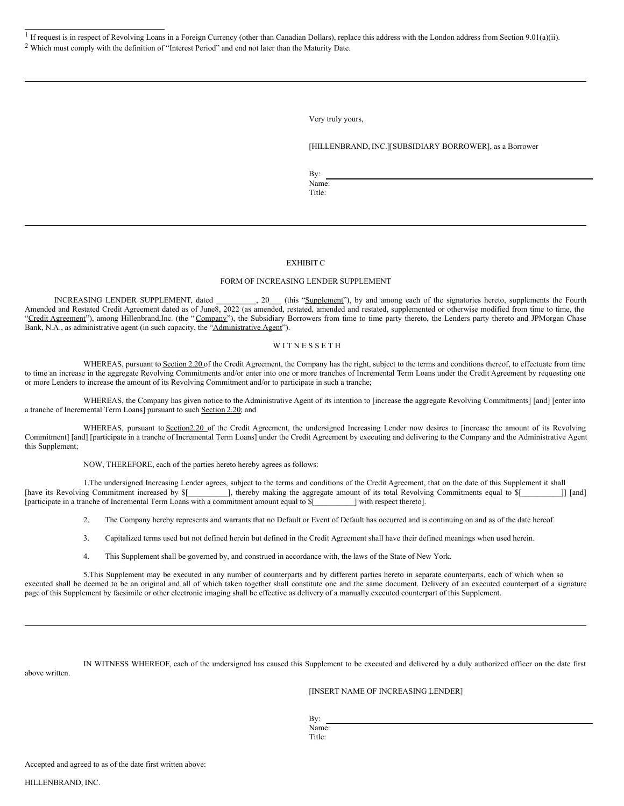Very truly yours,

[HILLENBRAND, INC.][SUBSIDIARY BORROWER], as a Borrower

By: Name: Title:

### EXHIBIT C

#### FORM OF INCREASING LENDER SUPPLEMENT

INCREASING LENDER SUPPLEMENT, dated \_\_\_\_\_\_\_\_\_\_, 20\_\_\_ (this "Supplement"), by and among each of the signatories hereto, supplements the Fourth Amended and Restated Credit Agreement dated as of June8, 2022 (as amended, restated, amended and restated, supplemented or otherwise modified from time to time, the "Credit Agreement"), among Hillenbrand,Inc. (the "Company"), the Subsidiary Borrowers from time to time party thereto, the Lenders party thereto and JPMorgan Chase Bank, N.A., as administrative agent (in such capacity, the "Administrative Agent").

### WITNESSETH

WHEREAS, pursuant to Section 2.20 of the Credit Agreement, the Company has the right, subject to the terms and conditions thereof, to effectuate from time to time an increase in the aggregate Revolving Commitments and/or enter into one or more tranches of Incremental Term Loans under the Credit Agreement by requesting one or more Lenders to increase the amount of its Revolving Commitment and/or to participate in such a tranche;

WHEREAS, the Company has given notice to the Administrative Agent of its intention to [increase the aggregate Revolving Commitments] [and] [enter into a tranche of Incremental Term Loans] pursuant to such Section 2.20; and

WHEREAS, pursuant to Section2.20 of the Credit Agreement, the undersigned Increasing Lender now desires to [increase the amount of its Revolving Commitment] [and] [participate in a tranche of Incremental Term Loans] under the Credit Agreement by executing and delivering to the Company and the Administrative Agent this Supplement;

NOW, THEREFORE, each of the parties hereto hereby agrees as follows:

1.The undersigned Increasing Lender agrees, subject to the terms and conditions of the Credit Agreement, that on the date of this Supplement it shall<br>[have its Revolving Commitment increased by  $\frac{S}{S}$ ], thereby making t  $\Box$ , thereby making the aggregate amount of its total Revolving Commitments equal to  $\S$ [participate in a tranche of Incremental Term Loans with a commitment amount equal to \$[\_\_\_\_\_\_\_\_\_\_] with respect thereto].

2. The Company hereby represents and warrants that no Default or Event of Default has occurred and is continuing on and as of the date hereof.

3. Capitalized terms used but not defined herein but defined in the Credit Agreement shall have their defined meanings when used herein.

4. This Supplement shall be governed by, and construed in accordance with, the laws of the State of New York.

5.This Supplement may be executed in any number of counterparts and by different parties hereto in separate counterparts, each of which when so executed shall be deemed to be an original and all of which taken together shall constitute one and the same document. Delivery of an executed counterpart of a signature page of this Supplement by facsimile or other electronic imaging shall be effective as delivery of a manually executed counterpart of this Supplement.

IN WITNESS WHEREOF, each of the undersigned has caused this Supplement to be executed and delivered by a duly authorized officer on the date first above written.

[INSERT NAME OF INCREASING LENDER]

By: Name: Title:

<sup>&</sup>lt;sup>1</sup> If request is in respect of Revolving Loans in a Foreign Currency (other than Canadian Dollars), replace this address with the London address from Section 9.01(a)(ii).

<sup>2</sup> Which must comply with the definition of "Interest Period" and end not later than the Maturity Date.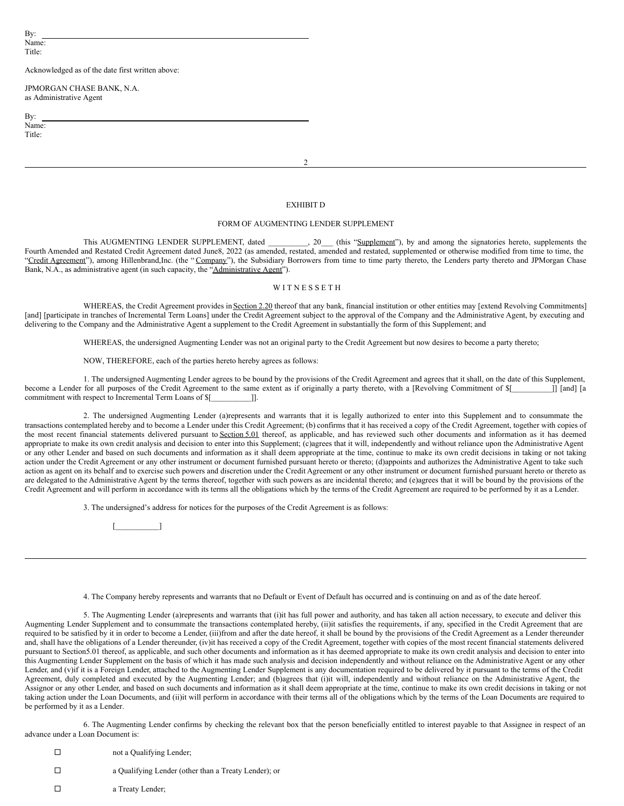By: Name: Title:

Acknowledged as of the date first written above:

JPMORGAN CHASE BANK, N.A. as Administrative Agent

By: Name: Title:

 $\overline{2}$ 

## EXHIBIT D

## FORM OF AUGMENTING LENDER SUPPLEMENT

This AUGMENTING LENDER SUPPLEMENT, dated , 20 (this "Supplement"), by and among the signatories hereto, supplements the Fourth Amended and Restated Credit Agreement dated June8, 2022 (as amended, restated, amended and restated, supplemented or otherwise modified from time to time, the "Credit Agreement"), among Hillenbrand,Inc. (the "Company"), the Subsidiary Borrowers from time to time party thereto, the Lenders party thereto and JPMorgan Chase Bank, N.A., as administrative agent (in such capacity, the "Administrative Agent").

### WITNESSETH

WHEREAS, the Credit Agreement provides in Section 2.20 thereof that any bank, financial institution or other entities may [extend Revolving Commitments] [and] [participate in tranches of Incremental Term Loans] under the Credit Agreement subject to the approval of the Company and the Administrative Agent, by executing and delivering to the Company and the Administrative Agent a supplement to the Credit Agreement in substantially the form of this Supplement; and

WHEREAS, the undersigned Augmenting Lender was not an original party to the Credit Agreement but now desires to become a party thereto;

NOW, THEREFORE, each of the parties hereto hereby agrees as follows:

1. The undersigned Augmenting Lender agrees to be bound by the provisions of the Credit Agreement and agrees that it shall, on the date of this Supplement, become a Lender for all purposes of the Credit Agreement to the same extent as if originally a party thereto, with a [Revolving Commitment of  $\{\$ [] [and] [a commitment with respect to Incremental Term Loans of  $[$ [].

2. The undersigned Augmenting Lender (a)represents and warrants that it is legally authorized to enter into this Supplement and to consummate the transactions contemplated hereby and to become a Lender under this Credit Agreement; (b) confirms that it has received a copy of the Credit Agreement, together with copies of the most recent financial statements delivered pursuant to Section 5.01 thereof, as applicable, and has reviewed such other documents and information as it has deemed appropriate to make its own credit analysis and decision to enter into this Supplement; (c)agrees that it will, independently and without reliance upon the Administrative Agent or any other Lender and based on such documents and information as it shall deem appropriate at the time, continue to make its own credit decisions in taking or not taking action under the Credit Agreement or any other instrument or document furnished pursuant hereto or thereto; (d)appoints and authorizes the Administrative Agent to take such action as agent on its behalf and to exercise such powers and discretion under the Credit Agreement or any other instrument or document furnished pursuant hereto or thereto as are delegated to the Administrative Agent by the terms thereof, together with such powers as are incidental thereto; and (e)agrees that it will be bound by the provisions of the Credit Agreement and will perform in accordance with its terms all the obligations which by the terms of the Credit Agreement are required to be performed by it as a Lender.

3. The undersigned's address for notices for the purposes of the Credit Agreement is as follows:

 $\begin{bmatrix} \end{bmatrix}$ 

4. The Company hereby represents and warrants that no Default or Event of Default has occurred and is continuing on and as of the date hereof.

5. The Augmenting Lender (a)represents and warrants that (i)it has full power and authority, and has taken all action necessary, to execute and deliver this Augmenting Lender Supplement and to consummate the transactions contemplated hereby, (ii)it satisfies the requirements, if any, specified in the Credit Agreement that are required to be satisfied by it in order to become a Lender, (iii)from and after the date hereof, it shall be bound by the provisions of the Credit Agreement as a Lender thereunder and, shall have the obligations of a Lender thereunder, (iv)it has received a copy of the Credit Agreement, together with copies of the most recent financial statements delivered pursuant to Section5.01 thereof, as applicable, and such other documents and information as it has deemed appropriate to make its own credit analysis and decision to enter into this Augmenting Lender Supplement on the basis of which it has made such analysis and decision independently and without reliance on the Administrative Agent or any other Lender, and (v)if it is a Foreign Lender, attached to the Augmenting Lender Supplement is any documentation required to be delivered by it pursuant to the terms of the Credit Agreement, duly completed and executed by the Augmenting Lender; and (b)agrees that (i)it will, independently and without reliance on the Administrative Agent, the Assignor or any other Lender, and based on such documents and information as it shall deem appropriate at the time, continue to make its own credit decisions in taking or not taking action under the Loan Documents, and (ii)it will perform in accordance with their terms all of the obligations which by the terms of the Loan Documents are required to be performed by it as a Lender.

6. The Augmenting Lender confirms by checking the relevant box that the person beneficially entitled to interest payable to that Assignee in respect of an advance under a Loan Document is:

- $\square$  not a Qualifying Lender;
- □ a Qualifying Lender (other than a Treaty Lender); or
- □ a Treaty Lender;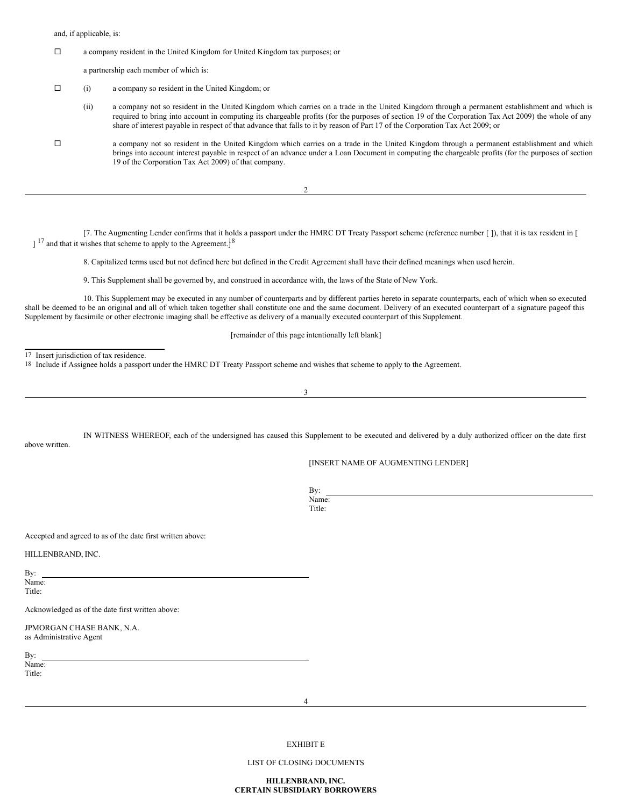### and, if applicable, is:

□ a company resident in the United Kingdom for United Kingdom tax purposes; or

a partnership each member of which is:

- $\Box$  (i) a company so resident in the United Kingdom; or
	- (ii) a company not so resident in the United Kingdom which carries on a trade in the United Kingdom through a permanent establishment and which is required to bring into account in computing its chargeable profits (for the purposes of section 19 of the Corporation Tax Act 2009) the whole of any share of interest payable in respect of that advance that falls to it by reason of Part 17 of the Corporation Tax Act 2009; or
- □ a company not so resident in the United Kingdom which carries on a trade in the United Kingdom through a permanent establishment and which brings into account interest payable in respect of an advance under a Loan Document in computing the chargeable profits (for the purposes of section 19 of the Corporation Tax Act 2009) of that company.

2

[7. The Augmenting Lender confirms that it holds a passport under the HMRC DT Treaty Passport scheme (reference number []), that it is tax resident in [  $1^{17}$  and that it wishes that scheme to apply to the Agreement.<sup>18</sup>

8. Capitalized terms used but not defined here but defined in the Credit Agreement shall have their defined meanings when used herein.

9. This Supplement shall be governed by, and construed in accordance with, the laws of the State of New York.

10. This Supplement may be executed in any number of counterparts and by different parties hereto in separate counterparts, each of which when so executed shall be deemed to be an original and all of which taken together shall constitute one and the same document. Delivery of an executed counterpart of a signature pageof this Supplement by facsimile or other electronic imaging shall be effective as delivery of a manually executed counterpart of this Supplement.

[remainder of this page intentionally left blank]

| I<br>I<br>$\sim$ |
|------------------|

IN WITNESS WHEREOF, each of the undersigned has caused this Supplement to be executed and delivered by a duly authorized officer on the date first above written.

[INSERT NAME OF AUGMENTING LENDER]

By: Name: Title:

Accepted and agreed to as of the date first written above:

HILLENBRAND, INC.

By: Name:

Title:

Acknowledged as of the date first written above:

JPMORGAN CHASE BANK, N.A. as Administrative Agent

By: Name: Title:

4

EXHIBIT E

LIST OF CLOSING DOCUMENTS

**HILLENBRAND, INC. CERTAIN SUBSIDIARY BORROWERS**

<sup>17</sup> Insert jurisdiction of tax residence.

<sup>18</sup> Include if Assignee holds a passport under the HMRC DT Treaty Passport scheme and wishes that scheme to apply to the Agreement.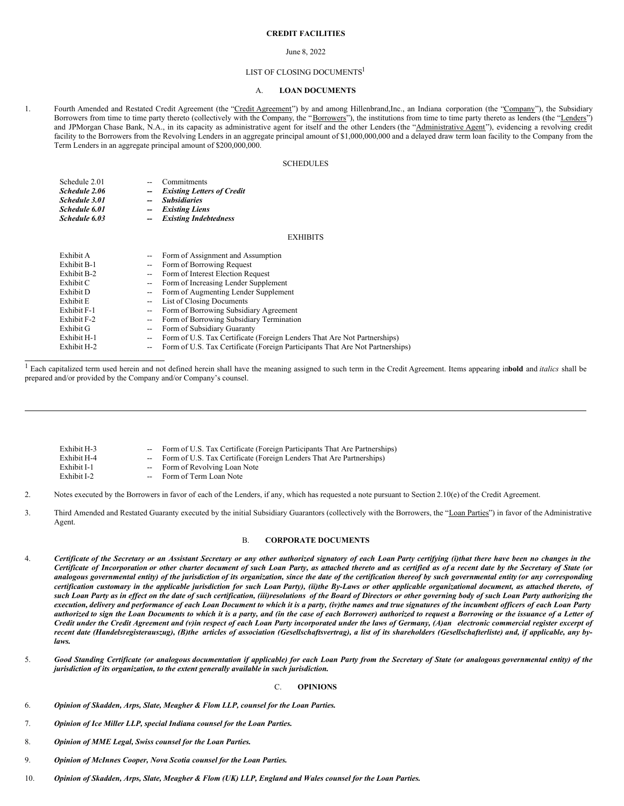### **CREDIT FACILITIES**

#### June 8, 2022

## LIST OF CLOSING DOCUMENTS<sup>1</sup>

#### A. **LOAN DOCUMENTS**

1. Fourth Amended and Restated Credit Agreement (the "Credit Agreement") by and among Hillenbrand,Inc., an Indiana corporation (the "Company"), the Subsidiary Borrowers from time to time party thereto (collectively with the Company, the "Borrowers"), the institutions from time to time party thereto as lenders (the "Lenders") and JPMorgan Chase Bank, N.A., in its capacity as administrative agent for itself and the other Lenders (the "Administrative Agent"), evidencing a revolving credit facility to the Borrowers from the Revolving Lenders in an aggregate principal amount of \$1,000,000,000 and a delayed draw term loan facility to the Company from the Term Lenders in an aggregate principal amount of \$200,000,000.

### **SCHEDULES**

| Schedule 2.01<br>Schedule 2.06<br>Schedule 3.01<br>Schedule 6.01<br>Schedule 6.03 | Commitments<br><b>Existing Letters of Credit</b><br>--<br><i><b>Subsidiaries</b></i><br>--<br><b>Existing Liens</b><br>--<br><b>Existing Indebtedness</b> |
|-----------------------------------------------------------------------------------|-----------------------------------------------------------------------------------------------------------------------------------------------------------|
|                                                                                   | <b>EXHIBITS</b>                                                                                                                                           |
| Exhibit A                                                                         | Form of Assignment and Assumption<br>$\overline{\phantom{a}}$                                                                                             |
| Exhibit B-1                                                                       | Form of Borrowing Request<br>--                                                                                                                           |
| Exhibit B-2                                                                       | Form of Interest Election Request<br>$\overline{\phantom{a}}$                                                                                             |
| Exhibit C                                                                         | Form of Increasing Lender Supplement<br>$\overline{\phantom{a}}$                                                                                          |
| Exhibit D                                                                         | Form of Augmenting Lender Supplement<br>$\overline{\phantom{a}}$                                                                                          |
| Exhibit E                                                                         | List of Closing Documents<br>$\overline{\phantom{a}}$                                                                                                     |
| Exhibit F-1                                                                       | Form of Borrowing Subsidiary Agreement<br>$\overline{\phantom{a}}$                                                                                        |
| Exhibit F-2                                                                       | Form of Borrowing Subsidiary Termination<br>$\overline{\phantom{a}}$                                                                                      |
| Exhibit G                                                                         | Form of Subsidiary Guaranty<br>--                                                                                                                         |
| Exhibit H-1                                                                       | Form of U.S. Tax Certificate (Foreign Lenders That Are Not Partnerships)<br>--                                                                            |
| Exhibit H-2                                                                       | Form of U.S. Tax Certificate (Foreign Participants That Are Not Partnerships)<br>--                                                                       |

<sup>1</sup> Each capitalized term used herein and not defined herein shall have the meaning assigned to such term in the Credit Agreement. Items appearing in**bold** and *italics* shall be prepared and/or provided by the Company and/or Company's counsel.

| Exhibit H-3 | -- Form of U.S. Tax Certificate (Foreign Participants That Are Partnerships) |
|-------------|------------------------------------------------------------------------------|
| Exhibit H-4 | -- Form of U.S. Tax Certificate (Foreign Lenders That Are Partnerships)      |
| Exhibit I-1 | -- Form of Revolving Loan Note                                               |
| Exhibit I-2 | -- Form of Term Loan Note                                                    |

- 2. Notes executed by the Borrowers in favor of each of the Lenders, if any, which has requested a note pursuant to Section 2.10(e) of the Credit Agreement.
- 3. Third Amended and Restated Guaranty executed by the initial Subsidiary Guarantors (collectively with the Borrowers, the "Loan Parties") in favor of the Administrative Agent.

### B. **CORPORATE DOCUMENTS**

- 4. Certificate of the Secretary or an Assistant Secretary or any other authorized signatory of each Loan Party certifying (i)that there have been no changes in the Certificate of Incorporation or other charter document of such Loan Party, as attached thereto and as certified as of a recent date by the Secretary of State (or analogous governmental entity) of the jurisdiction of its organization, since the date of the certification thereof by such governmental entity (or any corresponding certification customary in the applicable jurisdiction for such Loan Party), (ii)the By-Laws or other applicable organizational document, as attached thereto, of such Loan Party as in effect on the date of such certification, (iii)resolutions of the Board of Directors or other governing body of such Loan Party authorizing the execution, delivery and performance of each Loan Document to which it is a party, (iv)the names and true signatures of the incumbent officers of each Loan Party authorized to sign the Loan Documents to which it is a party, and (in the case of each Borrower) authorized to request a Borrowing or the issuance of a Letter of Credit under the Credit Agreement and (v)in respect of each Loan Party incorporated under the laws of Germany, (A)an electronic commercial register excerpt of recent date (Handelsregisterauszug), (B)the articles of association (Gesellschaftsvertrag), a list of its shareholders (Gesellschafterliste) and, if applicable, any by*laws.*
- 5. Good Standing Certificate (or analogous documentation if applicable) for each Loan Party from the Secretary of State (or analogous governmental entity) of the *jurisdiction of its organization, to the extent generally available in such jurisdiction.*

#### C. **OPINIONS**

- 6. *Opinion of Skadden, Arps, Slate, Meagher & Flom LLP, counsel for the Loan Parties.*
- 7. *Opinion of Ice Miller LLP, special Indiana counsel for the Loan Parties.*
- 8. *Opinion of MME Legal, Swiss counsel for the Loan Parties.*
- 9. *Opinion of McInnes Cooper, Nova Scotia counsel for the Loan Parties.*
- 10. Opinion of Skadden, Arps, Slate, Meagher & Flom (UK) LLP, England and Wales counsel for the Loan Parties.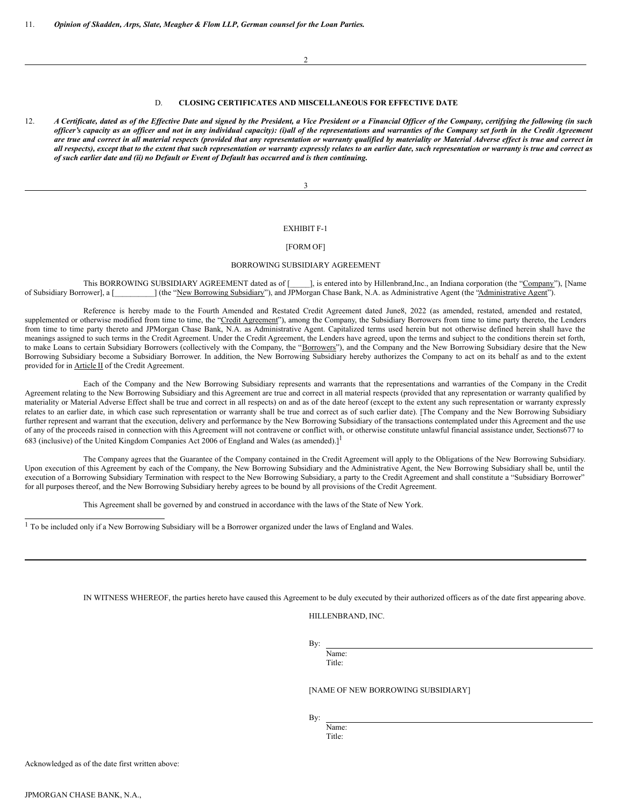### D. **CLOSING CERTIFICATES AND MISCELLANEOUS FOR EFFECTIVE DATE**

12. A Certificate, dated as of the Effective Date and signed by the President, a Vice President or a Financial Officer of the Company, certifying the following (in such officer's capacity as an officer and not in any individual capacity): (i)all of the representations and warranties of the Company set forth in the Credit Agreement are true and correct in all material respects (provided that any representation or warranty qualified by materiality or Material Adverse effect is true and correct in all respects), except that to the extent that such representation or warranty expressly relates to an earlier date, such representation or warranty is true and correct as *of such earlier date and (ii) no Default or Event of Default has occurred and is then continuing.*

3

## EXHIBIT F-1

### [FORM OF]

#### BORROWING SUBSIDIARY AGREEMENT

This BORROWING SUBSIDIARY AGREEMENT dated as of [included into by Hillenbrand,Inc., an Indiana corporation (the "Company"), [Name of Subsidiary Borrower], a [ \_\_\_\_\_\_\_\_] (the "New Borrowing Subsidiary"), and JPMorgan Chase Bank, N.A. as Administrative Agent (the "Administrative Agent").

Reference is hereby made to the Fourth Amended and Restated Credit Agreement dated June8, 2022 (as amended, restated, amended and restated, supplemented or otherwise modified from time to time, the "Credit Agreement"), among the Company, the Subsidiary Borrowers from time to time party thereto, the Lenders from time to time party thereto and JPMorgan Chase Bank, N.A. as Administrative Agent. Capitalized terms used herein but not otherwise defined herein shall have the meanings assigned to such terms in the Credit Agreement. Under the Credit Agreement, the Lenders have agreed, upon the terms and subject to the conditions therein set forth, to make Loans to certain Subsidiary Borrowers (collectively with the Company, the "Borrowers"), and the Company and the New Borrowing Subsidiary desire that the New Borrowing Subsidiary become a Subsidiary Borrower. In addition, the New Borrowing Subsidiary hereby authorizes the Company to act on its behalf as and to the extent provided for in Article II of the Credit Agreement.

Each of the Company and the New Borrowing Subsidiary represents and warrants that the representations and warranties of the Company in the Credit Agreement relating to the New Borrowing Subsidiary and this Agreement are true and correct in all material respects (provided that any representation or warranty qualified by materiality or Material Adverse Effect shall be true and correct in all respects) on and as of the date hereof (except to the extent any such representation or warranty expressly relates to an earlier date, in which case such representation or warranty shall be true and correct as of such earlier date). [The Company and the New Borrowing Subsidiary further represent and warrant that the execution, delivery and performance by the New Borrowing Subsidiary of the transactions contemplated under this Agreement and the use of any of the proceeds raised in connection with this Agreement will not contravene or conflict with, or otherwise constitute unlawful financial assistance under, Sections677 to 683 (inclusive) of the United Kingdom Companies Act 2006 of England and Wales (as amended).]<sup>1</sup>

The Company agrees that the Guarantee of the Company contained in the Credit Agreement will apply to the Obligations of the New Borrowing Subsidiary. Upon execution of this Agreement by each of the Company, the New Borrowing Subsidiary and the Administrative Agent, the New Borrowing Subsidiary shall be, until the execution of a Borrowing Subsidiary Termination with respect to the New Borrowing Subsidiary, a party to the Credit Agreement and shall constitute a "Subsidiary Borrower" for all purposes thereof, and the New Borrowing Subsidiary hereby agrees to be bound by all provisions of the Credit Agreement.

This Agreement shall be governed by and construed in accordance with the laws of the State of New York.

<sup>1</sup> To be included only if a New Borrowing Subsidiary will be a Borrower organized under the laws of England and Wales.

IN WITNESS WHEREOF, the parties hereto have caused this Agreement to be duly executed by their authorized officers as of the date first appearing above.

HILLENBRAND, INC.

By:

Name: Title:

[NAME OF NEW BORROWING SUBSIDIARY]

By:

Name: Title:

Acknowledged as of the date first written above: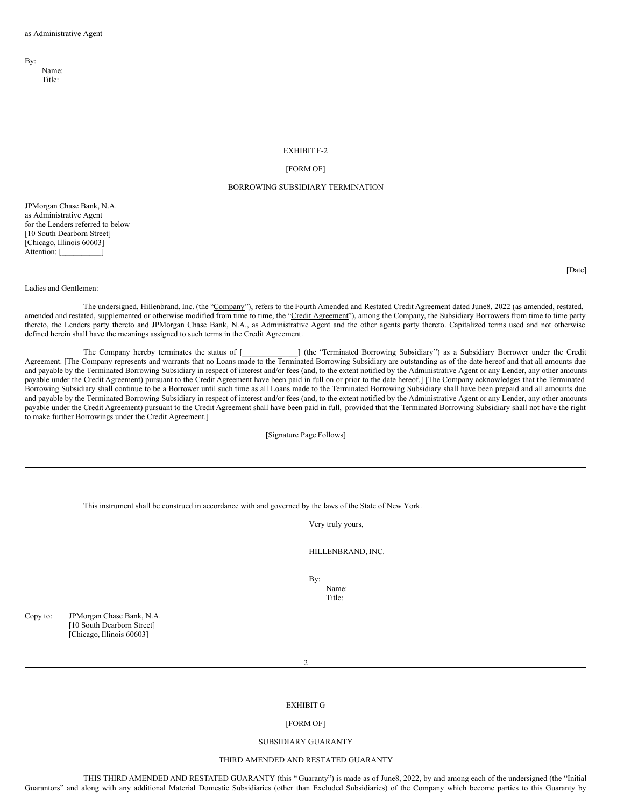By: Name:

Title:

#### EXHIBIT F-2

[FORM OF]

#### BORROWING SUBSIDIARY TERMINATION

JPMorgan Chase Bank, N.A. as Administrative Agent for the Lenders referred to below [10 South Dearborn Street] [Chicago, Illinois 60603] Attention: [

Ladies and Gentlemen:

[Date]

The undersigned, Hillenbrand, Inc. (the "Company"), refers to the Fourth Amended and Restated Credit Agreement dated June8, 2022 (as amended, restated, amended and restated, supplemented or otherwise modified from time to time, the "Credit Agreement"), among the Company, the Subsidiary Borrowers from time to time party thereto, the Lenders party thereto and JPMorgan Chase Bank, N.A., as Administrative Agent and the other agents party thereto. Capitalized terms used and not otherwise defined herein shall have the meanings assigned to such terms in the Credit Agreement.

The Company hereby terminates the status of [\_\_\_\_\_\_\_\_\_\_\_] (the "Terminated Borrowing Subsidiary") as a Subsidiary Borrower under the Credit Agreement. [The Company represents and warrants that no Loans made to the Terminated Borrowing Subsidiary are outstanding as of the date hereof and that all amounts due and payable by the Terminated Borrowing Subsidiary in respect of interest and/or fees (and, to the extent notified by the Administrative Agent or any Lender, any other amounts payable under the Credit Agreement) pursuant to the Credit Agreement have been paid in full on or prior to the date hereof.] [The Company acknowledges that the Terminated Borrowing Subsidiary shall continue to be a Borrower until such time as all Loans made to the Terminated Borrowing Subsidiary shall have been prepaid and all amounts due and payable by the Terminated Borrowing Subsidiary in respect of interest and/or fees (and, to the extent notified by the Administrative Agent or any Lender, any other amounts payable under the Credit Agreement) pursuant to the Credit Agreement shall have been paid in full, provided that the Terminated Borrowing Subsidiary shall not have the right to make further Borrowings under the Credit Agreement.]

[Signature Page Follows]

This instrument shall be construed in accordance with and governed by the laws of the State of New York.

Very truly yours,

HILLENBRAND, INC.

By:

Name: Title:

Copy to: JPMorgan Chase Bank, N.A. [10 South Dearborn Street] [Chicago, Illinois 60603]

 $\mathcal{I}$ 

EXHIBIT G

[FORM OF]

SUBSIDIARY GUARANTY

## THIRD AMENDED AND RESTATED GUARANTY

THIS THIRD AMENDED AND RESTATED GUARANTY (this "Guaranty") is made as of June8, 2022, by and among each of the undersigned (the "Initial Guarantors" and along with any additional Material Domestic Subsidiaries (other than Excluded Subsidiaries) of the Company which become parties to this Guaranty by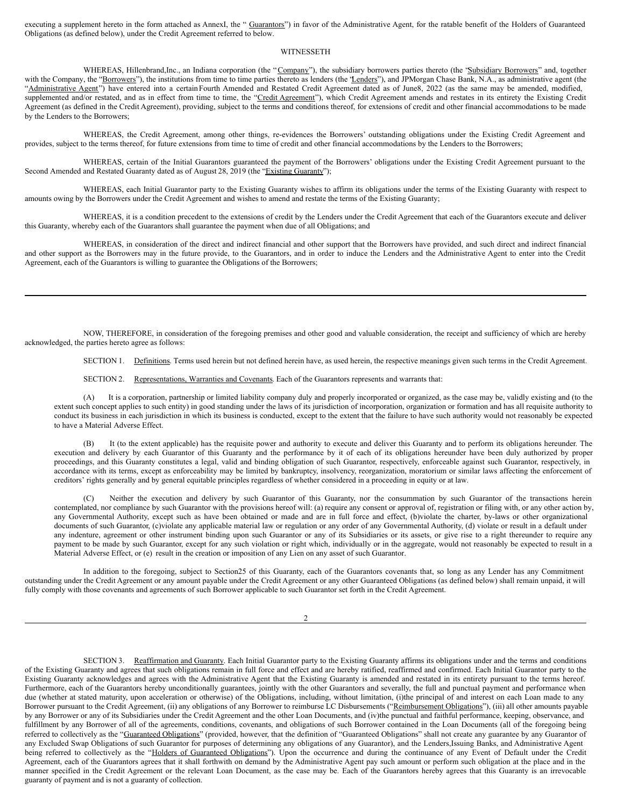executing a supplement hereto in the form attached as AnnexI, the "Guarantors") in favor of the Administrative Agent, for the ratable benefit of the Holders of Guaranteed Obligations (as defined below), under the Credit Agreement referred to below.

### WITNESSETH

WHEREAS, Hillenbrand,Inc., an Indiana corporation (the "Company"), the subsidiary borrowers parties thereto (the 'Subsidiary Borrowers' and, together with the Company, the "Borrowers"), the institutions from time to time parties thereto as lenders (the "Lenders"), and JPMorgan Chase Bank, N.A., as administrative agent (the "Administrative Agent") have entered into a certainFourth Amended and Restated Credit Agreement dated as of June8, 2022 (as the same may be amended, modified, supplemented and/or restated, and as in effect from time to time, the "Credit Agreement"), which Credit Agreement amends and restates in its entirety the Existing Credit Agreement (as defined in the Credit Agreement), providing, subject to the terms and conditions thereof, for extensions of credit and other financial accommodations to be made by the Lenders to the Borrowers;

WHEREAS, the Credit Agreement, among other things, re-evidences the Borrowers' outstanding obligations under the Existing Credit Agreement and provides, subject to the terms thereof, for future extensions from time to time of credit and other financial accommodations by the Lenders to the Borrowers;

WHEREAS, certain of the Initial Guarantors guaranteed the payment of the Borrowers' obligations under the Existing Credit Agreement pursuant to the Second Amended and Restated Guaranty dated as of August 28, 2019 (the "Existing Guaranty");

WHEREAS, each Initial Guarantor party to the Existing Guaranty wishes to affirm its obligations under the terms of the Existing Guaranty with respect to amounts owing by the Borrowers under the Credit Agreement and wishes to amend and restate the terms of the Existing Guaranty;

WHEREAS, it is a condition precedent to the extensions of credit by the Lenders under the Credit Agreement that each of the Guarantors execute and deliver this Guaranty, whereby each of the Guarantors shall guarantee the payment when due of all Obligations; and

WHEREAS, in consideration of the direct and indirect financial and other support that the Borrowers have provided, and such direct and indirect financial and other support as the Borrowers may in the future provide, to the Guarantors, and in order to induce the Lenders and the Administrative Agent to enter into the Credit Agreement, each of the Guarantors is willing to guarantee the Obligations of the Borrowers;

NOW, THEREFORE, in consideration of the foregoing premises and other good and valuable consideration, the receipt and sufficiency of which are hereby acknowledged, the parties hereto agree as follows:

SECTION 1. Definitions. Terms used herein but not defined herein have, as used herein, the respective meanings given such terms in the Credit Agreement.

SECTION 2. Representations, Warranties and Covenants. Each of the Guarantors represents and warrants that:

(A) It is a corporation, partnership or limited liability company duly and properly incorporated or organized, as the case may be, validly existing and (to the extent such concept applies to such entity) in good standing under the laws of its jurisdiction of incorporation, organization or formation and has all requisite authority to conduct its business in each jurisdiction in which its business is conducted, except to the extent that the failure to have such authority would not reasonably be expected to have a Material Adverse Effect.

It (to the extent applicable) has the requisite power and authority to execute and deliver this Guaranty and to perform its obligations hereunder. The execution and delivery by each Guarantor of this Guaranty and the performance by it of each of its obligations hereunder have been duly authorized by proper proceedings, and this Guaranty constitutes a legal, valid and binding obligation of such Guarantor, respectively, enforceable against such Guarantor, respectively, in accordance with its terms, except as enforceability may be limited by bankruptcy, insolvency, reorganization, moratorium or similar laws affecting the enforcement of creditors' rights generally and by general equitable principles regardless of whether considered in a proceeding in equity or at law.

(C) Neither the execution and delivery by such Guarantor of this Guaranty, nor the consummation by such Guarantor of the transactions herein contemplated, nor compliance by such Guarantor with the provisions hereof will: (a) require any consent or approval of, registration or filing with, or any other action by, any Governmental Authority, except such as have been obtained or made and are in full force and effect, (b)violate the charter, by-laws or other organizational documents of such Guarantor, (c)violate any applicable material law or regulation or any order of any Governmental Authority, (d) violate or result in a default under any indenture, agreement or other instrument binding upon such Guarantor or any of its Subsidiaries or its assets, or give rise to a right thereunder to require any payment to be made by such Guarantor, except for any such violation or right which, individually or in the aggregate, would not reasonably be expected to result in a Material Adverse Effect, or (e) result in the creation or imposition of any Lien on any asset of such Guarantor.

In addition to the foregoing, subject to Section25 of this Guaranty, each of the Guarantors covenants that, so long as any Lender has any Commitment outstanding under the Credit Agreement or any amount payable under the Credit Agreement or any other Guaranteed Obligations (as defined below) shall remain unpaid, it will fully comply with those covenants and agreements of such Borrower applicable to such Guarantor set forth in the Credit Agreement.

2

SECTION 3. Reaffirmation and Guaranty. Each Initial Guarantor party to the Existing Guaranty affirms its obligations under and the terms and conditions of the Existing Guaranty and agrees that such obligations remain in full force and effect and are hereby ratified, reaffirmed and confirmed. Each Initial Guarantor party to the Existing Guaranty acknowledges and agrees with the Administrative Agent that the Existing Guaranty is amended and restated in its entirety pursuant to the terms hereof. Furthermore, each of the Guarantors hereby unconditionally guarantees, jointly with the other Guarantors and severally, the full and punctual payment and performance when due (whether at stated maturity, upon acceleration or otherwise) of the Obligations, including, without limitation, (i)the principal of and interest on each Loan made to any Borrower pursuant to the Credit Agreement, (ii) any obligations of any Borrower to reimburse LC Disbursements ("Reimbursement Obligations"), (iii) all other amounts payable by any Borrower or any of its Subsidiaries under the Credit Agreement and the other Loan Documents, and (iv)the punctual and faithful performance, keeping, observance, and fulfillment by any Borrower of all of the agreements, conditions, covenants, and obligations of such Borrower contained in the Loan Documents (all of the foregoing being referred to collectively as the "Guaranteed Obligations" (provided, however, that the definition of "Guaranteed Obligations" shall not create any guarantee by any Guarantor of any Excluded Swap Obligations of such Guarantor for purposes of determining any obligations of any Guarantor), and the Lenders,Issuing Banks, and Administrative Agent being referred to collectively as the "Holders of Guaranteed Obligations"). Upon the occurrence and during the continuance of any Event of Default under the Credit Agreement, each of the Guarantors agrees that it shall forthwith on demand by the Administrative Agent pay such amount or perform such obligation at the place and in the manner specified in the Credit Agreement or the relevant Loan Document, as the case may be. Each of the Guarantors hereby agrees that this Guaranty is an irrevocable guaranty of payment and is not a guaranty of collection.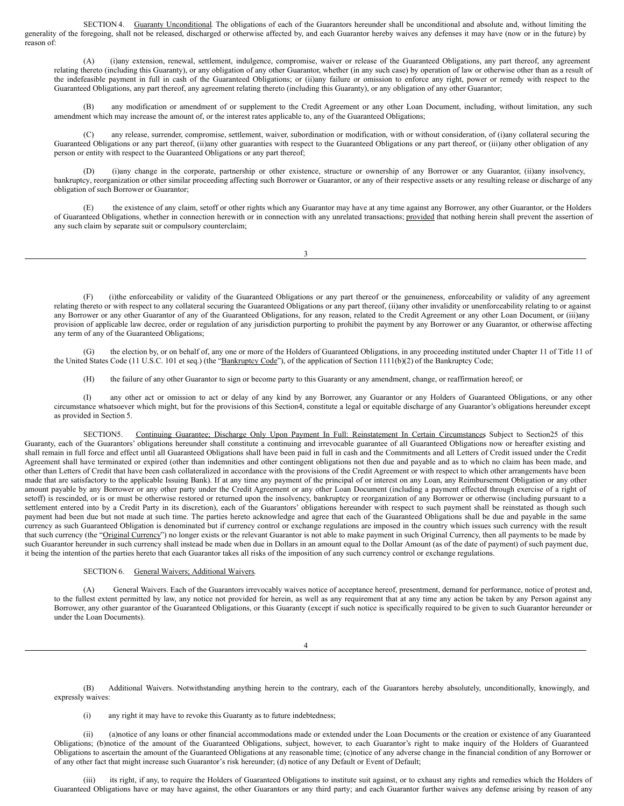SECTION 4. Guaranty Unconditional. The obligations of each of the Guarantors hereunder shall be unconditional and absolute and, without limiting the generality of the foregoing, shall not be released, discharged or otherwise affected by, and each Guarantor hereby waives any defenses it may have (now or in the future) by reason of:

(A) (i)any extension, renewal, settlement, indulgence, compromise, waiver or release of the Guaranteed Obligations, any part thereof, any agreement relating thereto (including this Guaranty), or any obligation of any other Guarantor, whether (in any such case) by operation of law or otherwise other than as a result of the indefeasible payment in full in cash of the Guaranteed Obligations; or (ii)any failure or omission to enforce any right, power or remedy with respect to the Guaranteed Obligations, any part thereof, any agreement relating thereto (including this Guaranty), or any obligation of any other Guarantor;

any modification or amendment of or supplement to the Credit Agreement or any other Loan Document, including, without limitation, any such amendment which may increase the amount of, or the interest rates applicable to, any of the Guaranteed Obligations;

(C) any release, surrender, compromise, settlement, waiver, subordination or modification, with or without consideration, of (i)any collateral securing the Guaranteed Obligations or any part thereof, (ii)any other guaranties with respect to the Guaranteed Obligations or any part thereof, or (iii)any other obligation of any person or entity with respect to the Guaranteed Obligations or any part thereof;

(D) (i)any change in the corporate, partnership or other existence, structure or ownership of any Borrower or any Guarantor, (ii)any insolvency, bankruptcy, reorganization or other similar proceeding affecting such Borrower or Guarantor, or any of their respective assets or any resulting release or discharge of any obligation of such Borrower or Guarantor;

(E) the existence of any claim, setoff or other rights which any Guarantor may have at any time against any Borrower, any other Guarantor, or the Holders of Guaranteed Obligations, whether in connection herewith or in connection with any unrelated transactions; provided that nothing herein shall prevent the assertion of any such claim by separate suit or compulsory counterclaim;

3

(F) (i)the enforceability or validity of the Guaranteed Obligations or any part thereof or the genuineness, enforceability or validity of any agreement relating thereto or with respect to any collateral securing the Guaranteed Obligations or any part thereof, (ii)any other invalidity or unenforceability relating to or against any Borrower or any other Guarantor of any of the Guaranteed Obligations, for any reason, related to the Credit Agreement or any other Loan Document, or (iii)any provision of applicable law decree, order or regulation of any jurisdiction purporting to prohibit the payment by any Borrower or any Guarantor, or otherwise affecting any term of any of the Guaranteed Obligations;

(G) the election by, or on behalf of, any one or more of the Holders of Guaranteed Obligations, in any proceeding instituted under Chapter 11 of Title 11 of the United States Code (11 U.S.C. 101 et seq.) (the "Bankruptcy Code"), of the application of Section 1111(b)(2) of the Bankruptcy Code;

(H) the failure of any other Guarantor to sign or become party to this Guaranty or any amendment, change, or reaffirmation hereof; or

(I) any other act or omission to act or delay of any kind by any Borrower, any Guarantor or any Holders of Guaranteed Obligations, or any other circumstance whatsoever which might, but for the provisions of this Section4, constitute a legal or equitable discharge of any Guarantor's obligations hereunder except as provided in Section 5.

SECTION5. Continuing Guarantee; Discharge Only Upon Payment In Full: Reinstatement In Certain Circumstances Subject to Section25 of this Guaranty, each of the Guarantors' obligations hereunder shall constitute a continuing and irrevocable guarantee of all Guaranteed Obligations now or hereafter existing and shall remain in full force and effect until all Guaranteed Obligations shall have been paid in full in cash and the Commitments and all Letters of Credit issued under the Credit Agreement shall have terminated or expired (other than indemnities and other contingent obligations not then due and payable and as to which no claim has been made, and other than Letters of Credit that have been cash collateralized in accordance with the provisions of the Credit Agreement or with respect to which other arrangements have been made that are satisfactory to the applicable Issuing Bank). If at any time any payment of the principal of or interest on any Loan, any Reimbursement Obligation or any other amount payable by any Borrower or any other party under the Credit Agreement or any other Loan Document (including a payment effected through exercise of a right of setoff) is rescinded, or is or must be otherwise restored or returned upon the insolvency, bankruptcy or reorganization of any Borrower or otherwise (including pursuant to a settlement entered into by a Credit Party in its discretion), each of the Guarantors' obligations hereunder with respect to such payment shall be reinstated as though such payment had been due but not made at such time. The parties hereto acknowledge and agree that each of the Guaranteed Obligations shall be due and payable in the same currency as such Guaranteed Obligation is denominated but if currency control or exchange regulations are imposed in the country which issues such currency with the result that such currency (the "Original Currency") no longer exists or the relevant Guarantor is not able to make payment in such Original Currency, then all payments to be made by such Guarantor hereunder in such currency shall instead be made when due in Dollars in an amount equal to the Dollar Amount (as of the date of payment) of such payment due, it being the intention of the parties hereto that each Guarantor takes all risks of the imposition of any such currency control or exchange regulations.

### SECTION 6. General Waivers; Additional Waivers.

(A) General Waivers. Each of the Guarantors irrevocably waives notice of acceptance hereof, presentment, demand for performance, notice of protest and, to the fullest extent permitted by law, any notice not provided for herein, as well as any requirement that at any time any action be taken by any Person against any Borrower, any other guarantor of the Guaranteed Obligations, or this Guaranty (except if such notice is specifically required to be given to such Guarantor hereunder or under the Loan Documents).

4

(B) Additional Waivers. Notwithstanding anything herein to the contrary, each of the Guarantors hereby absolutely, unconditionally, knowingly, and expressly waives:

(i) any right it may have to revoke this Guaranty as to future indebtedness;

(ii) (a)notice of any loans or other financial accommodations made or extended under the Loan Documents or the creation or existence of any Guaranteed Obligations; (b)notice of the amount of the Guaranteed Obligations, subject, however, to each Guarantor's right to make inquiry of the Holders of Guaranteed Obligations to ascertain the amount of the Guaranteed Obligations at any reasonable time; (c)notice of any adverse change in the financial condition of any Borrower or of any other fact that might increase such Guarantor's risk hereunder; (d) notice of any Default or Event of Default;

(iii) its right, if any, to require the Holders of Guaranteed Obligations to institute suit against, or to exhaust any rights and remedies which the Holders of Guaranteed Obligations have or may have against, the other Guarantors or any third party; and each Guarantor further waives any defense arising by reason of any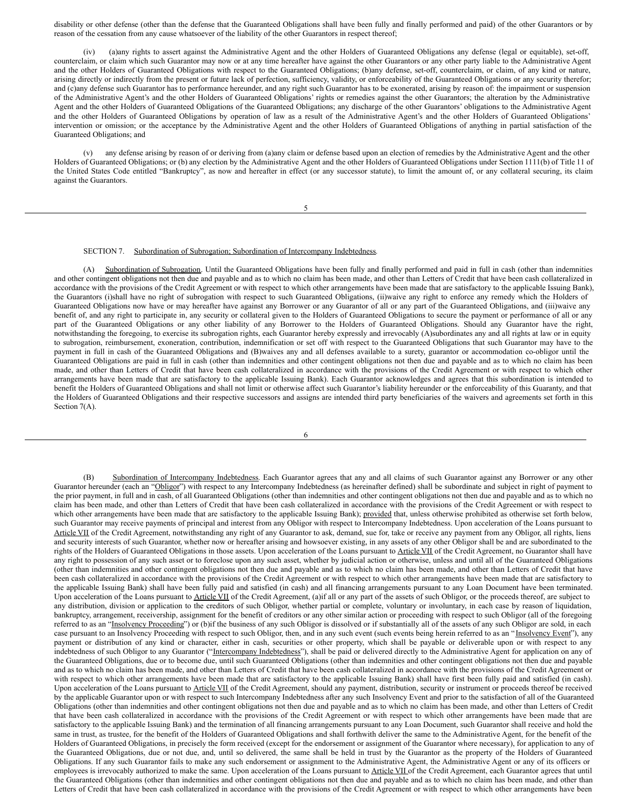disability or other defense (other than the defense that the Guaranteed Obligations shall have been fully and finally performed and paid) of the other Guarantors or by reason of the cessation from any cause whatsoever of the liability of the other Guarantors in respect thereof;

(iv) (a)any rights to assert against the Administrative Agent and the other Holders of Guaranteed Obligations any defense (legal or equitable), set-off, counterclaim, or claim which such Guarantor may now or at any time hereafter have against the other Guarantors or any other party liable to the Administrative Agent and the other Holders of Guaranteed Obligations with respect to the Guaranteed Obligations; (b)any defense, set-off, counterclaim, or claim, of any kind or nature, arising directly or indirectly from the present or future lack of perfection, sufficiency, validity, or enforceability of the Guaranteed Obligations or any security therefor; and (c)any defense such Guarantor has to performance hereunder, and any right such Guarantor has to be exonerated, arising by reason of: the impairment or suspension of the Administrative Agent's and the other Holders of Guaranteed Obligations' rights or remedies against the other Guarantors; the alteration by the Administrative Agent and the other Holders of Guaranteed Obligations of the Guaranteed Obligations; any discharge of the other Guarantors' obligations to the Administrative Agent and the other Holders of Guaranteed Obligations by operation of law as a result of the Administrative Agent's and the other Holders of Guaranteed Obligations' intervention or omission; or the acceptance by the Administrative Agent and the other Holders of Guaranteed Obligations of anything in partial satisfaction of the Guaranteed Obligations; and

(v) any defense arising by reason of or deriving from (a)any claim or defense based upon an election of remedies by the Administrative Agent and the other Holders of Guaranteed Obligations; or (b) any election by the Administrative Agent and the other Holders of Guaranteed Obligations under Section 1111(b) of Title 11 of the United States Code entitled "Bankruptcy", as now and hereafter in effect (or any successor statute), to limit the amount of, or any collateral securing, its claim against the Guarantors.

5

## SECTION 7. Subordination of Subrogation; Subordination of Intercompany Indebtedness.

(A) Subordination of Subrogation. Until the Guaranteed Obligations have been fully and finally performed and paid in full in cash (other than indemnities and other contingent obligations not then due and payable and as to which no claim has been made, and other than Letters of Credit that have been cash collateralized in accordance with the provisions of the Credit Agreement or with respect to which other arrangements have been made that are satisfactory to the applicable Issuing Bank), the Guarantors (i)shall have no right of subrogation with respect to such Guaranteed Obligations, (ii)waive any right to enforce any remedy which the Holders of Guaranteed Obligations now have or may hereafter have against any Borrower or any Guarantor of all or any part of the Guaranteed Obligations, and (iii)waive any benefit of, and any right to participate in, any security or collateral given to the Holders of Guaranteed Obligations to secure the payment or performance of all or any part of the Guaranteed Obligations or any other liability of any Borrower to the Holders of Guaranteed Obligations. Should any Guarantor have the right, notwithstanding the foregoing, to exercise its subrogation rights, each Guarantor hereby expressly and irrevocably (A)subordinates any and all rights at law or in equity to subrogation, reimbursement, exoneration, contribution, indemnification or set off with respect to the Guaranteed Obligations that such Guarantor may have to the payment in full in cash of the Guaranteed Obligations and (B)waives any and all defenses available to a surety, guarantor or accommodation co-obligor until the Guaranteed Obligations are paid in full in cash (other than indemnities and other contingent obligations not then due and payable and as to which no claim has been made, and other than Letters of Credit that have been cash collateralized in accordance with the provisions of the Credit Agreement or with respect to which other arrangements have been made that are satisfactory to the applicable Issuing Bank). Each Guarantor acknowledges and agrees that this subordination is intended to benefit the Holders of Guaranteed Obligations and shall not limit or otherwise affect such Guarantor's liability hereunder or the enforceability of this Guaranty, and that the Holders of Guaranteed Obligations and their respective successors and assigns are intended third party beneficiaries of the waivers and agreements set forth in this Section 7(A).

6

(B) Subordination of Intercompany Indebtedness. Each Guarantor agrees that any and all claims of such Guarantor against any Borrower or any other Guarantor hereunder (each an "Obligor") with respect to any Intercompany Indebtedness (as hereinafter defined) shall be subordinate and subject in right of payment to the prior payment, in full and in cash, of all Guaranteed Obligations (other than indemnities and other contingent obligations not then due and payable and as to which no claim has been made, and other than Letters of Credit that have been cash collateralized in accordance with the provisions of the Credit Agreement or with respect to which other arrangements have been made that are satisfactory to the applicable Issuing Bank); provided that, unless otherwise prohibited as otherwise set forth below, such Guarantor may receive payments of principal and interest from any Obligor with respect to Intercompany Indebtedness. Upon acceleration of the Loans pursuant to Article VII of the Credit Agreement, notwithstanding any right of any Guarantor to ask, demand, sue for, take or receive any payment from any Obligor, all rights, liens and security interests of such Guarantor, whether now or hereafter arising and howsoever existing, in any assets of any other Obligor shall be and are subordinated to the rights of the Holders of Guaranteed Obligations in those assets. Upon acceleration of the Loans pursuant to Article VII of the Credit Agreement, no Guarantor shall have any right to possession of any such asset or to foreclose upon any such asset, whether by judicial action or otherwise, unless and until all of the Guaranteed Obligations (other than indemnities and other contingent obligations not then due and payable and as to which no claim has been made, and other than Letters of Credit that have been cash collateralized in accordance with the provisions of the Credit Agreement or with respect to which other arrangements have been made that are satisfactory to the applicable Issuing Bank) shall have been fully paid and satisfied (in cash) and all financing arrangements pursuant to any Loan Document have been terminated. Upon acceleration of the Loans pursuant to Article VII of the Credit Agreement, (a)if all or any part of the assets of such Obligor, or the proceeds thereof, are subject to any distribution, division or application to the creditors of such Obligor, whether partial or complete, voluntary or involuntary, in each case by reason of liquidation, bankruptcy, arrangement, receivership, assignment for the benefit of creditors or any other similar action or proceeding with respect to such Obligor (all of the foregoing referred to as an "Insolvency Proceeding") or (b)if the business of any such Obligor is dissolved or if substantially all of the assets of any such Obligor are sold, in each case pursuant to an Insolvency Proceeding with respect to such Obligor, then, and in any such event (such events being herein referred to as an "Insolvency Event"), any payment or distribution of any kind or character, either in cash, securities or other property, which shall be payable or deliverable upon or with respect to any indebtedness of such Obligor to any Guarantor ("Intercompany Indebtedness"), shall be paid or delivered directly to the Administrative Agent for application on any of the Guaranteed Obligations, due or to become due, until such Guaranteed Obligations (other than indemnities and other contingent obligations not then due and payable and as to which no claim has been made, and other than Letters of Credit that have been cash collateralized in accordance with the provisions of the Credit Agreement or with respect to which other arrangements have been made that are satisfactory to the applicable Issuing Bank) shall have first been fully paid and satisfied (in cash). Upon acceleration of the Loans pursuant to Article VII of the Credit Agreement, should any payment, distribution, security or instrument or proceeds thereof be received by the applicable Guarantor upon or with respect to such Intercompany Indebtedness after any such Insolvency Event and prior to the satisfaction of all of the Guaranteed Obligations (other than indemnities and other contingent obligations not then due and payable and as to which no claim has been made, and other than Letters of Credit that have been cash collateralized in accordance with the provisions of the Credit Agreement or with respect to which other arrangements have been made that are satisfactory to the applicable Issuing Bank) and the termination of all financing arrangements pursuant to any Loan Document, such Guarantor shall receive and hold the same in trust, as trustee, for the benefit of the Holders of Guaranteed Obligations and shall forthwith deliver the same to the Administrative Agent, for the benefit of the Holders of Guaranteed Obligations, in precisely the form received (except for the endorsement or assignment of the Guarantor where necessary), for application to any of the Guaranteed Obligations, due or not due, and, until so delivered, the same shall be held in trust by the Guarantor as the property of the Holders of Guaranteed Obligations. If any such Guarantor fails to make any such endorsement or assignment to the Administrative Agent, the Administrative Agent or any of its officers or employees is irrevocably authorized to make the same. Upon acceleration of the Loans pursuant to Article VII of the Credit Agreement, each Guarantor agrees that until the Guaranteed Obligations (other than indemnities and other contingent obligations not then due and payable and as to which no claim has been made, and other than Letters of Credit that have been cash collateralized in accordance with the provisions of the Credit Agreement or with respect to which other arrangements have been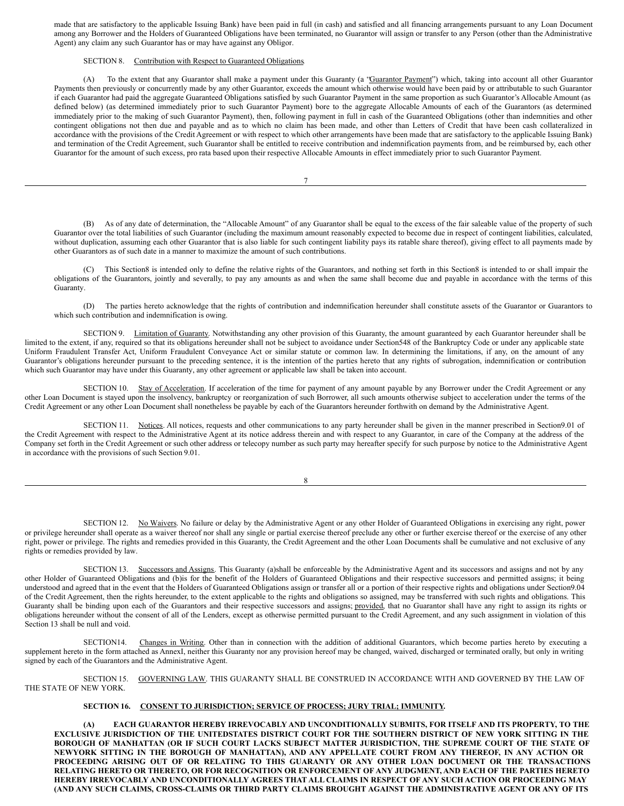made that are satisfactory to the applicable Issuing Bank) have been paid in full (in cash) and satisfied and all financing arrangements pursuant to any Loan Document among any Borrower and the Holders of Guaranteed Obligations have been terminated, no Guarantor will assign or transfer to any Person (other than the Administrative Agent) any claim any such Guarantor has or may have against any Obligor.

### SECTION 8. Contribution with Respect to Guaranteed Obligations.

(A) To the extent that any Guarantor shall make a payment under this Guaranty (a "Guarantor Payment") which, taking into account all other Guarantor Payments then previously or concurrently made by any other Guarantor, exceeds the amount which otherwise would have been paid by or attributable to such Guarantor if each Guarantor had paid the aggregate Guaranteed Obligations satisfied by such Guarantor Payment in the same proportion as such Guarantor's Allocable Amount (as defined below) (as determined immediately prior to such Guarantor Payment) bore to the aggregate Allocable Amounts of each of the Guarantors (as determined immediately prior to the making of such Guarantor Payment), then, following payment in full in cash of the Guaranteed Obligations (other than indemnities and other contingent obligations not then due and payable and as to which no claim has been made, and other than Letters of Credit that have been cash collateralized in accordance with the provisions of the Credit Agreement or with respect to which other arrangements have been made that are satisfactory to the applicable Issuing Bank) and termination of the Credit Agreement, such Guarantor shall be entitled to receive contribution and indemnification payments from, and be reimbursed by, each other Guarantor for the amount of such excess, pro rata based upon their respective Allocable Amounts in effect immediately prior to such Guarantor Payment.

7

(B) As of any date of determination, the "Allocable Amount" of any Guarantor shall be equal to the excess of the fair saleable value of the property of such Guarantor over the total liabilities of such Guarantor (including the maximum amount reasonably expected to become due in respect of contingent liabilities, calculated, without duplication, assuming each other Guarantor that is also liable for such contingent liability pays its ratable share thereof), giving effect to all payments made by other Guarantors as of such date in a manner to maximize the amount of such contributions.

(C) This Section8 is intended only to define the relative rights of the Guarantors, and nothing set forth in this Section8 is intended to or shall impair the obligations of the Guarantors, jointly and severally, to pay any amounts as and when the same shall become due and payable in accordance with the terms of this Guaranty.

(D) The parties hereto acknowledge that the rights of contribution and indemnification hereunder shall constitute assets of the Guarantor or Guarantors to which such contribution and indemnification is owing.

SECTION 9. Limitation of Guaranty. Notwithstanding any other provision of this Guaranty, the amount guaranteed by each Guarantor hereunder shall be limited to the extent, if any, required so that its obligations hereunder shall not be subject to avoidance under Section548 of the Bankruptcy Code or under any applicable state Uniform Fraudulent Transfer Act, Uniform Fraudulent Conveyance Act or similar statute or common law. In determining the limitations, if any, on the amount of any Guarantor's obligations hereunder pursuant to the preceding sentence, it is the intention of the parties hereto that any rights of subrogation, indemnification or contribution which such Guarantor may have under this Guaranty, any other agreement or applicable law shall be taken into account.

SECTION 10. Stay of Acceleration. If acceleration of the time for payment of any amount payable by any Borrower under the Credit Agreement or any other Loan Document is stayed upon the insolvency, bankruptcy or reorganization of such Borrower, all such amounts otherwise subject to acceleration under the terms of the Credit Agreement or any other Loan Document shall nonetheless be payable by each of the Guarantors hereunder forthwith on demand by the Administrative Agent.

SECTION 11. Notices. All notices, requests and other communications to any party hereunder shall be given in the manner prescribed in Section9.01 of the Credit Agreement with respect to the Administrative Agent at its notice address therein and with respect to any Guarantor, in care of the Company at the address of the Company set forth in the Credit Agreement or such other address or telecopy number as such party may hereafter specify for such purpose by notice to the Administrative Agent in accordance with the provisions of such Section 9.01.

8

SECTION 12. No Waivers. No failure or delay by the Administrative Agent or any other Holder of Guaranteed Obligations in exercising any right, power or privilege hereunder shall operate as a waiver thereof nor shall any single or partial exercise thereof preclude any other or further exercise thereof or the exercise of any other right, power or privilege. The rights and remedies provided in this Guaranty, the Credit Agreement and the other Loan Documents shall be cumulative and not exclusive of any rights or remedies provided by law.

SECTION 13. Successors and Assigns. This Guaranty (a)shall be enforceable by the Administrative Agent and its successors and assigns and not by any other Holder of Guaranteed Obligations and (b)is for the benefit of the Holders of Guaranteed Obligations and their respective successors and permitted assigns; it being understood and agreed that in the event that the Holders of Guaranteed Obligations assign or transfer all or a portion of their respective rights and obligations under Section9.04 of the Credit Agreement, then the rights hereunder, to the extent applicable to the rights and obligations so assigned, may be transferred with such rights and obligations. This Guaranty shall be binding upon each of the Guarantors and their respective successors and assigns; provided, that no Guarantor shall have any right to assign its rights or obligations hereunder without the consent of all of the Lenders, except as otherwise permitted pursuant to the Credit Agreement, and any such assignment in violation of this Section 13 shall be null and void.

SECTION14. Changes in Writing. Other than in connection with the addition of additional Guarantors, which become parties hereto by executing a supplement hereto in the form attached as AnnexI, neither this Guaranty nor any provision hereof may be changed, waived, discharged or terminated orally, but only in writing signed by each of the Guarantors and the Administrative Agent.

SECTION 15. GOVERNING LAW. THIS GUARANTY SHALL BE CONSTRUED IN ACCORDANCE WITH AND GOVERNED BY THE LAW OF THE STATE OF NEW YORK.

## **SECTION 16. CONSENT TO JURISDICTION; SERVICE OF PROCESS; JURY TRIAL; IMMUNITY.**

**(A) EACH GUARANTOR HEREBY IRREVOCABLY AND UNCONDITIONALLY SUBMITS, FOR ITSELF AND ITS PROPERTY, TO THE** EXCLUSIVE JURISDICTION OF THE UNITEDSTATES DISTRICT COURT FOR THE SOUTHERN DISTRICT OF NEW YORK SITTING IN THE BOROUGH OF MANHATTAN (OR IF SUCH COURT LACKS SUBJECT MATTER JURISDICTION, THE SUPREME COURT OF THE STATE OF NEWYORK SITTING IN THE BOROUGH OF MANHATTAN), AND ANY APPELLATE COURT FROM ANY THEREOF, IN ANY ACTION OR **PROCEEDING ARISING OUT OF OR RELATING TO THIS GUARANTY OR ANY OTHER LOAN DOCUMENT OR THE TRANSACTIONS** RELATING HERETO OR THERETO, OR FOR RECOGNITION OR ENFORCEMENT OF ANY JUDGMENT, AND EACH OF THE PARTIES HERETO HEREBY IRREVOCABLY AND UNCONDITIONALLY AGREES THAT ALL CLAIMS IN RESPECT OF ANY SUCH ACTION OR PROCEEDING MAY (AND ANY SUCH CLAIMS, CROSS-CLAIMS OR THIRD PARTY CLAIMS BROUGHT AGAINST THE ADMINISTRATIVE AGENT OR ANY OF ITS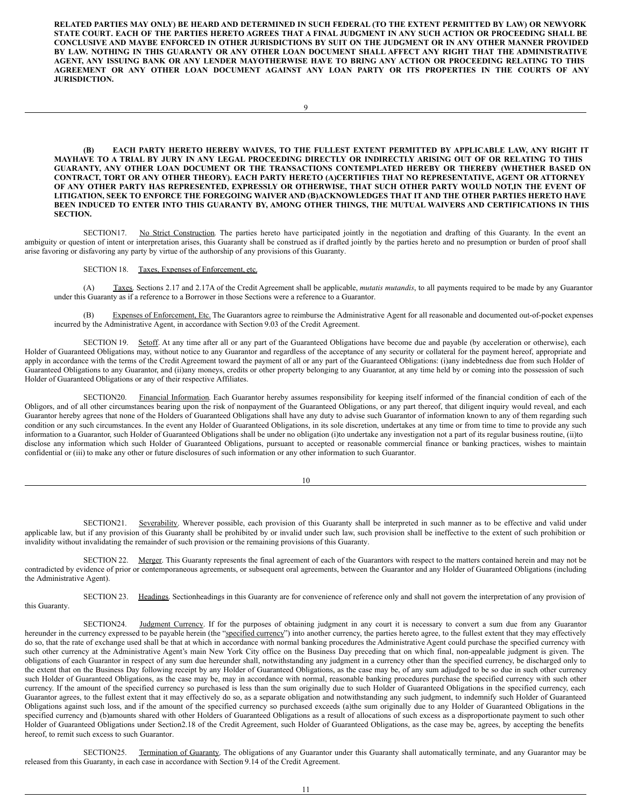RELATED PARTIES MAY ONLY) BE HEARD AND DETERMINED IN SUCH FEDERAL (TO THE EXTENT PERMITTED BY LAW) OR NEWYORK STATE COURT. EACH OF THE PARTIES HERETO AGREES THAT A FINAL JUDGMENT IN ANY SUCH ACTION OR PROCEEDING SHALL BE CONCLUSIVE AND MAYBE ENFORCED IN OTHER JURISDICTIONS BY SUIT ON THE JUDGMENT OR IN ANY OTHER MANNER PROVIDED BY LAW. NOTHING IN THIS GUARANTY OR ANY OTHER LOAN DOCUMENT SHALL AFFECT ANY RIGHT THAT THE ADMINISTRATIVE AGENT, ANY ISSUING BANK OR ANY LENDER MAYOTHERWISE HAVE TO BRING ANY ACTION OR PROCEEDING RELATING TO THIS **AGREEMENT OR ANY OTHER LOAN DOCUMENT AGAINST ANY LOAN PARTY OR ITS PROPERTIES IN THE COURTS OF ANY JURISDICTION.**

**(B) EACH PARTY HERETO HEREBY WAIVES, TO THE FULLEST EXTENT PERMITTED BY APPLICABLE LAW, ANY RIGHT IT** MAYHAVÉ TO A TRIAL BY JURY IN ANY LEGAL PROCEEDING DIRECTLY OR INDIRECTLY ARISING OUT OF OR RELATING TO THIS **GUARANTY, ANY OTHER LOAN DOCUMENT OR THE TRANSACTIONS CONTEMPLATED HEREBY OR THEREBY (WHETHER BASED ON CONTRACT, TORT OR ANY OTHER THEORY). EACH PARTY HERETO (A)CERTIFIES THAT NO REPRESENTATIVE, AGENT OR ATTORNEY** OF ANY OTHER PARTY HAS REPRESENTED, EXPRESSLY OR OTHERWISE, THAT SUCH OTHER PARTY WOULD NOT,IN THE EVENT OF LITIGATION, SEEK TO ENFORCE THE FOREGOING WAIVER AND (B)ACKNOWLEDGES THAT IT AND THE OTHER PARTIES HERETO HAVE BEEN INDUCED TO ENTER INTO THIS GUARANTY BY, AMONG OTHER THINGS, THE MUTUAL WAIVERS AND CERTIFICATIONS IN THIS **SECTION.**

SECTION17. No Strict Construction. The parties hereto have participated jointly in the negotiation and drafting of this Guaranty. In the event an ambiguity or question of intent or interpretation arises, this Guaranty shall be construed as if drafted jointly by the parties hereto and no presumption or burden of proof shall arise favoring or disfavoring any party by virtue of the authorship of any provisions of this Guaranty.

SECTION 18. Taxes, Expenses of Enforcement, etc.

this Guaranty.

(A) Taxes. Sections 2.17 and 2.17A of the Credit Agreement shall be applicable, *mutatis mutandis*, to all payments required to be made by any Guarantor under this Guaranty as if a reference to a Borrower in those Sections were a reference to a Guarantor.

Expenses of Enforcement, Etc. The Guarantors agree to reimburse the Administrative Agent for all reasonable and documented out-of-pocket expenses incurred by the Administrative Agent, in accordance with Section 9.03 of the Credit Agreement.

SECTION 19. Setoff. At any time after all or any part of the Guaranteed Obligations have become due and payable (by acceleration or otherwise), each Holder of Guaranteed Obligations may, without notice to any Guarantor and regardless of the acceptance of any security or collateral for the payment hereof, appropriate and apply in accordance with the terms of the Credit Agreement toward the payment of all or any part of the Guaranteed Obligations: (i)any indebtedness due from such Holder of Guaranteed Obligations to any Guarantor, and (ii)any moneys, credits or other property belonging to any Guarantor, at any time held by or coming into the possession of such Holder of Guaranteed Obligations or any of their respective Affiliates.

SECTION20. Financial Information. Each Guarantor hereby assumes responsibility for keeping itself informed of the financial condition of each of the Obligors, and of all other circumstances bearing upon the risk of nonpayment of the Guaranteed Obligations, or any part thereof, that diligent inquiry would reveal, and each Guarantor hereby agrees that none of the Holders of Guaranteed Obligations shall have any duty to advise such Guarantor of information known to any of them regarding such condition or any such circumstances. In the event any Holder of Guaranteed Obligations, in its sole discretion, undertakes at any time or from time to time to provide any such information to a Guarantor, such Holder of Guaranteed Obligations shall be under no obligation (i)to undertake any investigation not a part of its regular business routine, (ii)to disclose any information which such Holder of Guaranteed Obligations, pursuant to accepted or reasonable commercial finance or banking practices, wishes to maintain confidential or (iii) to make any other or future disclosures of such information or any other information to such Guarantor.

10

SECTION21. Severability. Wherever possible, each provision of this Guaranty shall be interpreted in such manner as to be effective and valid under applicable law, but if any provision of this Guaranty shall be prohibited by or invalid under such law, such provision shall be ineffective to the extent of such prohibition or invalidity without invalidating the remainder of such provision or the remaining provisions of this Guaranty.

SECTION 22. Merger. This Guaranty represents the final agreement of each of the Guarantors with respect to the matters contained herein and may not be contradicted by evidence of prior or contemporaneous agreements, or subsequent oral agreements, between the Guarantor and any Holder of Guaranteed Obligations (including the Administrative Agent).

SECTION 23. Headings. Sectionheadings in this Guaranty are for convenience of reference only and shall not govern the interpretation of any provision of

SECTION24. Judgment Currency. If for the purposes of obtaining judgment in any court it is necessary to convert a sum due from any Guarantor hereunder in the currency expressed to be payable herein (the "specified currency") into another currency, the parties hereto agree, to the fullest extent that they may effectively do so, that the rate of exchange used shall be that at which in accordance with normal banking procedures the Administrative Agent could purchase the specified currency with such other currency at the Administrative Agent's main New York City office on the Business Day preceding that on which final, non-appealable judgment is given. The obligations of each Guarantor in respect of any sum due hereunder shall, notwithstanding any judgment in a currency other than the specified currency, be discharged only to the extent that on the Business Day following receipt by any Holder of Guaranteed Obligations, as the case may be, of any sum adjudged to be so due in such other currency such Holder of Guaranteed Obligations, as the case may be, may in accordance with normal, reasonable banking procedures purchase the specified currency with such other currency. If the amount of the specified currency so purchased is less than the sum originally due to such Holder of Guaranteed Obligations in the specified currency, each Guarantor agrees, to the fullest extent that it may effectively do so, as a separate obligation and notwithstanding any such judgment, to indemnify such Holder of Guaranteed Obligations against such loss, and if the amount of the specified currency so purchased exceeds (a)the sum originally due to any Holder of Guaranteed Obligations in the specified currency and (b)amounts shared with other Holders of Guaranteed Obligations as a result of allocations of such excess as a disproportionate payment to such other Holder of Guaranteed Obligations under Section2.18 of the Credit Agreement, such Holder of Guaranteed Obligations, as the case may be, agrees, by accepting the benefits hereof, to remit such excess to such Guarantor.

SECTION25. Termination of Guaranty. The obligations of any Guarantor under this Guaranty shall automatically terminate, and any Guarantor may be released from this Guaranty, in each case in accordance with Section 9.14 of the Credit Agreement.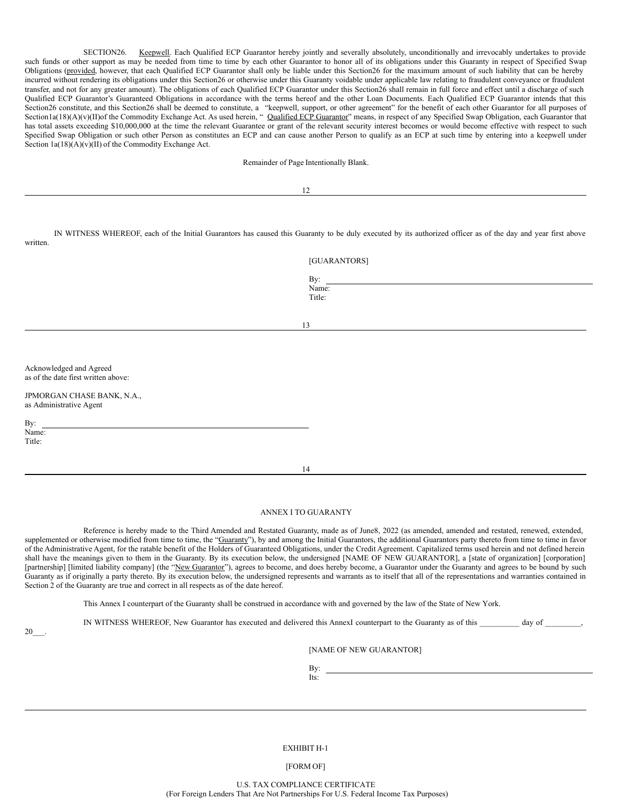SECTION26. Keepwell. Each Qualified ECP Guarantor hereby jointly and severally absolutely, unconditionally and irrevocably undertakes to provide such funds or other support as may be needed from time to time by each other Guarantor to honor all of its obligations under this Guaranty in respect of Specified Swap Obligations (provided, however, that each Qualified ECP Guarantor shall only be liable under this Section 26 for the maximum amount of such liability that can be hereby incurred without rendering its obligations under this Section26 or otherwise under this Guaranty voidable under applicable law relating to fraudulent conveyance or fraudulent transfer, and not for any greater amount). The obligations of each Qualified ECP Guarantor under this Section26 shall remain in full force and effect until a discharge of such Qualified ECP Guarantor's Guaranteed Obligations in accordance with the terms hereof and the other Loan Documents. Each Qualified ECP Guarantor intends that this Section26 constitute, and this Section26 shall be deemed to constitute, a "keepwell, support, or other agreement" for the benefit of each other Guarantor for all purposes of Section1a(18)(A)(v)(II)of the Commodity Exchange Act. As used herein, "  $Qualified ECP Guaranto'$  means, in respect of any Specified Swap Obligation, each Guarantor that has total assets exceeding \$10,000,000 at the time the relevant Guarantee or grant of the relevant security interest becomes or would become effective with respect to such Specified Swap Obligation or such other Person as constitutes an ECP and can cause another Person to qualify as an ECP at such time by entering into a keepwell under Section  $1a(18)(A)(v)(II)$  of the Commodity Exchange Act.

Remainder of Page Intentionally Blank.

12

IN WITNESS WHEREOF, each of the Initial Guarantors has caused this Guaranty to be duly executed by its authorized officer as of the day and year first above written.

## [GUARANTORS]

| By:    |  |  |
|--------|--|--|
| Name:  |  |  |
| Title: |  |  |
|        |  |  |

13

Acknowledged and Agreed as of the date first written above:

JPMORGAN CHASE BANK, N.A., as Administrative Agent

By: Name: Title:

14

### ANNEX I TO GUARANTY

Reference is hereby made to the Third Amended and Restated Guaranty, made as of June8, 2022 (as amended, amended and restated, renewed, extended, supplemented or otherwise modified from time to time, the "Guaranty"), by and among the Initial Guarantors, the additional Guarantors party thereto from time to time in favor of the Administrative Agent, for the ratable benefit of the Holders of Guaranteed Obligations, under the Credit Agreement. Capitalized terms used herein and not defined herein shall have the meanings given to them in the Guaranty. By its execution below, the undersigned [NAME OF NEW GUARANTOR], a [state of organization] [corporation] [partnership] [limited liability company] (the "New Guarantor"), agrees to become, and does hereby become, a Guarantor under the Guaranty and agrees to be bound by such Guaranty as if originally a party thereto. By its execution below, the undersigned represents and warrants as to itself that all of the representations and warranties contained in Section 2 of the Guaranty are true and correct in all respects as of the date hereof.

This Annex I counterpart of the Guaranty shall be construed in accordance with and governed by the law of the State of New York.

IN WITNESS WHEREOF, New Guarantor has executed and delivered this AnnexI counterpart to the Guaranty as of this \_\_\_\_\_\_\_\_\_\_ day of \_\_\_\_\_\_\_\_\_,

20\_\_\_.

[NAME OF NEW GUARANTOR]

By: Its:

EXHIBIT H-1

[FORM OF]

U.S. TAX COMPLIANCE CERTIFICATE (For Foreign Lenders That Are Not Partnerships For U.S. Federal Income Tax Purposes)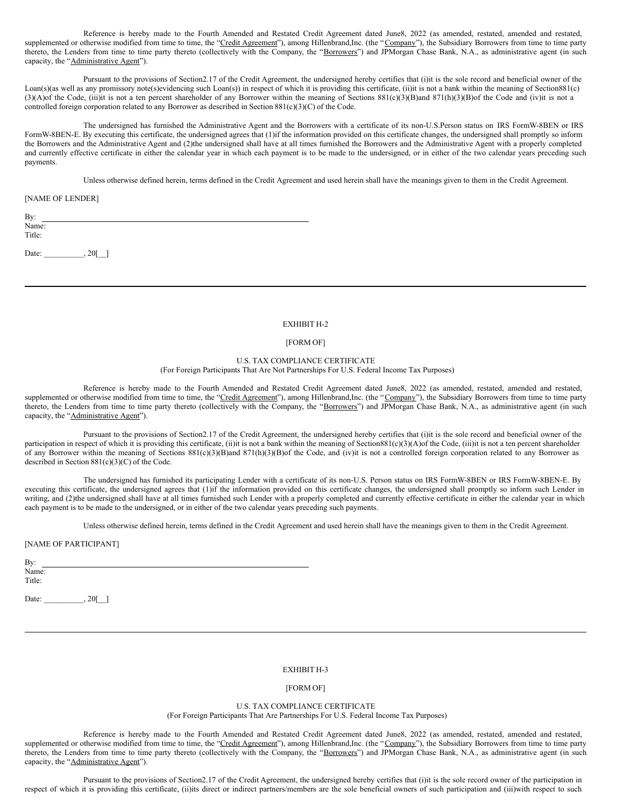Reference is hereby made to the Fourth Amended and Restated Credit Agreement dated June8, 2022 (as amended, restated, amended and restated, supplemented or otherwise modified from time to time, the "Credit Agreement"), among Hillenbrand,Inc. (the "Company"), the Subsidiary Borrowers from time to time party thereto, the Lenders from time to time party thereto (collectively with the Company, the "Borrowers") and JPMorgan Chase Bank, N.A., as administrative agent (in such capacity, the "Administrative Agent").

Pursuant to the provisions of Section2.17 of the Credit Agreement, the undersigned hereby certifies that (i)it is the sole record and beneficial owner of the Loan(s)(as well as any promissory note(s)evidencing such Loan(s)) in respect of which it is providing this certificate, (ii)it is not a bank within the meaning of Section881(c) (3)(A)of the Code, (iii)it is not a ten percent shareholder of any Borrower within the meaning of Sections 881(c)(3)(B)and 871(h)(3)(B)of the Code and (iv)it is not a controlled foreign corporation related to any Borrower as described in Section 881(c)(3)(C) of the Code.

The undersigned has furnished the Administrative Agent and the Borrowers with a certificate of its non-U.S.Person status on IRS FormW-8BEN or IRS FormW-8BEN-E. By executing this certificate, the undersigned agrees that (1)if the information provided on this certificate changes, the undersigned shall promptly so inform the Borrowers and the Administrative Agent and (2)the undersigned shall have at all times furnished the Borrowers and the Administrative Agent with a properly completed and currently effective certificate in either the calendar year in which each payment is to be made to the undersigned, or in either of the two calendar years preceding such payments.

Unless otherwise defined herein, terms defined in the Credit Agreement and used herein shall have the meanings given to them in the Credit Agreement.

#### [NAME OF LENDER]

By: Name: Title:

Date: \_\_\_\_\_\_\_\_\_\_\_, 20[\_\_]

### EXHIBIT H-2

## [FORM OF]

U.S. TAX COMPLIANCE CERTIFICATE

(For Foreign Participants That Are Not Partnerships For U.S. Federal Income Tax Purposes)

Reference is hereby made to the Fourth Amended and Restated Credit Agreement dated June8, 2022 (as amended, restated, amended and restated, supplemented or otherwise modified from time to time, the "Credit Agreement"), among Hillenbrand,Inc. (the "Company"), the Subsidiary Borrowers from time to time party thereto, the Lenders from time to time party thereto (collectively with the Company, the "Borrowers") and JPMorgan Chase Bank, N.A., as administrative agent (in such capacity, the "Administrative Agent").

Pursuant to the provisions of Section2.17 of the Credit Agreement, the undersigned hereby certifies that (i)it is the sole record and beneficial owner of the participation in respect of which it is providing this certificate, (ii)it is not a bank within the meaning of Section881(c)(3)(A)of the Code, (iii)it is not a ten percent shareholder of any Borrower within the meaning of Sections  $881(c)(3)(B)$ and  $871(h)(3)(B)$ of the Code, and (iv)it is not a controlled foreign corporation related to any Borrower as described in Section 881(c)(3)(C) of the Code.

The undersigned has furnished its participating Lender with a certificate of its non-U.S. Person status on IRS FormW-8BEN or IRS FormW-8BEN-E. By executing this certificate, the undersigned agrees that (1)if the information provided on this certificate changes, the undersigned shall promptly so inform such Lender in writing, and (2)the undersigned shall have at all times furnished such Lender with a properly completed and currently effective certificate in either the calendar year in which each payment is to be made to the undersigned, or in either of the two calendar years preceding such payments.

Unless otherwise defined herein, terms defined in the Credit Agreement and used herein shall have the meanings given to them in the Credit Agreement.

[NAME OF PARTICIPANT]

By: Name: Title:

Date: , 20[ ]

### EXHIBIT H-3

### [FORM OF]

U.S. TAX COMPLIANCE CERTIFICATE

(For Foreign Participants That Are Partnerships For U.S. Federal Income Tax Purposes)

Reference is hereby made to the Fourth Amended and Restated Credit Agreement dated June8, 2022 (as amended, restated, amended and restated, supplemented or otherwise modified from time to time, the "Credit Agreement"), among Hillenbrand,Inc. (the "Company"), the Subsidiary Borrowers from time to time party thereto, the Lenders from time to time party thereto (collectively with the Company, the "Borrowers") and JPMorgan Chase Bank, N.A., as administrative agent (in such capacity, the "Administrative Agent").

Pursuant to the provisions of Section2.17 of the Credit Agreement, the undersigned hereby certifies that (i)it is the sole record owner of the participation in respect of which it is providing this certificate, (ii)its direct or indirect partners/members are the sole beneficial owners of such participation and (iii)with respect to such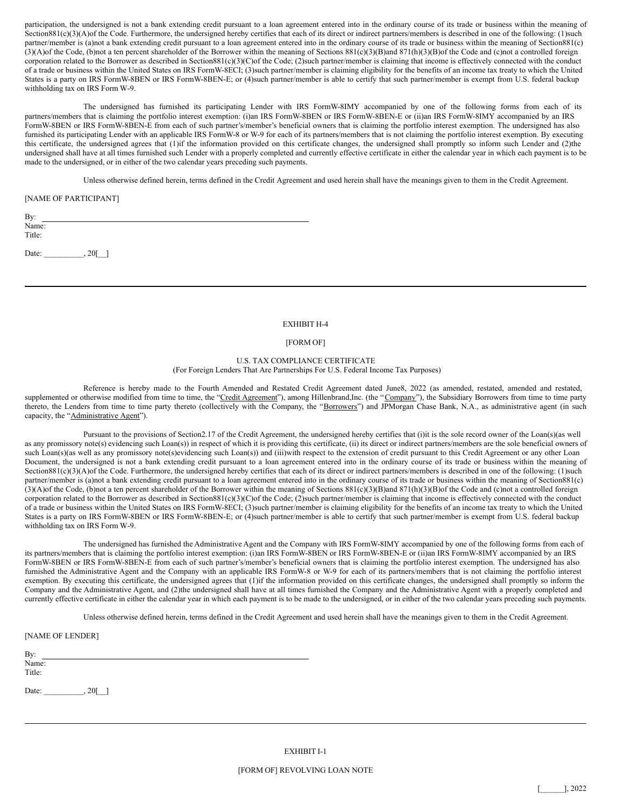participation, the undersigned is not a bank extending credit pursuant to a loan agreement entered into in the ordinary course of its trade or business within the meaning of Section881(c)(3)(A)of the Code. Furthermore, the undersigned hereby certifies that each of its direct or indirect partners/members is described in one of the following: (1)such partner/member is (a)not a bank extending credit pursuant to a loan agreement entered into in the ordinary course of its trade or business within the meaning of Section881(c) (3)(A)of the Code, (b)not a ten percent shareholder of the Borrower within the meaning of Sections 881(c)(3)(B)and 871(h)(3)(B)of the Code and (c)not a controlled foreign corporation related to the Borrower as described in Section881(c)(3)(C)of the Code; (2)such partner/member is claiming that income is effectively connected with the conduct of a trade or business within the United States on IRS FormW-8ECI; (3)such partner/member is claiming eligibility for the benefits of an income tax treaty to which the United States is a party on IRS FormW-8BEN or IRS FormW-8BEN-E; or (4)such partner/member is able to certify that such partner/member is exempt from U.S. federal backup withholding tax on IRS Form W-9.

The undersigned has furnished its participating Lender with IRS FormW-8IMY accompanied by one of the following forms from each of its partners/members that is claiming the portfolio interest exemption: (i)an IRS FormW-8BEN or IRS FormW-8BEN-E or (ii)an IRS FormW-8IMY accompanied by an IRS FormW-8BEN or IRS FormW-8BEN-E from each of such partner's/member's beneficial owners that is claiming the portfolio interest exemption. The undersigned has also furnished its participating Lender with an applicable IRS FormW-8 or W-9 for each of its partners/members that is not claiming the portfolio interest exemption. By executing this certificate, the undersigned agrees that (1)if the information provided on this certificate changes, the undersigned shall promptly so inform such Lender and (2)the undersigned shall have at all times furnished such Lender with a properly completed and currently effective certificate in either the calendar year in which each payment is to be made to the undersigned, or in either of the two calendar years preceding such payments.

Unless otherwise defined herein, terms defined in the Credit Agreement and used herein shall have the meanings given to them in the Credit Agreement.

#### [NAME OF PARTICIPANT]

By: Name: Title:

Date: \_\_\_\_\_\_\_\_\_\_, 20[\_\_]

### EXHIBIT H-4

### [FORM OF]

### U.S. TAX COMPLIANCE CERTIFICATE (For Foreign Lenders That Are Partnerships For U.S. Federal Income Tax Purposes)

Reference is hereby made to the Fourth Amended and Restated Credit Agreement dated June8, 2022 (as amended, restated, amended and restated, supplemented or otherwise modified from time to time, the "Credit Agreement"), among Hillenbrand,Inc. (the "Company"), the Subsidiary Borrowers from time to time party thereto, the Lenders from time to time party thereto (collectively with the Company, the "Borrowers") and JPMorgan Chase Bank, N.A., as administrative agent (in such capacity, the "Administrative Agent").

Pursuant to the provisions of Section2.17 of the Credit Agreement, the undersigned hereby certifies that (i)it is the sole record owner of the Loan(s)(as well as any promissory note(s) evidencing such Loan(s)) in respect of which it is providing this certificate, (ii) its direct or indirect partners/members are the sole beneficial owners of such Loan(s)(as well as any promissory note(s)evidencing such Loan(s)) and (iii)with respect to the extension of credit pursuant to this Credit Agreement or any other Loan Document, the undersigned is not a bank extending credit pursuant to a loan agreement entered into in the ordinary course of its trade or business within the meaning of Section881(c)(3)(A)of the Code. Furthermore, the undersigned hereby certifies that each of its direct or indirect partners/members is described in one of the following: (1)such partner/member is (a)not a bank extending credit pursuant to a loan agreement entered into in the ordinary course of its trade or business within the meaning of Section881(c)  $(3)(A)$ of the Code, (b)not a ten percent shareholder of the Borrower within the meaning of Sections  $881(c)(3)(B)$ and  $871(h)(3)(B)$ of the Code and (c)not a controlled foreign corporation related to the Borrower as described in Section881(c)(3)(C)of the Code; (2)such partner/member is claiming that income is effectively connected with the conduct of a trade or business within the United States on IRS FormW-8ECI; (3)such partner/member is claiming eligibility for the benefits of an income tax treaty to which the United States is a party on IRS FormW-8BEN or IRS FormW-8BEN-E; or (4)such partner/member is able to certify that such partner/member is exempt from U.S. federal backup withholding tax on IRS Form W-9.

The undersigned has furnished the Administrative Agent and the Company with IRS FormW-8IMY accompanied by one of the following forms from each of its partners/members that is claiming the portfolio interest exemption: (i)an IRS FormW-8BEN or IRS FormW-8BEN-E or (ii)an IRS FormW-8IMY accompanied by an IRS FormW-8BEN or IRS FormW-8BEN-E from each of such partner's/member's beneficial owners that is claiming the portfolio interest exemption. The undersigned has also furnished the Administrative Agent and the Company with an applicable IRS FormW-8 or W-9 for each of its partners/members that is not claiming the portfolio interest exemption. By executing this certificate, the undersigned agrees that (1)if the information provided on this certificate changes, the undersigned shall promptly so inform the Company and the Administrative Agent, and (2)the undersigned shall have at all times furnished the Company and the Administrative Agent with a properly completed and currently effective certificate in either the calendar year in which each payment is to be made to the undersigned, or in either of the two calendar years preceding such payments.

Unless otherwise defined herein, terms defined in the Credit Agreement and used herein shall have the meanings given to them in the Credit Agreement.

[NAME OF LENDER]

By: Name: Title:

Date: \_\_\_\_\_\_\_\_\_\_\_, 20[\_\_]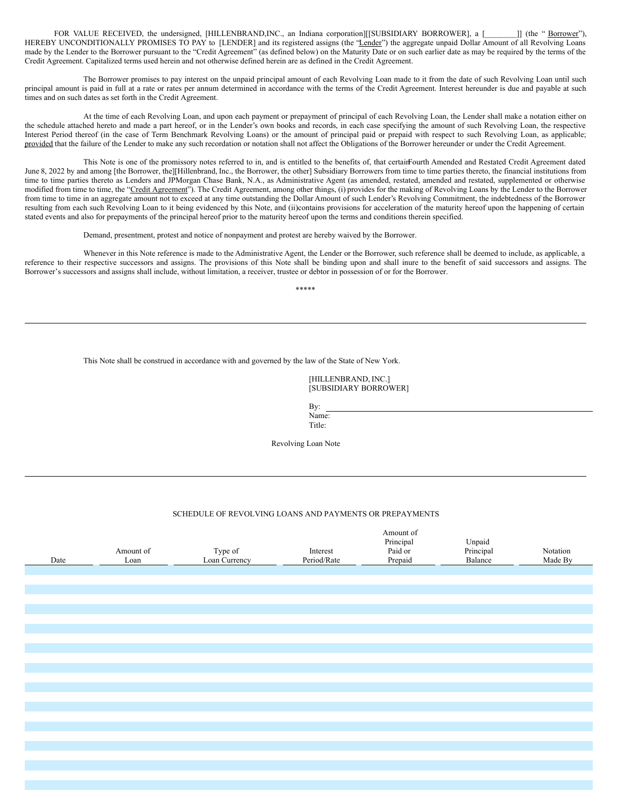FOR VALUE RECEIVED, the undersigned, [HILLENBRAND,INC., an Indiana corporation][[SUBSIDIARY BORROWER], a [\_\_\_\_\_\_]] (the " Borrower"), HEREBY UNCONDITIONALLY PROMISES TO PAY to [LENDER] and its registered assigns (the "Lender") the aggregate unpaid Dollar Amount of all Revolving Loans made by the Lender to the Borrower pursuant to the "Credit Agreement" (as defined below) on the Maturity Date or on such earlier date as may be required by the terms of the Credit Agreement. Capitalized terms used herein and not otherwise defined herein are as defined in the Credit Agreement.

The Borrower promises to pay interest on the unpaid principal amount of each Revolving Loan made to it from the date of such Revolving Loan until such principal amount is paid in full at a rate or rates per annum determined in accordance with the terms of the Credit Agreement. Interest hereunder is due and payable at such times and on such dates as set forth in the Credit Agreement.

At the time of each Revolving Loan, and upon each payment or prepayment of principal of each Revolving Loan, the Lender shall make a notation either on the schedule attached hereto and made a part hereof, or in the Lender's own books and records, in each case specifying the amount of such Revolving Loan, the respective Interest Period thereof (in the case of Term Benchmark Revolving Loans) or the amount of principal paid or prepaid with respect to such Revolving Loan, as applicable; provided that the failure of the Lender to make any such recordation or notation shall not affect the Obligations of the Borrower hereunder or under the Credit Agreement.

This Note is one of the promissory notes referred to in, and is entitled to the benefits of, that certainFourth Amended and Restated Credit Agreement dated June 8, 2022 by and among [the Borrower, the][Hillenbrand, Inc., the Borrower, the other] Subsidiary Borrowers from time to time parties thereto, the financial institutions from time to time parties thereto as Lenders and JPMorgan Chase Bank, N.A., as Administrative Agent (as amended, restated, amended and restated, supplemented or otherwise modified from time to time, the "Credit Agreement"). The Credit Agreement, among other things, (i) provides for the making of Revolving Loans by the Lender to the Borrower from time to time in an aggregate amount not to exceed at any time outstanding the Dollar Amount of such Lender's Revolving Commitment, the indebtedness of the Borrower resulting from each such Revolving Loan to it being evidenced by this Note, and (ii)contains provisions for acceleration of the maturity hereof upon the happening of certain stated events and also for prepayments of the principal hereof prior to the maturity hereof upon the terms and conditions therein specified.

Demand, presentment, protest and notice of nonpayment and protest are hereby waived by the Borrower.

Whenever in this Note reference is made to the Administrative Agent, the Lender or the Borrower, such reference shall be deemed to include, as applicable, a reference to their respective successors and assigns. The provisions of this Note shall be binding upon and shall inure to the benefit of said successors and assigns. The Borrower's successors and assigns shall include, without limitation, a receiver, trustee or debtor in possession of or for the Borrower.

\*\*\*\*\*

This Note shall be construed in accordance with and governed by the law of the State of New York.

[HILLENBRAND, INC.] [SUBSIDIARY BORROWER]

By: Name: Title:

Revolving Loan Note

## SCHEDULE OF REVOLVING LOANS AND PAYMENTS OR PREPAYMENTS

| Date | Amount of<br>Loan | Type of<br>Loan Currency | Interest<br>Period/Rate | Amount of<br>Principal<br>Paid or<br>Prepaid | Unpaid<br>Principal<br>Balance | Notation<br>Made By |
|------|-------------------|--------------------------|-------------------------|----------------------------------------------|--------------------------------|---------------------|
|      |                   |                          |                         |                                              |                                |                     |
|      |                   |                          |                         |                                              |                                |                     |
|      |                   |                          |                         |                                              |                                |                     |
|      |                   |                          |                         |                                              |                                |                     |
|      |                   |                          |                         |                                              |                                |                     |
|      |                   |                          |                         |                                              |                                |                     |
|      |                   |                          |                         |                                              |                                |                     |
|      |                   |                          |                         |                                              |                                |                     |
|      |                   |                          |                         |                                              |                                |                     |
|      |                   |                          |                         |                                              |                                |                     |
|      |                   |                          |                         |                                              |                                |                     |
|      |                   |                          |                         |                                              |                                |                     |
|      |                   |                          |                         |                                              |                                |                     |
|      |                   |                          |                         |                                              |                                |                     |
|      |                   |                          |                         |                                              |                                |                     |
|      |                   |                          |                         |                                              |                                |                     |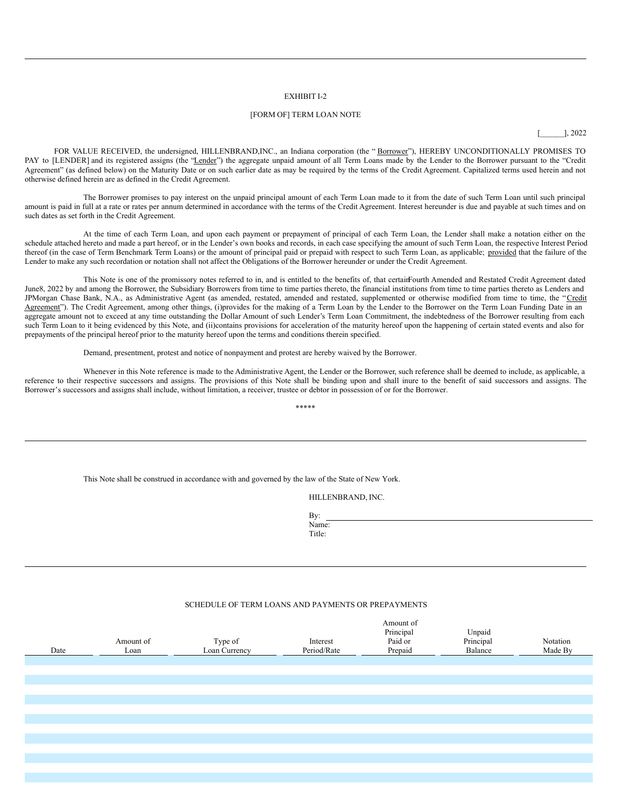### EXHIBIT I-2

#### [FORM OF] TERM LOAN NOTE

[\_\_\_\_\_\_], 2022

FOR VALUE RECEIVED, the undersigned, HILLENBRAND,INC., an Indiana corporation (the "Borrower"), HEREBY UNCONDITIONALLY PROMISES TO PAY to [LENDER] and its registered assigns (the "Lender") the aggregate unpaid amount of all Term Loans made by the Lender to the Borrower pursuant to the "Credit Agreement" (as defined below) on the Maturity Date or on such earlier date as may be required by the terms of the Credit Agreement. Capitalized terms used herein and not otherwise defined herein are as defined in the Credit Agreement.

The Borrower promises to pay interest on the unpaid principal amount of each Term Loan made to it from the date of such Term Loan until such principal amount is paid in full at a rate or rates per annum determined in accordance with the terms of the Credit Agreement. Interest hereunder is due and payable at such times and on such dates as set forth in the Credit Agreement.

At the time of each Term Loan, and upon each payment or prepayment of principal of each Term Loan, the Lender shall make a notation either on the schedule attached hereto and made a part hereof, or in the Lender's own books and records, in each case specifying the amount of such Term Loan, the respective Interest Period thereof (in the case of Term Benchmark Term Loans) or the amount of principal paid or prepaid with respect to such Term Loan, as applicable; provided that the failure of the Lender to make any such recordation or notation shall not affect the Obligations of the Borrower hereunder or under the Credit Agreement.

This Note is one of the promissory notes referred to in, and is entitled to the benefits of, that certainFourth Amended and Restated Credit Agreement dated June8, 2022 by and among the Borrower, the Subsidiary Borrowers from time to time parties thereto, the financial institutions from time to time parties thereto as Lenders and JPMorgan Chase Bank, N.A., as Administrative Agent (as amended, restated, amended and restated, supplemented or otherwise modified from time to time, the "Credit Agreement"). The Credit Agreement, among other things, (i)provides for the making of a Term Loan by the Lender to the Borrower on the Term Loan Funding Date in an aggregate amount not to exceed at any time outstanding the Dollar Amount of such Lender's Term Loan Commitment, the indebtedness of the Borrower resulting from each such Term Loan to it being evidenced by this Note, and (ii)contains provisions for acceleration of the maturity hereof upon the happening of certain stated events and also for prepayments of the principal hereof prior to the maturity hereof upon the terms and conditions therein specified.

Demand, presentment, protest and notice of nonpayment and protest are hereby waived by the Borrower.

Whenever in this Note reference is made to the Administrative Agent, the Lender or the Borrower, such reference shall be deemed to include, as applicable, a reference to their respective successors and assigns. The provisions of this Note shall be binding upon and shall inure to the benefit of said successors and assigns. The Borrower's successors and assigns shall include, without limitation, a receiver, trustee or debtor in possession of or for the Borrower.

\*\*\*\*\*

This Note shall be construed in accordance with and governed by the law of the State of New York.

HILLENBRAND, INC.

By: Name: Title:

### SCHEDULE OF TERM LOANS AND PAYMENTS OR PREPAYMENTS

| Date | Amount of<br>Loan | Type of<br>Loan Currency | Interest<br>Period/Rate | Amount of<br>Principal<br>Paid or<br>Prepaid | Unpaid<br>Principal<br>Balance | Notation<br>Made By |
|------|-------------------|--------------------------|-------------------------|----------------------------------------------|--------------------------------|---------------------|
|      |                   |                          |                         |                                              |                                |                     |
|      |                   |                          |                         |                                              |                                |                     |
|      |                   |                          |                         |                                              |                                |                     |
|      |                   |                          |                         |                                              |                                |                     |
|      |                   |                          |                         |                                              |                                |                     |
|      |                   |                          |                         |                                              |                                |                     |
|      |                   |                          |                         |                                              |                                |                     |
|      |                   |                          |                         |                                              |                                |                     |
|      |                   |                          |                         |                                              |                                |                     |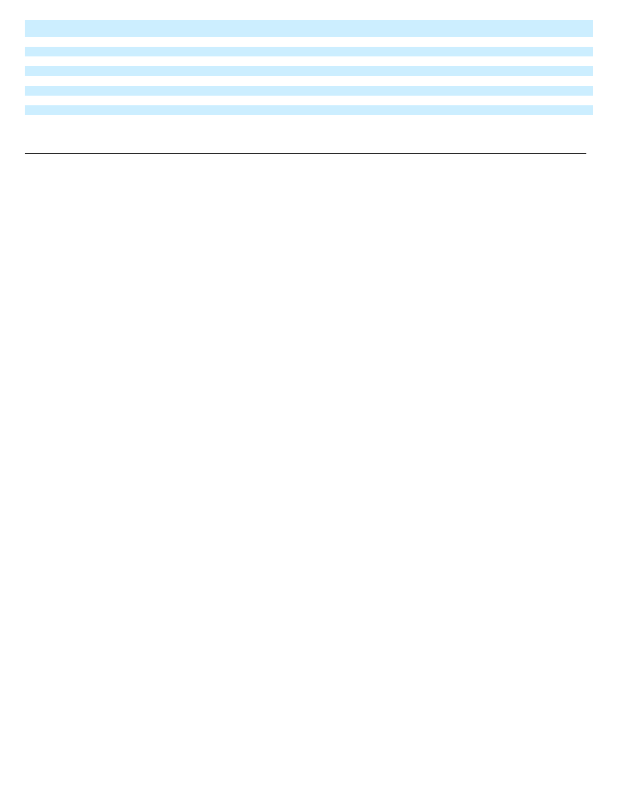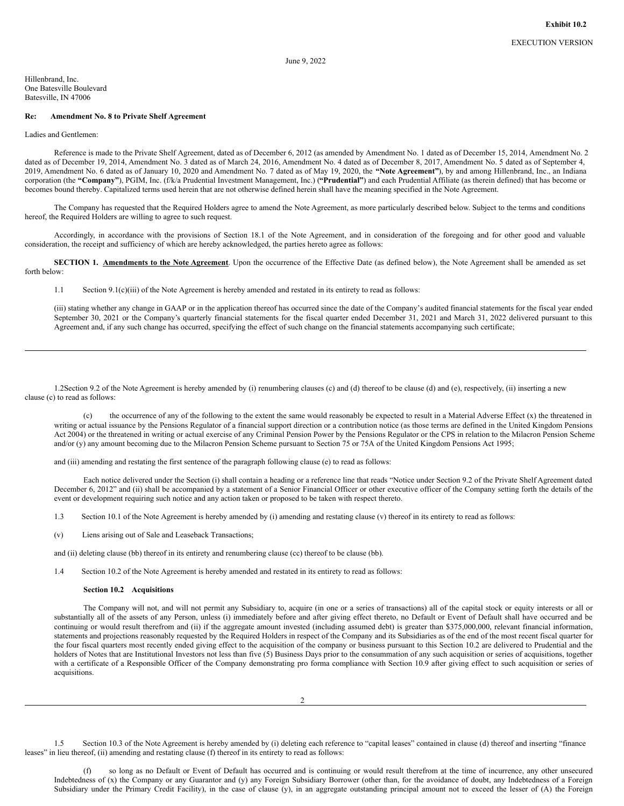Hillenbrand, Inc. One Batesville Boulevard Batesville, IN 47006

### **Re: Amendment No. 8 to Private Shelf Agreement**

#### Ladies and Gentlemen:

Reference is made to the Private Shelf Agreement, dated as of December 6, 2012 (as amended by Amendment No. 1 dated as of December 15, 2014, Amendment No. 2 dated as of December 19, 2014, Amendment No. 3 dated as of March 24, 2016, Amendment No. 4 dated as of December 8, 2017, Amendment No. 5 dated as of September 4, 2019, Amendment No. 6 dated as of January 10, 2020 and Amendment No. 7 dated as of May 19, 2020, the **"Note Agreement"**), by and among Hillenbrand, Inc., an Indiana corporation (the **"Company"**), PGIM, Inc. (f/k/a Prudential Investment Management, Inc.) (**"Prudential"**) and each Prudential Affiliate (as therein defined) that has become or becomes bound thereby. Capitalized terms used herein that are not otherwise defined herein shall have the meaning specified in the Note Agreement.

The Company has requested that the Required Holders agree to amend the Note Agreement, as more particularly described below. Subject to the terms and conditions hereof, the Required Holders are willing to agree to such request.

Accordingly, in accordance with the provisions of Section 18.1 of the Note Agreement, and in consideration of the foregoing and for other good and valuable consideration, the receipt and sufficiency of which are hereby acknowledged, the parties hereto agree as follows:

**SECTION 1. Amendments to the Note Agreement**. Upon the occurrence of the Effective Date (as defined below), the Note Agreement shall be amended as set forth below:

1.1 Section 9.1(c)(iii) of the Note Agreement is hereby amended and restated in its entirety to read as follows:

(iii) stating whether any change in GAAP or in the application thereof has occurred since the date of the Company's audited financial statements for the fiscal year ended September 30, 2021 or the Company's quarterly financial statements for the fiscal quarter ended December 31, 2021 and March 31, 2022 delivered pursuant to this Agreement and, if any such change has occurred, specifying the effect of such change on the financial statements accompanying such certificate;

1.2Section 9.2 of the Note Agreement is hereby amended by (i) renumbering clauses (c) and (d) thereof to be clause (d) and (e), respectively, (ii) inserting a new clause (c) to read as follows:

(c) the occurrence of any of the following to the extent the same would reasonably be expected to result in a Material Adverse Effect (x) the threatened in writing or actual issuance by the Pensions Regulator of a financial support direction or a contribution notice (as those terms are defined in the United Kingdom Pensions Act 2004) or the threatened in writing or actual exercise of any Criminal Pension Power by the Pensions Regulator or the CPS in relation to the Milacron Pension Scheme and/or (y) any amount becoming due to the Milacron Pension Scheme pursuant to Section 75 or 75A of the United Kingdom Pensions Act 1995;

and (iii) amending and restating the first sentence of the paragraph following clause (e) to read as follows:

Each notice delivered under the Section (i) shall contain a heading or a reference line that reads "Notice under Section 9.2 of the Private Shelf Agreement dated December 6, 2012" and (ii) shall be accompanied by a statement of a Senior Financial Officer or other executive officer of the Company setting forth the details of the event or development requiring such notice and any action taken or proposed to be taken with respect thereto.

1.3 Section 10.1 of the Note Agreement is hereby amended by (i) amending and restating clause (v) thereof in its entirety to read as follows:

(v) Liens arising out of Sale and Leaseback Transactions;

and (ii) deleting clause (bb) thereof in its entirety and renumbering clause (cc) thereof to be clause (bb).

1.4 Section 10.2 of the Note Agreement is hereby amended and restated in its entirety to read as follows:

#### **Section 10.2 Acquisitions**

The Company will not, and will not permit any Subsidiary to, acquire (in one or a series of transactions) all of the capital stock or equity interests or all or substantially all of the assets of any Person, unless (i) immediately before and after giving effect thereto, no Default or Event of Default shall have occurred and be continuing or would result therefrom and (ii) if the aggregate amount invested (including assumed debt) is greater than \$375,000,000, relevant financial information, statements and projections reasonably requested by the Required Holders in respect of the Company and its Subsidiaries as of the end of the most recent fiscal quarter for the four fiscal quarters most recently ended giving effect to the acquisition of the company or business pursuant to this Section 10.2 are delivered to Prudential and the holders of Notes that are Institutional Investors not less than five (5) Business Days prior to the consummation of any such acquisition or series of acquisitions, together with a certificate of a Responsible Officer of the Company demonstrating pro forma compliance with Section 10.9 after giving effect to such acquisition or series of acquisitions.

1.5 Section 10.3 of the Note Agreement is hereby amended by (i) deleting each reference to "capital leases" contained in clause (d) thereof and inserting "finance leases" in lieu thereof, (ii) amending and restating clause (f) thereof in its entirety to read as follows:

so long as no Default or Event of Default has occurred and is continuing or would result therefrom at the time of incurrence, any other unsecured Indebtedness of (x) the Company or any Guarantor and (y) any Foreign Subsidiary Borrower (other than, for the avoidance of doubt, any Indebtedness of a Foreign Subsidiary under the Primary Credit Facility), in the case of clause (y), in an aggregate outstanding principal amount not to exceed the lesser of (A) the Foreign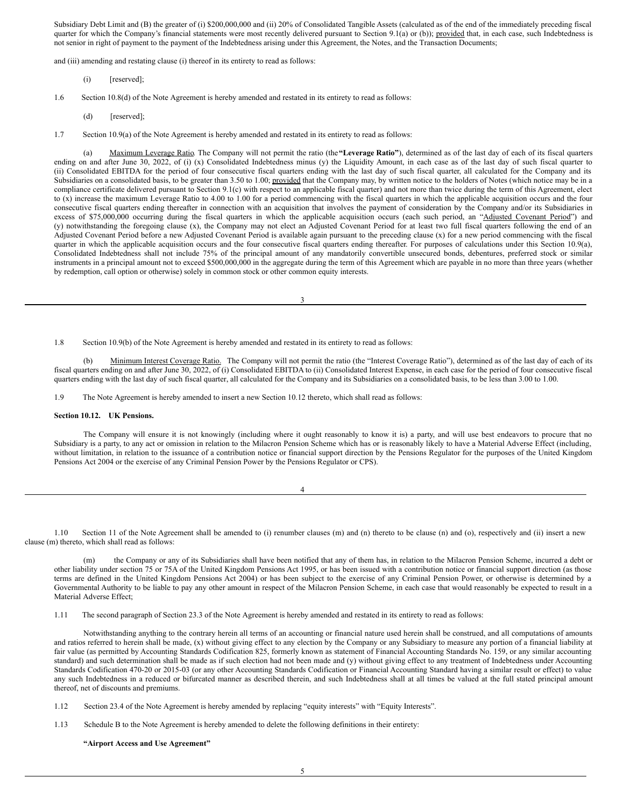Subsidiary Debt Limit and (B) the greater of (i) \$200,000,000 and (ii) 20% of Consolidated Tangible Assets (calculated as of the end of the immediately preceding fiscal quarter for which the Company's financial statements were most recently delivered pursuant to Section 9.1(a) or (b)); provided that, in each case, such Indebtedness is not senior in right of payment to the payment of the Indebtedness arising under this Agreement, the Notes, and the Transaction Documents;

and (iii) amending and restating clause (i) thereof in its entirety to read as follows:

(i) [reserved];

1.6 Section 10.8(d) of the Note Agreement is hereby amended and restated in its entirety to read as follows:

(d) [reserved];

1.7 Section 10.9(a) of the Note Agreement is hereby amended and restated in its entirety to read as follows:

(a) Maximum Leverage Ratio. The Company will not permit the ratio (the**"Leverage Ratio"**), determined as of the last day of each of its fiscal quarters ending on and after June 30, 2022, of (i) (x) Consolidated Indebtedness minus (y) the Liquidity Amount, in each case as of the last day of such fiscal quarter to (ii) Consolidated EBITDA for the period of four consecutive fiscal quarters ending with the last day of such fiscal quarter, all calculated for the Company and its Subsidiaries on a consolidated basis, to be greater than 3.50 to 1.00; provided that the Company may, by written notice to the holders of Notes (which notice may be in a compliance certificate delivered pursuant to Section 9.1(c) with respect to an applicable fiscal quarter) and not more than twice during the term of this Agreement, elect to (x) increase the maximum Leverage Ratio to 4.00 to 1.00 for a period commencing with the fiscal quarters in which the applicable acquisition occurs and the four consecutive fiscal quarters ending thereafter in connection with an acquisition that involves the payment of consideration by the Company and/or its Subsidiaries in excess of \$75,000,000 occurring during the fiscal quarters in which the applicable acquisition occurs (each such period, an "Adjusted Covenant Period") and (y) notwithstanding the foregoing clause (x), the Company may not elect an Adjusted Covenant Period for at least two full fiscal quarters following the end of an Adjusted Covenant Period before a new Adjusted Covenant Period is available again pursuant to the preceding clause (x) for a new period commencing with the fiscal quarter in which the applicable acquisition occurs and the four consecutive fiscal quarters ending thereafter. For purposes of calculations under this Section 10.9(a), Consolidated Indebtedness shall not include 75% of the principal amount of any mandatorily convertible unsecured bonds, debentures, preferred stock or similar instruments in a principal amount not to exceed \$500,000,000 in the aggregate during the term of this Agreement which are payable in no more than three years (whether by redemption, call option or otherwise) solely in common stock or other common equity interests.

3

1.8 Section 10.9(b) of the Note Agreement is hereby amended and restated in its entirety to read as follows:

(b) Minimum Interest Coverage Ratio. The Company will not permit the ratio (the "Interest Coverage Ratio"), determined as of the last day of each of its fiscal quarters ending on and after June 30, 2022, of (i) Consolidated EBITDA to (ii) Consolidated Interest Expense, in each case for the period of four consecutive fiscal quarters ending with the last day of such fiscal quarter, all calculated for the Company and its Subsidiaries on a consolidated basis, to be less than 3.00 to 1.00.

1.9 The Note Agreement is hereby amended to insert a new Section 10.12 thereto, which shall read as follows:

#### **Section 10.12. UK Pensions.**

The Company will ensure it is not knowingly (including where it ought reasonably to know it is) a party, and will use best endeavors to procure that no Subsidiary is a party, to any act or omission in relation to the Milacron Pension Scheme which has or is reasonably likely to have a Material Adverse Effect (including, without limitation, in relation to the issuance of a contribution notice or financial support direction by the Pensions Regulator for the purposes of the United Kingdom Pensions Act 2004 or the exercise of any Criminal Pension Power by the Pensions Regulator or CPS).

4

1.10 Section 11 of the Note Agreement shall be amended to (i) renumber clauses (m) and (n) thereto to be clause (n) and (o), respectively and (ii) insert a new clause (m) thereto, which shall read as follows:

(m) the Company or any of its Subsidiaries shall have been notified that any of them has, in relation to the Milacron Pension Scheme, incurred a debt or other liability under section 75 or 75A of the United Kingdom Pensions Act 1995, or has been issued with a contribution notice or financial support direction (as those terms are defined in the United Kingdom Pensions Act 2004) or has been subject to the exercise of any Criminal Pension Power, or otherwise is determined by a Governmental Authority to be liable to pay any other amount in respect of the Milacron Pension Scheme, in each case that would reasonably be expected to result in a Material Adverse Effect;

1.11 The second paragraph of Section 23.3 of the Note Agreement is hereby amended and restated in its entirety to read as follows:

Notwithstanding anything to the contrary herein all terms of an accounting or financial nature used herein shall be construed, and all computations of amounts and ratios referred to herein shall be made, (x) without giving effect to any election by the Company or any Subsidiary to measure any portion of a financial liability at fair value (as permitted by Accounting Standards Codification 825, formerly known as statement of Financial Accounting Standards No. 159, or any similar accounting standard) and such determination shall be made as if such election had not been made and (y) without giving effect to any treatment of Indebtedness under Accounting Standards Codification 470-20 or 2015-03 (or any other Accounting Standards Codification or Financial Accounting Standard having a similar result or effect) to value any such Indebtedness in a reduced or bifurcated manner as described therein, and such Indebtedness shall at all times be valued at the full stated principal amount thereof, net of discounts and premiums.

1.12 Section 23.4 of the Note Agreement is hereby amended by replacing "equity interests" with "Equity Interests".

1.13 Schedule B to the Note Agreement is hereby amended to delete the following definitions in their entirety:

## **"Airport Access and Use Agreement"**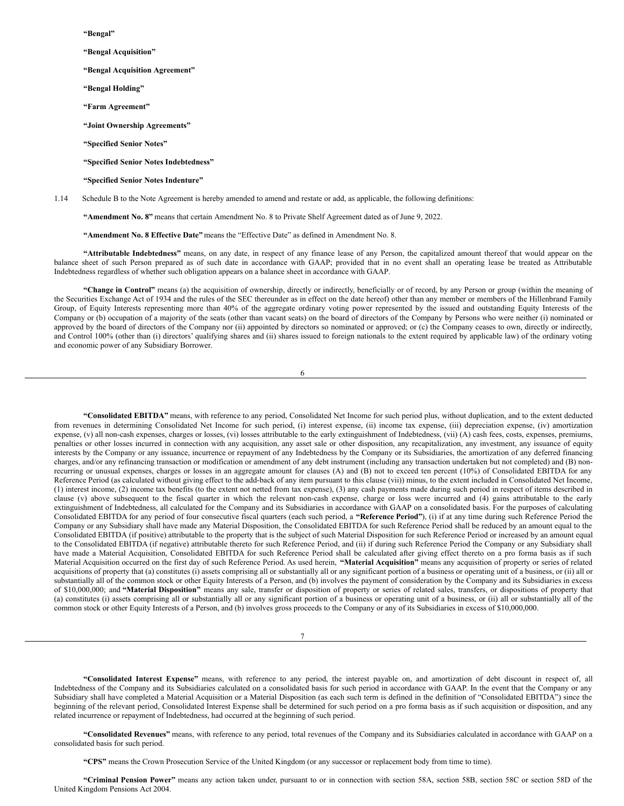**"Bengal"**

- **"Bengal Acquisition"**
- **"Bengal Acquisition Agreement"**
- **"Bengal Holding"**
- **"Farm Agreement"**
- **"Joint Ownership Agreements"**
- **"Specified Senior Notes"**
- **"Specified Senior Notes Indebtedness"**
- **"Specified Senior Notes Indenture"**
- 1.14 Schedule B to the Note Agreement is hereby amended to amend and restate or add, as applicable, the following definitions:

**"Amendment No. 8"** means that certain Amendment No. 8 to Private Shelf Agreement dated as of June 9, 2022.

**"Amendment No. 8 Effective Date"** means the "Effective Date" as defined in Amendment No. 8.

**"Attributable Indebtedness"** means, on any date, in respect of any finance lease of any Person, the capitalized amount thereof that would appear on the balance sheet of such Person prepared as of such date in accordance with GAAP; provided that in no event shall an operating lease be treated as Attributable Indebtedness regardless of whether such obligation appears on a balance sheet in accordance with GAAP.

**"Change in Control"** means (a) the acquisition of ownership, directly or indirectly, beneficially or of record, by any Person or group (within the meaning of the Securities Exchange Act of 1934 and the rules of the SEC thereunder as in effect on the date hereof) other than any member or members of the Hillenbrand Family Group, of Equity Interests representing more than 40% of the aggregate ordinary voting power represented by the issued and outstanding Equity Interests of the Company or (b) occupation of a majority of the seats (other than vacant seats) on the board of directors of the Company by Persons who were neither (i) nominated or approved by the board of directors of the Company nor (ii) appointed by directors so nominated or approved; or (c) the Company ceases to own, directly or indirectly, and Control 100% (other than (i) directors' qualifying shares and (ii) shares issued to foreign nationals to the extent required by applicable law) of the ordinary voting and economic power of any Subsidiary Borrower.

6

**"Consolidated EBITDA"** means, with reference to any period, Consolidated Net Income for such period plus, without duplication, and to the extent deducted from revenues in determining Consolidated Net Income for such period, (i) interest expense, (ii) income tax expense, (iii) depreciation expense, (iv) amortization expense, (v) all non-cash expenses, charges or losses, (vi) losses attributable to the early extinguishment of Indebtedness, (vii) (A) cash fees, costs, expenses, premiums, penalties or other losses incurred in connection with any acquisition, any asset sale or other disposition, any recapitalization, any investment, any issuance of equity interests by the Company or any issuance, incurrence or repayment of any Indebtedness by the Company or its Subsidiaries, the amortization of any deferred financing charges, and/or any refinancing transaction or modification or amendment of any debt instrument (including any transaction undertaken but not completed) and (B) nonrecurring or unusual expenses, charges or losses in an aggregate amount for clauses (A) and (B) not to exceed ten percent (10%) of Consolidated EBITDA for any Reference Period (as calculated without giving effect to the add-back of any item pursuant to this clause (vii)) minus, to the extent included in Consolidated Net Income, (1) interest income, (2) income tax benefits (to the extent not netted from tax expense), (3) any cash payments made during such period in respect of items described in clause (v) above subsequent to the fiscal quarter in which the relevant non-cash expense, charge or loss were incurred and (4) gains attributable to the early extinguishment of Indebtedness, all calculated for the Company and its Subsidiaries in accordance with GAAP on a consolidated basis. For the purposes of calculating Consolidated EBITDA for any period of four consecutive fiscal quarters (each such period, a **"Reference Period"**), (i) if at any time during such Reference Period the Company or any Subsidiary shall have made any Material Disposition, the Consolidated EBITDA for such Reference Period shall be reduced by an amount equal to the Consolidated EBITDA (if positive) attributable to the property that is the subject of such Material Disposition for such Reference Period or increased by an amount equal to the Consolidated EBITDA (if negative) attributable thereto for such Reference Period, and (ii) if during such Reference Period the Company or any Subsidiary shall have made a Material Acquisition, Consolidated EBITDA for such Reference Period shall be calculated after giving effect thereto on a pro forma basis as if such Material Acquisition occurred on the first day of such Reference Period. As used herein, **"Material Acquisition"** means any acquisition of property or series of related acquisitions of property that (a) constitutes (i) assets comprising all or substantially all or any significant portion of a business or operating unit of a business, or (ii) all or substantially all of the common stock or other Equity Interests of a Person, and (b) involves the payment of consideration by the Company and its Subsidiaries in excess of \$10,000,000; and **"Material Disposition"** means any sale, transfer or disposition of property or series of related sales, transfers, or dispositions of property that (a) constitutes (i) assets comprising all or substantially all or any significant portion of a business or operating unit of a business, or (ii) all or substantially all of the common stock or other Equity Interests of a Person, and (b) involves gross proceeds to the Company or any of its Subsidiaries in excess of \$10,000,000.

7

**"Consolidated Interest Expense"** means, with reference to any period, the interest payable on, and amortization of debt discount in respect of, all Indebtedness of the Company and its Subsidiaries calculated on a consolidated basis for such period in accordance with GAAP. In the event that the Company or any Subsidiary shall have completed a Material Acquisition or a Material Disposition (as each such term is defined in the definition of "Consolidated EBITDA") since the beginning of the relevant period, Consolidated Interest Expense shall be determined for such period on a pro forma basis as if such acquisition or disposition, and any related incurrence or repayment of Indebtedness, had occurred at the beginning of such period.

**"Consolidated Revenues"** means, with reference to any period, total revenues of the Company and its Subsidiaries calculated in accordance with GAAP on a consolidated basis for such period.

**"CPS"** means the Crown Prosecution Service of the United Kingdom (or any successor or replacement body from time to time).

**"Criminal Pension Power"** means any action taken under, pursuant to or in connection with section 58A, section 58B, section 58C or section 58D of the United Kingdom Pensions Act 2004.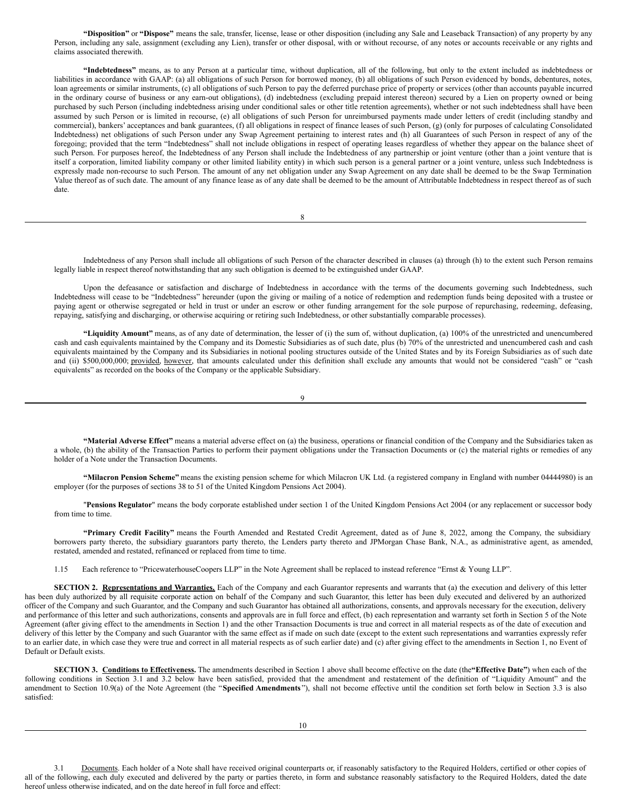**"Disposition"** or **"Dispose"** means the sale, transfer, license, lease or other disposition (including any Sale and Leaseback Transaction) of any property by any Person, including any sale, assignment (excluding any Lien), transfer or other disposal, with or without recourse, of any notes or accounts receivable or any rights and claims associated therewith.

**"Indebtedness"** means, as to any Person at a particular time, without duplication, all of the following, but only to the extent included as indebtedness or liabilities in accordance with GAAP: (a) all obligations of such Person for borrowed money, (b) all obligations of such Person evidenced by bonds, debentures, notes, loan agreements or similar instruments, (c) all obligations of such Person to pay the deferred purchase price of property or services (other than accounts payable incurred in the ordinary course of business or any earn-out obligations), (d) indebtedness (excluding prepaid interest thereon) secured by a Lien on property owned or being purchased by such Person (including indebtedness arising under conditional sales or other title retention agreements), whether or not such indebtedness shall have been assumed by such Person or is limited in recourse, (e) all obligations of such Person for unreimbursed payments made under letters of credit (including standby and commercial), bankers' acceptances and bank guarantees, (f) all obligations in respect of finance leases of such Person, (g) (only for purposes of calculating Consolidated Indebtedness) net obligations of such Person under any Swap Agreement pertaining to interest rates and (h) all Guarantees of such Person in respect of any of the foregoing; provided that the term "Indebtedness" shall not include obligations in respect of operating leases regardless of whether they appear on the balance sheet of such Person. For purposes hereof, the Indebtedness of any Person shall include the Indebtedness of any partnership or joint venture (other than a joint venture that is itself a corporation, limited liability company or other limited liability entity) in which such person is a general partner or a joint venture, unless such Indebtedness is expressly made non-recourse to such Person. The amount of any net obligation under any Swap Agreement on any date shall be deemed to be the Swap Termination Value thereof as of such date. The amount of any finance lease as of any date shall be deemed to be the amount of Attributable Indebtedness in respect thereof as of such date.

8

Indebtedness of any Person shall include all obligations of such Person of the character described in clauses (a) through (h) to the extent such Person remains legally liable in respect thereof notwithstanding that any such obligation is deemed to be extinguished under GAAP.

Upon the defeasance or satisfaction and discharge of Indebtedness in accordance with the terms of the documents governing such Indebtedness, such Indebtedness will cease to be "Indebtedness" hereunder (upon the giving or mailing of a notice of redemption and redemption funds being deposited with a trustee or paying agent or otherwise segregated or held in trust or under an escrow or other funding arrangement for the sole purpose of repurchasing, redeeming, defeasing, repaying, satisfying and discharging, or otherwise acquiring or retiring such Indebtedness, or other substantially comparable processes).

**"Liquidity Amount"** means, as of any date of determination, the lesser of (i) the sum of, without duplication, (a) 100% of the unrestricted and unencumbered cash and cash equivalents maintained by the Company and its Domestic Subsidiaries as of such date, plus (b) 70% of the unrestricted and unencumbered cash and cash equivalents maintained by the Company and its Subsidiaries in notional pooling structures outside of the United States and by its Foreign Subsidiaries as of such date and (ii) \$500,000,000; provided, however, that amounts calculated under this definition shall exclude any amounts that would not be considered "cash" or "cash equivalents" as recorded on the books of the Company or the applicable Subsidiary.

9

**"Material Adverse Effect"** means a material adverse effect on (a) the business, operations or financial condition of the Company and the Subsidiaries taken as a whole, (b) the ability of the Transaction Parties to perform their payment obligations under the Transaction Documents or (c) the material rights or remedies of any holder of a Note under the Transaction Documents.

**"Milacron Pension Scheme"** means the existing pension scheme for which Milacron UK Ltd. (a registered company in England with number 04444980) is an employer (for the purposes of sections 38 to 51 of the United Kingdom Pensions Act 2004).

"**Pensions Regulator**" means the body corporate established under section 1 of the United Kingdom Pensions Act 2004 (or any replacement or successor body from time to time.

**"Primary Credit Facility"** means the Fourth Amended and Restated Credit Agreement, dated as of June 8, 2022, among the Company, the subsidiary borrowers party thereto, the subsidiary guarantors party thereto, the Lenders party thereto and JPMorgan Chase Bank, N.A., as administrative agent, as amended, restated, amended and restated, refinanced or replaced from time to time.

1.15 Each reference to "PricewaterhouseCoopers LLP" in the Note Agreement shall be replaced to instead reference "Ernst & Young LLP".

**SECTION 2. Representations and Warranties.** Each of the Company and each Guarantor represents and warrants that (a) the execution and delivery of this letter has been duly authorized by all requisite corporate action on behalf of the Company and such Guarantor, this letter has been duly executed and delivered by an authorized officer of the Company and such Guarantor, and the Company and such Guarantor has obtained all authorizations, consents, and approvals necessary for the execution, delivery and performance of this letter and such authorizations, consents and approvals are in full force and effect, (b) each representation and warranty set forth in Section 5 of the Note Agreement (after giving effect to the amendments in Section 1) and the other Transaction Documents is true and correct in all material respects as of the date of execution and delivery of this letter by the Company and such Guarantor with the same effect as if made on such date (except to the extent such representations and warranties expressly refer to an earlier date, in which case they were true and correct in all material respects as of such earlier date) and (c) after giving effect to the amendments in Section 1, no Event of Default or Default exists.

**SECTION 3. Conditions to Effectiveness.** The amendments described in Section 1 above shall become effective on the date (the**"Effective Date"**) when each of the following conditions in Section 3.1 and 3.2 below have been satisfied, provided that the amendment and restatement of the definition of "Liquidity Amount" and the amendment to Section 10.9(a) of the Note Agreement (the "**Specified Amendments** "), shall not become effective until the condition set forth below in Section 3.3 is also satisfied:

Documents. Each holder of a Note shall have received original counterparts or, if reasonably satisfactory to the Required Holders, certified or other copies of all of the following, each duly executed and delivered by the party or parties thereto, in form and substance reasonably satisfactory to the Required Holders, dated the date hereof unless otherwise indicated, and on the date hereof in full force and effect: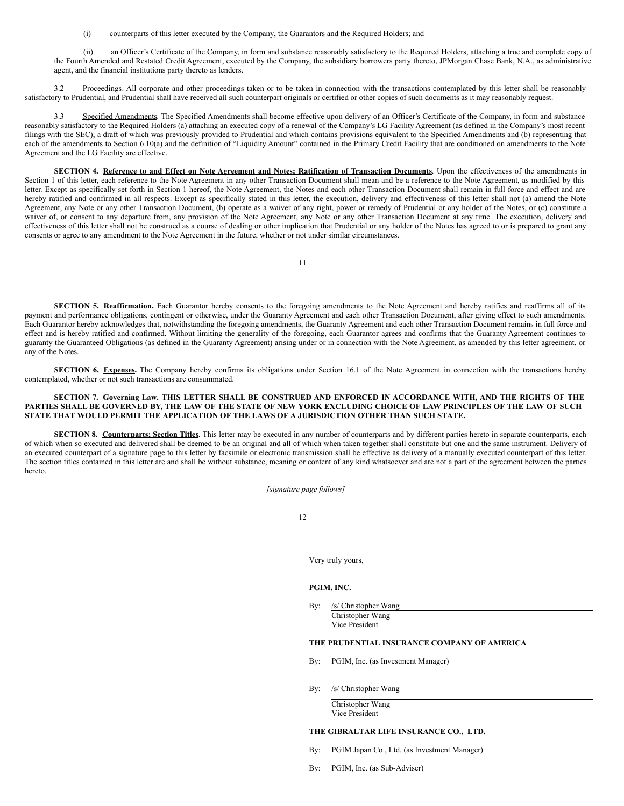(i) counterparts of this letter executed by the Company, the Guarantors and the Required Holders; and

(ii) an Officer's Certificate of the Company, in form and substance reasonably satisfactory to the Required Holders, attaching a true and complete copy of the Fourth Amended and Restated Credit Agreement, executed by the Company, the subsidiary borrowers party thereto, JPMorgan Chase Bank, N.A., as administrative agent, and the financial institutions party thereto as lenders.

3.2 Proceedings. All corporate and other proceedings taken or to be taken in connection with the transactions contemplated by this letter shall be reasonably satisfactory to Prudential, and Prudential shall have received all such counterpart originals or certified or other copies of such documents as it may reasonably request.

3.3 Specified Amendments. The Specified Amendments shall become effective upon delivery of an Officer's Certificate of the Company, in form and substance reasonably satisfactory to the Required Holders (a) attaching an executed copy of a renewal of the Company's LG Facility Agreement (as defined in the Company's most recent filings with the SEC), a draft of which was previously provided to Prudential and which contains provisions equivalent to the Specified Amendments and (b) representing that each of the amendments to Section 6.10(a) and the definition of "Liquidity Amount" contained in the Primary Credit Facility that are conditioned on amendments to the Note Agreement and the LG Facility are effective.

SECTION 4. Reference to and Effect on Note Agreement and Notes; Ratification of Transaction Documents. Upon the effectiveness of the amendments in Section 1 of this letter, each reference to the Note Agreement in any other Transaction Document shall mean and be a reference to the Note Agreement, as modified by this letter. Except as specifically set forth in Section 1 hereof, the Note Agreement, the Notes and each other Transaction Document shall remain in full force and effect and are hereby ratified and confirmed in all respects. Except as specifically stated in this letter, the execution, delivery and effectiveness of this letter shall not (a) amend the Note Agreement, any Note or any other Transaction Document, (b) operate as a waiver of any right, power or remedy of Prudential or any holder of the Notes, or (c) constitute a waiver of, or consent to any departure from, any provision of the Note Agreement, any Note or any other Transaction Document at any time. The execution, delivery and effectiveness of this letter shall not be construed as a course of dealing or other implication that Prudential or any holder of the Notes has agreed to or is prepared to grant any consents or agree to any amendment to the Note Agreement in the future, whether or not under similar circumstances.

11

**SECTION 5. Reaffirmation.** Each Guarantor hereby consents to the foregoing amendments to the Note Agreement and hereby ratifies and reaffirms all of its payment and performance obligations, contingent or otherwise, under the Guaranty Agreement and each other Transaction Document, after giving effect to such amendments. Each Guarantor hereby acknowledges that, notwithstanding the foregoing amendments, the Guaranty Agreement and each other Transaction Document remains in full force and effect and is hereby ratified and confirmed. Without limiting the generality of the foregoing, each Guarantor agrees and confirms that the Guaranty Agreement continues to guaranty the Guaranteed Obligations (as defined in the Guaranty Agreement) arising under or in connection with the Note Agreement, as amended by this letter agreement, or any of the Notes.

**SECTION 6. Expenses.** The Company hereby confirms its obligations under Section 16.1 of the Note Agreement in connection with the transactions hereby contemplated, whether or not such transactions are consummated.

### SECTION 7. Governing Law, THIS LETTER SHALL BE CONSTRUED AND ENFORCED IN ACCORDANCE WITH, AND THE RIGHTS OF THE PARTIES SHALL BE GOVERNED BY. THE LAW OF THE STATE OF NEW YORK EXCLUDING CHOICE OF LAW PRINCIPLES OF THE LAW OF SUCH **STATE THAT WOULD PERMIT THE APPLICATION OF THE LAWS OF A JURISDICTION OTHER THAN SUCH STATE.**

**SECTION 8. Counterparts; Section Titles**. This letter may be executed in any number of counterparts and by different parties hereto in separate counterparts, each of which when so executed and delivered shall be deemed to be an original and all of which when taken together shall constitute but one and the same instrument. Delivery of an executed counterpart of a signature page to this letter by facsimile or electronic transmission shall be effective as delivery of a manually executed counterpart of this letter. The section titles contained in this letter are and shall be without substance, meaning or content of any kind whatsoever and are not a part of the agreement between the parties hereto.

*[signature page follows]*

12

Very truly yours,

#### **PGIM, INC.**

By: /s/ Christopher Wang Christopher Wang

Vice President

## **THE PRUDENTIAL INSURANCE COMPANY OF AMERICA**

- By: PGIM, Inc. (as Investment Manager)
- By: /s/ Christopher Wang

Christopher Wang Vice President

### **THE GIBRALTAR LIFE INSURANCE CO., LTD.**

- By: PGIM Japan Co., Ltd. (as Investment Manager)
- By: PGIM, Inc. (as Sub-Adviser)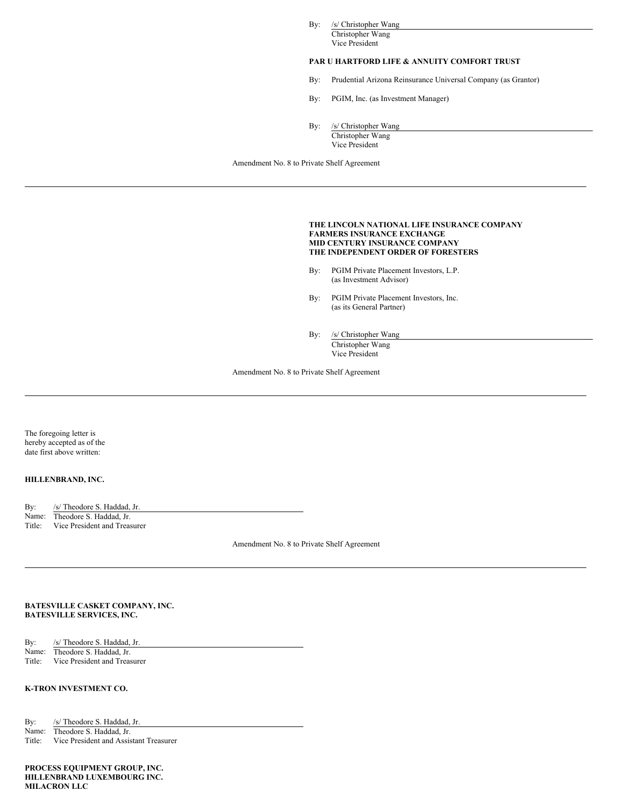By: /s/ Christopher Wang Christopher Wang Vice President

### **PAR U HARTFORD LIFE & ANNUITY COMFORT TRUST**

- By: Prudential Arizona Reinsurance Universal Company (as Grantor)
- By: PGIM, Inc. (as Investment Manager)

By: /s/ Christopher Wang Christopher Wang Vice President

Amendment No. 8 to Private Shelf Agreement

### **THE LINCOLN NATIONAL LIFE INSURANCE COMPANY FARMERS INSURANCE EXCHANGE MID CENTURY INSURANCE COMPANY THE INDEPENDENT ORDER OF FORESTERS**

- By: PGIM Private Placement Investors, L.P. (as Investment Advisor)
- By: PGIM Private Placement Investors, Inc. (as its General Partner)
- By: /s/ Christopher Wang Christopher Wang Vice President

Amendment No. 8 to Private Shelf Agreement

The foregoing letter is hereby accepted as of the date first above written:

## **HILLENBRAND, INC.**

By: /s/ Theodore S. Haddad, Jr. Name: Theodore S. Haddad, Jr.<br>Title: Vice President and Treas Vice President and Treasurer

Amendment No. 8 to Private Shelf Agreement

## **BATESVILLE CASKET COMPANY, INC. BATESVILLE SERVICES, INC.**

By: /s/ Theodore S. Haddad, Jr.

Name: Theodore S. Haddad, Jr.<br>Title: Vice President and Treas Vice President and Treasurer

# **K-TRON INVESTMENT CO.**

By: /s/ Theodore S. Haddad, Jr.

Name: Theodore S. Haddad, Jr. Title: Vice President and Assistant Treasurer

**PROCESS EQUIPMENT GROUP, INC. HILLENBRAND LUXEMBOURG INC. MILACRON LLC**